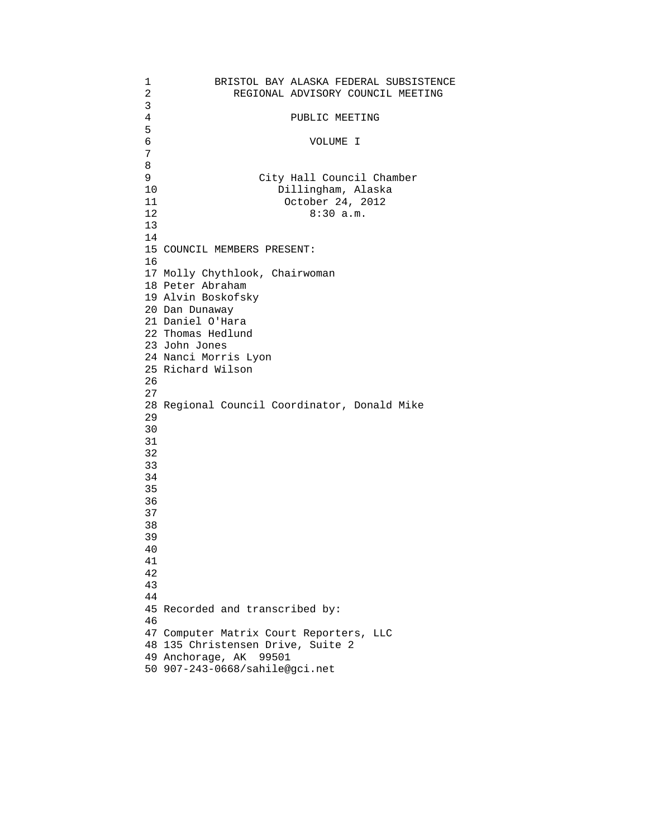| 1              | BRISTOL BAY ALASKA FEDERAL SUBSISTENCE       |
|----------------|----------------------------------------------|
| $\overline{2}$ | REGIONAL ADVISORY COUNCIL MEETING            |
| 3              |                                              |
| $\overline{4}$ | PUBLIC MEETING                               |
| 5              |                                              |
| 6              | VOLUME I                                     |
| 7              |                                              |
| 8              |                                              |
| 9              | City Hall Council Chamber                    |
| 10             | Dillingham, Alaska                           |
| 11             | October 24, 2012                             |
| 12             | 8:30 a.m.                                    |
| 13             |                                              |
| 14             |                                              |
|                | 15 COUNCIL MEMBERS PRESENT:                  |
| 16             |                                              |
|                | 17 Molly Chythlook, Chairwoman               |
|                | 18 Peter Abraham                             |
|                | 19 Alvin Boskofsky                           |
|                | 20 Dan Dunaway                               |
|                | 21 Daniel O'Hara                             |
|                | 22 Thomas Hedlund                            |
|                | 23 John Jones                                |
|                | 24 Nanci Morris Lyon                         |
|                | 25 Richard Wilson                            |
| 26             |                                              |
| 27             |                                              |
|                | 28 Regional Council Coordinator, Donald Mike |
| 29             |                                              |
| 30             |                                              |
| 31             |                                              |
| 32             |                                              |
| 33             |                                              |
| 34             |                                              |
| 35             |                                              |
| 36             |                                              |
|                |                                              |
| 37             |                                              |
| 38             |                                              |
| 39             |                                              |
| 40             |                                              |
| 41             |                                              |
| 42             |                                              |
| 43             |                                              |
| 44             |                                              |
| 45             | Recorded and transcribed by:                 |
| 46             |                                              |
| 47             | Computer Matrix Court Reporters, LLC         |
| 48             | 135 Christensen Drive, Suite 2               |
|                | 49 Anchorage, AK<br>99501                    |
| 50             | 907-243-0668/sahile@gci.net                  |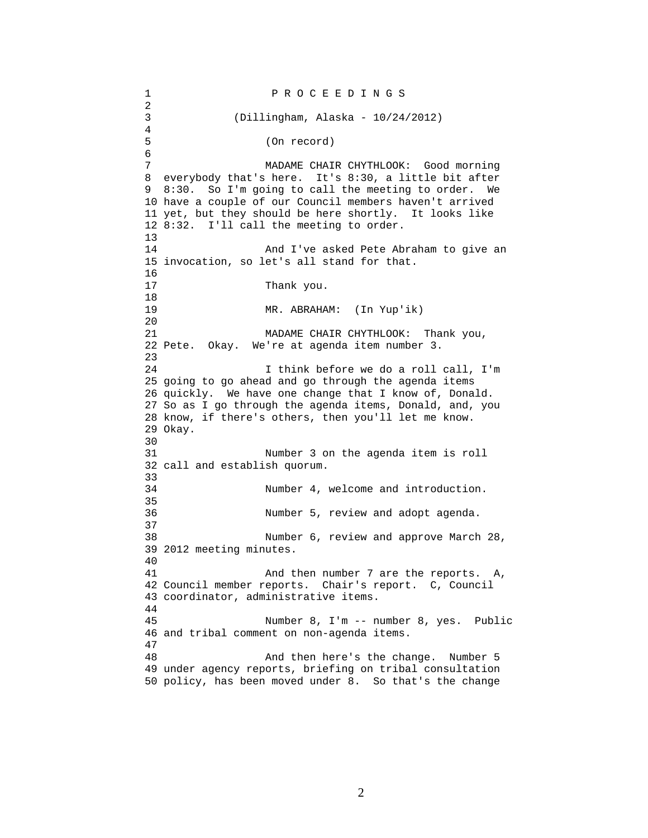1 P R O C E E D I N G S 2 3 (Dillingham, Alaska - 10/24/2012) 4 5 (On record) 6 7 MADAME CHAIR CHYTHLOOK: Good morning 8 everybody that's here. It's 8:30, a little bit after 9 8:30. So I'm going to call the meeting to order. We 10 have a couple of our Council members haven't arrived 11 yet, but they should be here shortly. It looks like 12 8:32. I'll call the meeting to order. 13 14 And I've asked Pete Abraham to give an 15 invocation, so let's all stand for that. 16 17 Thank you. 18 19 MR. ABRAHAM: (In Yup'ik) 20 21 MADAME CHAIR CHYTHLOOK: Thank you, 22 Pete. Okay. We're at agenda item number 3. 23 24 I think before we do a roll call, I'm 25 going to go ahead and go through the agenda items 26 quickly. We have one change that I know of, Donald. 27 So as I go through the agenda items, Donald, and, you 28 know, if there's others, then you'll let me know. 29 Okay. 30<br>31 Number 3 on the agenda item is roll 32 call and establish quorum. 33 34 Number 4, welcome and introduction. 35 36 Number 5, review and adopt agenda. 37 38 Number 6, review and approve March 28, 39 2012 meeting minutes. 40 41 And then number 7 are the reports. A, 42 Council member reports. Chair's report. C, Council 43 coordinator, administrative items. 44 45 Number 8, I'm -- number 8, yes. Public 46 and tribal comment on non-agenda items. 47 48 And then here's the change. Number 5 49 under agency reports, briefing on tribal consultation 50 policy, has been moved under 8. So that's the change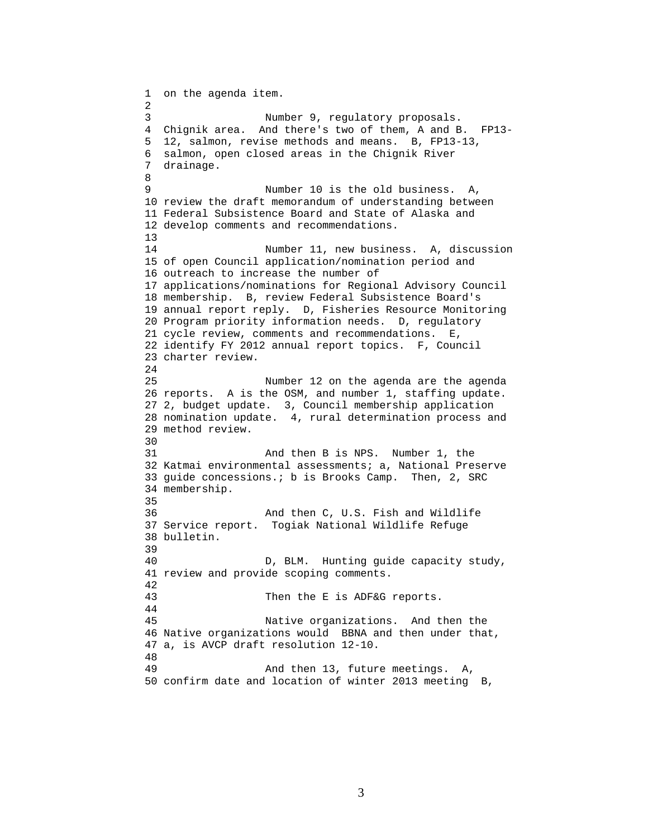```
1 on the agenda item. 
2 
3 Number 9, regulatory proposals. 
4 Chignik area. And there's two of them, A and B. FP13- 
5 12, salmon, revise methods and means. B, FP13-13, 
6 salmon, open closed areas in the Chignik River 
7 drainage. 
8 
9 Number 10 is the old business. A, 
10 review the draft memorandum of understanding between 
11 Federal Subsistence Board and State of Alaska and 
12 develop comments and recommendations. 
13 
14 Number 11, new business. A, discussion 
15 of open Council application/nomination period and 
16 outreach to increase the number of 
17 applications/nominations for Regional Advisory Council 
18 membership. B, review Federal Subsistence Board's 
19 annual report reply. D, Fisheries Resource Monitoring 
20 Program priority information needs. D, regulatory 
21 cycle review, comments and recommendations. E, 
22 identify FY 2012 annual report topics. F, Council 
23 charter review. 
24 
25 Number 12 on the agenda are the agenda 
26 reports. A is the OSM, and number 1, staffing update. 
27 2, budget update. 3, Council membership application 
28 nomination update. 4, rural determination process and 
29 method review. 
30<br>31
                  And then B is NPS. Number 1, the
32 Katmai environmental assessments; a, National Preserve 
33 guide concessions.; b is Brooks Camp. Then, 2, SRC 
34 membership. 
35 
36 And then C, U.S. Fish and Wildlife 
37 Service report. Togiak National Wildlife Refuge 
38 bulletin. 
39 
40 D, BLM. Hunting guide capacity study, 
41 review and provide scoping comments. 
42 
43 Then the E is ADF&G reports. 
44 
45 Native organizations. And then the 
46 Native organizations would BBNA and then under that, 
47 a, is AVCP draft resolution 12-10. 
48 
49 And then 13, future meetings. A, 
50 confirm date and location of winter 2013 meeting B,
```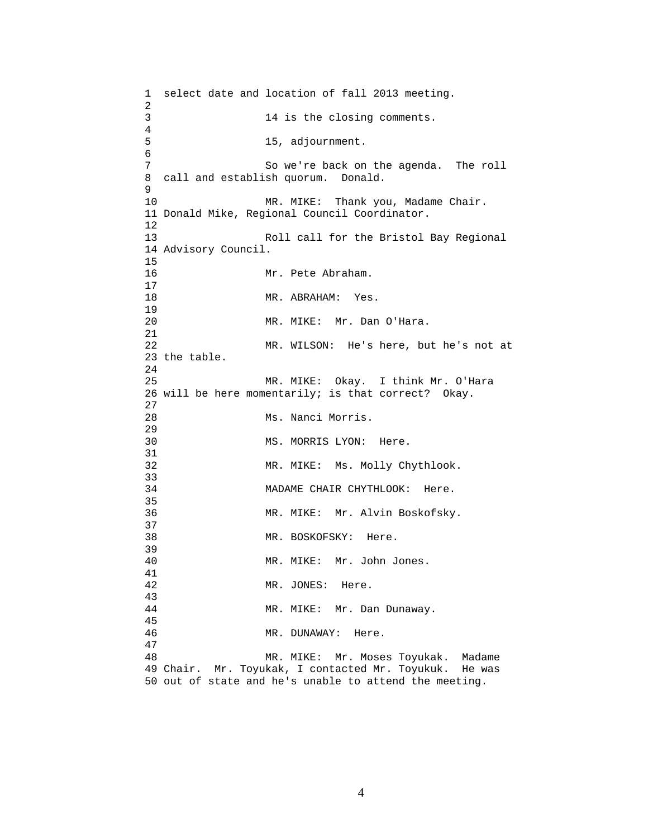1 select date and location of fall 2013 meeting. 2 3 14 is the closing comments. 4 5 15, adjournment. 6 7 So we're back on the agenda. The roll 8 call and establish quorum. Donald. 9 10 MR. MIKE: Thank you, Madame Chair. 11 Donald Mike, Regional Council Coordinator. 12 13 Roll call for the Bristol Bay Regional 14 Advisory Council. 15 16 Mr. Pete Abraham.  $\begin{array}{c} 17 \\ 18 \end{array}$ MR. ABRAHAM: Yes. 19 20 MR. MIKE: Mr. Dan O'Hara. 21 22 MR. WILSON: He's here, but he's not at 23 the table. 24 25 MR. MIKE: Okay. I think Mr. O'Hara 26 will be here momentarily; is that correct? Okay. 27 28 Ms. Nanci Morris. 29 30 MS. MORRIS LYON: Here. 31 32 MR. MIKE: Ms. Molly Chythlook. 33<br>34 MADAME CHAIR CHYTHLOOK: Here. 35 36 MR. MIKE: Mr. Alvin Boskofsky. 37 38 MR. BOSKOFSKY: Here. 39 40 MR. MIKE: Mr. John Jones. 41 42 MR. JONES: Here. 43 44 MR. MIKE: Mr. Dan Dunaway. 45 46 MR. DUNAWAY: Here. 47 48 MR. MIKE: Mr. Moses Toyukak. Madame 49 Chair. Mr. Toyukak, I contacted Mr. Toyukuk. He was 50 out of state and he's unable to attend the meeting.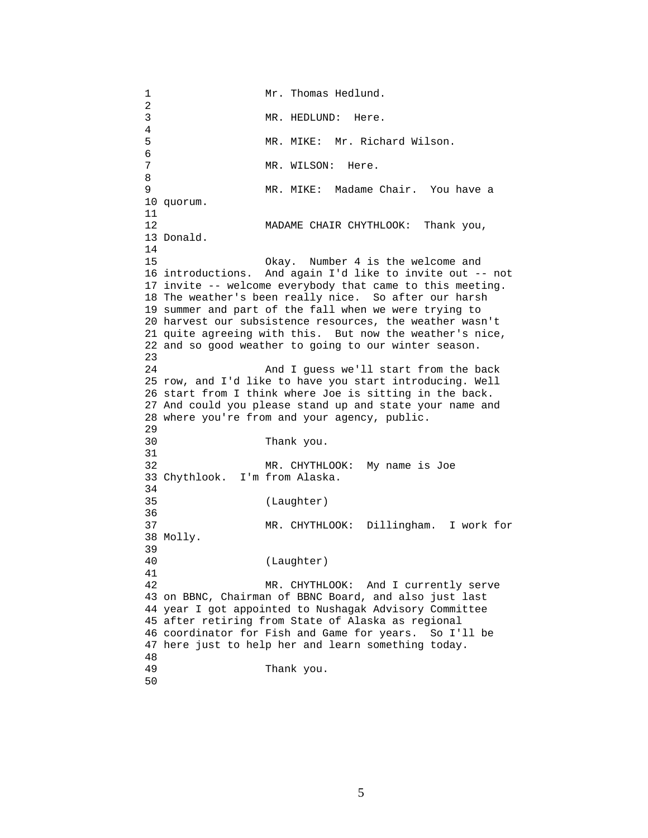1 Mr. Thomas Hedlund.  $\frac{2}{3}$ MR. HEDLUND: Here.  $\frac{4}{5}$ MR. MIKE: Mr. Richard Wilson. 6<br>7 MR. WILSON: Here. 8 9 MR. MIKE: Madame Chair. You have a 10 quorum. 11 12 MADAME CHAIR CHYTHLOOK: Thank you, 13 Donald. 14 15 Okay. Number 4 is the welcome and 16 introductions. And again I'd like to invite out -- not 17 invite -- welcome everybody that came to this meeting. 18 The weather's been really nice. So after our harsh 19 summer and part of the fall when we were trying to 20 harvest our subsistence resources, the weather wasn't 21 quite agreeing with this. But now the weather's nice, 22 and so good weather to going to our winter season. 23 24 And I guess we'll start from the back 25 row, and I'd like to have you start introducing. Well 26 start from I think where Joe is sitting in the back. 27 And could you please stand up and state your name and 28 where you're from and your agency, public. 29 30 Thank you. 31 32 MR. CHYTHLOOK: My name is Joe 33 Chythlook. I'm from Alaska. 34<br>35 (Laughter) 36 37 MR. CHYTHLOOK: Dillingham. I work for 38 Molly. 39 40 (Laughter) 41 42 MR. CHYTHLOOK: And I currently serve 43 on BBNC, Chairman of BBNC Board, and also just last 44 year I got appointed to Nushagak Advisory Committee 45 after retiring from State of Alaska as regional 46 coordinator for Fish and Game for years. So I'll be 47 here just to help her and learn something today. 48 Thank you. 50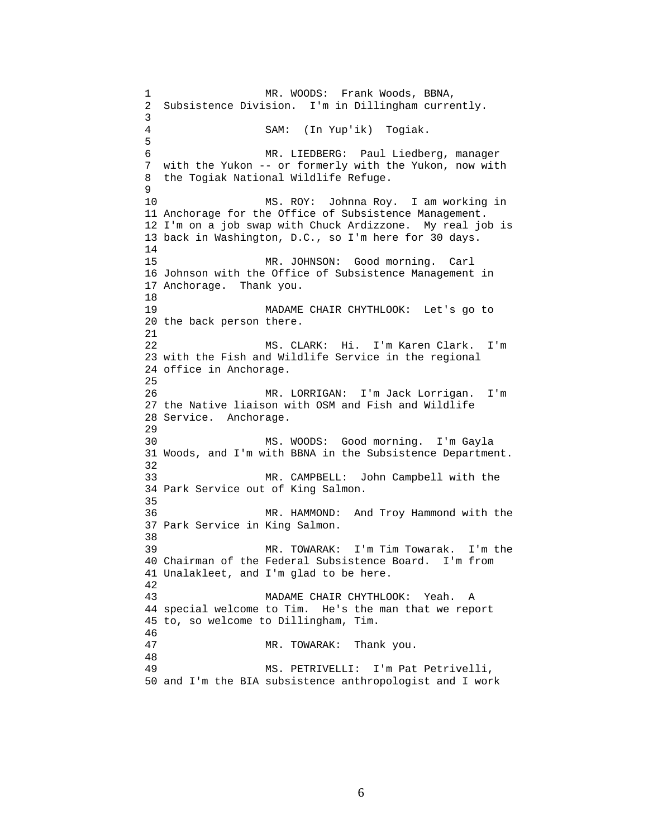1 MR. WOODS: Frank Woods, BBNA, 2 Subsistence Division. I'm in Dillingham currently. 3 4 SAM: (In Yup'ik) Togiak. 5 6 MR. LIEDBERG: Paul Liedberg, manager 7 with the Yukon -- or formerly with the Yukon, now with 8 the Togiak National Wildlife Refuge. 9 10 MS. ROY: Johnna Roy. I am working in 11 Anchorage for the Office of Subsistence Management. 12 I'm on a job swap with Chuck Ardizzone. My real job is 13 back in Washington, D.C., so I'm here for 30 days. 14 15 MR. JOHNSON: Good morning. Carl 16 Johnson with the Office of Subsistence Management in 17 Anchorage. Thank you. 18 19 MADAME CHAIR CHYTHLOOK: Let's go to 20 the back person there. 21 22 MS. CLARK: Hi. I'm Karen Clark. I'm 23 with the Fish and Wildlife Service in the regional 24 office in Anchorage. 25 26 MR. LORRIGAN: I'm Jack Lorrigan. I'm 27 the Native liaison with OSM and Fish and Wildlife 28 Service. Anchorage. 29 30 MS. WOODS: Good morning. I'm Gayla 31 Woods, and I'm with BBNA in the Subsistence Department. 32 33 MR. CAMPBELL: John Campbell with the 34 Park Service out of King Salmon. 35 36 MR. HAMMOND: And Troy Hammond with the 37 Park Service in King Salmon. 38 39 MR. TOWARAK: I'm Tim Towarak. I'm the 40 Chairman of the Federal Subsistence Board. I'm from 41 Unalakleet, and I'm glad to be here. 42 43 MADAME CHAIR CHYTHLOOK: Yeah. A 44 special welcome to Tim. He's the man that we report 45 to, so welcome to Dillingham, Tim. 46 47 MR. TOWARAK: Thank you. 48 49 MS. PETRIVELLI: I'm Pat Petrivelli, 50 and I'm the BIA subsistence anthropologist and I work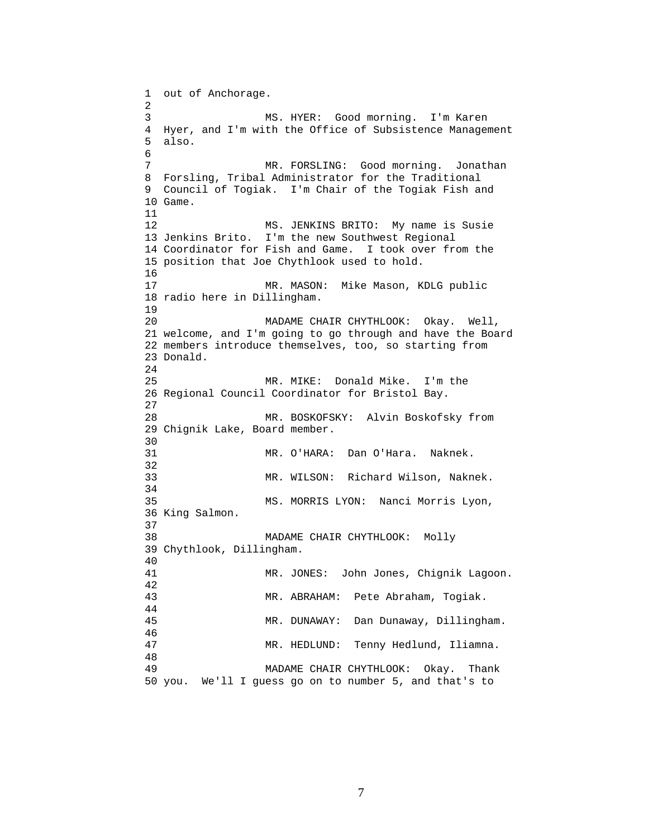1 out of Anchorage. 2 3 MS. HYER: Good morning. I'm Karen 4 Hyer, and I'm with the Office of Subsistence Management 5 also. 6 7 MR. FORSLING: Good morning. Jonathan 8 Forsling, Tribal Administrator for the Traditional 9 Council of Togiak. I'm Chair of the Togiak Fish and 10 Game. 11 12 MS. JENKINS BRITO: My name is Susie 13 Jenkins Brito. I'm the new Southwest Regional 14 Coordinator for Fish and Game. I took over from the 15 position that Joe Chythlook used to hold. 16 17 MR. MASON: Mike Mason, KDLG public 18 radio here in Dillingham. 19 20 MADAME CHAIR CHYTHLOOK: Okay. Well, 21 welcome, and I'm going to go through and have the Board 22 members introduce themselves, too, so starting from 23 Donald. 24 25 MR. MIKE: Donald Mike. I'm the 26 Regional Council Coordinator for Bristol Bay. 27 28 MR. BOSKOFSKY: Alvin Boskofsky from 29 Chignik Lake, Board member. 30<br>31 MR. O'HARA: Dan O'Hara. Naknek. 32 33 MR. WILSON: Richard Wilson, Naknek. 34 35 MS. MORRIS LYON: Nanci Morris Lyon, 36 King Salmon. 37 38 MADAME CHAIR CHYTHLOOK: Molly 39 Chythlook, Dillingham. 40 41 MR. JONES: John Jones, Chignik Lagoon. 42 43 MR. ABRAHAM: Pete Abraham, Togiak. 44 45 MR. DUNAWAY: Dan Dunaway, Dillingham. 46 47 MR. HEDLUND: Tenny Hedlund, Iliamna. 48 49 MADAME CHAIR CHYTHLOOK: Okay. Thank 50 you. We'll I guess go on to number 5, and that's to

7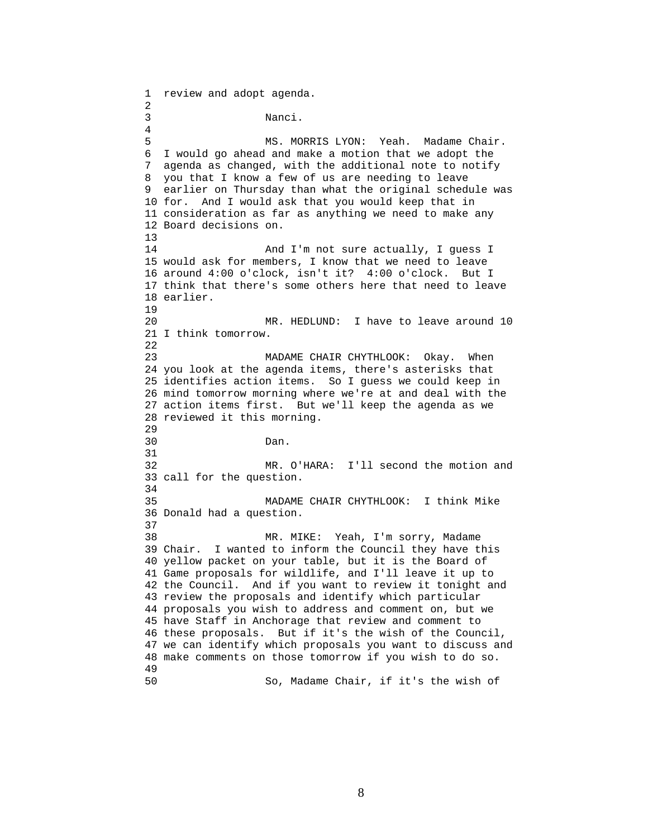1 review and adopt agenda. 2 3 Nanci. 4 5 MS. MORRIS LYON: Yeah. Madame Chair. 6 I would go ahead and make a motion that we adopt the 7 agenda as changed, with the additional note to notify 8 you that I know a few of us are needing to leave 9 earlier on Thursday than what the original schedule was 10 for. And I would ask that you would keep that in 11 consideration as far as anything we need to make any 12 Board decisions on. 13 14 And I'm not sure actually, I guess I 15 would ask for members, I know that we need to leave 16 around 4:00 o'clock, isn't it? 4:00 o'clock. But I 17 think that there's some others here that need to leave 18 earlier. 19 20 MR. HEDLUND: I have to leave around 10 21 I think tomorrow. 22 23 MADAME CHAIR CHYTHLOOK: Okay. When 24 you look at the agenda items, there's asterisks that 25 identifies action items. So I guess we could keep in 26 mind tomorrow morning where we're at and deal with the 27 action items first. But we'll keep the agenda as we 28 reviewed it this morning. 29 30 Dan. 31 32 MR. O'HARA: I'll second the motion and 33 call for the question. 34 35 MADAME CHAIR CHYTHLOOK: I think Mike 36 Donald had a question. 37 38 MR. MIKE: Yeah, I'm sorry, Madame 39 Chair. I wanted to inform the Council they have this 40 yellow packet on your table, but it is the Board of 41 Game proposals for wildlife, and I'll leave it up to 42 the Council. And if you want to review it tonight and 43 review the proposals and identify which particular 44 proposals you wish to address and comment on, but we 45 have Staff in Anchorage that review and comment to 46 these proposals. But if it's the wish of the Council, 47 we can identify which proposals you want to discuss and 48 make comments on those tomorrow if you wish to do so. 49 50 So, Madame Chair, if it's the wish of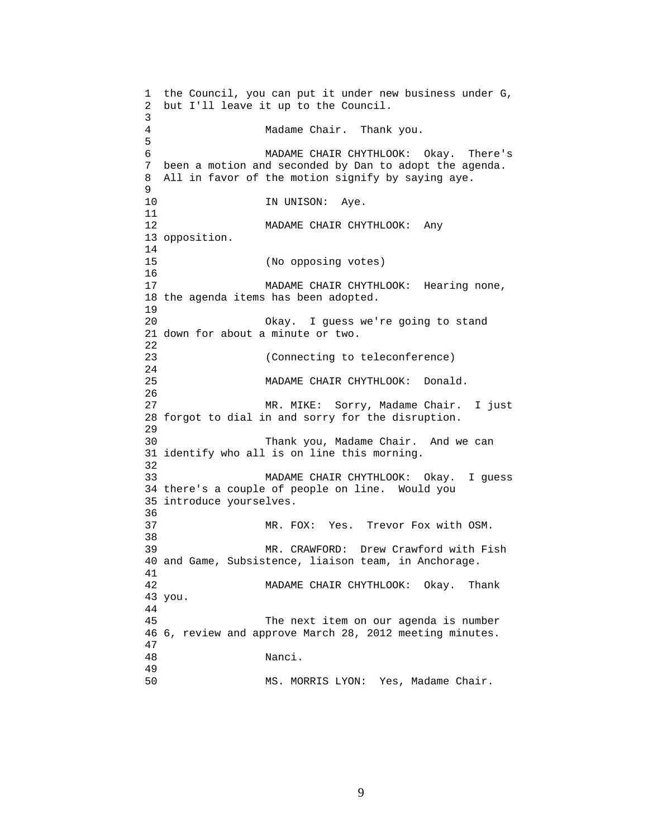1 the Council, you can put it under new business under G, 2 but I'll leave it up to the Council. 3 4 Madame Chair. Thank you. 5 6 MADAME CHAIR CHYTHLOOK: Okay. There's 7 been a motion and seconded by Dan to adopt the agenda. 8 All in favor of the motion signify by saying aye. 9 10 IN UNISON: Aye. 11 12 MADAME CHAIR CHYTHLOOK: Any 13 opposition. 14 15 (No opposing votes) 16 17 MADAME CHAIR CHYTHLOOK: Hearing none, 18 the agenda items has been adopted. 19 20 Okay. I guess we're going to stand 21 down for about a minute or two. 22 23 (Connecting to teleconference) 24 25 MADAME CHAIR CHYTHLOOK: Donald. 26 27 MR. MIKE: Sorry, Madame Chair. I just 28 forgot to dial in and sorry for the disruption. 29 30 Thank you, Madame Chair. And we can 31 identify who all is on line this morning. 32 33 MADAME CHAIR CHYTHLOOK: Okay. I guess 34 there's a couple of people on line. Would you 35 introduce yourselves. 36 37 MR. FOX: Yes. Trevor Fox with OSM. 38 39 MR. CRAWFORD: Drew Crawford with Fish 40 and Game, Subsistence, liaison team, in Anchorage. 41 42 MADAME CHAIR CHYTHLOOK: Okay. Thank 43 you. 44 45 The next item on our agenda is number 46 6, review and approve March 28, 2012 meeting minutes. 47 48 Nanci. 49 50 MS. MORRIS LYON: Yes, Madame Chair.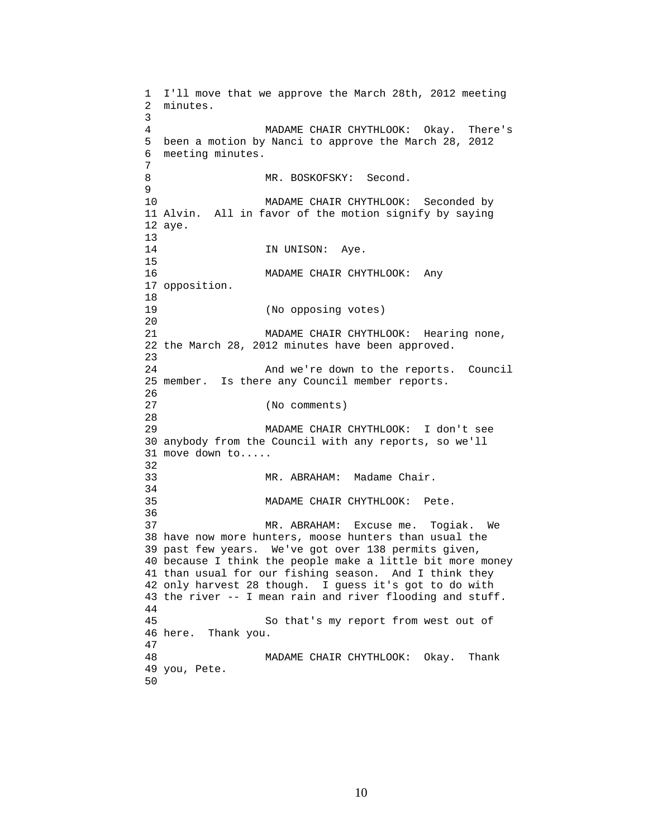1 I'll move that we approve the March 28th, 2012 meeting 2 minutes. 3 4 MADAME CHAIR CHYTHLOOK: Okay. There's 5 been a motion by Nanci to approve the March 28, 2012 6 meeting minutes. 7 8 MR. BOSKOFSKY: Second. 9 10 MADAME CHAIR CHYTHLOOK: Seconded by 11 Alvin. All in favor of the motion signify by saying 12 aye.  $\frac{13}{14}$ IN UNISON: Aye. 15 16 MADAME CHAIR CHYTHLOOK: Any 17 opposition. 18 19 (No opposing votes) 20 21 MADAME CHAIR CHYTHLOOK: Hearing none, 22 the March 28, 2012 minutes have been approved. 23 24 And we're down to the reports. Council 25 member. Is there any Council member reports. 26 27 (No comments) 28 29 MADAME CHAIR CHYTHLOOK: I don't see 30 anybody from the Council with any reports, so we'll 31 move down to..... 32 33 MR. ABRAHAM: Madame Chair. 34 35 MADAME CHAIR CHYTHLOOK: Pete. 36 37 MR. ABRAHAM: Excuse me. Togiak. We 38 have now more hunters, moose hunters than usual the 39 past few years. We've got over 138 permits given, 40 because I think the people make a little bit more money 41 than usual for our fishing season. And I think they 42 only harvest 28 though. I guess it's got to do with 43 the river -- I mean rain and river flooding and stuff. 44 45 So that's my report from west out of 46 here. Thank you. 47 48 MADAME CHAIR CHYTHLOOK: Okay. Thank 49 you, Pete. 50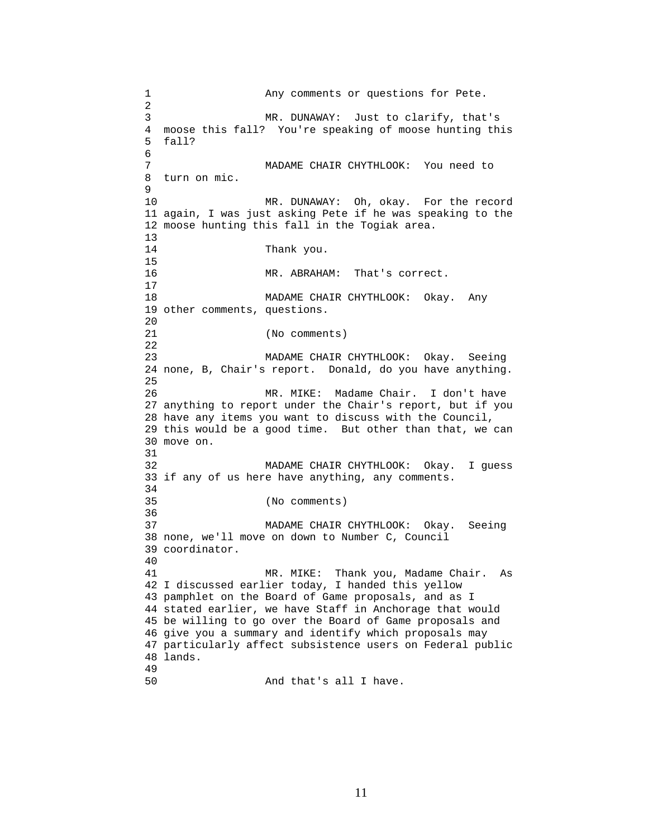1 Any comments or questions for Pete. 2 3 MR. DUNAWAY: Just to clarify, that's 4 moose this fall? You're speaking of moose hunting this 5 fall? 6 7 MADAME CHAIR CHYTHLOOK: You need to 8 turn on mic. 9 10 MR. DUNAWAY: Oh, okay. For the record 11 again, I was just asking Pete if he was speaking to the 12 moose hunting this fall in the Togiak area. 13 14 Thank you. 15 16 MR. ABRAHAM: That's correct. 17 18 MADAME CHAIR CHYTHLOOK: Okay. Any 19 other comments, questions. 20 21 (No comments) 22 23 MADAME CHAIR CHYTHLOOK: Okay. Seeing 24 none, B, Chair's report. Donald, do you have anything. 25 26 MR. MIKE: Madame Chair. I don't have 27 anything to report under the Chair's report, but if you 28 have any items you want to discuss with the Council, 29 this would be a good time. But other than that, we can 30 move on. 31 32 MADAME CHAIR CHYTHLOOK: Okay. I guess 33 if any of us here have anything, any comments. 34 35 (No comments) 36 37 MADAME CHAIR CHYTHLOOK: Okay. Seeing 38 none, we'll move on down to Number C, Council 39 coordinator. 40 41 MR. MIKE: Thank you, Madame Chair. As 42 I discussed earlier today, I handed this yellow 43 pamphlet on the Board of Game proposals, and as I 44 stated earlier, we have Staff in Anchorage that would 45 be willing to go over the Board of Game proposals and 46 give you a summary and identify which proposals may 47 particularly affect subsistence users on Federal public 48 lands. 49 50 And that's all I have.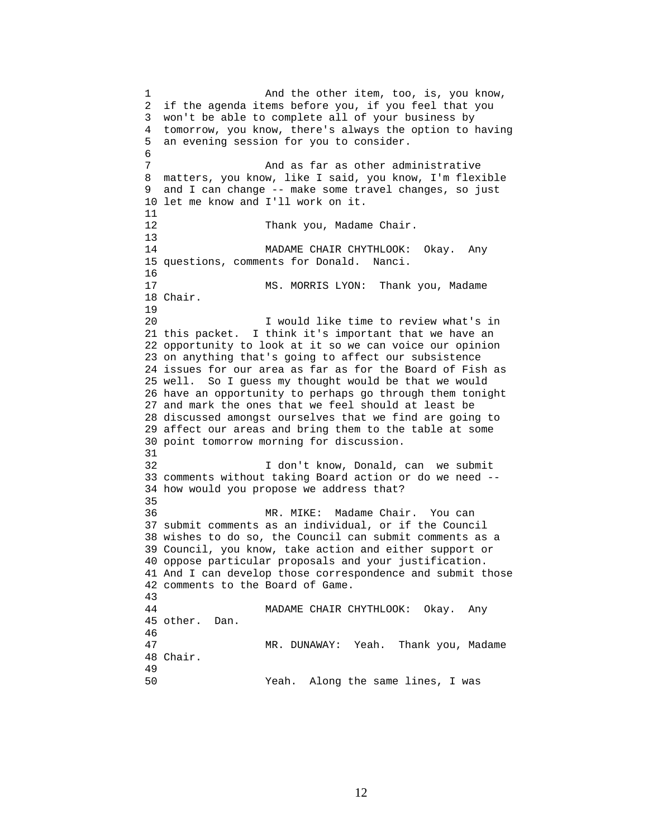1 And the other item, too, is, you know, 2 if the agenda items before you, if you feel that you 3 won't be able to complete all of your business by 4 tomorrow, you know, there's always the option to having 5 an evening session for you to consider. 6 7 And as far as other administrative 8 matters, you know, like I said, you know, I'm flexible 9 and I can change -- make some travel changes, so just 10 let me know and I'll work on it. 11 12 Thank you, Madame Chair. 13 14 MADAME CHAIR CHYTHLOOK: Okay. Any 15 questions, comments for Donald. Nanci. 16 17 MS. MORRIS LYON: Thank you, Madame 18 Chair. 19 20 I would like time to review what's in 21 this packet. I think it's important that we have an 22 opportunity to look at it so we can voice our opinion 23 on anything that's going to affect our subsistence 24 issues for our area as far as for the Board of Fish as 25 well. So I guess my thought would be that we would 26 have an opportunity to perhaps go through them tonight 27 and mark the ones that we feel should at least be 28 discussed amongst ourselves that we find are going to 29 affect our areas and bring them to the table at some 30 point tomorrow morning for discussion. 31 32 I don't know, Donald, can we submit 33 comments without taking Board action or do we need -- 34 how would you propose we address that? 35 36 MR. MIKE: Madame Chair. You can 37 submit comments as an individual, or if the Council 38 wishes to do so, the Council can submit comments as a 39 Council, you know, take action and either support or 40 oppose particular proposals and your justification. 41 And I can develop those correspondence and submit those 42 comments to the Board of Game. 43 44 MADAME CHAIR CHYTHLOOK: Okay. Any 45 other. Dan. 46 47 MR. DUNAWAY: Yeah. Thank you, Madame 48 Chair. 49 50 Yeah. Along the same lines, I was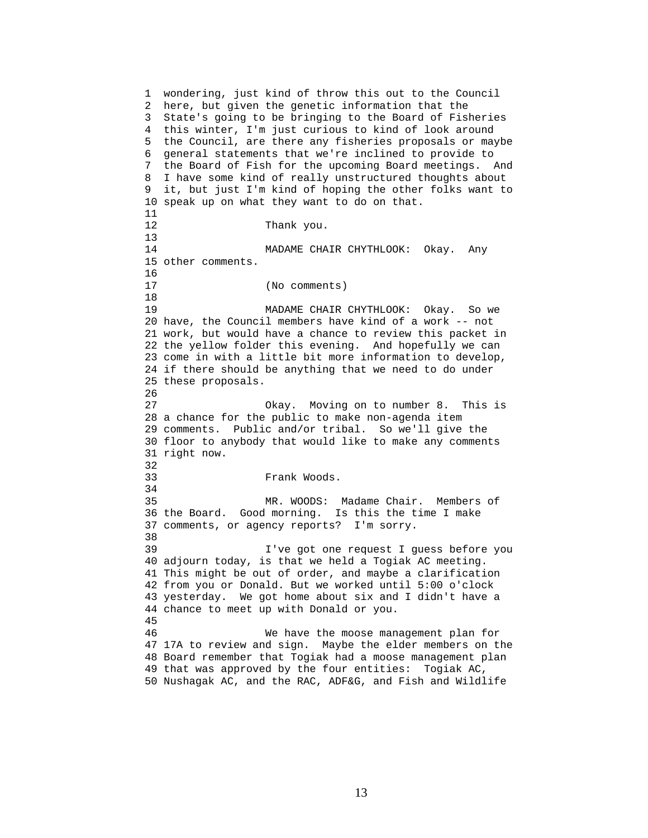1 wondering, just kind of throw this out to the Council 2 here, but given the genetic information that the 3 State's going to be bringing to the Board of Fisheries 4 this winter, I'm just curious to kind of look around 5 the Council, are there any fisheries proposals or maybe 6 general statements that we're inclined to provide to 7 the Board of Fish for the upcoming Board meetings. And 8 I have some kind of really unstructured thoughts about 9 it, but just I'm kind of hoping the other folks want to 10 speak up on what they want to do on that. 11 12 Thank you. 13 14 MADAME CHAIR CHYTHLOOK: Okay. Any 15 other comments. 16 17 (No comments) 18 19 MADAME CHAIR CHYTHLOOK: Okay. So we 20 have, the Council members have kind of a work -- not 21 work, but would have a chance to review this packet in 22 the yellow folder this evening. And hopefully we can 23 come in with a little bit more information to develop, 24 if there should be anything that we need to do under 25 these proposals. 26 27 Okay. Moving on to number 8. This is 28 a chance for the public to make non-agenda item 29 comments. Public and/or tribal. So we'll give the 30 floor to anybody that would like to make any comments 31 right now. 32 33 Frank Woods. 34 35 MR. WOODS: Madame Chair. Members of 36 the Board. Good morning. Is this the time I make 37 comments, or agency reports? I'm sorry. 38 39 I've got one request I guess before you 40 adjourn today, is that we held a Togiak AC meeting. 41 This might be out of order, and maybe a clarification 42 from you or Donald. But we worked until 5:00 o'clock 43 yesterday. We got home about six and I didn't have a 44 chance to meet up with Donald or you. 45 46 We have the moose management plan for 47 17A to review and sign. Maybe the elder members on the 48 Board remember that Togiak had a moose management plan 49 that was approved by the four entities: Togiak AC, 50 Nushagak AC, and the RAC, ADF&G, and Fish and Wildlife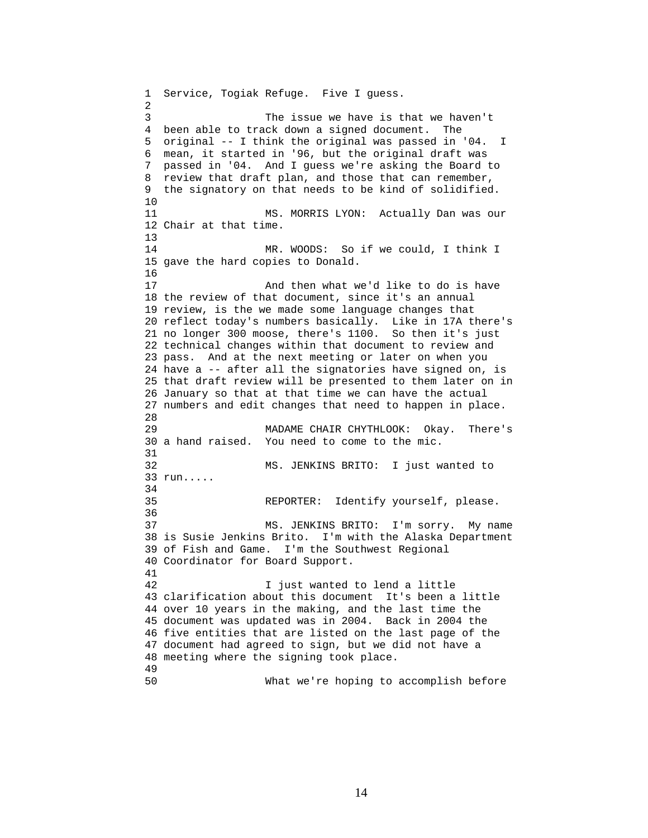1 Service, Togiak Refuge. Five I guess. 2 3 The issue we have is that we haven't 4 been able to track down a signed document. The 5 original -- I think the original was passed in '04. I 6 mean, it started in '96, but the original draft was 7 passed in '04. And I guess we're asking the Board to 8 review that draft plan, and those that can remember, 9 the signatory on that needs to be kind of solidified. 10 11 MS. MORRIS LYON: Actually Dan was our 12 Chair at that time. 13 14 MR. WOODS: So if we could, I think I 15 gave the hard copies to Donald. 16 17 And then what we'd like to do is have 18 the review of that document, since it's an annual 19 review, is the we made some language changes that 20 reflect today's numbers basically. Like in 17A there's 21 no longer 300 moose, there's 1100. So then it's just 22 technical changes within that document to review and 23 pass. And at the next meeting or later on when you 24 have a -- after all the signatories have signed on, is 25 that draft review will be presented to them later on in 26 January so that at that time we can have the actual 27 numbers and edit changes that need to happen in place. 28 29 MADAME CHAIR CHYTHLOOK: Okay. There's 30 a hand raised. You need to come to the mic. 31 32 MS. JENKINS BRITO: I just wanted to 33 run..... 34 35 REPORTER: Identify yourself, please. 36 37 MS. JENKINS BRITO: I'm sorry. My name 38 is Susie Jenkins Brito. I'm with the Alaska Department 39 of Fish and Game. I'm the Southwest Regional 40 Coordinator for Board Support. 41 42 I just wanted to lend a little 43 clarification about this document It's been a little 44 over 10 years in the making, and the last time the 45 document was updated was in 2004. Back in 2004 the 46 five entities that are listed on the last page of the 47 document had agreed to sign, but we did not have a 48 meeting where the signing took place. 49 50 What we're hoping to accomplish before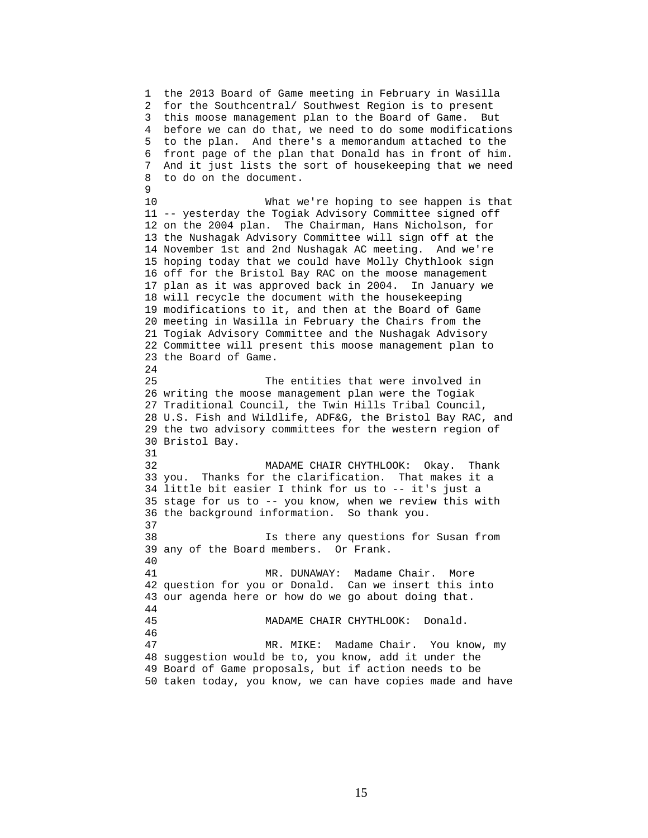1 the 2013 Board of Game meeting in February in Wasilla 2 for the Southcentral/ Southwest Region is to present 3 this moose management plan to the Board of Game. But 4 before we can do that, we need to do some modifications 5 to the plan. And there's a memorandum attached to the 6 front page of the plan that Donald has in front of him. 7 And it just lists the sort of housekeeping that we need 8 to do on the document. 9 10 What we're hoping to see happen is that 11 -- yesterday the Togiak Advisory Committee signed off 12 on the 2004 plan. The Chairman, Hans Nicholson, for 13 the Nushagak Advisory Committee will sign off at the 14 November 1st and 2nd Nushagak AC meeting. And we're 15 hoping today that we could have Molly Chythlook sign 16 off for the Bristol Bay RAC on the moose management 17 plan as it was approved back in 2004. In January we 18 will recycle the document with the housekeeping 19 modifications to it, and then at the Board of Game 20 meeting in Wasilla in February the Chairs from the 21 Togiak Advisory Committee and the Nushagak Advisory 22 Committee will present this moose management plan to 23 the Board of Game. 24 25 The entities that were involved in 26 writing the moose management plan were the Togiak 27 Traditional Council, the Twin Hills Tribal Council, 28 U.S. Fish and Wildlife, ADF&G, the Bristol Bay RAC, and 29 the two advisory committees for the western region of 30 Bristol Bay. 31 32 MADAME CHAIR CHYTHLOOK: Okay. Thank 33 you. Thanks for the clarification. That makes it a 34 little bit easier I think for us to -- it's just a 35 stage for us to -- you know, when we review this with 36 the background information. So thank you. 37 38 Is there any questions for Susan from 39 any of the Board members. Or Frank. 40 41 MR. DUNAWAY: Madame Chair. More 42 question for you or Donald. Can we insert this into 43 our agenda here or how do we go about doing that. 44 45 MADAME CHAIR CHYTHLOOK: Donald. 46 47 MR. MIKE: Madame Chair. You know, my 48 suggestion would be to, you know, add it under the 49 Board of Game proposals, but if action needs to be 50 taken today, you know, we can have copies made and have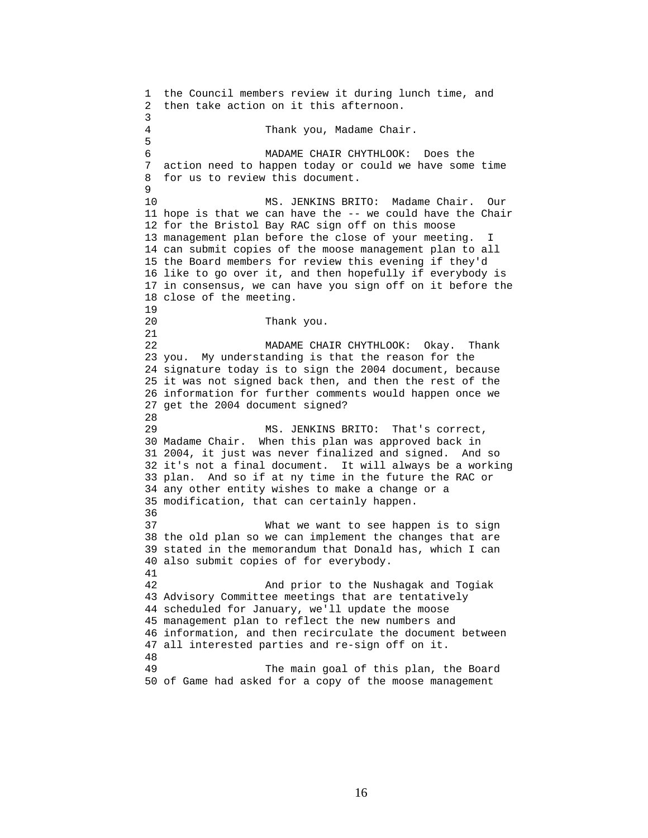1 the Council members review it during lunch time, and 2 then take action on it this afternoon. 3 4 Thank you, Madame Chair. 5 6 MADAME CHAIR CHYTHLOOK: Does the 7 action need to happen today or could we have some time 8 for us to review this document.  $\mathsf{Q}$ 10 MS. JENKINS BRITO: Madame Chair. Our 11 hope is that we can have the -- we could have the Chair 12 for the Bristol Bay RAC sign off on this moose 13 management plan before the close of your meeting. I 14 can submit copies of the moose management plan to all 15 the Board members for review this evening if they'd 16 like to go over it, and then hopefully if everybody is 17 in consensus, we can have you sign off on it before the 18 close of the meeting. 19 20 Thank you. 21 22 MADAME CHAIR CHYTHLOOK: Okay. Thank 23 you. My understanding is that the reason for the 24 signature today is to sign the 2004 document, because 25 it was not signed back then, and then the rest of the 26 information for further comments would happen once we 27 get the 2004 document signed? 28 29 MS. JENKINS BRITO: That's correct, 30 Madame Chair. When this plan was approved back in 31 2004, it just was never finalized and signed. And so 32 it's not a final document. It will always be a working 33 plan. And so if at ny time in the future the RAC or 34 any other entity wishes to make a change or a 35 modification, that can certainly happen. 36 37 What we want to see happen is to sign 38 the old plan so we can implement the changes that are 39 stated in the memorandum that Donald has, which I can 40 also submit copies of for everybody. 41 42 And prior to the Nushagak and Togiak 43 Advisory Committee meetings that are tentatively 44 scheduled for January, we'll update the moose 45 management plan to reflect the new numbers and 46 information, and then recirculate the document between 47 all interested parties and re-sign off on it. 48 49 The main goal of this plan, the Board 50 of Game had asked for a copy of the moose management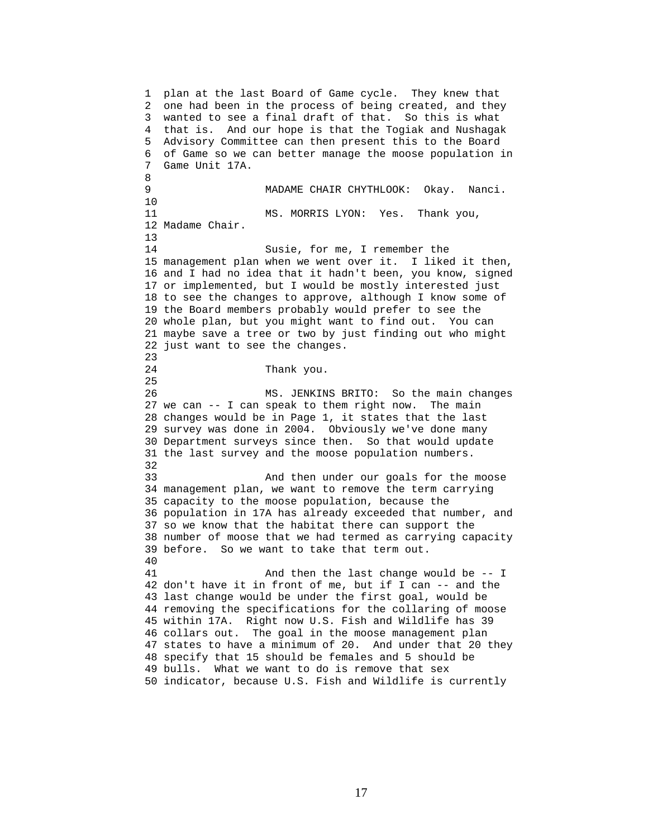1 plan at the last Board of Game cycle. They knew that 2 one had been in the process of being created, and they 3 wanted to see a final draft of that. So this is what 4 that is. And our hope is that the Togiak and Nushagak 5 Advisory Committee can then present this to the Board 6 of Game so we can better manage the moose population in 7 Game Unit 17A. 8 9 MADAME CHAIR CHYTHLOOK: Okay. Nanci. 10 11 MS. MORRIS LYON: Yes. Thank you, 12 Madame Chair. 13 14 Susie, for me, I remember the 15 management plan when we went over it. I liked it then, 16 and I had no idea that it hadn't been, you know, signed 17 or implemented, but I would be mostly interested just 18 to see the changes to approve, although I know some of 19 the Board members probably would prefer to see the 20 whole plan, but you might want to find out. You can 21 maybe save a tree or two by just finding out who might 22 just want to see the changes. 23 24 Thank you. 25 26 MS. JENKINS BRITO: So the main changes 27 we can -- I can speak to them right now. The main 28 changes would be in Page 1, it states that the last 29 survey was done in 2004. Obviously we've done many 30 Department surveys since then. So that would update 31 the last survey and the moose population numbers. 32 33 And then under our goals for the moose 34 management plan, we want to remove the term carrying 35 capacity to the moose population, because the 36 population in 17A has already exceeded that number, and 37 so we know that the habitat there can support the 38 number of moose that we had termed as carrying capacity 39 before. So we want to take that term out. 40 41 And then the last change would be -- I 42 don't have it in front of me, but if I can -- and the 43 last change would be under the first goal, would be 44 removing the specifications for the collaring of moose 45 within 17A. Right now U.S. Fish and Wildlife has 39 46 collars out. The goal in the moose management plan 47 states to have a minimum of 20. And under that 20 they 48 specify that 15 should be females and 5 should be 49 bulls. What we want to do is remove that sex 50 indicator, because U.S. Fish and Wildlife is currently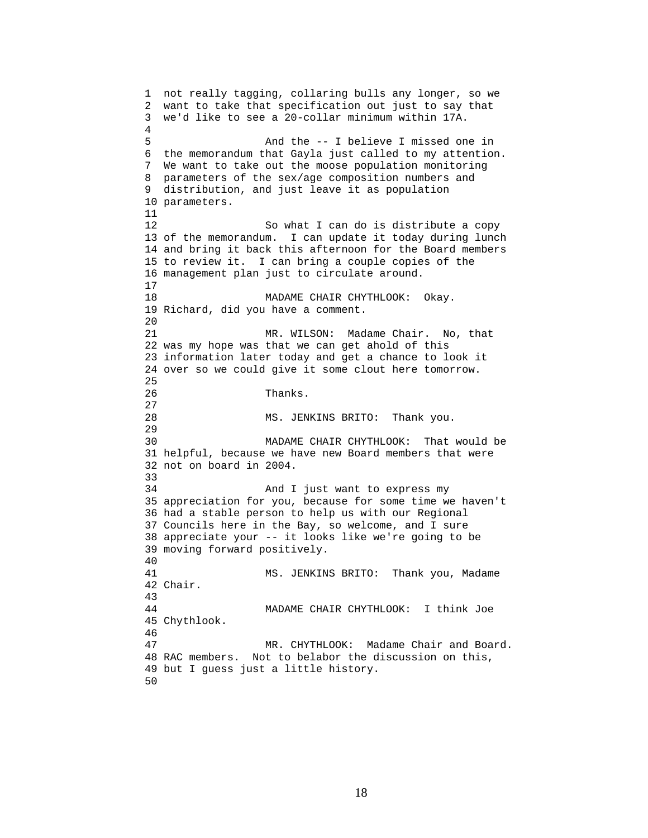1 not really tagging, collaring bulls any longer, so we 2 want to take that specification out just to say that 3 we'd like to see a 20-collar minimum within 17A. 4 5 And the -- I believe I missed one in 6 the memorandum that Gayla just called to my attention. 7 We want to take out the moose population monitoring 8 parameters of the sex/age composition numbers and 9 distribution, and just leave it as population 10 parameters. 11 12 So what I can do is distribute a copy 13 of the memorandum. I can update it today during lunch 14 and bring it back this afternoon for the Board members 15 to review it. I can bring a couple copies of the 16 management plan just to circulate around. 17 18 MADAME CHAIR CHYTHLOOK: Okay. 19 Richard, did you have a comment.  $20$ 21 MR. WILSON: Madame Chair. No, that 22 was my hope was that we can get ahold of this 23 information later today and get a chance to look it 24 over so we could give it some clout here tomorrow. 25 26 Thanks. 27 28 MS. JENKINS BRITO: Thank you. 29 30 MADAME CHAIR CHYTHLOOK: That would be 31 helpful, because we have new Board members that were 32 not on board in 2004. 33 34 And I just want to express my 35 appreciation for you, because for some time we haven't 36 had a stable person to help us with our Regional 37 Councils here in the Bay, so welcome, and I sure 38 appreciate your -- it looks like we're going to be 39 moving forward positively. 40 41 MS. JENKINS BRITO: Thank you, Madame 42 Chair. 43 44 MADAME CHAIR CHYTHLOOK: I think Joe 45 Chythlook. 46 47 MR. CHYTHLOOK: Madame Chair and Board. 48 RAC members. Not to belabor the discussion on this, 49 but I guess just a little history. 50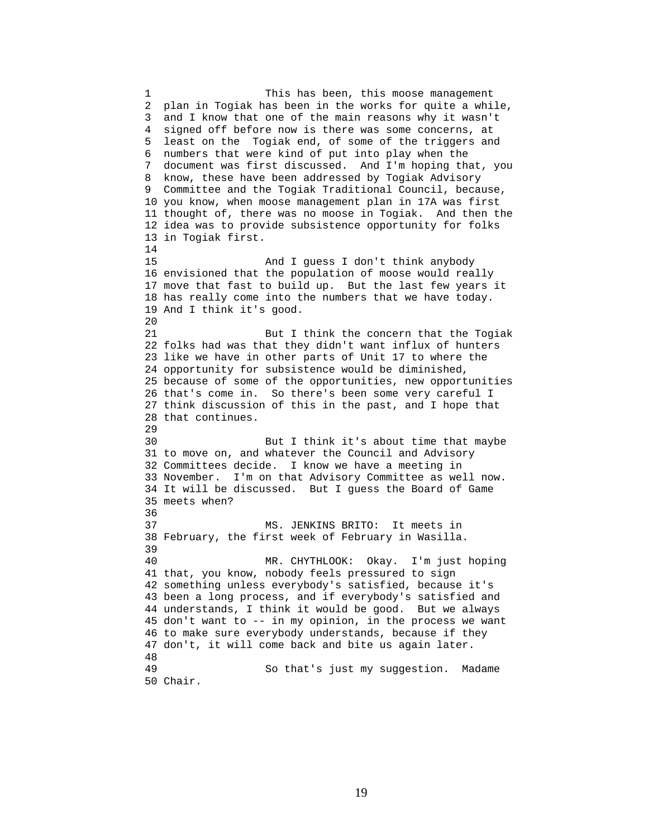1 This has been, this moose management 2 plan in Togiak has been in the works for quite a while, 3 and I know that one of the main reasons why it wasn't 4 signed off before now is there was some concerns, at 5 least on the Togiak end, of some of the triggers and 6 numbers that were kind of put into play when the 7 document was first discussed. And I'm hoping that, you 8 know, these have been addressed by Togiak Advisory 9 Committee and the Togiak Traditional Council, because, 10 you know, when moose management plan in 17A was first 11 thought of, there was no moose in Togiak. And then the 12 idea was to provide subsistence opportunity for folks 13 in Togiak first. 14 15 And I guess I don't think anybody 16 envisioned that the population of moose would really 17 move that fast to build up. But the last few years it 18 has really come into the numbers that we have today. 19 And I think it's good. 20 21 But I think the concern that the Togiak 22 folks had was that they didn't want influx of hunters 23 like we have in other parts of Unit 17 to where the 24 opportunity for subsistence would be diminished, 25 because of some of the opportunities, new opportunities 26 that's come in. So there's been some very careful I 27 think discussion of this in the past, and I hope that 28 that continues. 29 30 But I think it's about time that maybe 31 to move on, and whatever the Council and Advisory 32 Committees decide. I know we have a meeting in 33 November. I'm on that Advisory Committee as well now. 34 It will be discussed. But I guess the Board of Game 35 meets when? 36 37 MS. JENKINS BRITO: It meets in 38 February, the first week of February in Wasilla. 39 40 MR. CHYTHLOOK: Okay. I'm just hoping 41 that, you know, nobody feels pressured to sign 42 something unless everybody's satisfied, because it's 43 been a long process, and if everybody's satisfied and 44 understands, I think it would be good. But we always 45 don't want to -- in my opinion, in the process we want 46 to make sure everybody understands, because if they 47 don't, it will come back and bite us again later. 48 49 So that's just my suggestion. Madame 50 Chair.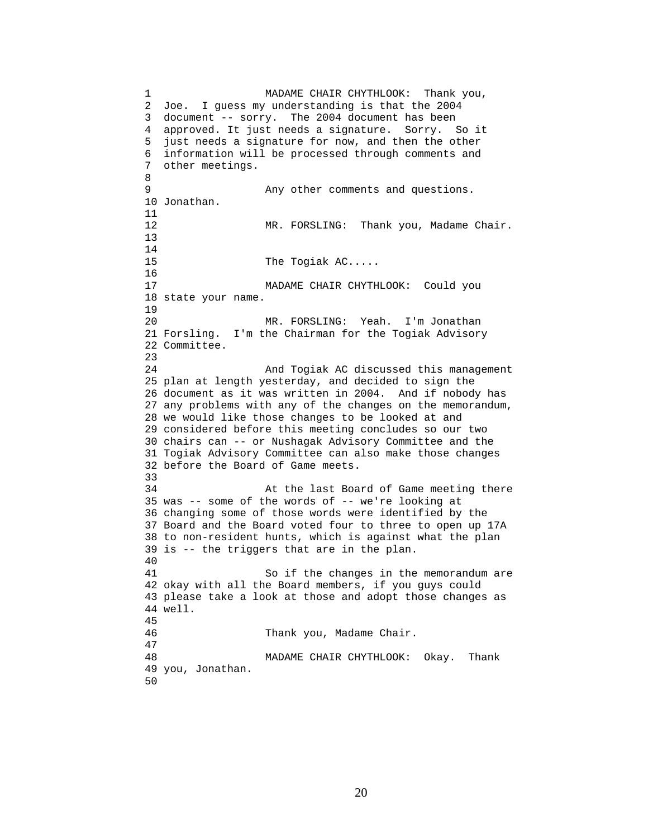1 MADAME CHAIR CHYTHLOOK: Thank you, 2 Joe. I guess my understanding is that the 2004 3 document -- sorry. The 2004 document has been 4 approved. It just needs a signature. Sorry. So it 5 just needs a signature for now, and then the other 6 information will be processed through comments and 7 other meetings. 8 9 Any other comments and questions. 10 Jonathan. 11 12 MR. FORSLING: Thank you, Madame Chair. 13 14 15 The Togiak AC..... 16 17 MADAME CHAIR CHYTHLOOK: Could you 18 state your name. 19 20 MR. FORSLING: Yeah. I'm Jonathan 21 Forsling. I'm the Chairman for the Togiak Advisory 22 Committee. 23 24 And Togiak AC discussed this management 25 plan at length yesterday, and decided to sign the 26 document as it was written in 2004. And if nobody has 27 any problems with any of the changes on the memorandum, 28 we would like those changes to be looked at and 29 considered before this meeting concludes so our two 30 chairs can -- or Nushagak Advisory Committee and the 31 Togiak Advisory Committee can also make those changes 32 before the Board of Game meets. 33 34 At the last Board of Game meeting there 35 was -- some of the words of -- we're looking at 36 changing some of those words were identified by the 37 Board and the Board voted four to three to open up 17A 38 to non-resident hunts, which is against what the plan 39 is -- the triggers that are in the plan. 40 41 So if the changes in the memorandum are 42 okay with all the Board members, if you guys could 43 please take a look at those and adopt those changes as 44 well. 45 46 Thank you, Madame Chair. 47 48 MADAME CHAIR CHYTHLOOK: Okay. Thank 49 you, Jonathan. 50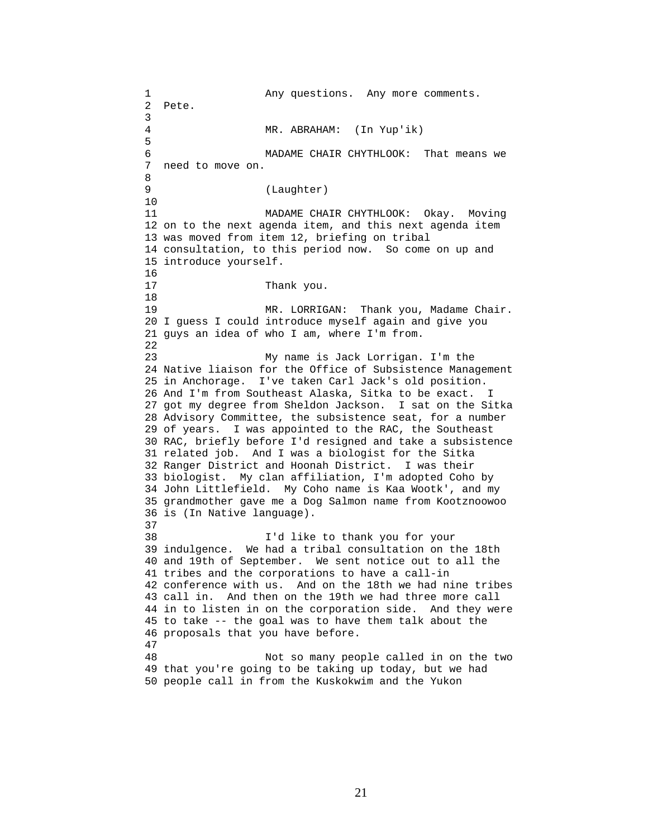1 Any questions. Any more comments. 2 Pete. 3 4 MR. ABRAHAM: (In Yup'ik) 5 6 MADAME CHAIR CHYTHLOOK: That means we 7 need to move on. 8 9 (Laughter) 10 11 MADAME CHAIR CHYTHLOOK: Okay. Moving 12 on to the next agenda item, and this next agenda item 13 was moved from item 12, briefing on tribal 14 consultation, to this period now. So come on up and 15 introduce yourself. 16<br>17 Thank you. 18 19 MR. LORRIGAN: Thank you, Madame Chair. 20 I guess I could introduce myself again and give you 21 guys an idea of who I am, where I'm from. 22 23 My name is Jack Lorrigan. I'm the 24 Native liaison for the Office of Subsistence Management 25 in Anchorage. I've taken Carl Jack's old position. 26 And I'm from Southeast Alaska, Sitka to be exact. I 27 got my degree from Sheldon Jackson. I sat on the Sitka 28 Advisory Committee, the subsistence seat, for a number 29 of years. I was appointed to the RAC, the Southeast 30 RAC, briefly before I'd resigned and take a subsistence 31 related job. And I was a biologist for the Sitka 32 Ranger District and Hoonah District. I was their 33 biologist. My clan affiliation, I'm adopted Coho by 34 John Littlefield. My Coho name is Kaa Wootk', and my 35 grandmother gave me a Dog Salmon name from Kootznoowoo 36 is (In Native language). 37 38 I'd like to thank you for your 39 indulgence. We had a tribal consultation on the 18th 40 and 19th of September. We sent notice out to all the 41 tribes and the corporations to have a call-in 42 conference with us. And on the 18th we had nine tribes 43 call in. And then on the 19th we had three more call 44 in to listen in on the corporation side. And they were 45 to take -- the goal was to have them talk about the 46 proposals that you have before. 47 48 Not so many people called in on the two 49 that you're going to be taking up today, but we had 50 people call in from the Kuskokwim and the Yukon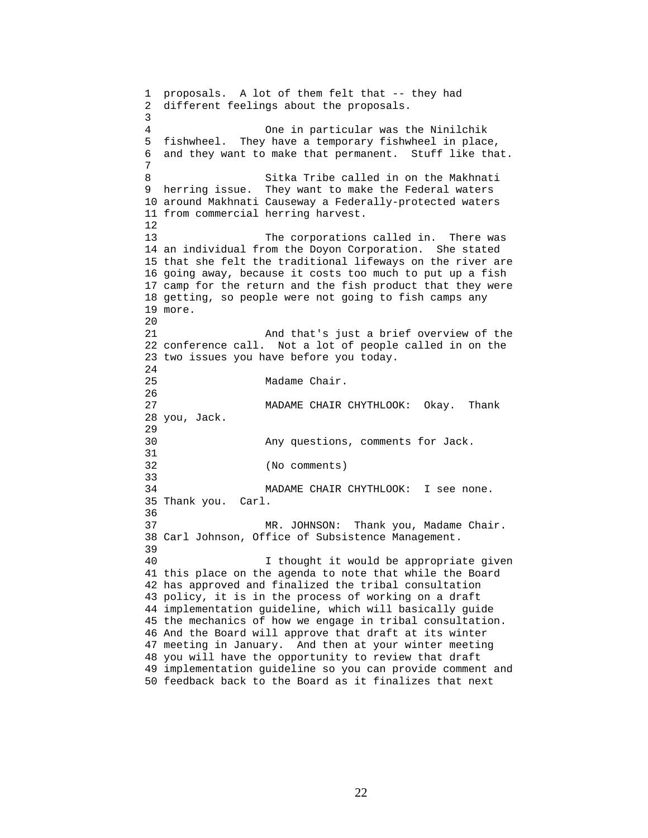1 proposals. A lot of them felt that -- they had 2 different feelings about the proposals. 3 4 One in particular was the Ninilchik 5 fishwheel. They have a temporary fishwheel in place, 6 and they want to make that permanent. Stuff like that. 7 8 Sitka Tribe called in on the Makhnati 9 herring issue. They want to make the Federal waters 10 around Makhnati Causeway a Federally-protected waters 11 from commercial herring harvest. 12 13 The corporations called in. There was 14 an individual from the Doyon Corporation. She stated 15 that she felt the traditional lifeways on the river are 16 going away, because it costs too much to put up a fish 17 camp for the return and the fish product that they were 18 getting, so people were not going to fish camps any 19 more. 20 21 And that's just a brief overview of the 22 conference call. Not a lot of people called in on the 23 two issues you have before you today.  $2.4$ 25 Madame Chair. 26 27 MADAME CHAIR CHYTHLOOK: Okay. Thank 28 you, Jack. 29 30 Any questions, comments for Jack. 31 32 (No comments) 33 34 MADAME CHAIR CHYTHLOOK: I see none. 35 Thank you. Carl. 36 37 MR. JOHNSON: Thank you, Madame Chair. 38 Carl Johnson, Office of Subsistence Management. 39 40 I thought it would be appropriate given 41 this place on the agenda to note that while the Board 42 has approved and finalized the tribal consultation 43 policy, it is in the process of working on a draft 44 implementation guideline, which will basically guide 45 the mechanics of how we engage in tribal consultation. 46 And the Board will approve that draft at its winter 47 meeting in January. And then at your winter meeting 48 you will have the opportunity to review that draft 49 implementation guideline so you can provide comment and 50 feedback back to the Board as it finalizes that next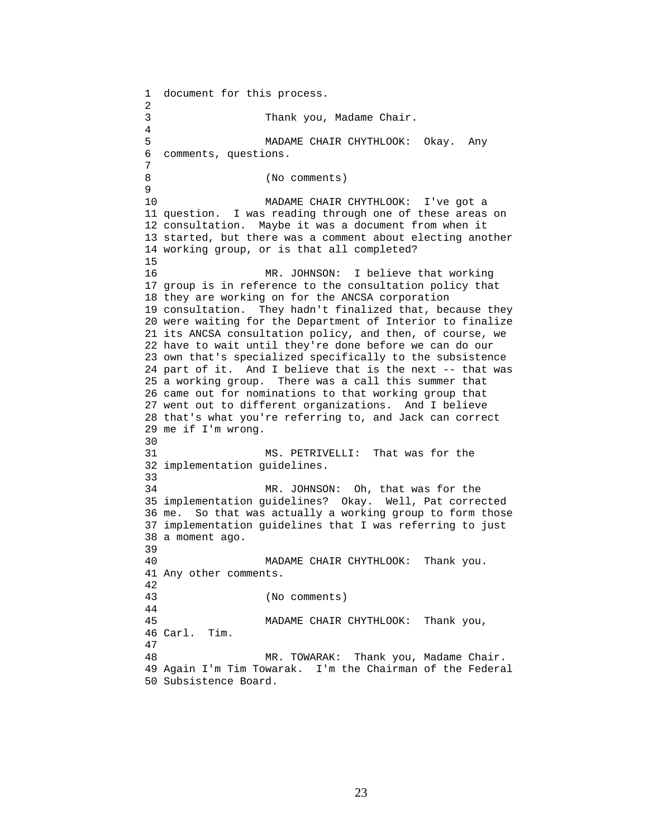1 document for this process. 2 3 Thank you, Madame Chair. 4 5 MADAME CHAIR CHYTHLOOK: Okay. Any 6 comments, questions. 7 8 (No comments) 9 10 MADAME CHAIR CHYTHLOOK: I've got a 11 question. I was reading through one of these areas on 12 consultation. Maybe it was a document from when it 13 started, but there was a comment about electing another 14 working group, or is that all completed? 15 16 MR. JOHNSON: I believe that working 17 group is in reference to the consultation policy that 18 they are working on for the ANCSA corporation 19 consultation. They hadn't finalized that, because they 20 were waiting for the Department of Interior to finalize 21 its ANCSA consultation policy, and then, of course, we 22 have to wait until they're done before we can do our 23 own that's specialized specifically to the subsistence 24 part of it. And I believe that is the next -- that was 25 a working group. There was a call this summer that 26 came out for nominations to that working group that 27 went out to different organizations. And I believe 28 that's what you're referring to, and Jack can correct 29 me if I'm wrong. 30 31 MS. PETRIVELLI: That was for the 32 implementation guidelines. 33 34 MR. JOHNSON: Oh, that was for the 35 implementation guidelines? Okay. Well, Pat corrected 36 me. So that was actually a working group to form those 37 implementation guidelines that I was referring to just 38 a moment ago. 39 40 MADAME CHAIR CHYTHLOOK: Thank you. 41 Any other comments. 42 43 (No comments) 44 45 MADAME CHAIR CHYTHLOOK: Thank you, 46 Carl. Tim. 47 48 MR. TOWARAK: Thank you, Madame Chair. 49 Again I'm Tim Towarak. I'm the Chairman of the Federal 50 Subsistence Board.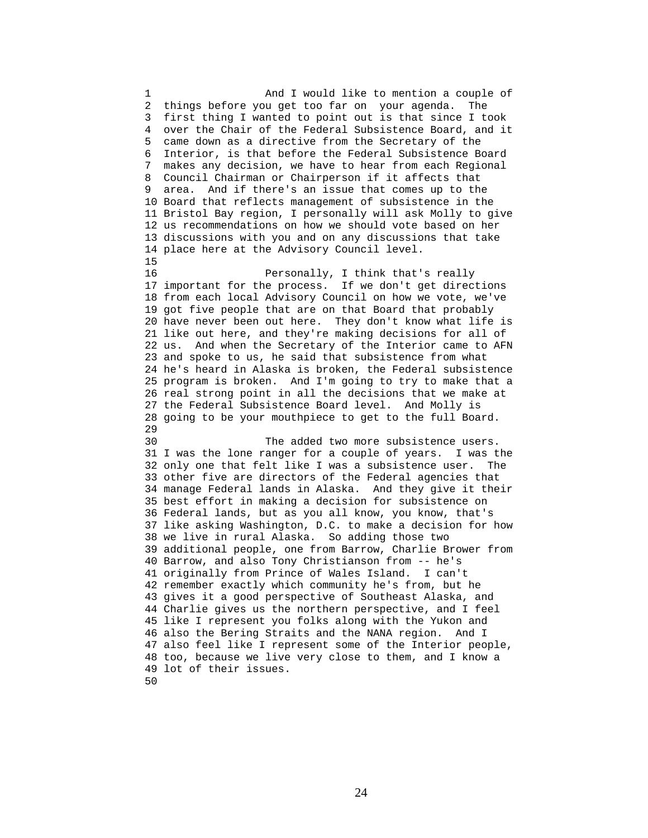1 And I would like to mention a couple of 2 things before you get too far on your agenda. The 3 first thing I wanted to point out is that since I took 4 over the Chair of the Federal Subsistence Board, and it 5 came down as a directive from the Secretary of the 6 Interior, is that before the Federal Subsistence Board 7 makes any decision, we have to hear from each Regional 8 Council Chairman or Chairperson if it affects that 9 area. And if there's an issue that comes up to the 10 Board that reflects management of subsistence in the 11 Bristol Bay region, I personally will ask Molly to give 12 us recommendations on how we should vote based on her 13 discussions with you and on any discussions that take 14 place here at the Advisory Council level. 15 16 Personally, I think that's really 17 important for the process. If we don't get directions 18 from each local Advisory Council on how we vote, we've 19 got five people that are on that Board that probably 20 have never been out here. They don't know what life is 21 like out here, and they're making decisions for all of 22 us. And when the Secretary of the Interior came to AFN 23 and spoke to us, he said that subsistence from what 24 he's heard in Alaska is broken, the Federal subsistence 25 program is broken. And I'm going to try to make that a 26 real strong point in all the decisions that we make at 27 the Federal Subsistence Board level. And Molly is 28 going to be your mouthpiece to get to the full Board. 29 30 The added two more subsistence users. 31 I was the lone ranger for a couple of years. I was the 32 only one that felt like I was a subsistence user. The 33 other five are directors of the Federal agencies that 34 manage Federal lands in Alaska. And they give it their 35 best effort in making a decision for subsistence on 36 Federal lands, but as you all know, you know, that's 37 like asking Washington, D.C. to make a decision for how 38 we live in rural Alaska. So adding those two 39 additional people, one from Barrow, Charlie Brower from 40 Barrow, and also Tony Christianson from -- he's 41 originally from Prince of Wales Island. I can't 42 remember exactly which community he's from, but he 43 gives it a good perspective of Southeast Alaska, and 44 Charlie gives us the northern perspective, and I feel 45 like I represent you folks along with the Yukon and 46 also the Bering Straits and the NANA region. And I 47 also feel like I represent some of the Interior people, 48 too, because we live very close to them, and I know a 49 lot of their issues.

50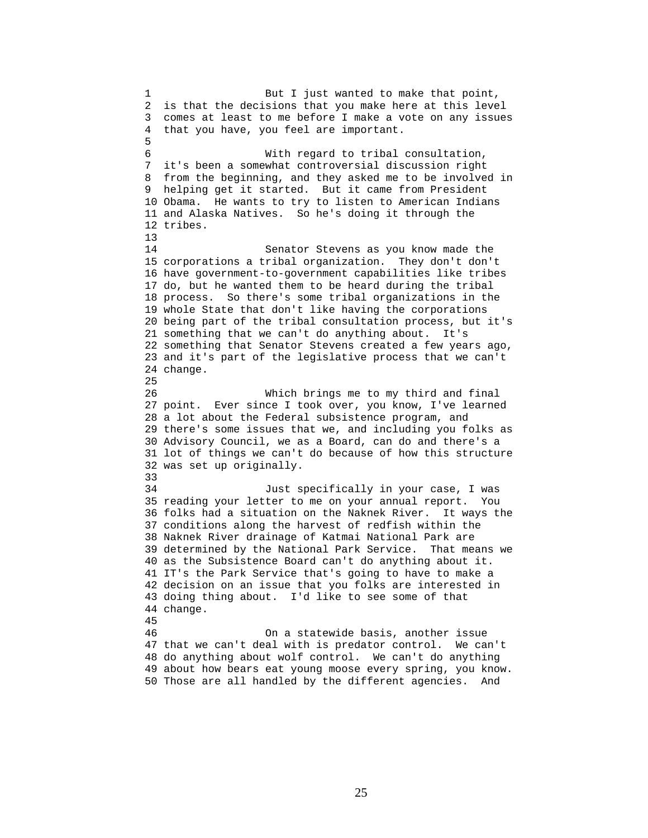1 But I just wanted to make that point, 2 is that the decisions that you make here at this level 3 comes at least to me before I make a vote on any issues 4 that you have, you feel are important. 5 6 With regard to tribal consultation, 7 it's been a somewhat controversial discussion right 8 from the beginning, and they asked me to be involved in 9 helping get it started. But it came from President 10 Obama. He wants to try to listen to American Indians 11 and Alaska Natives. So he's doing it through the 12 tribes. 13 14 Senator Stevens as you know made the 15 corporations a tribal organization. They don't don't 16 have government-to-government capabilities like tribes 17 do, but he wanted them to be heard during the tribal 18 process. So there's some tribal organizations in the 19 whole State that don't like having the corporations 20 being part of the tribal consultation process, but it's 21 something that we can't do anything about. It's 22 something that Senator Stevens created a few years ago, 23 and it's part of the legislative process that we can't 24 change. 25 26 Which brings me to my third and final 27 point. Ever since I took over, you know, I've learned 28 a lot about the Federal subsistence program, and 29 there's some issues that we, and including you folks as 30 Advisory Council, we as a Board, can do and there's a 31 lot of things we can't do because of how this structure 32 was set up originally. 33 34 Just specifically in your case, I was 35 reading your letter to me on your annual report. You 36 folks had a situation on the Naknek River. It ways the 37 conditions along the harvest of redfish within the 38 Naknek River drainage of Katmai National Park are 39 determined by the National Park Service. That means we 40 as the Subsistence Board can't do anything about it. 41 IT's the Park Service that's going to have to make a 42 decision on an issue that you folks are interested in 43 doing thing about. I'd like to see some of that 44 change. 45 46 On a statewide basis, another issue 47 that we can't deal with is predator control. We can't 48 do anything about wolf control. We can't do anything 49 about how bears eat young moose every spring, you know. 50 Those are all handled by the different agencies. And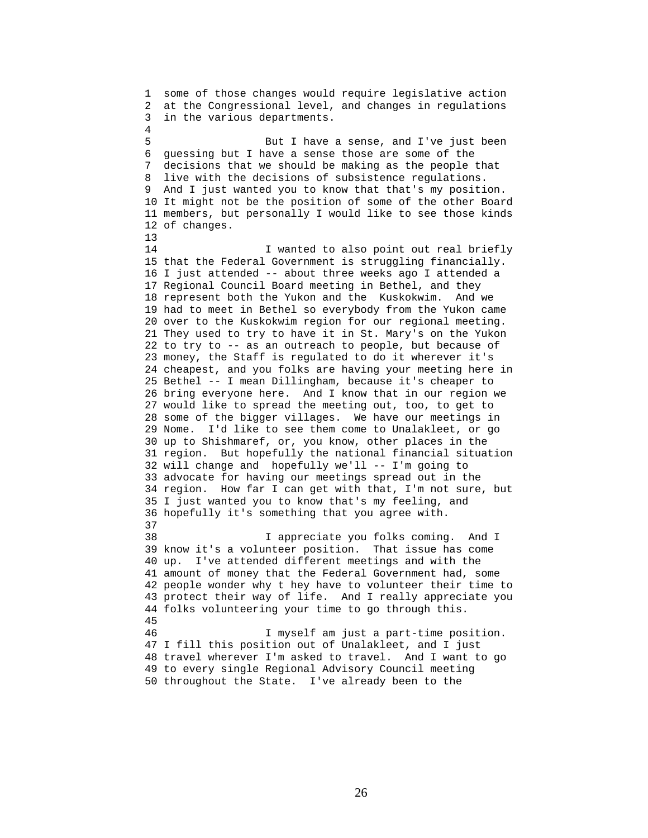1 some of those changes would require legislative action 2 at the Congressional level, and changes in regulations 3 in the various departments. 4 5 But I have a sense, and I've just been 6 guessing but I have a sense those are some of the 7 decisions that we should be making as the people that 8 live with the decisions of subsistence regulations. 9 And I just wanted you to know that that's my position. 10 It might not be the position of some of the other Board 11 members, but personally I would like to see those kinds 12 of changes. 13 14 **I** wanted to also point out real briefly 15 that the Federal Government is struggling financially. 16 I just attended -- about three weeks ago I attended a 17 Regional Council Board meeting in Bethel, and they 18 represent both the Yukon and the Kuskokwim. And we 19 had to meet in Bethel so everybody from the Yukon came 20 over to the Kuskokwim region for our regional meeting. 21 They used to try to have it in St. Mary's on the Yukon 22 to try to -- as an outreach to people, but because of 23 money, the Staff is regulated to do it wherever it's 24 cheapest, and you folks are having your meeting here in 25 Bethel -- I mean Dillingham, because it's cheaper to 26 bring everyone here. And I know that in our region we 27 would like to spread the meeting out, too, to get to 28 some of the bigger villages. We have our meetings in 29 Nome. I'd like to see them come to Unalakleet, or go 30 up to Shishmaref, or, you know, other places in the 31 region. But hopefully the national financial situation 32 will change and hopefully we'll -- I'm going to 33 advocate for having our meetings spread out in the 34 region. How far I can get with that, I'm not sure, but 35 I just wanted you to know that's my feeling, and 36 hopefully it's something that you agree with. 37 38 I appreciate you folks coming. And I 39 know it's a volunteer position. That issue has come 40 up. I've attended different meetings and with the 41 amount of money that the Federal Government had, some 42 people wonder why t hey have to volunteer their time to 43 protect their way of life. And I really appreciate you 44 folks volunteering your time to go through this. 45 46 I myself am just a part-time position. 47 I fill this position out of Unalakleet, and I just 48 travel wherever I'm asked to travel. And I want to go 49 to every single Regional Advisory Council meeting 50 throughout the State. I've already been to the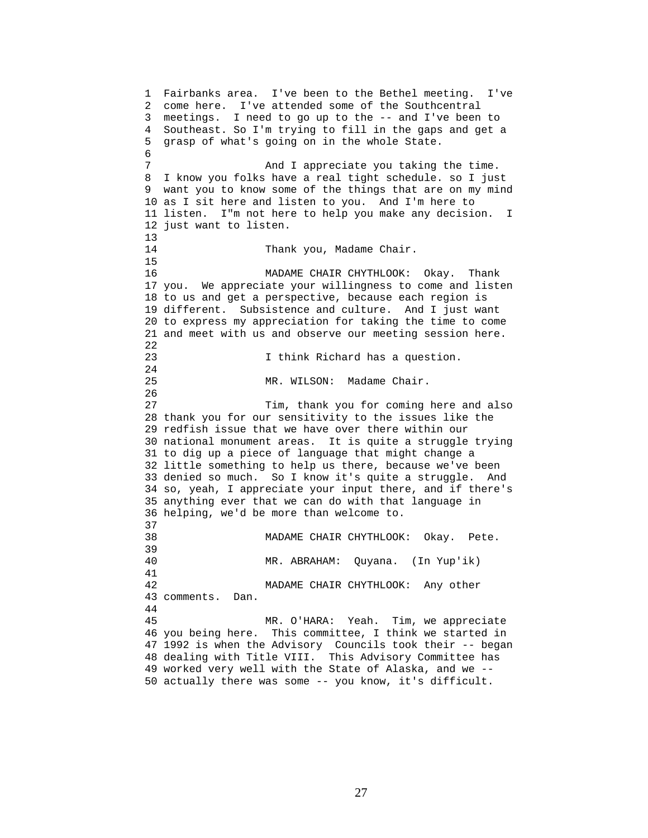1 Fairbanks area. I've been to the Bethel meeting. I've 2 come here. I've attended some of the Southcentral 3 meetings. I need to go up to the -- and I've been to 4 Southeast. So I'm trying to fill in the gaps and get a 5 grasp of what's going on in the whole State. 6 7 And I appreciate you taking the time. 8 I know you folks have a real tight schedule. so I just 9 want you to know some of the things that are on my mind 10 as I sit here and listen to you. And I'm here to 11 listen. I"m not here to help you make any decision. I 12 just want to listen. 13 14 Thank you, Madame Chair. 15 16 MADAME CHAIR CHYTHLOOK: Okay. Thank 17 you. We appreciate your willingness to come and listen 18 to us and get a perspective, because each region is 19 different. Subsistence and culture. And I just want 20 to express my appreciation for taking the time to come 21 and meet with us and observe our meeting session here. 22 23 I think Richard has a question. 24 25 MR. WILSON: Madame Chair. 26 27 Tim, thank you for coming here and also 28 thank you for our sensitivity to the issues like the 29 redfish issue that we have over there within our 30 national monument areas. It is quite a struggle trying 31 to dig up a piece of language that might change a 32 little something to help us there, because we've been 33 denied so much. So I know it's quite a struggle. And 34 so, yeah, I appreciate your input there, and if there's 35 anything ever that we can do with that language in 36 helping, we'd be more than welcome to. 37 38 MADAME CHAIR CHYTHLOOK: Okay. Pete. 39 40 MR. ABRAHAM: Quyana. (In Yup'ik) 41 42 MADAME CHAIR CHYTHLOOK: Any other 43 comments. Dan. 44 45 MR. O'HARA: Yeah. Tim, we appreciate 46 you being here. This committee, I think we started in 47 1992 is when the Advisory Councils took their -- began 48 dealing with Title VIII. This Advisory Committee has 49 worked very well with the State of Alaska, and we -- 50 actually there was some -- you know, it's difficult.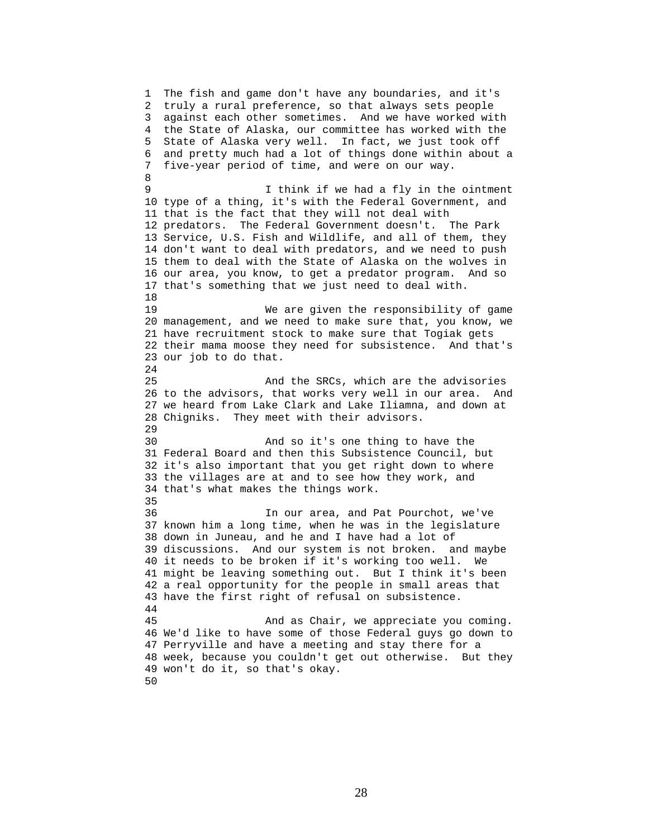1 The fish and game don't have any boundaries, and it's 2 truly a rural preference, so that always sets people 3 against each other sometimes. And we have worked with 4 the State of Alaska, our committee has worked with the 5 State of Alaska very well. In fact, we just took off 6 and pretty much had a lot of things done within about a 7 five-year period of time, and were on our way. 8 9 I think if we had a fly in the ointment 10 type of a thing, it's with the Federal Government, and 11 that is the fact that they will not deal with 12 predators. The Federal Government doesn't. The Park 13 Service, U.S. Fish and Wildlife, and all of them, they 14 don't want to deal with predators, and we need to push 15 them to deal with the State of Alaska on the wolves in 16 our area, you know, to get a predator program. And so 17 that's something that we just need to deal with. 18 19 We are given the responsibility of game 20 management, and we need to make sure that, you know, we 21 have recruitment stock to make sure that Togiak gets 22 their mama moose they need for subsistence. And that's 23 our job to do that. 24 25 And the SRCs, which are the advisories 26 to the advisors, that works very well in our area. And 27 we heard from Lake Clark and Lake Iliamna, and down at 28 Chigniks. They meet with their advisors. 29 30 And so it's one thing to have the 31 Federal Board and then this Subsistence Council, but 32 it's also important that you get right down to where 33 the villages are at and to see how they work, and 34 that's what makes the things work. 35 36 In our area, and Pat Pourchot, we've 37 known him a long time, when he was in the legislature 38 down in Juneau, and he and I have had a lot of 39 discussions. And our system is not broken. and maybe 40 it needs to be broken if it's working too well. We 41 might be leaving something out. But I think it's been 42 a real opportunity for the people in small areas that 43 have the first right of refusal on subsistence. 44 45 And as Chair, we appreciate you coming. 46 We'd like to have some of those Federal guys go down to 47 Perryville and have a meeting and stay there for a 48 week, because you couldn't get out otherwise. But they 49 won't do it, so that's okay. 50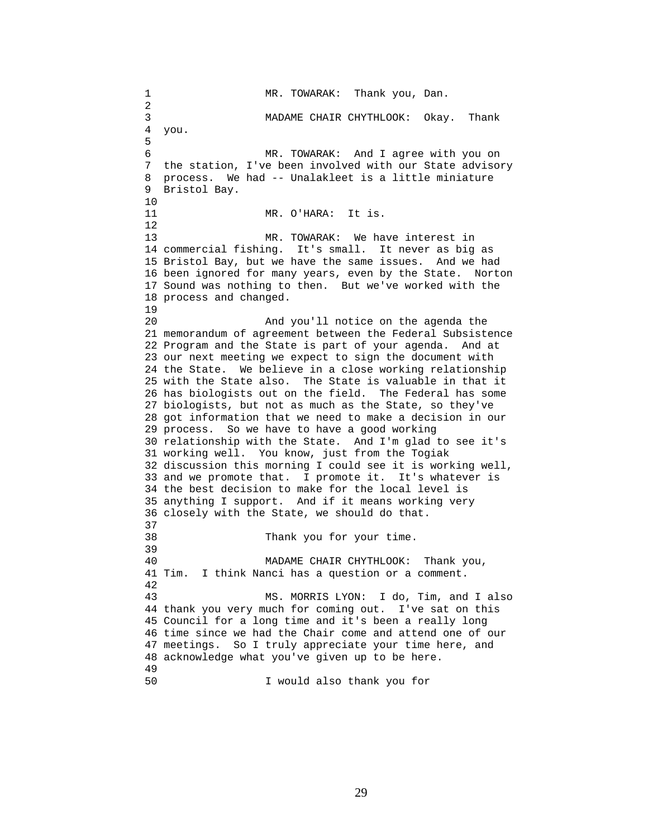1 MR. TOWARAK: Thank you, Dan. 2 3 MADAME CHAIR CHYTHLOOK: Okay. Thank 4 you. 5 6 MR. TOWARAK: And I agree with you on 7 the station, I've been involved with our State advisory 8 process. We had -- Unalakleet is a little miniature 9 Bristol Bay. 10 11 MR. O'HARA: It is. 12 13 MR. TOWARAK: We have interest in 14 commercial fishing. It's small. It never as big as 15 Bristol Bay, but we have the same issues. And we had 16 been ignored for many years, even by the State. Norton 17 Sound was nothing to then. But we've worked with the 18 process and changed. 19 20 And you'll notice on the agenda the 21 memorandum of agreement between the Federal Subsistence 22 Program and the State is part of your agenda. And at 23 our next meeting we expect to sign the document with 24 the State. We believe in a close working relationship 25 with the State also. The State is valuable in that it 26 has biologists out on the field. The Federal has some 27 biologists, but not as much as the State, so they've 28 got information that we need to make a decision in our 29 process. So we have to have a good working 30 relationship with the State. And I'm glad to see it's 31 working well. You know, just from the Togiak 32 discussion this morning I could see it is working well, 33 and we promote that. I promote it. It's whatever is 34 the best decision to make for the local level is 35 anything I support. And if it means working very 36 closely with the State, we should do that. 37 38 Thank you for your time. 39 40 MADAME CHAIR CHYTHLOOK: Thank you, 41 Tim. I think Nanci has a question or a comment. 42 43 MS. MORRIS LYON: I do, Tim, and I also 44 thank you very much for coming out. I've sat on this 45 Council for a long time and it's been a really long 46 time since we had the Chair come and attend one of our 47 meetings. So I truly appreciate your time here, and 48 acknowledge what you've given up to be here. 49 50 I would also thank you for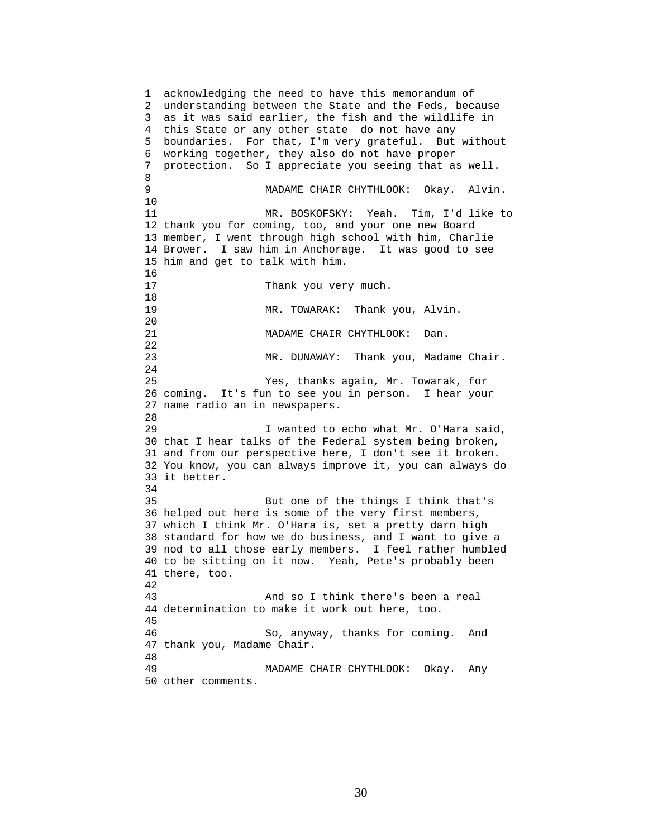1 acknowledging the need to have this memorandum of 2 understanding between the State and the Feds, because 3 as it was said earlier, the fish and the wildlife in 4 this State or any other state do not have any 5 boundaries. For that, I'm very grateful. But without 6 working together, they also do not have proper 7 protection. So I appreciate you seeing that as well. 8 9 MADAME CHAIR CHYTHLOOK: Okay. Alvin. 10 11 MR. BOSKOFSKY: Yeah. Tim, I'd like to 12 thank you for coming, too, and your one new Board 13 member, I went through high school with him, Charlie 14 Brower. I saw him in Anchorage. It was good to see 15 him and get to talk with him. 16<br>17 Thank you very much. 18 19 MR. TOWARAK: Thank you, Alvin. 20 21 MADAME CHAIR CHYTHLOOK: Dan. 22 23 MR. DUNAWAY: Thank you, Madame Chair. 24 25 Yes, thanks again, Mr. Towarak, for 26 coming. It's fun to see you in person. I hear your 27 name radio an in newspapers. 28 29 I wanted to echo what Mr. O'Hara said, 30 that I hear talks of the Federal system being broken, 31 and from our perspective here, I don't see it broken. 32 You know, you can always improve it, you can always do 33 it better. 34 35 But one of the things I think that's 36 helped out here is some of the very first members, 37 which I think Mr. O'Hara is, set a pretty darn high 38 standard for how we do business, and I want to give a 39 nod to all those early members. I feel rather humbled 40 to be sitting on it now. Yeah, Pete's probably been 41 there, too. 42 43 And so I think there's been a real 44 determination to make it work out here, too. 45 46 So, anyway, thanks for coming. And 47 thank you, Madame Chair. 48 49 MADAME CHAIR CHYTHLOOK: Okay. Any 50 other comments.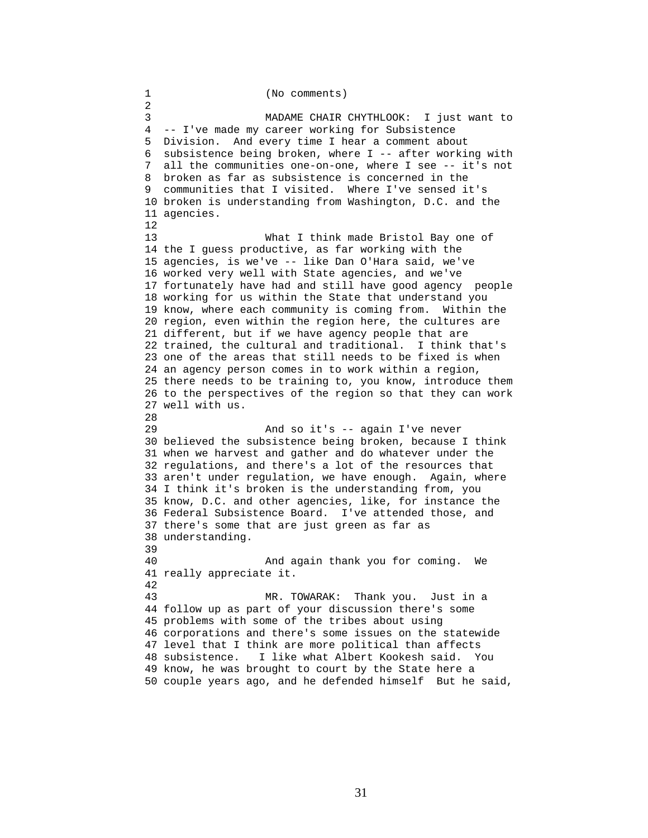1 (No comments) 2 3 MADAME CHAIR CHYTHLOOK: I just want to 4 -- I've made my career working for Subsistence 5 Division. And every time I hear a comment about 6 subsistence being broken, where I -- after working with 7 all the communities one-on-one, where I see -- it's not 8 broken as far as subsistence is concerned in the 9 communities that I visited. Where I've sensed it's 10 broken is understanding from Washington, D.C. and the 11 agencies. 12 13 What I think made Bristol Bay one of 14 the I guess productive, as far working with the 15 agencies, is we've -- like Dan O'Hara said, we've 16 worked very well with State agencies, and we've 17 fortunately have had and still have good agency people 18 working for us within the State that understand you 19 know, where each community is coming from. Within the 20 region, even within the region here, the cultures are 21 different, but if we have agency people that are 22 trained, the cultural and traditional. I think that's 23 one of the areas that still needs to be fixed is when 24 an agency person comes in to work within a region, 25 there needs to be training to, you know, introduce them 26 to the perspectives of the region so that they can work 27 well with us. 28 29 And so it's -- again I've never 30 believed the subsistence being broken, because I think 31 when we harvest and gather and do whatever under the 32 regulations, and there's a lot of the resources that 33 aren't under regulation, we have enough. Again, where 34 I think it's broken is the understanding from, you 35 know, D.C. and other agencies, like, for instance the 36 Federal Subsistence Board. I've attended those, and 37 there's some that are just green as far as 38 understanding. 39 40 And again thank you for coming. We 41 really appreciate it. 42 43 MR. TOWARAK: Thank you. Just in a 44 follow up as part of your discussion there's some 45 problems with some of the tribes about using 46 corporations and there's some issues on the statewide 47 level that I think are more political than affects 48 subsistence. I like what Albert Kookesh said. You 49 know, he was brought to court by the State here a 50 couple years ago, and he defended himself But he said,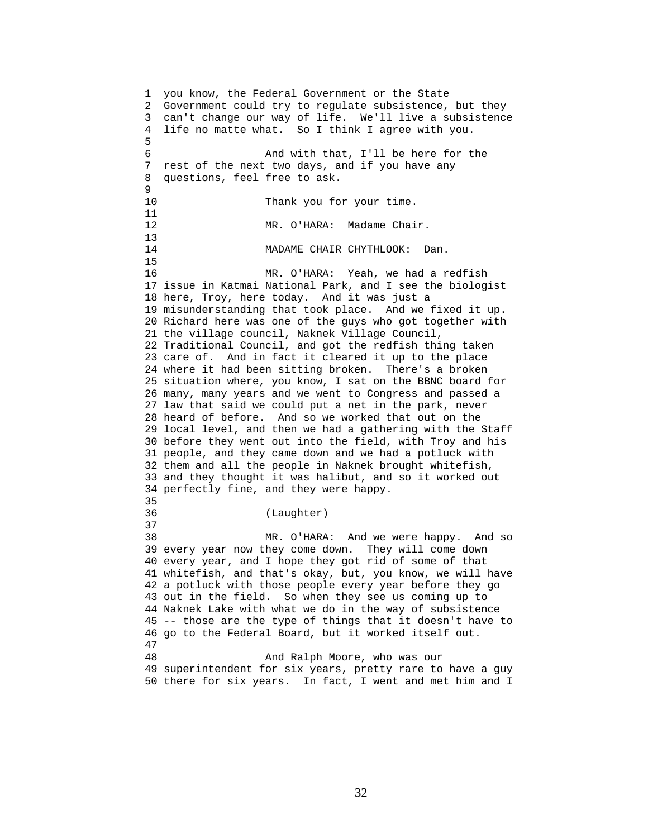1 you know, the Federal Government or the State 2 Government could try to regulate subsistence, but they 3 can't change our way of life. We'll live a subsistence 4 life no matte what. So I think I agree with you. 5 6 And with that, I'll be here for the 7 rest of the next two days, and if you have any 8 questions, feel free to ask. 9 10 Thank you for your time. 11 12 MR. O'HARA: Madame Chair.  $\frac{13}{14}$ MADAME CHAIR CHYTHLOOK: Dan. 15 16 MR. O'HARA: Yeah, we had a redfish 17 issue in Katmai National Park, and I see the biologist 18 here, Troy, here today. And it was just a 19 misunderstanding that took place. And we fixed it up. 20 Richard here was one of the guys who got together with 21 the village council, Naknek Village Council, 22 Traditional Council, and got the redfish thing taken 23 care of. And in fact it cleared it up to the place 24 where it had been sitting broken. There's a broken 25 situation where, you know, I sat on the BBNC board for 26 many, many years and we went to Congress and passed a 27 law that said we could put a net in the park, never 28 heard of before. And so we worked that out on the 29 local level, and then we had a gathering with the Staff 30 before they went out into the field, with Troy and his 31 people, and they came down and we had a potluck with 32 them and all the people in Naknek brought whitefish, 33 and they thought it was halibut, and so it worked out 34 perfectly fine, and they were happy. 35 36 (Laughter) 37 38 MR. O'HARA: And we were happy. And so 39 every year now they come down. They will come down 40 every year, and I hope they got rid of some of that 41 whitefish, and that's okay, but, you know, we will have 42 a potluck with those people every year before they go 43 out in the field. So when they see us coming up to 44 Naknek Lake with what we do in the way of subsistence 45 -- those are the type of things that it doesn't have to 46 go to the Federal Board, but it worked itself out. 47 48 And Ralph Moore, who was our 49 superintendent for six years, pretty rare to have a guy 50 there for six years. In fact, I went and met him and I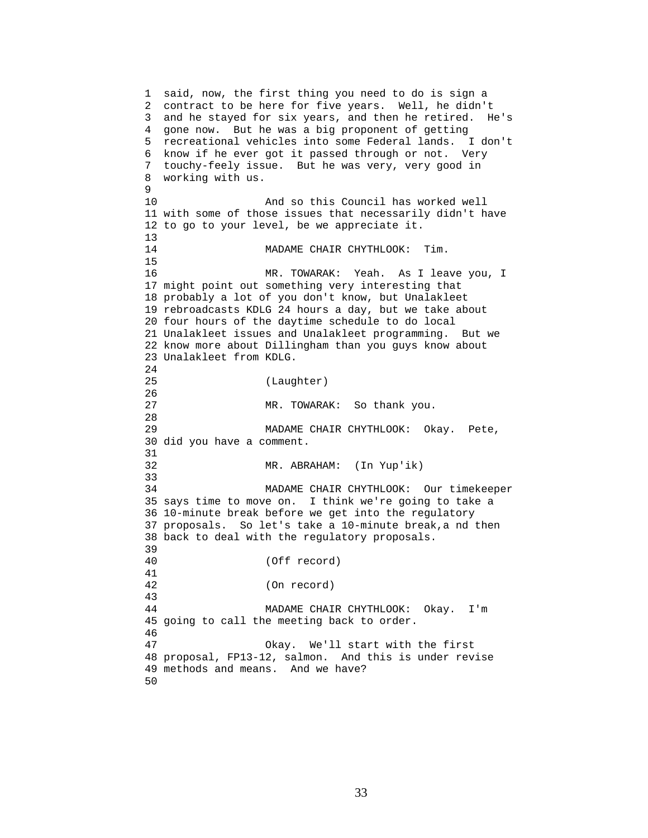1 said, now, the first thing you need to do is sign a 2 contract to be here for five years. Well, he didn't 3 and he stayed for six years, and then he retired. He's 4 gone now. But he was a big proponent of getting 5 recreational vehicles into some Federal lands. I don't 6 know if he ever got it passed through or not. Very 7 touchy-feely issue. But he was very, very good in 8 working with us.  $\mathsf{Q}$ 10 And so this Council has worked well 11 with some of those issues that necessarily didn't have 12 to go to your level, be we appreciate it.  $\frac{13}{14}$ MADAME CHAIR CHYTHLOOK: Tim. 15 16 MR. TOWARAK: Yeah. As I leave you, I 17 might point out something very interesting that 18 probably a lot of you don't know, but Unalakleet 19 rebroadcasts KDLG 24 hours a day, but we take about 20 four hours of the daytime schedule to do local 21 Unalakleet issues and Unalakleet programming. But we 22 know more about Dillingham than you guys know about 23 Unalakleet from KDLG. 24 25 (Laughter) 26 27 MR. TOWARAK: So thank you. 28 29 MADAME CHAIR CHYTHLOOK: Okay. Pete, 30 did you have a comment. 31 32 MR. ABRAHAM: (In Yup'ik) 33 34 MADAME CHAIR CHYTHLOOK: Our timekeeper 35 says time to move on. I think we're going to take a 36 10-minute break before we get into the regulatory 37 proposals. So let's take a 10-minute break,a nd then 38 back to deal with the regulatory proposals. 39 40 (Off record) 41 42 (On record) 43 44 MADAME CHAIR CHYTHLOOK: Okay. I'm 45 going to call the meeting back to order. 46 47 Okay. We'll start with the first 48 proposal, FP13-12, salmon. And this is under revise 49 methods and means. And we have? 50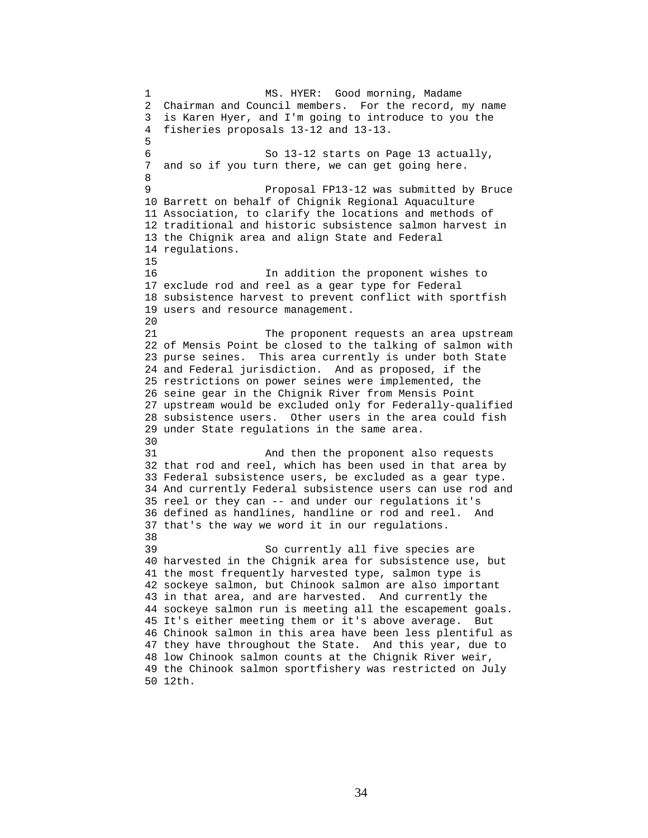1 MS. HYER: Good morning, Madame 2 Chairman and Council members. For the record, my name 3 is Karen Hyer, and I'm going to introduce to you the 4 fisheries proposals 13-12 and 13-13. 5 6 So 13-12 starts on Page 13 actually, 7 and so if you turn there, we can get going here. 8 9 Proposal FP13-12 was submitted by Bruce 10 Barrett on behalf of Chignik Regional Aquaculture 11 Association, to clarify the locations and methods of 12 traditional and historic subsistence salmon harvest in 13 the Chignik area and align State and Federal 14 regulations. 15 16 In addition the proponent wishes to 17 exclude rod and reel as a gear type for Federal 18 subsistence harvest to prevent conflict with sportfish 19 users and resource management. 20 21 The proponent requests an area upstream 22 of Mensis Point be closed to the talking of salmon with 23 purse seines. This area currently is under both State 24 and Federal jurisdiction. And as proposed, if the 25 restrictions on power seines were implemented, the 26 seine gear in the Chignik River from Mensis Point 27 upstream would be excluded only for Federally-qualified 28 subsistence users. Other users in the area could fish 29 under State regulations in the same area. 30<br>31 And then the proponent also requests 32 that rod and reel, which has been used in that area by 33 Federal subsistence users, be excluded as a gear type. 34 And currently Federal subsistence users can use rod and 35 reel or they can -- and under our regulations it's 36 defined as handlines, handline or rod and reel. And 37 that's the way we word it in our regulations. 38 39 So currently all five species are 40 harvested in the Chignik area for subsistence use, but 41 the most frequently harvested type, salmon type is 42 sockeye salmon, but Chinook salmon are also important 43 in that area, and are harvested. And currently the 44 sockeye salmon run is meeting all the escapement goals. 45 It's either meeting them or it's above average. But 46 Chinook salmon in this area have been less plentiful as 47 they have throughout the State. And this year, due to 48 low Chinook salmon counts at the Chignik River weir, 49 the Chinook salmon sportfishery was restricted on July 50 12th.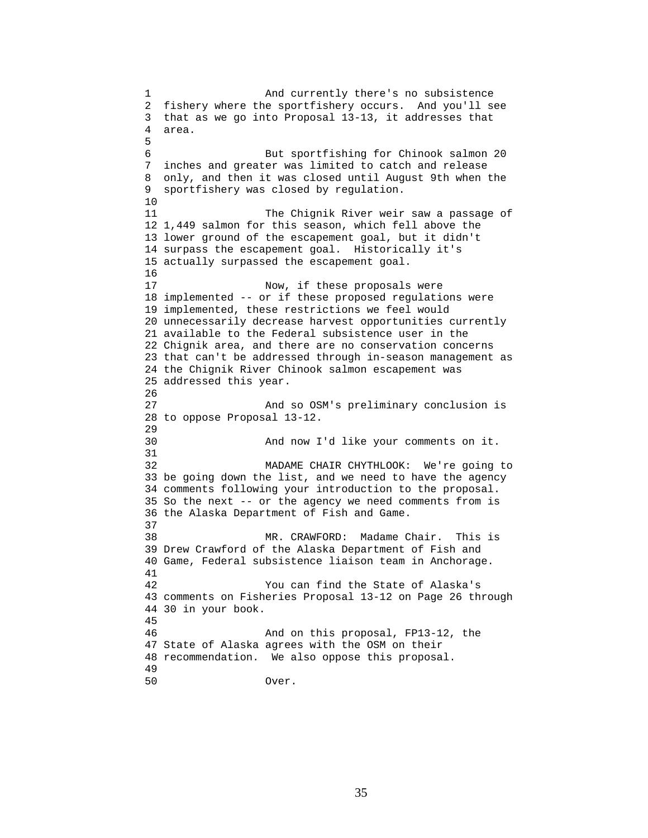1 And currently there's no subsistence 2 fishery where the sportfishery occurs. And you'll see 3 that as we go into Proposal 13-13, it addresses that 4 area. 5 6 But sportfishing for Chinook salmon 20 7 inches and greater was limited to catch and release 8 only, and then it was closed until August 9th when the 9 sportfishery was closed by regulation. 10 11 The Chignik River weir saw a passage of 12 1,449 salmon for this season, which fell above the 13 lower ground of the escapement goal, but it didn't 14 surpass the escapement goal. Historically it's 15 actually surpassed the escapement goal. 16 17 Now, if these proposals were 18 implemented -- or if these proposed regulations were 19 implemented, these restrictions we feel would 20 unnecessarily decrease harvest opportunities currently 21 available to the Federal subsistence user in the 22 Chignik area, and there are no conservation concerns 23 that can't be addressed through in-season management as 24 the Chignik River Chinook salmon escapement was 25 addressed this year. 26 27 And so OSM's preliminary conclusion is 28 to oppose Proposal 13-12. 29 30 And now I'd like your comments on it. 31 32 MADAME CHAIR CHYTHLOOK: We're going to 33 be going down the list, and we need to have the agency 34 comments following your introduction to the proposal. 35 So the next -- or the agency we need comments from is 36 the Alaska Department of Fish and Game. 37 38 MR. CRAWFORD: Madame Chair. This is 39 Drew Crawford of the Alaska Department of Fish and 40 Game, Federal subsistence liaison team in Anchorage. 41 42 You can find the State of Alaska's 43 comments on Fisheries Proposal 13-12 on Page 26 through 44 30 in your book. 45 46 And on this proposal, FP13-12, the 47 State of Alaska agrees with the OSM on their 48 recommendation. We also oppose this proposal. 49 50 Over.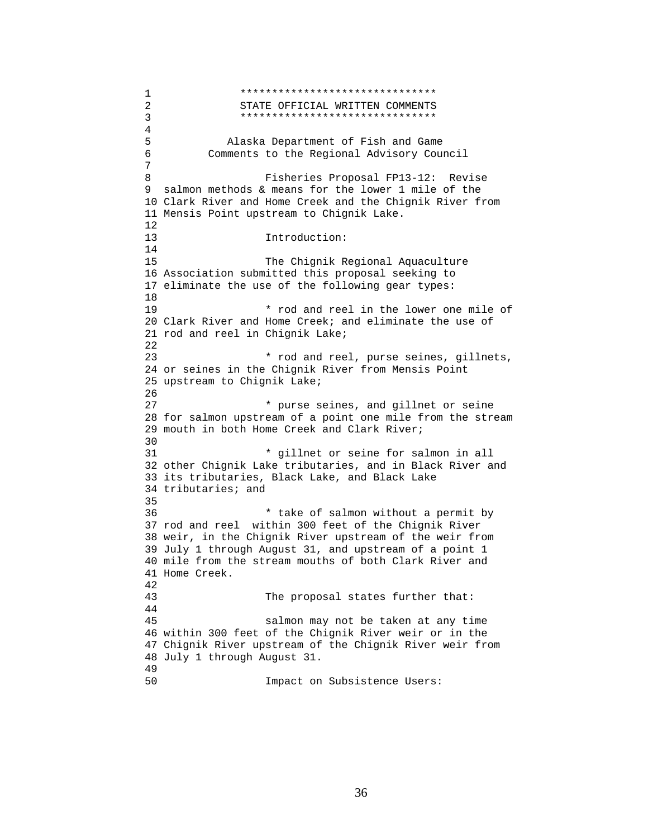1 \*\*\*\*\*\*\*\*\*\*\*\*\*\*\*\*\*\*\*\*\*\*\*\*\*\*\*\*\*\*\* 2 STATE OFFICIAL WRITTEN COMMENTS 3 4 5 Alaska Department of Fish and Game 6 Comments to the Regional Advisory Council 7 8 Fisheries Proposal FP13-12: Revise 9 salmon methods & means for the lower 1 mile of the 10 Clark River and Home Creek and the Chignik River from 11 Mensis Point upstream to Chignik Lake. 12 13 Introduction: 14 15 The Chignik Regional Aquaculture 16 Association submitted this proposal seeking to 17 eliminate the use of the following gear types: 18 19 \* rod and reel in the lower one mile of 20 Clark River and Home Creek; and eliminate the use of 21 rod and reel in Chignik Lake; 22 23 \* rod and reel, purse seines, gillnets, 24 or seines in the Chignik River from Mensis Point 25 upstream to Chignik Lake; 26 27 \* purse seines, and gillnet or seine 28 for salmon upstream of a point one mile from the stream 29 mouth in both Home Creek and Clark River; 30<br>31 \* gillnet or seine for salmon in all 32 other Chignik Lake tributaries, and in Black River and 33 its tributaries, Black Lake, and Black Lake 34 tributaries; and 35 36 \* take of salmon without a permit by 37 rod and reel within 300 feet of the Chignik River 38 weir, in the Chignik River upstream of the weir from 39 July 1 through August 31, and upstream of a point 1 40 mile from the stream mouths of both Clark River and 41 Home Creek. 42 43 The proposal states further that: 44 45 salmon may not be taken at any time 46 within 300 feet of the Chignik River weir or in the 47 Chignik River upstream of the Chignik River weir from 48 July 1 through August 31. 49 50 Impact on Subsistence Users: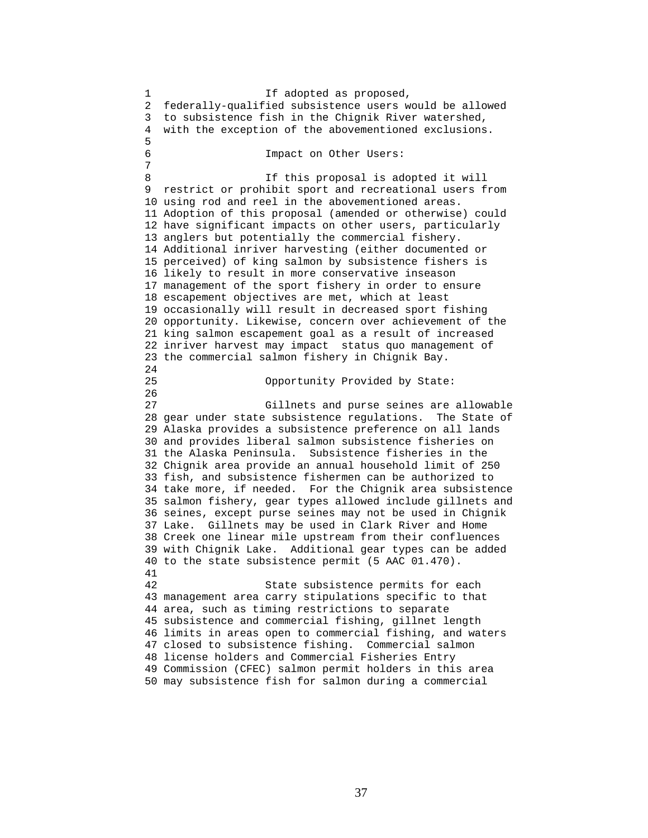1 1 If adopted as proposed, 2 federally-qualified subsistence users would be allowed 3 to subsistence fish in the Chignik River watershed, 4 with the exception of the abovementioned exclusions. 5 6 Impact on Other Users: 7 8 If this proposal is adopted it will 9 restrict or prohibit sport and recreational users from 10 using rod and reel in the abovementioned areas. 11 Adoption of this proposal (amended or otherwise) could 12 have significant impacts on other users, particularly 13 anglers but potentially the commercial fishery. 14 Additional inriver harvesting (either documented or 15 perceived) of king salmon by subsistence fishers is 16 likely to result in more conservative inseason 17 management of the sport fishery in order to ensure 18 escapement objectives are met, which at least 19 occasionally will result in decreased sport fishing 20 opportunity. Likewise, concern over achievement of the 21 king salmon escapement goal as a result of increased 22 inriver harvest may impact status quo management of 23 the commercial salmon fishery in Chignik Bay. 24 25 Opportunity Provided by State: 26 27 Gillnets and purse seines are allowable 28 gear under state subsistence regulations. The State of 29 Alaska provides a subsistence preference on all lands 30 and provides liberal salmon subsistence fisheries on 31 the Alaska Peninsula. Subsistence fisheries in the 32 Chignik area provide an annual household limit of 250 33 fish, and subsistence fishermen can be authorized to 34 take more, if needed. For the Chignik area subsistence 35 salmon fishery, gear types allowed include gillnets and 36 seines, except purse seines may not be used in Chignik 37 Lake. Gillnets may be used in Clark River and Home 38 Creek one linear mile upstream from their confluences 39 with Chignik Lake. Additional gear types can be added 40 to the state subsistence permit (5 AAC 01.470). 41 42 State subsistence permits for each 43 management area carry stipulations specific to that 44 area, such as timing restrictions to separate 45 subsistence and commercial fishing, gillnet length 46 limits in areas open to commercial fishing, and waters 47 closed to subsistence fishing. Commercial salmon 48 license holders and Commercial Fisheries Entry 49 Commission (CFEC) salmon permit holders in this area 50 may subsistence fish for salmon during a commercial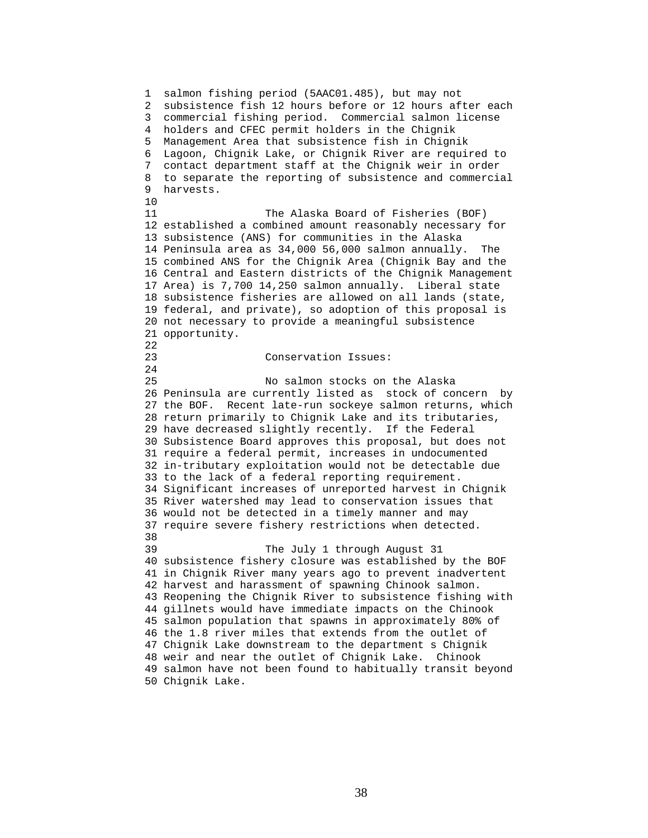1 salmon fishing period (5AAC01.485), but may not 2 subsistence fish 12 hours before or 12 hours after each 3 commercial fishing period. Commercial salmon license 4 holders and CFEC permit holders in the Chignik 5 Management Area that subsistence fish in Chignik 6 Lagoon, Chignik Lake, or Chignik River are required to 7 contact department staff at the Chignik weir in order 8 to separate the reporting of subsistence and commercial 9 harvests. 10 11 The Alaska Board of Fisheries (BOF) 12 established a combined amount reasonably necessary for 13 subsistence (ANS) for communities in the Alaska 14 Peninsula area as 34,000 56,000 salmon annually. The 15 combined ANS for the Chignik Area (Chignik Bay and the 16 Central and Eastern districts of the Chignik Management 17 Area) is 7,700 14,250 salmon annually. Liberal state 18 subsistence fisheries are allowed on all lands (state, 19 federal, and private), so adoption of this proposal is 20 not necessary to provide a meaningful subsistence 21 opportunity. 22 23 Conservation Issues: 24 25 No salmon stocks on the Alaska 26 Peninsula are currently listed as stock of concern by 27 the BOF. Recent late-run sockeye salmon returns, which 28 return primarily to Chignik Lake and its tributaries, 29 have decreased slightly recently. If the Federal 30 Subsistence Board approves this proposal, but does not 31 require a federal permit, increases in undocumented 32 in-tributary exploitation would not be detectable due 33 to the lack of a federal reporting requirement. 34 Significant increases of unreported harvest in Chignik 35 River watershed may lead to conservation issues that 36 would not be detected in a timely manner and may 37 require severe fishery restrictions when detected. 38<br>39 The July 1 through August 31 40 subsistence fishery closure was established by the BOF 41 in Chignik River many years ago to prevent inadvertent 42 harvest and harassment of spawning Chinook salmon. 43 Reopening the Chignik River to subsistence fishing with 44 gillnets would have immediate impacts on the Chinook 45 salmon population that spawns in approximately 80% of 46 the 1.8 river miles that extends from the outlet of 47 Chignik Lake downstream to the department s Chignik 48 weir and near the outlet of Chignik Lake. Chinook 49 salmon have not been found to habitually transit beyond 50 Chignik Lake.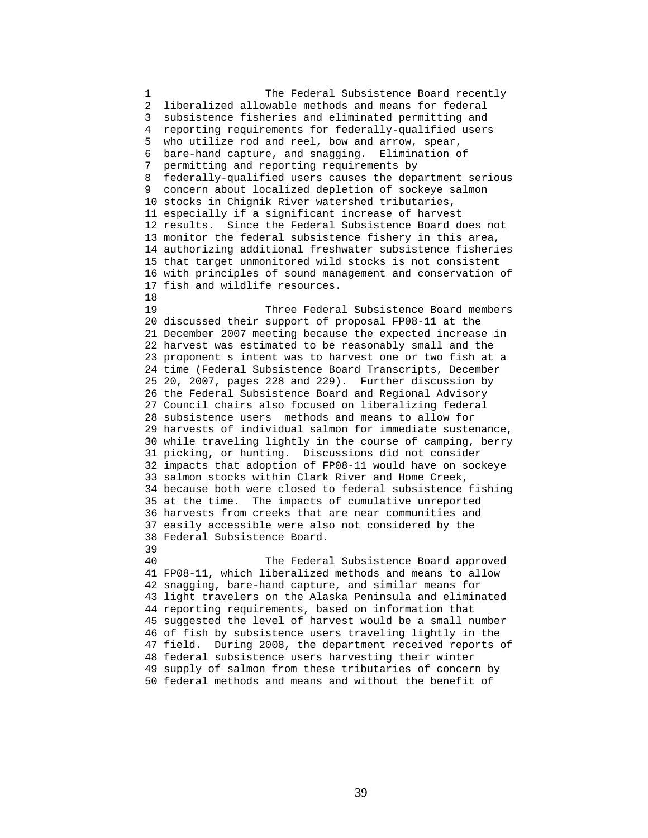1 The Federal Subsistence Board recently 2 liberalized allowable methods and means for federal 3 subsistence fisheries and eliminated permitting and 4 reporting requirements for federally-qualified users 5 who utilize rod and reel, bow and arrow, spear, 6 bare-hand capture, and snagging. Elimination of 7 permitting and reporting requirements by 8 federally-qualified users causes the department serious 9 concern about localized depletion of sockeye salmon 10 stocks in Chignik River watershed tributaries, 11 especially if a significant increase of harvest 12 results. Since the Federal Subsistence Board does not 13 monitor the federal subsistence fishery in this area, 14 authorizing additional freshwater subsistence fisheries 15 that target unmonitored wild stocks is not consistent 16 with principles of sound management and conservation of 17 fish and wildlife resources. 18 19 Three Federal Subsistence Board members 20 discussed their support of proposal FP08-11 at the 21 December 2007 meeting because the expected increase in 22 harvest was estimated to be reasonably small and the 23 proponent s intent was to harvest one or two fish at a 24 time (Federal Subsistence Board Transcripts, December 25 20, 2007, pages 228 and 229). Further discussion by 26 the Federal Subsistence Board and Regional Advisory 27 Council chairs also focused on liberalizing federal 28 subsistence users methods and means to allow for 29 harvests of individual salmon for immediate sustenance, 30 while traveling lightly in the course of camping, berry 31 picking, or hunting. Discussions did not consider 32 impacts that adoption of FP08-11 would have on sockeye 33 salmon stocks within Clark River and Home Creek, 34 because both were closed to federal subsistence fishing 35 at the time. The impacts of cumulative unreported 36 harvests from creeks that are near communities and 37 easily accessible were also not considered by the 38 Federal Subsistence Board. 39 40 The Federal Subsistence Board approved 41 FP08-11, which liberalized methods and means to allow 42 snagging, bare-hand capture, and similar means for 43 light travelers on the Alaska Peninsula and eliminated 44 reporting requirements, based on information that 45 suggested the level of harvest would be a small number 46 of fish by subsistence users traveling lightly in the 47 field. During 2008, the department received reports of 48 federal subsistence users harvesting their winter 49 supply of salmon from these tributaries of concern by 50 federal methods and means and without the benefit of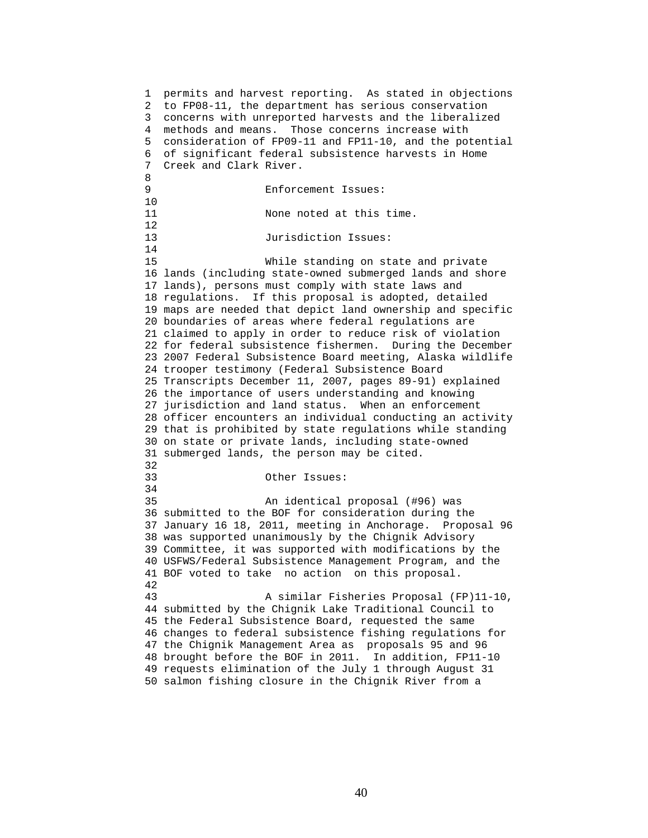1 permits and harvest reporting. As stated in objections 2 to FP08-11, the department has serious conservation 3 concerns with unreported harvests and the liberalized 4 methods and means. Those concerns increase with 5 consideration of FP09-11 and FP11-10, and the potential 6 of significant federal subsistence harvests in Home 7 Creek and Clark River. 8 9 Enforcement Issues: 10 11 None noted at this time. 12 13 Jurisdiction Issues: 14 15 While standing on state and private 16 lands (including state-owned submerged lands and shore 17 lands), persons must comply with state laws and 18 regulations. If this proposal is adopted, detailed 19 maps are needed that depict land ownership and specific 20 boundaries of areas where federal regulations are 21 claimed to apply in order to reduce risk of violation 22 for federal subsistence fishermen. During the December 23 2007 Federal Subsistence Board meeting, Alaska wildlife 24 trooper testimony (Federal Subsistence Board 25 Transcripts December 11, 2007, pages 89-91) explained 26 the importance of users understanding and knowing 27 jurisdiction and land status. When an enforcement 28 officer encounters an individual conducting an activity 29 that is prohibited by state regulations while standing 30 on state or private lands, including state-owned 31 submerged lands, the person may be cited. 32 33 Other Issues: 34 35 An identical proposal (#96) was 36 submitted to the BOF for consideration during the 37 January 16 18, 2011, meeting in Anchorage. Proposal 96 38 was supported unanimously by the Chignik Advisory 39 Committee, it was supported with modifications by the 40 USFWS/Federal Subsistence Management Program, and the 41 BOF voted to take no action on this proposal. 42 43 A similar Fisheries Proposal (FP)11-10, 44 submitted by the Chignik Lake Traditional Council to 45 the Federal Subsistence Board, requested the same 46 changes to federal subsistence fishing regulations for 47 the Chignik Management Area as proposals 95 and 96 48 brought before the BOF in 2011. In addition, FP11-10 49 requests elimination of the July 1 through August 31 50 salmon fishing closure in the Chignik River from a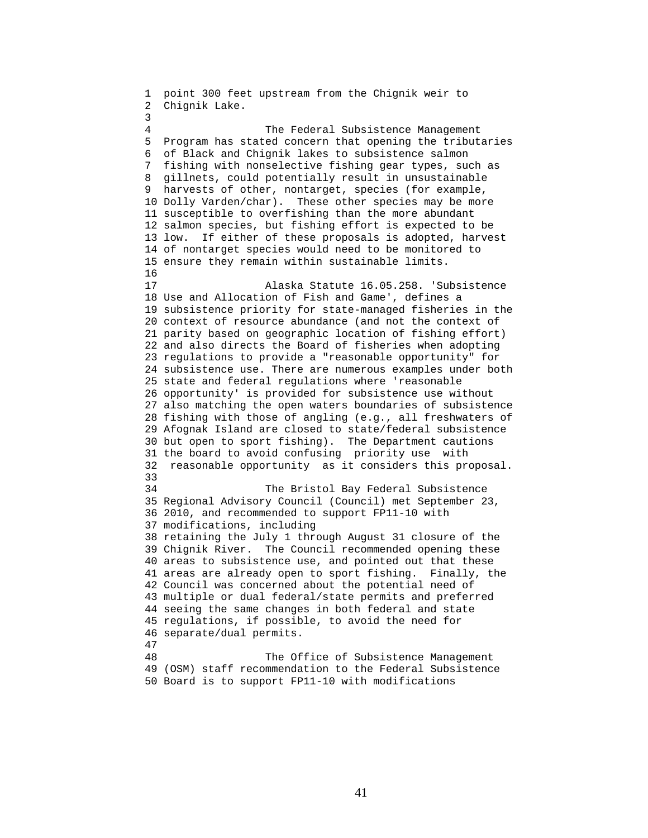1 point 300 feet upstream from the Chignik weir to 2 Chignik Lake. 3 4 The Federal Subsistence Management 5 Program has stated concern that opening the tributaries 6 of Black and Chignik lakes to subsistence salmon 7 fishing with nonselective fishing gear types, such as 8 gillnets, could potentially result in unsustainable 9 harvests of other, nontarget, species (for example, 10 Dolly Varden/char). These other species may be more 11 susceptible to overfishing than the more abundant 12 salmon species, but fishing effort is expected to be 13 low. If either of these proposals is adopted, harvest 14 of nontarget species would need to be monitored to 15 ensure they remain within sustainable limits. 16 17 Alaska Statute 16.05.258. 'Subsistence 18 Use and Allocation of Fish and Game', defines a 19 subsistence priority for state-managed fisheries in the 20 context of resource abundance (and not the context of 21 parity based on geographic location of fishing effort) 22 and also directs the Board of fisheries when adopting 23 regulations to provide a "reasonable opportunity" for 24 subsistence use. There are numerous examples under both 25 state and federal regulations where 'reasonable 26 opportunity' is provided for subsistence use without 27 also matching the open waters boundaries of subsistence 28 fishing with those of angling (e.g., all freshwaters of 29 Afognak Island are closed to state/federal subsistence 30 but open to sport fishing). The Department cautions 31 the board to avoid confusing priority use with 32 reasonable opportunity as it considers this proposal. 33 34 The Bristol Bay Federal Subsistence 35 Regional Advisory Council (Council) met September 23, 36 2010, and recommended to support FP11-10 with 37 modifications, including 38 retaining the July 1 through August 31 closure of the 39 Chignik River. The Council recommended opening these 40 areas to subsistence use, and pointed out that these 41 areas are already open to sport fishing. Finally, the 42 Council was concerned about the potential need of 43 multiple or dual federal/state permits and preferred 44 seeing the same changes in both federal and state 45 regulations, if possible, to avoid the need for 46 separate/dual permits. 47 48 The Office of Subsistence Management 49 (OSM) staff recommendation to the Federal Subsistence 50 Board is to support FP11-10 with modifications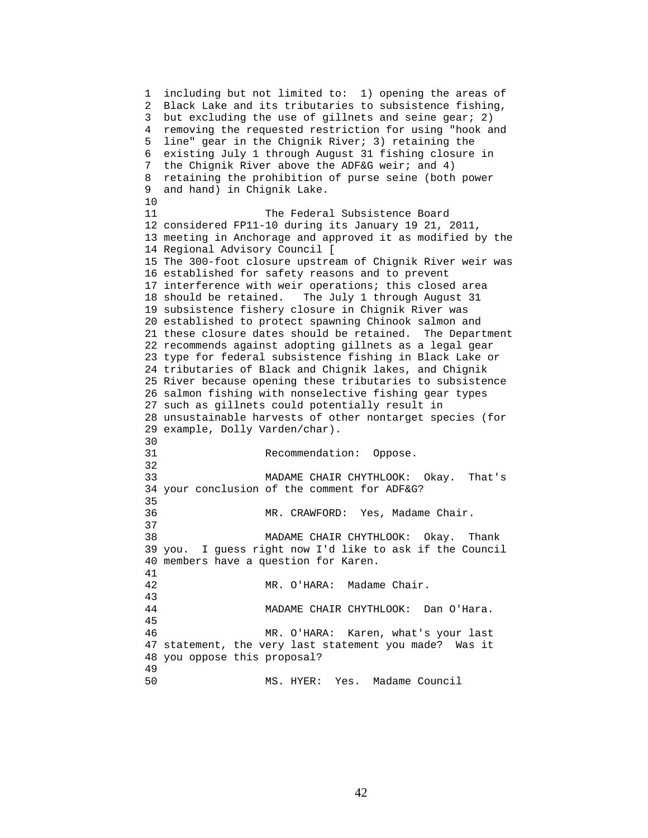1 including but not limited to: 1) opening the areas of 2 Black Lake and its tributaries to subsistence fishing, 3 but excluding the use of gillnets and seine gear; 2) 4 removing the requested restriction for using "hook and 5 line" gear in the Chignik River; 3) retaining the 6 existing July 1 through August 31 fishing closure in 7 the Chignik River above the ADF&G weir; and 4) 8 retaining the prohibition of purse seine (both power 9 and hand) in Chignik Lake. 10 11 The Federal Subsistence Board 12 considered FP11-10 during its January 19 21, 2011, 13 meeting in Anchorage and approved it as modified by the 14 Regional Advisory Council [ 15 The 300-foot closure upstream of Chignik River weir was 16 established for safety reasons and to prevent 17 interference with weir operations; this closed area 18 should be retained. The July 1 through August 31 19 subsistence fishery closure in Chignik River was 20 established to protect spawning Chinook salmon and 21 these closure dates should be retained. The Department 22 recommends against adopting gillnets as a legal gear 23 type for federal subsistence fishing in Black Lake or 24 tributaries of Black and Chignik lakes, and Chignik 25 River because opening these tributaries to subsistence 26 salmon fishing with nonselective fishing gear types 27 such as gillnets could potentially result in 28 unsustainable harvests of other nontarget species (for 29 example, Dolly Varden/char). 30<br>31 Recommendation: Oppose. 32 33 MADAME CHAIR CHYTHLOOK: Okay. That's 34 your conclusion of the comment for ADF&G? 35 36 MR. CRAWFORD: Yes, Madame Chair. 37 38 MADAME CHAIR CHYTHLOOK: Okay. Thank 39 you. I guess right now I'd like to ask if the Council 40 members have a question for Karen. 41 42 MR. O'HARA: Madame Chair. 43 44 MADAME CHAIR CHYTHLOOK: Dan O'Hara. 45 46 MR. O'HARA: Karen, what's your last 47 statement, the very last statement you made? Was it 48 you oppose this proposal? 49 50 MS. HYER: Yes. Madame Council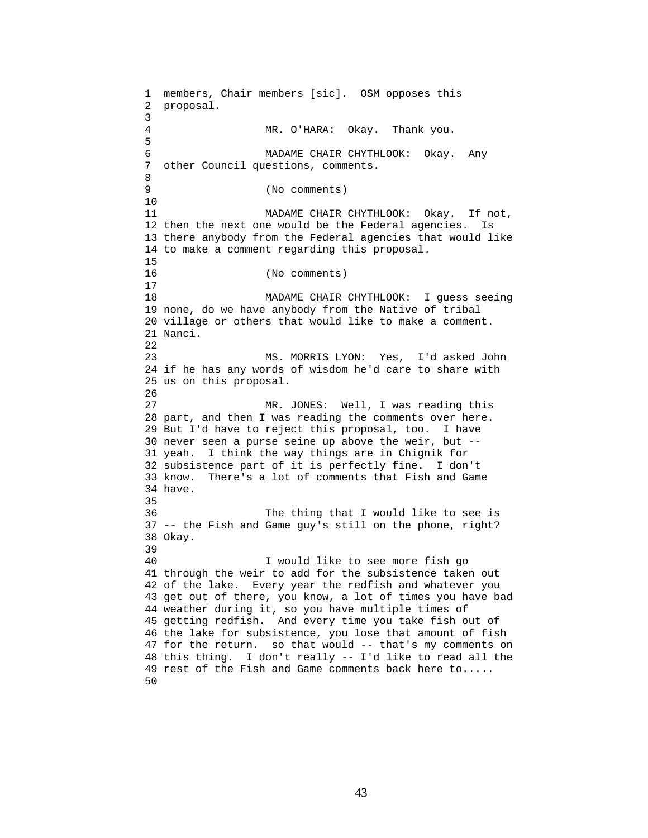1 members, Chair members [sic]. OSM opposes this 2 proposal. 3 MR. O'HARA: Okay. Thank you. 5 6 MADAME CHAIR CHYTHLOOK: Okay. Any 7 other Council questions, comments. 8 9 (No comments) 10 11 MADAME CHAIR CHYTHLOOK: Okay. If not, 12 then the next one would be the Federal agencies. Is 13 there anybody from the Federal agencies that would like 14 to make a comment regarding this proposal. 15 16 (No comments) 17 18 MADAME CHAIR CHYTHLOOK: I guess seeing 19 none, do we have anybody from the Native of tribal 20 village or others that would like to make a comment. 21 Nanci. 22 23 MS. MORRIS LYON: Yes, I'd asked John 24 if he has any words of wisdom he'd care to share with 25 us on this proposal. 26 27 MR. JONES: Well, I was reading this 28 part, and then I was reading the comments over here. 29 But I'd have to reject this proposal, too. I have 30 never seen a purse seine up above the weir, but -- 31 yeah. I think the way things are in Chignik for 32 subsistence part of it is perfectly fine. I don't 33 know. There's a lot of comments that Fish and Game 34 have. 35 36 The thing that I would like to see is 37 -- the Fish and Game guy's still on the phone, right? 38 Okay. 39 40 I would like to see more fish go 41 through the weir to add for the subsistence taken out 42 of the lake. Every year the redfish and whatever you 43 get out of there, you know, a lot of times you have bad 44 weather during it, so you have multiple times of 45 getting redfish. And every time you take fish out of 46 the lake for subsistence, you lose that amount of fish 47 for the return. so that would -- that's my comments on 48 this thing. I don't really -- I'd like to read all the 49 rest of the Fish and Game comments back here to..... 50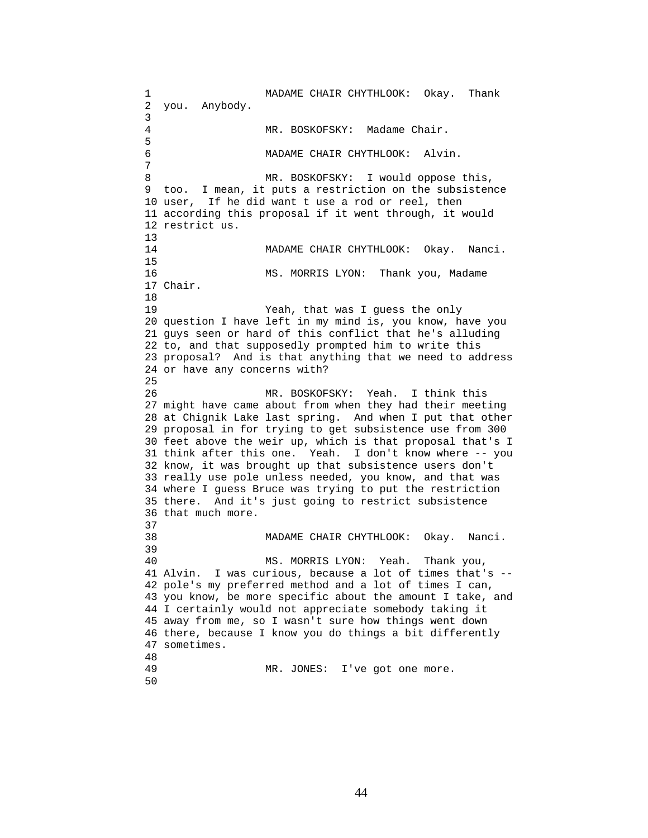1 MADAME CHAIR CHYTHLOOK: Okay. Thank 2 you. Anybody. 3 4 MR. BOSKOFSKY: Madame Chair. 5 6 MADAME CHAIR CHYTHLOOK: Alvin. 7 8 MR. BOSKOFSKY: I would oppose this, 9 too. I mean, it puts a restriction on the subsistence 10 user, If he did want t use a rod or reel, then 11 according this proposal if it went through, it would 12 restrict us.  $13$ <br> $14$ MADAME CHAIR CHYTHLOOK: Okay. Nanci. 15 16 MS. MORRIS LYON: Thank you, Madame 17 Chair. 18 19 Yeah, that was I guess the only 20 question I have left in my mind is, you know, have you 21 guys seen or hard of this conflict that he's alluding 22 to, and that supposedly prompted him to write this 23 proposal? And is that anything that we need to address 24 or have any concerns with? 25 26 MR. BOSKOFSKY: Yeah. I think this 27 might have came about from when they had their meeting 28 at Chignik Lake last spring. And when I put that other 29 proposal in for trying to get subsistence use from 300 30 feet above the weir up, which is that proposal that's I 31 think after this one. Yeah. I don't know where -- you 32 know, it was brought up that subsistence users don't 33 really use pole unless needed, you know, and that was 34 where I guess Bruce was trying to put the restriction 35 there. And it's just going to restrict subsistence 36 that much more. 37 38 MADAME CHAIR CHYTHLOOK: Okay. Nanci. 39 40 MS. MORRIS LYON: Yeah. Thank you, 41 Alvin. I was curious, because a lot of times that's -- 42 pole's my preferred method and a lot of times I can, 43 you know, be more specific about the amount I take, and 44 I certainly would not appreciate somebody taking it 45 away from me, so I wasn't sure how things went down 46 there, because I know you do things a bit differently 47 sometimes. 48 MR. JONES: I've got one more. 50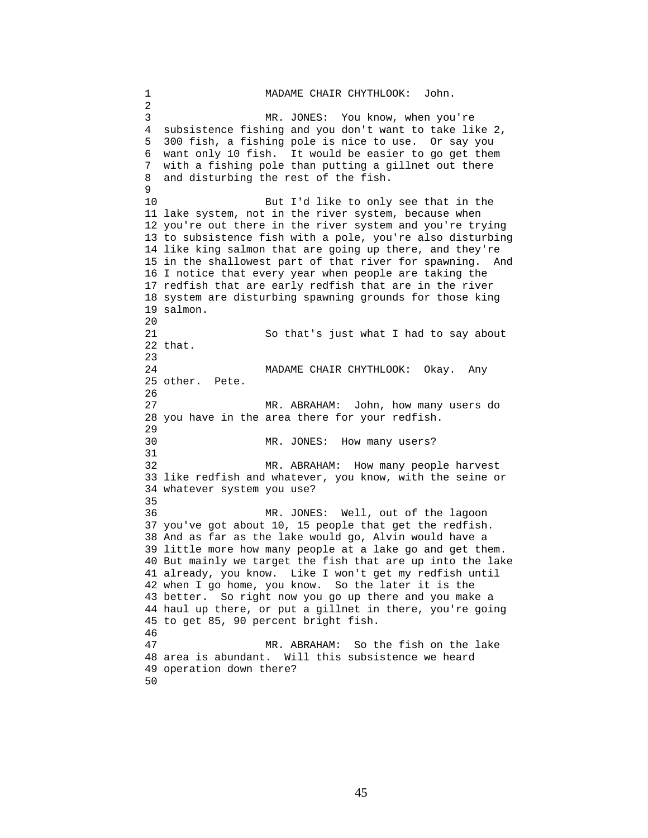1 MADAME CHAIR CHYTHLOOK: John. 2 3 MR. JONES: You know, when you're 4 subsistence fishing and you don't want to take like 2, 5 300 fish, a fishing pole is nice to use. Or say you 6 want only 10 fish. It would be easier to go get them 7 with a fishing pole than putting a gillnet out there 8 and disturbing the rest of the fish.  $\mathsf{Q}$ 10 But I'd like to only see that in the 11 lake system, not in the river system, because when 12 you're out there in the river system and you're trying 13 to subsistence fish with a pole, you're also disturbing 14 like king salmon that are going up there, and they're 15 in the shallowest part of that river for spawning. And 16 I notice that every year when people are taking the 17 redfish that are early redfish that are in the river 18 system are disturbing spawning grounds for those king 19 salmon. 20 21 So that's just what I had to say about 22 that. 23 24 MADAME CHAIR CHYTHLOOK: Okay. Any 25 other. Pete. 26 27 MR. ABRAHAM: John, how many users do 28 you have in the area there for your redfish. 29 30 MR. JONES: How many users? 31 32 MR. ABRAHAM: How many people harvest 33 like redfish and whatever, you know, with the seine or 34 whatever system you use? 35 36 MR. JONES: Well, out of the lagoon 37 you've got about 10, 15 people that get the redfish. 38 And as far as the lake would go, Alvin would have a 39 little more how many people at a lake go and get them. 40 But mainly we target the fish that are up into the lake 41 already, you know. Like I won't get my redfish until 42 when I go home, you know. So the later it is the 43 better. So right now you go up there and you make a 44 haul up there, or put a gillnet in there, you're going 45 to get 85, 90 percent bright fish. 46 47 MR. ABRAHAM: So the fish on the lake 48 area is abundant. Will this subsistence we heard 49 operation down there? 50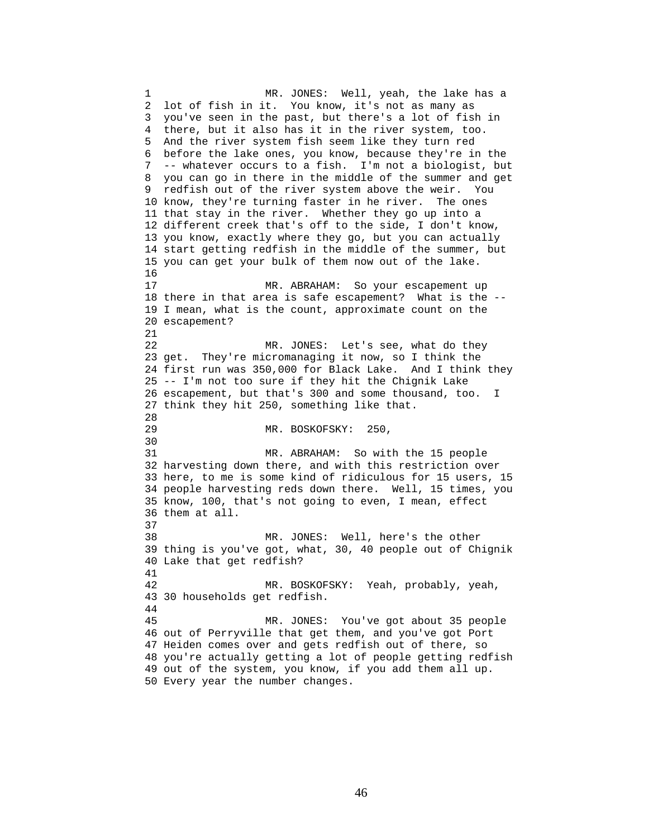1 MR. JONES: Well, yeah, the lake has a 2 lot of fish in it. You know, it's not as many as 3 you've seen in the past, but there's a lot of fish in 4 there, but it also has it in the river system, too. 5 And the river system fish seem like they turn red 6 before the lake ones, you know, because they're in the 7 -- whatever occurs to a fish. I'm not a biologist, but 8 you can go in there in the middle of the summer and get 9 redfish out of the river system above the weir. You 10 know, they're turning faster in he river. The ones 11 that stay in the river. Whether they go up into a 12 different creek that's off to the side, I don't know, 13 you know, exactly where they go, but you can actually 14 start getting redfish in the middle of the summer, but 15 you can get your bulk of them now out of the lake. 16 17 MR. ABRAHAM: So your escapement up 18 there in that area is safe escapement? What is the -- 19 I mean, what is the count, approximate count on the 20 escapement? 21 22 MR. JONES: Let's see, what do they 23 get. They're micromanaging it now, so I think the 24 first run was 350,000 for Black Lake. And I think they 25 -- I'm not too sure if they hit the Chignik Lake 26 escapement, but that's 300 and some thousand, too. I 27 think they hit 250, something like that. 28<br>29 MR. BOSKOFSKY: 250, 30<br>31 MR. ABRAHAM: So with the 15 people 32 harvesting down there, and with this restriction over 33 here, to me is some kind of ridiculous for 15 users, 15 34 people harvesting reds down there. Well, 15 times, you 35 know, 100, that's not going to even, I mean, effect 36 them at all. 37 38 MR. JONES: Well, here's the other 39 thing is you've got, what, 30, 40 people out of Chignik 40 Lake that get redfish? 41 42 MR. BOSKOFSKY: Yeah, probably, yeah, 43 30 households get redfish. 44 45 MR. JONES: You've got about 35 people 46 out of Perryville that get them, and you've got Port 47 Heiden comes over and gets redfish out of there, so 48 you're actually getting a lot of people getting redfish 49 out of the system, you know, if you add them all up. 50 Every year the number changes.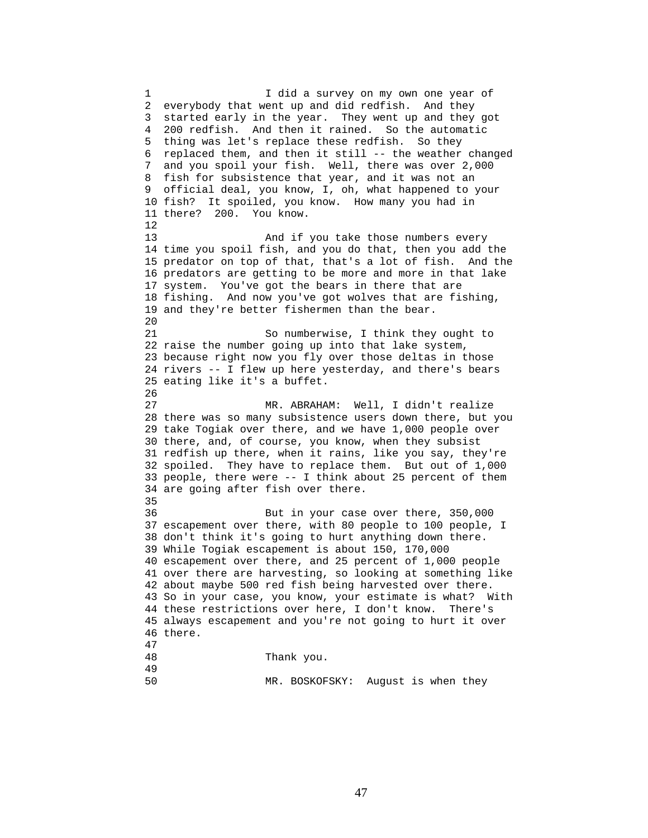1 I did a survey on my own one year of 2 everybody that went up and did redfish. And they 3 started early in the year. They went up and they got 4 200 redfish. And then it rained. So the automatic 5 thing was let's replace these redfish. So they 6 replaced them, and then it still -- the weather changed 7 and you spoil your fish. Well, there was over 2,000 8 fish for subsistence that year, and it was not an 9 official deal, you know, I, oh, what happened to your 10 fish? It spoiled, you know. How many you had in 11 there? 200. You know. 12 13 And if you take those numbers every 14 time you spoil fish, and you do that, then you add the 15 predator on top of that, that's a lot of fish. And the 16 predators are getting to be more and more in that lake 17 system. You've got the bears in there that are 18 fishing. And now you've got wolves that are fishing, 19 and they're better fishermen than the bear. 20 21 So numberwise, I think they ought to 22 raise the number going up into that lake system, 23 because right now you fly over those deltas in those 24 rivers -- I flew up here yesterday, and there's bears 25 eating like it's a buffet. 26 27 MR. ABRAHAM: Well, I didn't realize 28 there was so many subsistence users down there, but you 29 take Togiak over there, and we have 1,000 people over 30 there, and, of course, you know, when they subsist 31 redfish up there, when it rains, like you say, they're 32 spoiled. They have to replace them. But out of 1,000 33 people, there were -- I think about 25 percent of them 34 are going after fish over there. 35 36 But in your case over there, 350,000 37 escapement over there, with 80 people to 100 people, I 38 don't think it's going to hurt anything down there. 39 While Togiak escapement is about 150, 170,000 40 escapement over there, and 25 percent of 1,000 people 41 over there are harvesting, so looking at something like 42 about maybe 500 red fish being harvested over there. 43 So in your case, you know, your estimate is what? With 44 these restrictions over here, I don't know. There's 45 always escapement and you're not going to hurt it over 46 there. 47 Thank you. 49 50 MR. BOSKOFSKY: August is when they

47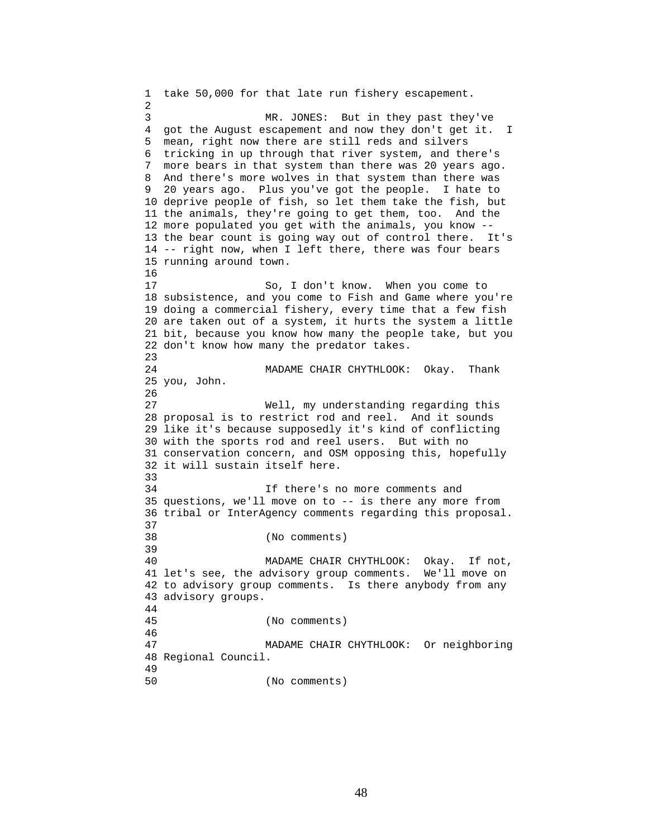1 take 50,000 for that late run fishery escapement. 2 3 MR. JONES: But in they past they've 4 got the August escapement and now they don't get it. I 5 mean, right now there are still reds and silvers 6 tricking in up through that river system, and there's 7 more bears in that system than there was 20 years ago. 8 And there's more wolves in that system than there was 9 20 years ago. Plus you've got the people. I hate to 10 deprive people of fish, so let them take the fish, but 11 the animals, they're going to get them, too. And the 12 more populated you get with the animals, you know -- 13 the bear count is going way out of control there. It's 14 -- right now, when I left there, there was four bears 15 running around town. 16 17 So, I don't know. When you come to 18 subsistence, and you come to Fish and Game where you're 19 doing a commercial fishery, every time that a few fish 20 are taken out of a system, it hurts the system a little 21 bit, because you know how many the people take, but you 22 don't know how many the predator takes. 23 24 MADAME CHAIR CHYTHLOOK: Okay. Thank 25 you, John. 26 27 Well, my understanding regarding this 28 proposal is to restrict rod and reel. And it sounds 29 like it's because supposedly it's kind of conflicting 30 with the sports rod and reel users. But with no 31 conservation concern, and OSM opposing this, hopefully 32 it will sustain itself here. 33 34 If there's no more comments and 35 questions, we'll move on to -- is there any more from 36 tribal or InterAgency comments regarding this proposal. 37 38 (No comments) 39 40 MADAME CHAIR CHYTHLOOK: Okay. If not, 41 let's see, the advisory group comments. We'll move on 42 to advisory group comments. Is there anybody from any 43 advisory groups. 44 45 (No comments) 46 47 MADAME CHAIR CHYTHLOOK: Or neighboring 48 Regional Council. 49 50 (No comments)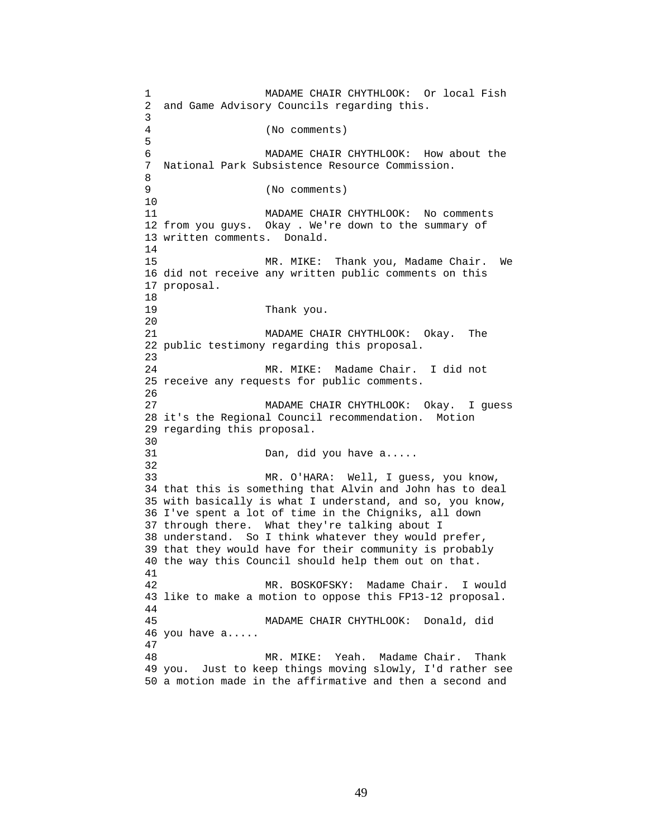1 MADAME CHAIR CHYTHLOOK: Or local Fish 2 and Game Advisory Councils regarding this. 3 4 (No comments) 5 6 MADAME CHAIR CHYTHLOOK: How about the 7 National Park Subsistence Resource Commission. 8 9 (No comments) 10 11 MADAME CHAIR CHYTHLOOK: No comments 12 from you guys. Okay . We're down to the summary of 13 written comments. Donald. 14 15 MR. MIKE: Thank you, Madame Chair. We 16 did not receive any written public comments on this 17 proposal. 18 19 Thank you. 20 21 MADAME CHAIR CHYTHLOOK: Okay. The 22 public testimony regarding this proposal. 23 24 MR. MIKE: Madame Chair. I did not 25 receive any requests for public comments. 26 27 MADAME CHAIR CHYTHLOOK: Okay. I quess 28 it's the Regional Council recommendation. Motion 29 regarding this proposal. 30<br>31 Dan, did you have a..... 32 33 MR. O'HARA: Well, I guess, you know, 34 that this is something that Alvin and John has to deal 35 with basically is what I understand, and so, you know, 36 I've spent a lot of time in the Chigniks, all down 37 through there. What they're talking about I 38 understand. So I think whatever they would prefer, 39 that they would have for their community is probably 40 the way this Council should help them out on that. 41 42 MR. BOSKOFSKY: Madame Chair. I would 43 like to make a motion to oppose this FP13-12 proposal. 44 45 MADAME CHAIR CHYTHLOOK: Donald, did 46 you have a..... 47 48 MR. MIKE: Yeah. Madame Chair. Thank 49 you. Just to keep things moving slowly, I'd rather see 50 a motion made in the affirmative and then a second and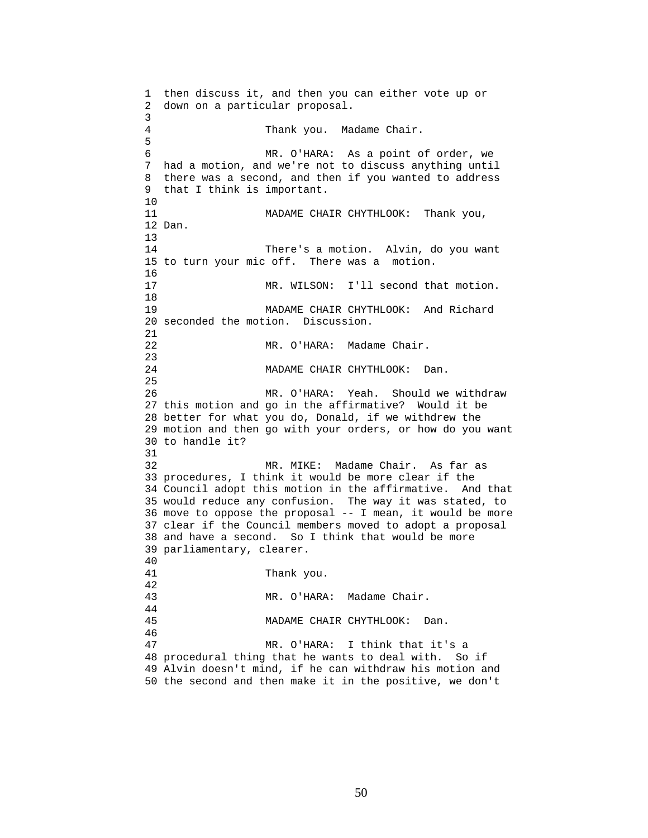```
1 then discuss it, and then you can either vote up or 
2 down on a particular proposal. 
3 
4 Thank you. Madame Chair. 
5 
6 MR. O'HARA: As a point of order, we 
7 had a motion, and we're not to discuss anything until 
8 there was a second, and then if you wanted to address 
9 that I think is important. 
10 
11 MADAME CHAIR CHYTHLOOK: Thank you,
12 Dan. 
13 
14 There's a motion. Alvin, do you want 
15 to turn your mic off. There was a motion. 
16 
17 MR. WILSON: I'll second that motion. 
18 
19 MADAME CHAIR CHYTHLOOK: And Richard 
20 seconded the motion. Discussion. 
21 
22 MR. O'HARA: Madame Chair. 
23 
24 MADAME CHAIR CHYTHLOOK: Dan. 
25 
26 MR. O'HARA: Yeah. Should we withdraw 
27 this motion and go in the affirmative? Would it be 
28 better for what you do, Donald, if we withdrew the 
29 motion and then go with your orders, or how do you want 
30 to handle it? 
31 
32 MR. MIKE: Madame Chair. As far as 
33 procedures, I think it would be more clear if the 
34 Council adopt this motion in the affirmative. And that 
35 would reduce any confusion. The way it was stated, to 
36 move to oppose the proposal -- I mean, it would be more 
37 clear if the Council members moved to adopt a proposal 
38 and have a second. So I think that would be more 
39 parliamentary, clearer. 
40 
41 Thank you. 
42 
43 MR. O'HARA: Madame Chair. 
44 
45 MADAME CHAIR CHYTHLOOK: Dan. 
46 
47 MR. O'HARA: I think that it's a 
48 procedural thing that he wants to deal with. So if 
49 Alvin doesn't mind, if he can withdraw his motion and 
50 the second and then make it in the positive, we don't
```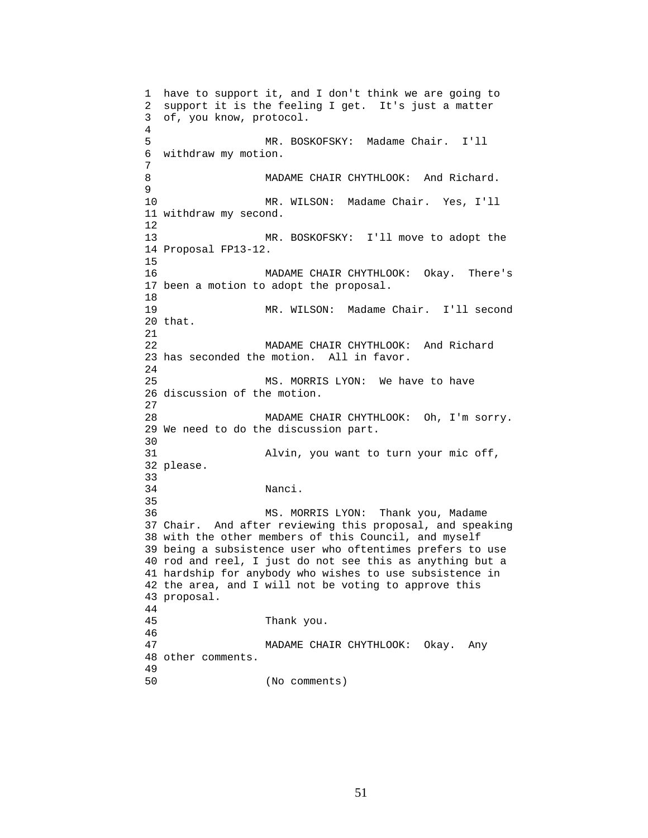```
1 have to support it, and I don't think we are going to 
2 support it is the feeling I get. It's just a matter 
3 of, you know, protocol. 
4 
5 MR. BOSKOFSKY: Madame Chair. I'll 
6 withdraw my motion. 
7 
8 MADAME CHAIR CHYTHLOOK: And Richard.
9 
10 MR. WILSON: Madame Chair. Yes, I'll 
11 withdraw my second. 
12 
13 MR. BOSKOFSKY: I'll move to adopt the 
14 Proposal FP13-12. 
15 
16 MADAME CHAIR CHYTHLOOK: Okay. There's 
17 been a motion to adopt the proposal. 
18 
19 MR. WILSON: Madame Chair. I'll second 
20 that. 
21 
22 MADAME CHAIR CHYTHLOOK: And Richard 
23 has seconded the motion. All in favor. 
24 
25 MS. MORRIS LYON: We have to have 
26 discussion of the motion. 
27 
28 MADAME CHAIR CHYTHLOOK: Oh, I'm sorry. 
29 We need to do the discussion part. 
30<br>31
                Alvin, you want to turn your mic off,
32 please. 
33 
34 Nanci. 
35 
36 MS. MORRIS LYON: Thank you, Madame 
37 Chair. And after reviewing this proposal, and speaking 
38 with the other members of this Council, and myself 
39 being a subsistence user who oftentimes prefers to use 
40 rod and reel, I just do not see this as anything but a 
41 hardship for anybody who wishes to use subsistence in 
42 the area, and I will not be voting to approve this 
43 proposal. 
44 
45 Thank you. 
46 
47 MADAME CHAIR CHYTHLOOK: Okay. Any 
48 other comments. 
49 
50 (No comments)
```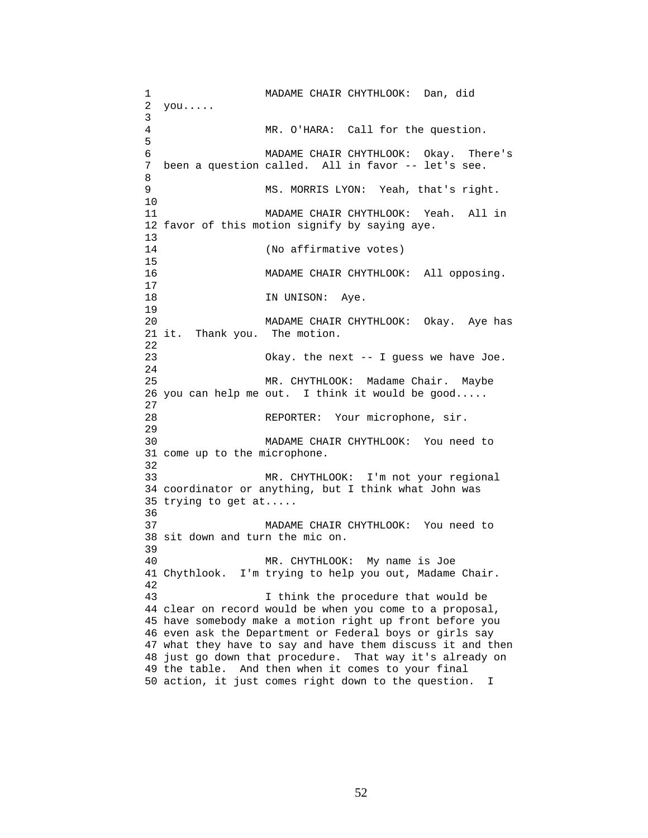1 MADAME CHAIR CHYTHLOOK: Dan, did 2 you..... 3 4 MR. O'HARA: Call for the question. 5 6 MADAME CHAIR CHYTHLOOK: Okay. There's 7 been a question called. All in favor -- let's see. 8 9 MS. MORRIS LYON: Yeah, that's right. 10 11 MADAME CHAIR CHYTHLOOK: Yeah. All in 12 favor of this motion signify by saying aye.  $\frac{13}{14}$ (No affirmative votes) 15 16 MADAME CHAIR CHYTHLOOK: All opposing.  $\begin{array}{c} 17 \\ 18 \end{array}$ IN UNISON: Aye. 19 20 MADAME CHAIR CHYTHLOOK: Okay. Aye has 21 it. Thank you. The motion. 22 23 Okay. the next -- I guess we have Joe. 24 25 MR. CHYTHLOOK: Madame Chair. Maybe 26 you can help me out. I think it would be good..... 27 28 REPORTER: Your microphone, sir. 29 30 MADAME CHAIR CHYTHLOOK: You need to 31 come up to the microphone. 32 33 MR. CHYTHLOOK: I'm not your regional 34 coordinator or anything, but I think what John was 35 trying to get at..... 36 37 MADAME CHAIR CHYTHLOOK: You need to 38 sit down and turn the mic on. 39 40 MR. CHYTHLOOK: My name is Joe 41 Chythlook. I'm trying to help you out, Madame Chair. 42 43 I think the procedure that would be 44 clear on record would be when you come to a proposal, 45 have somebody make a motion right up front before you 46 even ask the Department or Federal boys or girls say 47 what they have to say and have them discuss it and then 48 just go down that procedure. That way it's already on 49 the table. And then when it comes to your final 50 action, it just comes right down to the question. I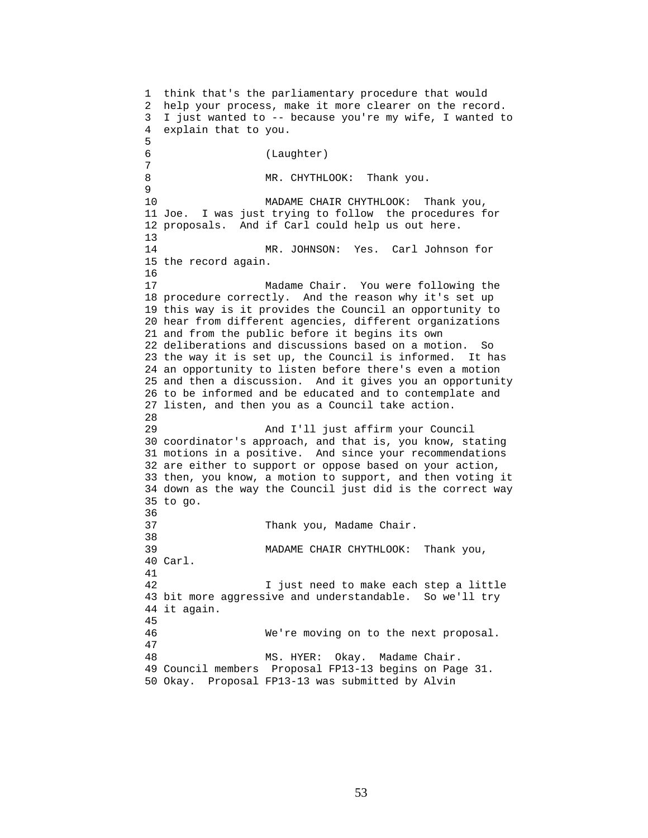1 think that's the parliamentary procedure that would 2 help your process, make it more clearer on the record. 3 I just wanted to -- because you're my wife, I wanted to 4 explain that to you. 5 6 (Laughter) 7 8 MR. CHYTHLOOK: Thank you. 9 10 MADAME CHAIR CHYTHLOOK: Thank you, 11 Joe. I was just trying to follow the procedures for 12 proposals. And if Carl could help us out here. 13 14 MR. JOHNSON: Yes. Carl Johnson for 15 the record again. 16 17 Madame Chair. You were following the 18 procedure correctly. And the reason why it's set up 19 this way is it provides the Council an opportunity to 20 hear from different agencies, different organizations 21 and from the public before it begins its own 22 deliberations and discussions based on a motion. So 23 the way it is set up, the Council is informed. It has 24 an opportunity to listen before there's even a motion 25 and then a discussion. And it gives you an opportunity 26 to be informed and be educated and to contemplate and 27 listen, and then you as a Council take action. 28 29 And I'll just affirm your Council 30 coordinator's approach, and that is, you know, stating 31 motions in a positive. And since your recommendations 32 are either to support or oppose based on your action, 33 then, you know, a motion to support, and then voting it 34 down as the way the Council just did is the correct way 35 to go. 36 37 Thank you, Madame Chair. 38 39 MADAME CHAIR CHYTHLOOK: Thank you, 40 Carl. 41 42 I just need to make each step a little 43 bit more aggressive and understandable. So we'll try 44 it again. 45 46 We're moving on to the next proposal. 47 48 MS. HYER: Okay. Madame Chair. 49 Council members Proposal FP13-13 begins on Page 31. 50 Okay. Proposal FP13-13 was submitted by Alvin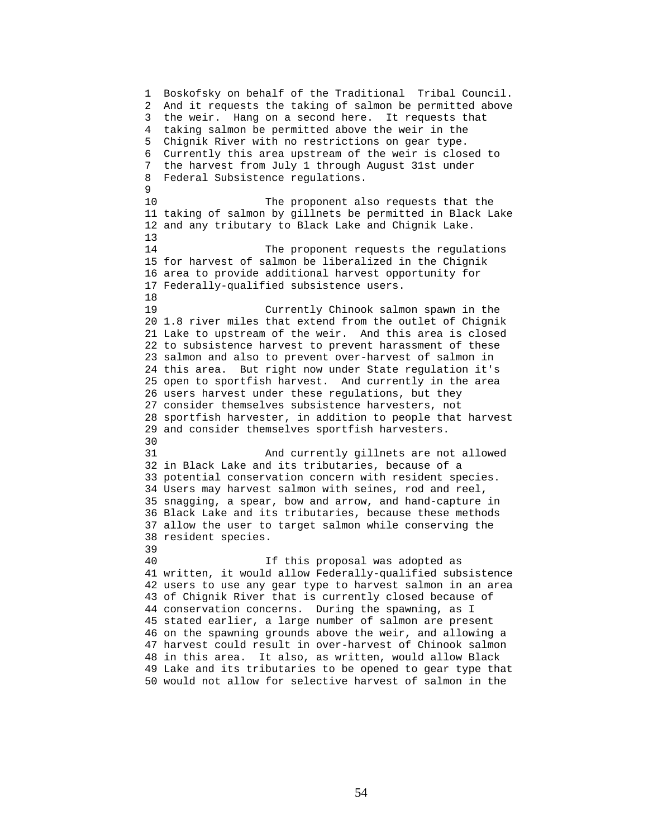1 Boskofsky on behalf of the Traditional Tribal Council. 2 And it requests the taking of salmon be permitted above 3 the weir. Hang on a second here. It requests that 4 taking salmon be permitted above the weir in the 5 Chignik River with no restrictions on gear type. 6 Currently this area upstream of the weir is closed to 7 the harvest from July 1 through August 31st under 8 Federal Subsistence regulations.  $\mathsf{Q}$ 10 The proponent also requests that the 11 taking of salmon by gillnets be permitted in Black Lake 12 and any tributary to Black Lake and Chignik Lake. 13 14 The proponent requests the regulations 15 for harvest of salmon be liberalized in the Chignik 16 area to provide additional harvest opportunity for 17 Federally-qualified subsistence users. 18 19 Currently Chinook salmon spawn in the 20 1.8 river miles that extend from the outlet of Chignik 21 Lake to upstream of the weir. And this area is closed 22 to subsistence harvest to prevent harassment of these 23 salmon and also to prevent over-harvest of salmon in 24 this area. But right now under State regulation it's 25 open to sportfish harvest. And currently in the area 26 users harvest under these regulations, but they 27 consider themselves subsistence harvesters, not 28 sportfish harvester, in addition to people that harvest 29 and consider themselves sportfish harvesters. 30<br>31 And currently gillnets are not allowed 32 in Black Lake and its tributaries, because of a 33 potential conservation concern with resident species. 34 Users may harvest salmon with seines, rod and reel, 35 snagging, a spear, bow and arrow, and hand-capture in 36 Black Lake and its tributaries, because these methods 37 allow the user to target salmon while conserving the 38 resident species. 39 40 If this proposal was adopted as 41 written, it would allow Federally-qualified subsistence 42 users to use any gear type to harvest salmon in an area 43 of Chignik River that is currently closed because of 44 conservation concerns. During the spawning, as I 45 stated earlier, a large number of salmon are present 46 on the spawning grounds above the weir, and allowing a 47 harvest could result in over-harvest of Chinook salmon 48 in this area. It also, as written, would allow Black 49 Lake and its tributaries to be opened to gear type that 50 would not allow for selective harvest of salmon in the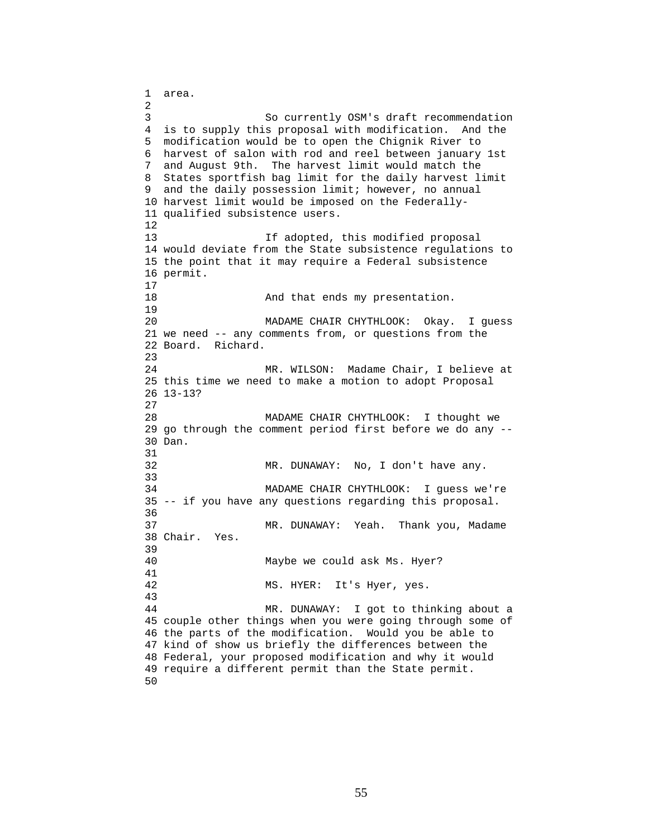1 area. 2 3 So currently OSM's draft recommendation 4 is to supply this proposal with modification. And the 5 modification would be to open the Chignik River to 6 harvest of salon with rod and reel between january 1st 7 and August 9th. The harvest limit would match the 8 States sportfish bag limit for the daily harvest limit 9 and the daily possession limit; however, no annual 10 harvest limit would be imposed on the Federally-11 qualified subsistence users. 12 13 If adopted, this modified proposal 14 would deviate from the State subsistence regulations to 15 the point that it may require a Federal subsistence 16 permit. 17 18 And that ends my presentation. 19 20 MADAME CHAIR CHYTHLOOK: Okay. I quess 21 we need -- any comments from, or questions from the 22 Board. Richard. 23 24 MR. WILSON: Madame Chair, I believe at 25 this time we need to make a motion to adopt Proposal 26 13-13? 27 28 MADAME CHAIR CHYTHLOOK: I thought we 29 go through the comment period first before we do any -- 30 Dan. 31 32 MR. DUNAWAY: No, I don't have any. 33 34 MADAME CHAIR CHYTHLOOK: I guess we're 35 -- if you have any questions regarding this proposal. 36 37 MR. DUNAWAY: Yeah. Thank you, Madame 38 Chair. Yes. 39 40 Maybe we could ask Ms. Hyer? 41 42 MS. HYER: It's Hyer, yes. 43 44 MR. DUNAWAY: I got to thinking about a 45 couple other things when you were going through some of 46 the parts of the modification. Would you be able to 47 kind of show us briefly the differences between the 48 Federal, your proposed modification and why it would 49 require a different permit than the State permit. 50

55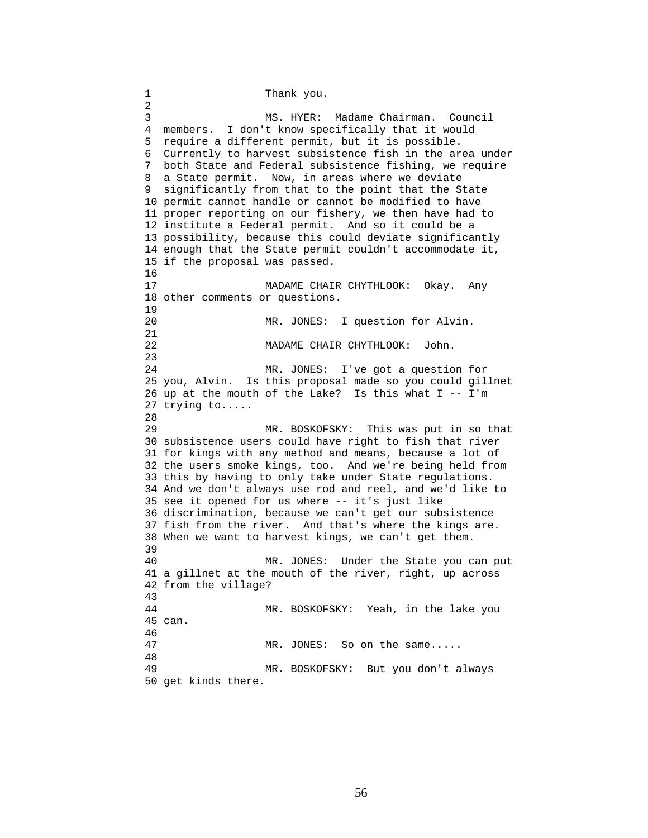1 Thank you. 2 3 MS. HYER: Madame Chairman. Council 4 members. I don't know specifically that it would 5 require a different permit, but it is possible. 6 Currently to harvest subsistence fish in the area under 7 both State and Federal subsistence fishing, we require 8 a State permit. Now, in areas where we deviate 9 significantly from that to the point that the State 10 permit cannot handle or cannot be modified to have 11 proper reporting on our fishery, we then have had to 12 institute a Federal permit. And so it could be a 13 possibility, because this could deviate significantly 14 enough that the State permit couldn't accommodate it, 15 if the proposal was passed. 16 17 MADAME CHAIR CHYTHLOOK: Okay. Any 18 other comments or questions. 19 20 MR. JONES: I question for Alvin. 21 22 MADAME CHAIR CHYTHLOOK: John. 23 24 MR. JONES: I've got a question for 25 you, Alvin. Is this proposal made so you could gillnet 26 up at the mouth of the Lake? Is this what  $I - - I'm$ 27 trying to..... 28<br>29 MR. BOSKOFSKY: This was put in so that 30 subsistence users could have right to fish that river 31 for kings with any method and means, because a lot of 32 the users smoke kings, too. And we're being held from 33 this by having to only take under State regulations. 34 And we don't always use rod and reel, and we'd like to 35 see it opened for us where -- it's just like 36 discrimination, because we can't get our subsistence 37 fish from the river. And that's where the kings are. 38 When we want to harvest kings, we can't get them. 39 40 MR. JONES: Under the State you can put 41 a gillnet at the mouth of the river, right, up across 42 from the village? 43 44 MR. BOSKOFSKY: Yeah, in the lake you 45 can. 46 47 MR. JONES: So on the same..... 48 49 MR. BOSKOFSKY: But you don't always 50 get kinds there.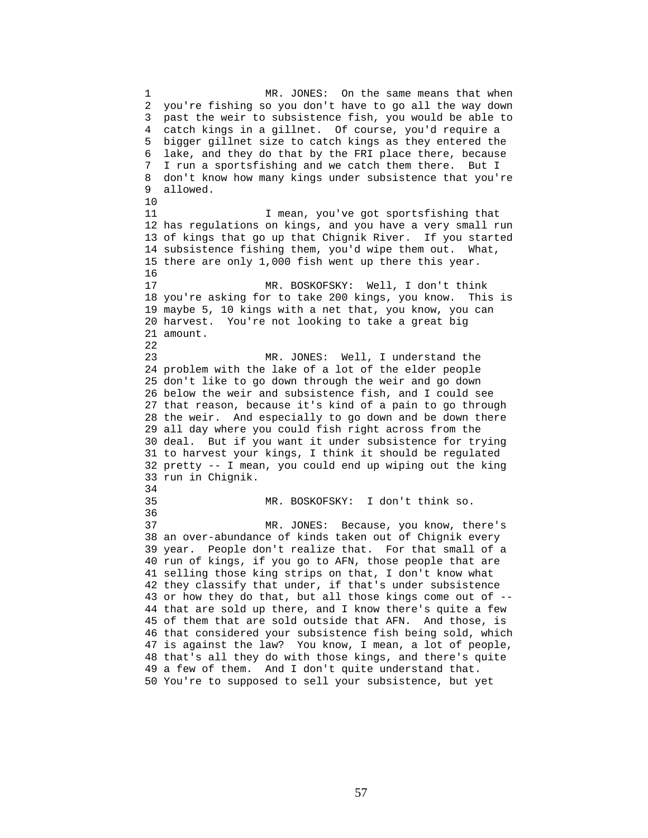1 MR. JONES: On the same means that when 2 you're fishing so you don't have to go all the way down 3 past the weir to subsistence fish, you would be able to 4 catch kings in a gillnet. Of course, you'd require a 5 bigger gillnet size to catch kings as they entered the 6 lake, and they do that by the FRI place there, because 7 I run a sportsfishing and we catch them there. But I 8 don't know how many kings under subsistence that you're 9 allowed. 10 11 I mean, you've got sportsfishing that 12 has regulations on kings, and you have a very small run 13 of kings that go up that Chignik River. If you started 14 subsistence fishing them, you'd wipe them out. What, 15 there are only 1,000 fish went up there this year. 16 17 MR. BOSKOFSKY: Well, I don't think 18 you're asking for to take 200 kings, you know. This is 19 maybe 5, 10 kings with a net that, you know, you can 20 harvest. You're not looking to take a great big 21 amount. 22 23 MR. JONES: Well, I understand the 24 problem with the lake of a lot of the elder people 25 don't like to go down through the weir and go down 26 below the weir and subsistence fish, and I could see 27 that reason, because it's kind of a pain to go through 28 the weir. And especially to go down and be down there 29 all day where you could fish right across from the 30 deal. But if you want it under subsistence for trying 31 to harvest your kings, I think it should be regulated 32 pretty -- I mean, you could end up wiping out the king 33 run in Chignik. 34 35 MR. BOSKOFSKY: I don't think so. 36 37 MR. JONES: Because, you know, there's 38 an over-abundance of kinds taken out of Chignik every 39 year. People don't realize that. For that small of a 40 run of kings, if you go to AFN, those people that are 41 selling those king strips on that, I don't know what 42 they classify that under, if that's under subsistence 43 or how they do that, but all those kings come out of -- 44 that are sold up there, and I know there's quite a few 45 of them that are sold outside that AFN. And those, is 46 that considered your subsistence fish being sold, which 47 is against the law? You know, I mean, a lot of people, 48 that's all they do with those kings, and there's quite 49 a few of them. And I don't quite understand that. 50 You're to supposed to sell your subsistence, but yet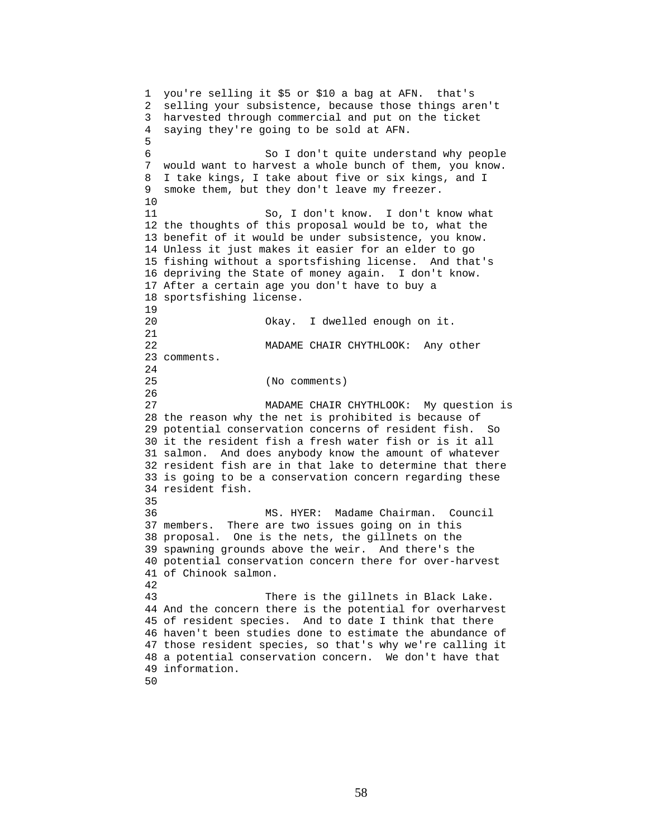1 you're selling it \$5 or \$10 a bag at AFN. that's 2 selling your subsistence, because those things aren't 3 harvested through commercial and put on the ticket 4 saying they're going to be sold at AFN. 5 6 So I don't quite understand why people 7 would want to harvest a whole bunch of them, you know. 8 I take kings, I take about five or six kings, and I 9 smoke them, but they don't leave my freezer. 10 11 So, I don't know. I don't know what 12 the thoughts of this proposal would be to, what the 13 benefit of it would be under subsistence, you know. 14 Unless it just makes it easier for an elder to go 15 fishing without a sportsfishing license. And that's 16 depriving the State of money again. I don't know. 17 After a certain age you don't have to buy a 18 sportsfishing license. 19 20 Okay. I dwelled enough on it. 21 22 MADAME CHAIR CHYTHLOOK: Any other 23 comments. 24 25 (No comments) 26 27 MADAME CHAIR CHYTHLOOK: My question is 28 the reason why the net is prohibited is because of 29 potential conservation concerns of resident fish. So 30 it the resident fish a fresh water fish or is it all 31 salmon. And does anybody know the amount of whatever 32 resident fish are in that lake to determine that there 33 is going to be a conservation concern regarding these 34 resident fish. 35 36 MS. HYER: Madame Chairman. Council 37 members. There are two issues going on in this 38 proposal. One is the nets, the gillnets on the 39 spawning grounds above the weir. And there's the 40 potential conservation concern there for over-harvest 41 of Chinook salmon. 42 43 There is the gillnets in Black Lake. 44 And the concern there is the potential for overharvest 45 of resident species. And to date I think that there 46 haven't been studies done to estimate the abundance of 47 those resident species, so that's why we're calling it 48 a potential conservation concern. We don't have that 49 information.

50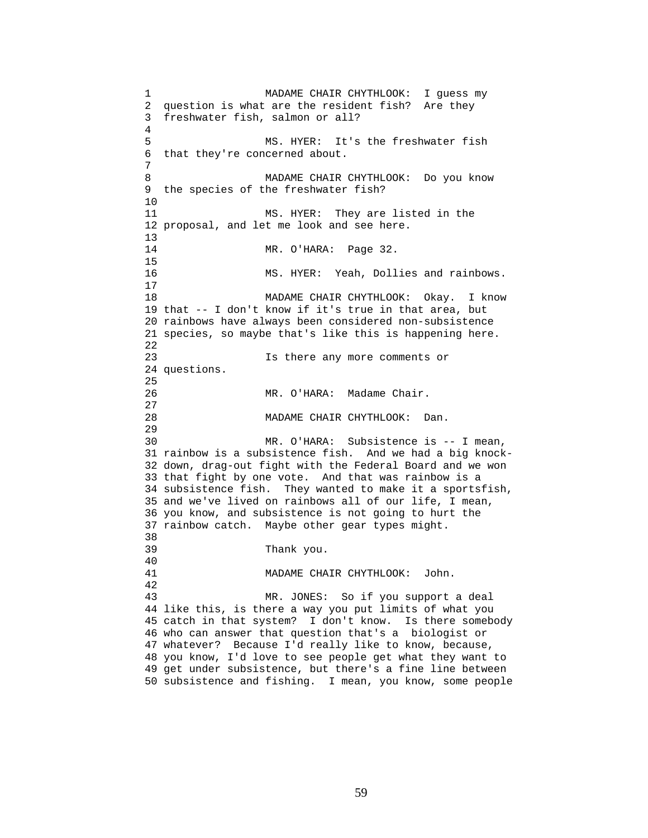1 MADAME CHAIR CHYTHLOOK: I guess my 2 question is what are the resident fish? Are they 3 freshwater fish, salmon or all? 4 5 MS. HYER: It's the freshwater fish 6 that they're concerned about. 7 8 MADAME CHAIR CHYTHLOOK: Do you know 9 the species of the freshwater fish? 10 11 MS. HYER: They are listed in the 12 proposal, and let me look and see here. 13 14 MR. O'HARA: Page 32. 15 16 MS. HYER: Yeah, Dollies and rainbows. 17 18 MADAME CHAIR CHYTHLOOK: Okay. I know 19 that -- I don't know if it's true in that area, but 20 rainbows have always been considered non-subsistence 21 species, so maybe that's like this is happening here. 22 23 Is there any more comments or 24 questions. 25 26 MR. O'HARA: Madame Chair. 27 28 MADAME CHAIR CHYTHLOOK: Dan. 29 30 MR. O'HARA: Subsistence is -- I mean, 31 rainbow is a subsistence fish. And we had a big knock-32 down, drag-out fight with the Federal Board and we won 33 that fight by one vote. And that was rainbow is a 34 subsistence fish. They wanted to make it a sportsfish, 35 and we've lived on rainbows all of our life, I mean, 36 you know, and subsistence is not going to hurt the 37 rainbow catch. Maybe other gear types might. 38 39 Thank you. 40 41 MADAME CHAIR CHYTHLOOK: John. 42 43 MR. JONES: So if you support a deal 44 like this, is there a way you put limits of what you 45 catch in that system? I don't know. Is there somebody 46 who can answer that question that's a biologist or 47 whatever? Because I'd really like to know, because, 48 you know, I'd love to see people get what they want to 49 get under subsistence, but there's a fine line between 50 subsistence and fishing. I mean, you know, some people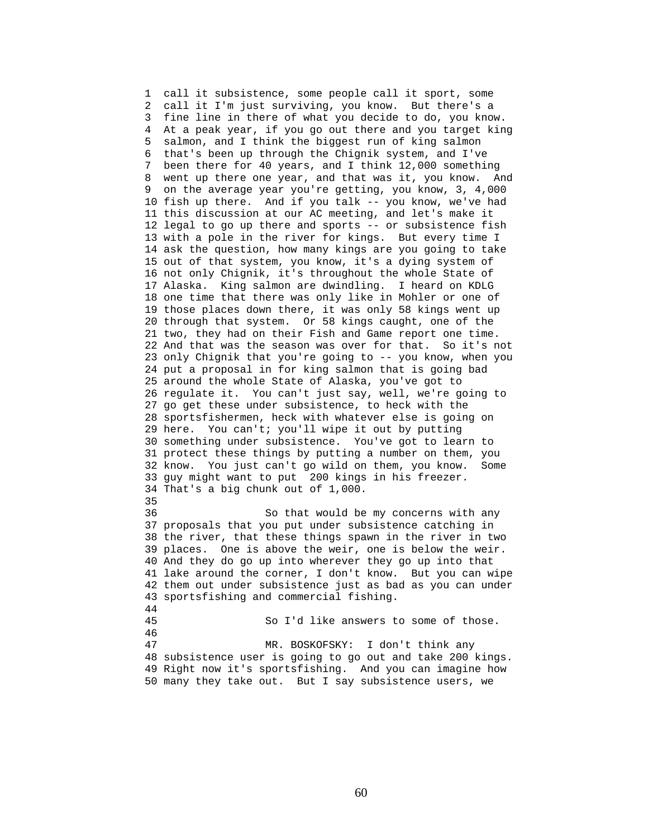1 call it subsistence, some people call it sport, some 2 call it I'm just surviving, you know. But there's a 3 fine line in there of what you decide to do, you know. 4 At a peak year, if you go out there and you target king 5 salmon, and I think the biggest run of king salmon 6 that's been up through the Chignik system, and I've 7 been there for 40 years, and I think 12,000 something 8 went up there one year, and that was it, you know. And 9 on the average year you're getting, you know, 3, 4,000 10 fish up there. And if you talk -- you know, we've had 11 this discussion at our AC meeting, and let's make it 12 legal to go up there and sports -- or subsistence fish 13 with a pole in the river for kings. But every time I 14 ask the question, how many kings are you going to take 15 out of that system, you know, it's a dying system of 16 not only Chignik, it's throughout the whole State of 17 Alaska. King salmon are dwindling. I heard on KDLG 18 one time that there was only like in Mohler or one of 19 those places down there, it was only 58 kings went up 20 through that system. Or 58 kings caught, one of the 21 two, they had on their Fish and Game report one time. 22 And that was the season was over for that. So it's not 23 only Chignik that you're going to -- you know, when you 24 put a proposal in for king salmon that is going bad 25 around the whole State of Alaska, you've got to 26 regulate it. You can't just say, well, we're going to 27 go get these under subsistence, to heck with the 28 sportsfishermen, heck with whatever else is going on 29 here. You can't; you'll wipe it out by putting 30 something under subsistence. You've got to learn to 31 protect these things by putting a number on them, you 32 know. You just can't go wild on them, you know. Some 33 guy might want to put 200 kings in his freezer. 34 That's a big chunk out of 1,000. 35 36 So that would be my concerns with any 37 proposals that you put under subsistence catching in 38 the river, that these things spawn in the river in two 39 places. One is above the weir, one is below the weir. 40 And they do go up into wherever they go up into that 41 lake around the corner, I don't know. But you can wipe 42 them out under subsistence just as bad as you can under 43 sportsfishing and commercial fishing. 44 45 So I'd like answers to some of those. 46 47 MR. BOSKOFSKY: I don't think any 48 subsistence user is going to go out and take 200 kings. 49 Right now it's sportsfishing. And you can imagine how 50 many they take out. But I say subsistence users, we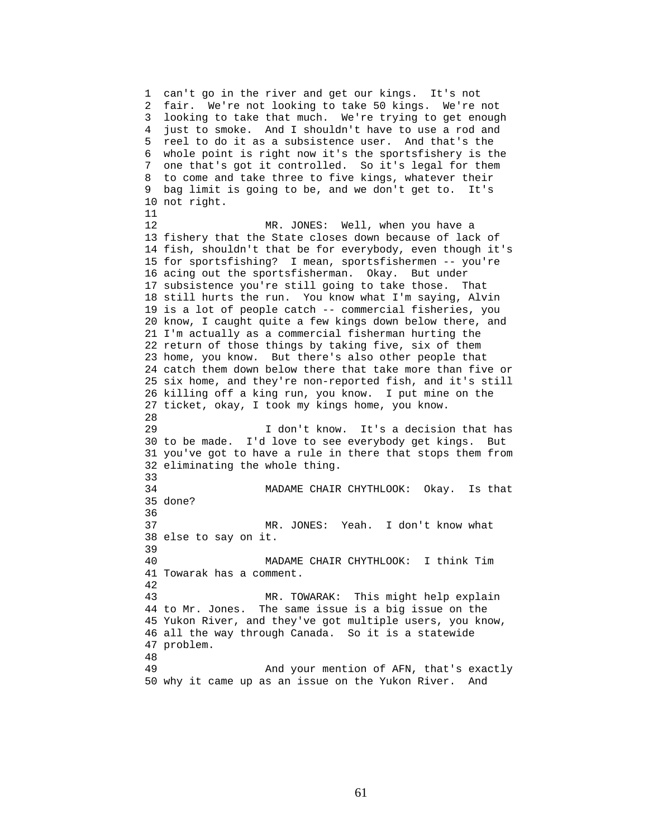1 can't go in the river and get our kings. It's not 2 fair. We're not looking to take 50 kings. We're not 3 looking to take that much. We're trying to get enough 4 just to smoke. And I shouldn't have to use a rod and 5 reel to do it as a subsistence user. And that's the 6 whole point is right now it's the sportsfishery is the 7 one that's got it controlled. So it's legal for them 8 to come and take three to five kings, whatever their 9 bag limit is going to be, and we don't get to. It's 10 not right. 11 12 MR. JONES: Well, when you have a 13 fishery that the State closes down because of lack of 14 fish, shouldn't that be for everybody, even though it's 15 for sportsfishing? I mean, sportsfishermen -- you're 16 acing out the sportsfisherman. Okay. But under 17 subsistence you're still going to take those. That 18 still hurts the run. You know what I'm saying, Alvin 19 is a lot of people catch -- commercial fisheries, you 20 know, I caught quite a few kings down below there, and 21 I'm actually as a commercial fisherman hurting the 22 return of those things by taking five, six of them 23 home, you know. But there's also other people that 24 catch them down below there that take more than five or 25 six home, and they're non-reported fish, and it's still 26 killing off a king run, you know. I put mine on the 27 ticket, okay, I took my kings home, you know. 28 29 I don't know. It's a decision that has 30 to be made. I'd love to see everybody get kings. But 31 you've got to have a rule in there that stops them from 32 eliminating the whole thing. 33 34 MADAME CHAIR CHYTHLOOK: Okay. Is that 35 done? 36 37 MR. JONES: Yeah. I don't know what 38 else to say on it. 39 40 MADAME CHAIR CHYTHLOOK: I think Tim 41 Towarak has a comment. 42 43 MR. TOWARAK: This might help explain 44 to Mr. Jones. The same issue is a big issue on the 45 Yukon River, and they've got multiple users, you know, 46 all the way through Canada. So it is a statewide 47 problem. 48 49 And your mention of AFN, that's exactly 50 why it came up as an issue on the Yukon River. And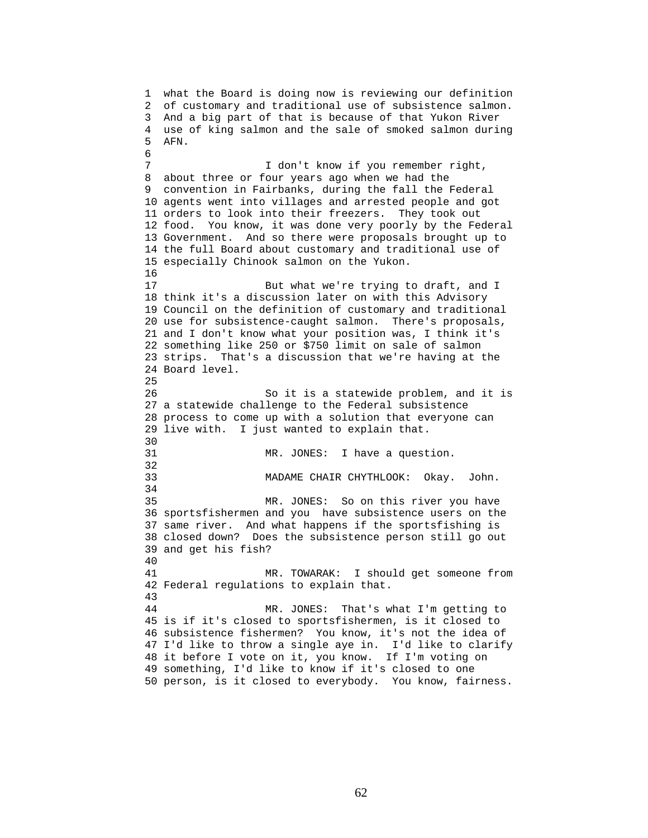1 what the Board is doing now is reviewing our definition 2 of customary and traditional use of subsistence salmon. 3 And a big part of that is because of that Yukon River 4 use of king salmon and the sale of smoked salmon during 5 AFN. 6 7 I don't know if you remember right, 8 about three or four years ago when we had the 9 convention in Fairbanks, during the fall the Federal 10 agents went into villages and arrested people and got 11 orders to look into their freezers. They took out 12 food. You know, it was done very poorly by the Federal 13 Government. And so there were proposals brought up to 14 the full Board about customary and traditional use of 15 especially Chinook salmon on the Yukon. 16 17 But what we're trying to draft, and I 18 think it's a discussion later on with this Advisory 19 Council on the definition of customary and traditional 20 use for subsistence-caught salmon. There's proposals, 21 and I don't know what your position was, I think it's 22 something like 250 or \$750 limit on sale of salmon 23 strips. That's a discussion that we're having at the 24 Board level. 25 26 So it is a statewide problem, and it is 27 a statewide challenge to the Federal subsistence 28 process to come up with a solution that everyone can 29 live with. I just wanted to explain that. 30<br>31 MR. JONES: I have a question. 32 33 MADAME CHAIR CHYTHLOOK: Okay. John. 34 35 MR. JONES: So on this river you have 36 sportsfishermen and you have subsistence users on the 37 same river. And what happens if the sportsfishing is 38 closed down? Does the subsistence person still go out 39 and get his fish? 40 41 MR. TOWARAK: I should get someone from 42 Federal regulations to explain that. 43 44 MR. JONES: That's what I'm getting to 45 is if it's closed to sportsfishermen, is it closed to 46 subsistence fishermen? You know, it's not the idea of 47 I'd like to throw a single aye in. I'd like to clarify 48 it before I vote on it, you know. If I'm voting on 49 something, I'd like to know if it's closed to one 50 person, is it closed to everybody. You know, fairness.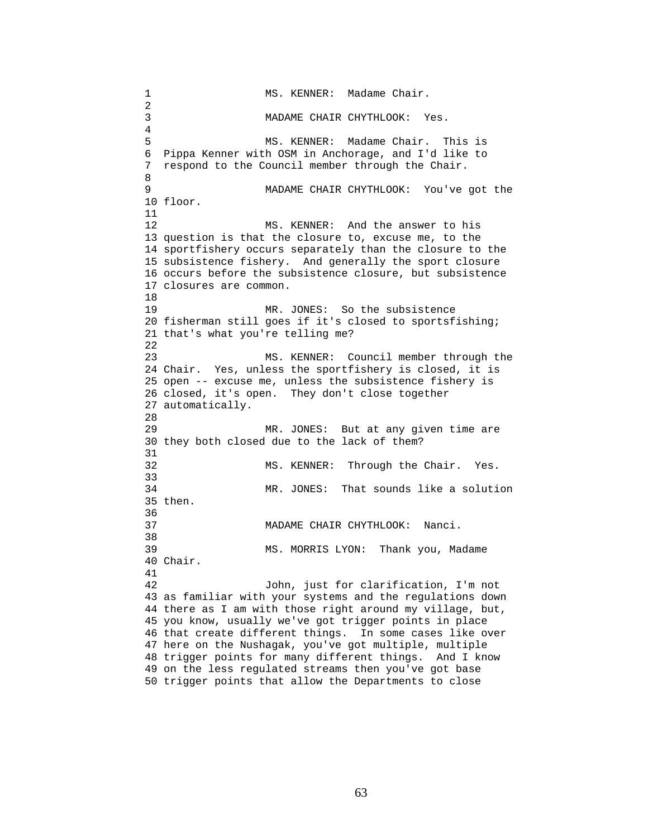1 MS. KENNER: Madame Chair. 2 3 MADAME CHAIR CHYTHLOOK: Yes. 4 5 MS. KENNER: Madame Chair. This is 6 Pippa Kenner with OSM in Anchorage, and I'd like to 7 respond to the Council member through the Chair. 8 9 MADAME CHAIR CHYTHLOOK: You've got the 10 floor. 11 12 MS. KENNER: And the answer to his 13 question is that the closure to, excuse me, to the 14 sportfishery occurs separately than the closure to the 15 subsistence fishery. And generally the sport closure 16 occurs before the subsistence closure, but subsistence 17 closures are common. 18 19 MR. JONES: So the subsistence 20 fisherman still goes if it's closed to sportsfishing; 21 that's what you're telling me? 22 23 MS. KENNER: Council member through the 24 Chair. Yes, unless the sportfishery is closed, it is 25 open -- excuse me, unless the subsistence fishery is 26 closed, it's open. They don't close together 27 automatically. 28 29 MR. JONES: But at any given time are 30 they both closed due to the lack of them? 31 32 MS. KENNER: Through the Chair. Yes. 33 34 MR. JONES: That sounds like a solution 35 then. 36 37 MADAME CHAIR CHYTHLOOK: Nanci. 38 39 MS. MORRIS LYON: Thank you, Madame 40 Chair. 41 42 John, just for clarification, I'm not 43 as familiar with your systems and the regulations down 44 there as I am with those right around my village, but, 45 you know, usually we've got trigger points in place 46 that create different things. In some cases like over 47 here on the Nushagak, you've got multiple, multiple 48 trigger points for many different things. And I know 49 on the less regulated streams then you've got base 50 trigger points that allow the Departments to close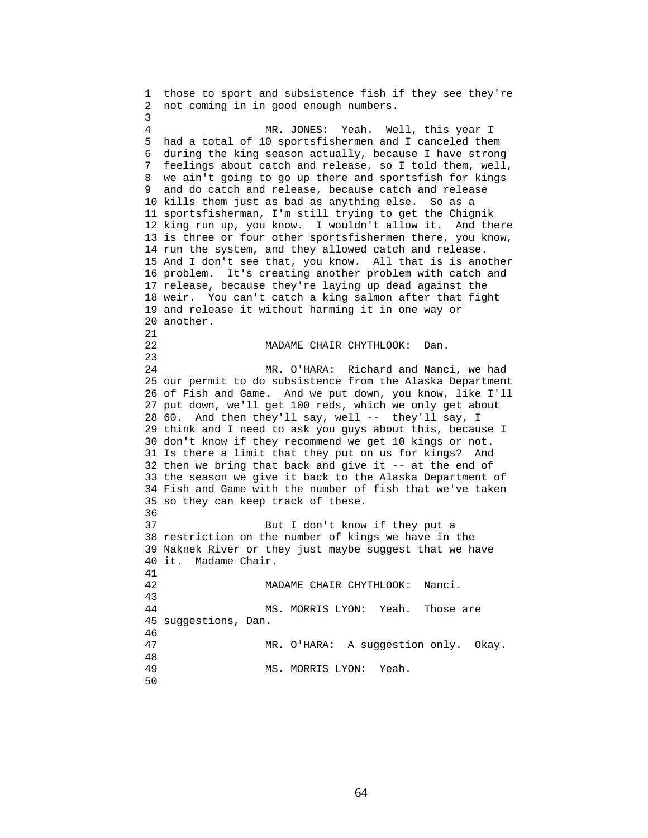1 those to sport and subsistence fish if they see they're 2 not coming in in good enough numbers. 3 4 MR. JONES: Yeah. Well, this year I 5 had a total of 10 sportsfishermen and I canceled them 6 during the king season actually, because I have strong 7 feelings about catch and release, so I told them, well, 8 we ain't going to go up there and sportsfish for kings 9 and do catch and release, because catch and release 10 kills them just as bad as anything else. So as a 11 sportsfisherman, I'm still trying to get the Chignik 12 king run up, you know. I wouldn't allow it. And there 13 is three or four other sportsfishermen there, you know, 14 run the system, and they allowed catch and release. 15 And I don't see that, you know. All that is is another 16 problem. It's creating another problem with catch and 17 release, because they're laying up dead against the 18 weir. You can't catch a king salmon after that fight 19 and release it without harming it in one way or 20 another. 21 22 MADAME CHAIR CHYTHLOOK: Dan. 23 24 MR. O'HARA: Richard and Nanci, we had 25 our permit to do subsistence from the Alaska Department 26 of Fish and Game. And we put down, you know, like I'll 27 put down, we'll get 100 reds, which we only get about 28 60. And then they'll say, well -- they'll say, I 29 think and I need to ask you guys about this, because I 30 don't know if they recommend we get 10 kings or not. 31 Is there a limit that they put on us for kings? And 32 then we bring that back and give it -- at the end of 33 the season we give it back to the Alaska Department of 34 Fish and Game with the number of fish that we've taken 35 so they can keep track of these. 36 37 But I don't know if they put a 38 restriction on the number of kings we have in the 39 Naknek River or they just maybe suggest that we have 40 it. Madame Chair. 41 42 MADAME CHAIR CHYTHLOOK: Nanci. 43 44 MS. MORRIS LYON: Yeah. Those are 45 suggestions, Dan. 46 47 MR. O'HARA: A suggestion only. Okay. 48 MS. MORRIS LYON: Yeah. 50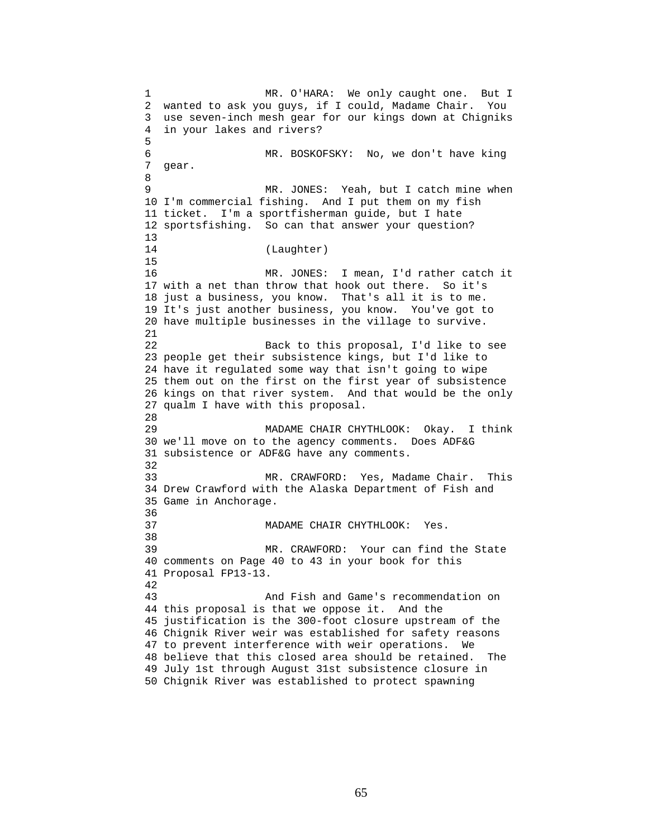1 MR. O'HARA: We only caught one. But I 2 wanted to ask you guys, if I could, Madame Chair. You 3 use seven-inch mesh gear for our kings down at Chigniks 4 in your lakes and rivers? 5 6 MR. BOSKOFSKY: No, we don't have king 7 gear. 8 9 MR. JONES: Yeah, but I catch mine when 10 I'm commercial fishing. And I put them on my fish 11 ticket. I'm a sportfisherman guide, but I hate 12 sportsfishing. So can that answer your question? 13 14 (Laughter) 15 16 MR. JONES: I mean, I'd rather catch it 17 with a net than throw that hook out there. So it's 18 just a business, you know. That's all it is to me. 19 It's just another business, you know. You've got to 20 have multiple businesses in the village to survive. 21 22 Back to this proposal, I'd like to see 23 people get their subsistence kings, but I'd like to 24 have it regulated some way that isn't going to wipe 25 them out on the first on the first year of subsistence 26 kings on that river system. And that would be the only 27 qualm I have with this proposal. 28 29 MADAME CHAIR CHYTHLOOK: Okay. I think 30 we'll move on to the agency comments. Does ADF&G 31 subsistence or ADF&G have any comments. 32 33 MR. CRAWFORD: Yes, Madame Chair. This 34 Drew Crawford with the Alaska Department of Fish and 35 Game in Anchorage. 36 37 MADAME CHAIR CHYTHLOOK: Yes. 38 39 MR. CRAWFORD: Your can find the State 40 comments on Page 40 to 43 in your book for this 41 Proposal FP13-13. 42 43 And Fish and Game's recommendation on 44 this proposal is that we oppose it. And the 45 justification is the 300-foot closure upstream of the 46 Chignik River weir was established for safety reasons 47 to prevent interference with weir operations. We 48 believe that this closed area should be retained. The 49 July 1st through August 31st subsistence closure in 50 Chignik River was established to protect spawning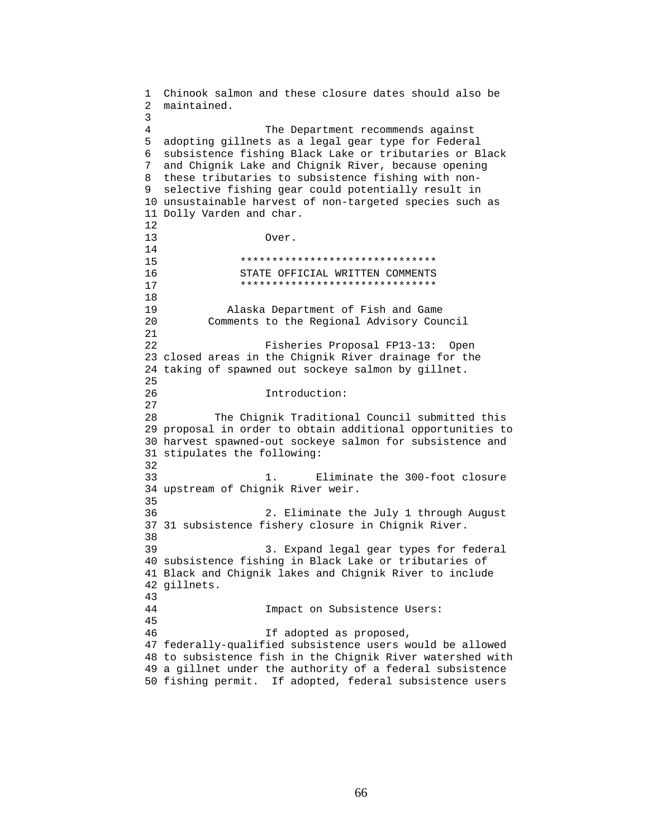1 Chinook salmon and these closure dates should also be 2 maintained. 3 4 The Department recommends against 5 adopting gillnets as a legal gear type for Federal 6 subsistence fishing Black Lake or tributaries or Black 7 and Chignik Lake and Chignik River, because opening 8 these tributaries to subsistence fishing with non-9 selective fishing gear could potentially result in 10 unsustainable harvest of non-targeted species such as 11 Dolly Varden and char. 12 13 Over. 14 15 \*\*\*\*\*\*\*\*\*\*\*\*\*\*\*\*\*\*\*\*\*\*\*\*\*\*\*\*\*\*\* 16 STATE OFFICIAL WRITTEN COMMENTS 17 \*\*\*\*\*\*\*\*\*\*\*\*\*\*\*\*\*\*\*\*\*\*\*\*\*\*\*\*\*\*\* 18 19 Alaska Department of Fish and Game 20 Comments to the Regional Advisory Council 21 22 Fisheries Proposal FP13-13: Open 23 closed areas in the Chignik River drainage for the 24 taking of spawned out sockeye salmon by gillnet. 25 26 Introduction: 27 28 The Chignik Traditional Council submitted this 29 proposal in order to obtain additional opportunities to 30 harvest spawned-out sockeye salmon for subsistence and 31 stipulates the following: 32 33 1. Eliminate the 300-foot closure 34 upstream of Chignik River weir. 35 36 2. Eliminate the July 1 through August 37 31 subsistence fishery closure in Chignik River. 38 39 3. Expand legal gear types for federal 40 subsistence fishing in Black Lake or tributaries of 41 Black and Chignik lakes and Chignik River to include 42 gillnets. 43 44 Impact on Subsistence Users: 45 46 If adopted as proposed, 47 federally-qualified subsistence users would be allowed 48 to subsistence fish in the Chignik River watershed with 49 a gillnet under the authority of a federal subsistence 50 fishing permit. If adopted, federal subsistence users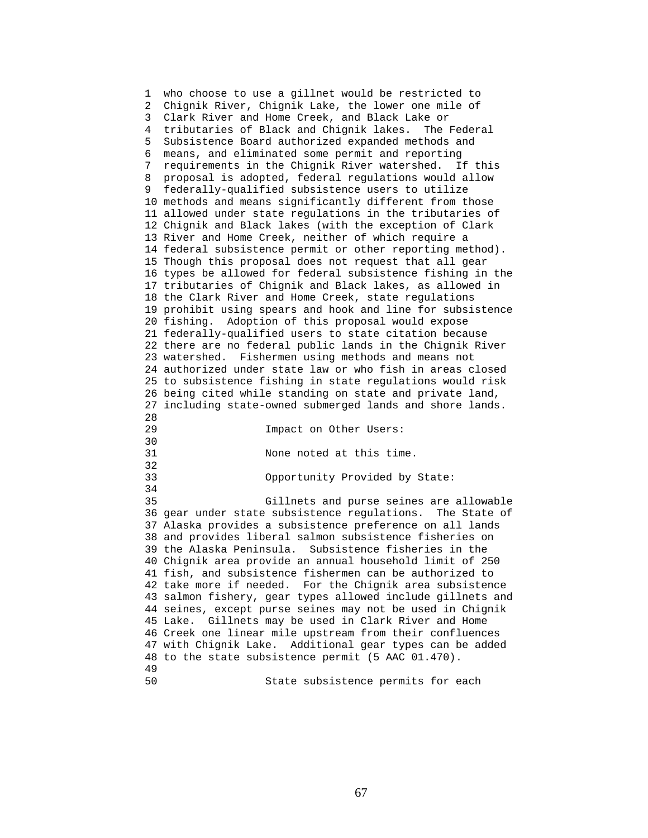1 who choose to use a gillnet would be restricted to 2 Chignik River, Chignik Lake, the lower one mile of 3 Clark River and Home Creek, and Black Lake or 4 tributaries of Black and Chignik lakes. The Federal 5 Subsistence Board authorized expanded methods and 6 means, and eliminated some permit and reporting 7 requirements in the Chignik River watershed. If this 8 proposal is adopted, federal regulations would allow 9 federally-qualified subsistence users to utilize 10 methods and means significantly different from those 11 allowed under state regulations in the tributaries of 12 Chignik and Black lakes (with the exception of Clark 13 River and Home Creek, neither of which require a 14 federal subsistence permit or other reporting method). 15 Though this proposal does not request that all gear 16 types be allowed for federal subsistence fishing in the 17 tributaries of Chignik and Black lakes, as allowed in 18 the Clark River and Home Creek, state regulations 19 prohibit using spears and hook and line for subsistence 20 fishing. Adoption of this proposal would expose 21 federally-qualified users to state citation because 22 there are no federal public lands in the Chignik River 23 watershed. Fishermen using methods and means not 24 authorized under state law or who fish in areas closed 25 to subsistence fishing in state regulations would risk 26 being cited while standing on state and private land, 27 including state-owned submerged lands and shore lands. 28 29 Impact on Other Users: 30<br>31 None noted at this time. 32 33 Opportunity Provided by State: 34 35 Gillnets and purse seines are allowable 36 gear under state subsistence regulations. The State of 37 Alaska provides a subsistence preference on all lands 38 and provides liberal salmon subsistence fisheries on 39 the Alaska Peninsula. Subsistence fisheries in the 40 Chignik area provide an annual household limit of 250 41 fish, and subsistence fishermen can be authorized to 42 take more if needed. For the Chignik area subsistence 43 salmon fishery, gear types allowed include gillnets and 44 seines, except purse seines may not be used in Chignik 45 Lake. Gillnets may be used in Clark River and Home 46 Creek one linear mile upstream from their confluences 47 with Chignik Lake. Additional gear types can be added 48 to the state subsistence permit (5 AAC 01.470). 49 50 State subsistence permits for each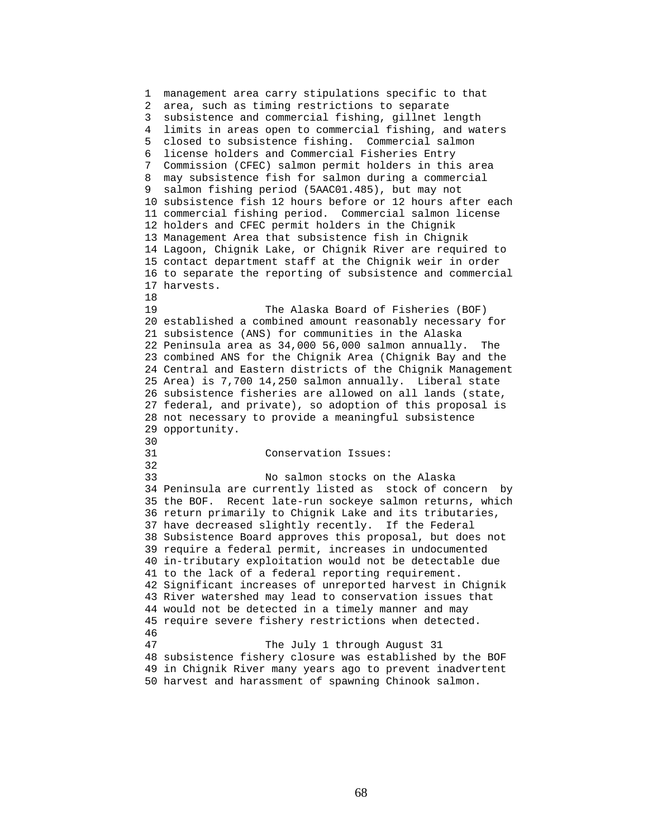1 management area carry stipulations specific to that 2 area, such as timing restrictions to separate 3 subsistence and commercial fishing, gillnet length 4 limits in areas open to commercial fishing, and waters 5 closed to subsistence fishing. Commercial salmon 6 license holders and Commercial Fisheries Entry 7 Commission (CFEC) salmon permit holders in this area 8 may subsistence fish for salmon during a commercial 9 salmon fishing period (5AAC01.485), but may not 10 subsistence fish 12 hours before or 12 hours after each 11 commercial fishing period. Commercial salmon license 12 holders and CFEC permit holders in the Chignik 13 Management Area that subsistence fish in Chignik 14 Lagoon, Chignik Lake, or Chignik River are required to 15 contact department staff at the Chignik weir in order 16 to separate the reporting of subsistence and commercial 17 harvests. 18 19 The Alaska Board of Fisheries (BOF) 20 established a combined amount reasonably necessary for 21 subsistence (ANS) for communities in the Alaska 22 Peninsula area as 34,000 56,000 salmon annually. The 23 combined ANS for the Chignik Area (Chignik Bay and the 24 Central and Eastern districts of the Chignik Management 25 Area) is 7,700 14,250 salmon annually. Liberal state 26 subsistence fisheries are allowed on all lands (state, 27 federal, and private), so adoption of this proposal is 28 not necessary to provide a meaningful subsistence 29 opportunity. 30<br>31 Conservation Issues: 32 33 No salmon stocks on the Alaska 34 Peninsula are currently listed as stock of concern by 35 the BOF. Recent late-run sockeye salmon returns, which 36 return primarily to Chignik Lake and its tributaries, 37 have decreased slightly recently. If the Federal 38 Subsistence Board approves this proposal, but does not 39 require a federal permit, increases in undocumented 40 in-tributary exploitation would not be detectable due 41 to the lack of a federal reporting requirement. 42 Significant increases of unreported harvest in Chignik 43 River watershed may lead to conservation issues that 44 would not be detected in a timely manner and may 45 require severe fishery restrictions when detected. 46 47 The July 1 through August 31 48 subsistence fishery closure was established by the BOF 49 in Chignik River many years ago to prevent inadvertent 50 harvest and harassment of spawning Chinook salmon.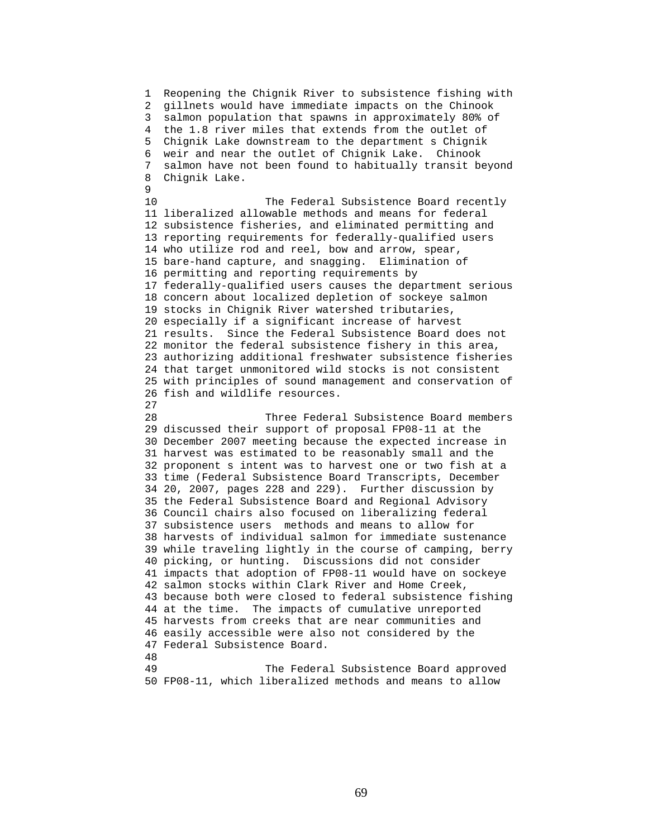1 Reopening the Chignik River to subsistence fishing with 2 gillnets would have immediate impacts on the Chinook 3 salmon population that spawns in approximately 80% of 4 the 1.8 river miles that extends from the outlet of 5 Chignik Lake downstream to the department s Chignik 6 weir and near the outlet of Chignik Lake. Chinook 7 salmon have not been found to habitually transit beyond 8 Chignik Lake.  $\mathsf{Q}$ 10 The Federal Subsistence Board recently 11 liberalized allowable methods and means for federal 12 subsistence fisheries, and eliminated permitting and 13 reporting requirements for federally-qualified users 14 who utilize rod and reel, bow and arrow, spear, 15 bare-hand capture, and snagging. Elimination of 16 permitting and reporting requirements by 17 federally-qualified users causes the department serious 18 concern about localized depletion of sockeye salmon 19 stocks in Chignik River watershed tributaries, 20 especially if a significant increase of harvest 21 results. Since the Federal Subsistence Board does not 22 monitor the federal subsistence fishery in this area, 23 authorizing additional freshwater subsistence fisheries 24 that target unmonitored wild stocks is not consistent 25 with principles of sound management and conservation of 26 fish and wildlife resources. 27 28 Three Federal Subsistence Board members 29 discussed their support of proposal FP08-11 at the 30 December 2007 meeting because the expected increase in 31 harvest was estimated to be reasonably small and the 32 proponent s intent was to harvest one or two fish at a 33 time (Federal Subsistence Board Transcripts, December 34 20, 2007, pages 228 and 229). Further discussion by 35 the Federal Subsistence Board and Regional Advisory 36 Council chairs also focused on liberalizing federal 37 subsistence users methods and means to allow for 38 harvests of individual salmon for immediate sustenance 39 while traveling lightly in the course of camping, berry 40 picking, or hunting. Discussions did not consider 41 impacts that adoption of FP08-11 would have on sockeye 42 salmon stocks within Clark River and Home Creek, 43 because both were closed to federal subsistence fishing 44 at the time. The impacts of cumulative unreported 45 harvests from creeks that are near communities and 46 easily accessible were also not considered by the 47 Federal Subsistence Board. 48 49 The Federal Subsistence Board approved 50 FP08-11, which liberalized methods and means to allow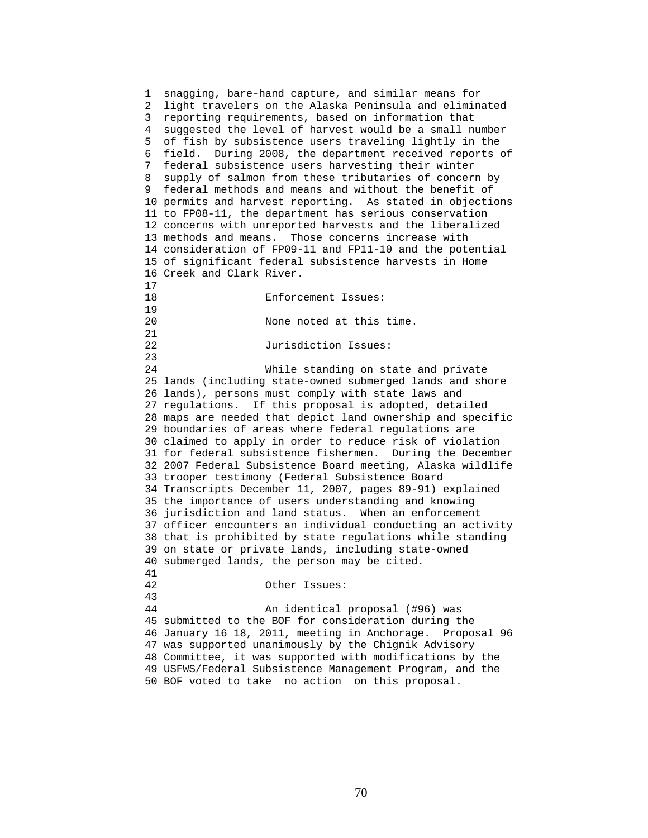1 snagging, bare-hand capture, and similar means for 2 light travelers on the Alaska Peninsula and eliminated 3 reporting requirements, based on information that 4 suggested the level of harvest would be a small number 5 of fish by subsistence users traveling lightly in the 6 field. During 2008, the department received reports of 7 federal subsistence users harvesting their winter 8 supply of salmon from these tributaries of concern by 9 federal methods and means and without the benefit of 10 permits and harvest reporting. As stated in objections 11 to FP08-11, the department has serious conservation 12 concerns with unreported harvests and the liberalized 13 methods and means. Those concerns increase with 14 consideration of FP09-11 and FP11-10 and the potential 15 of significant federal subsistence harvests in Home 16 Creek and Clark River.  $\frac{17}{18}$ 18 Enforcement Issues: 19 20 None noted at this time. 21 22 Jurisdiction Issues: 23 24 While standing on state and private 25 lands (including state-owned submerged lands and shore 26 lands), persons must comply with state laws and 27 regulations. If this proposal is adopted, detailed 28 maps are needed that depict land ownership and specific 29 boundaries of areas where federal regulations are 30 claimed to apply in order to reduce risk of violation 31 for federal subsistence fishermen. During the December 32 2007 Federal Subsistence Board meeting, Alaska wildlife 33 trooper testimony (Federal Subsistence Board 34 Transcripts December 11, 2007, pages 89-91) explained 35 the importance of users understanding and knowing 36 jurisdiction and land status. When an enforcement 37 officer encounters an individual conducting an activity 38 that is prohibited by state regulations while standing 39 on state or private lands, including state-owned 40 submerged lands, the person may be cited. 41 42 Other Issues: 43 44 An identical proposal (#96) was 45 submitted to the BOF for consideration during the 46 January 16 18, 2011, meeting in Anchorage. Proposal 96 47 was supported unanimously by the Chignik Advisory 48 Committee, it was supported with modifications by the 49 USFWS/Federal Subsistence Management Program, and the 50 BOF voted to take no action on this proposal.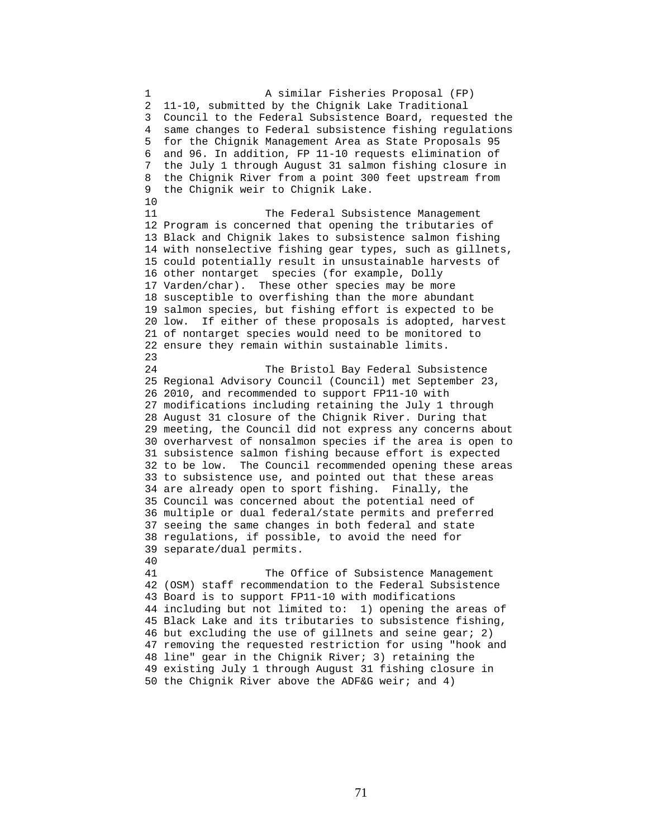1 A similar Fisheries Proposal (FP) 2 11-10, submitted by the Chignik Lake Traditional 3 Council to the Federal Subsistence Board, requested the 4 same changes to Federal subsistence fishing regulations 5 for the Chignik Management Area as State Proposals 95 6 and 96. In addition, FP 11-10 requests elimination of 7 the July 1 through August 31 salmon fishing closure in 8 the Chignik River from a point 300 feet upstream from 9 the Chignik weir to Chignik Lake. 10 11 The Federal Subsistence Management 12 Program is concerned that opening the tributaries of 13 Black and Chignik lakes to subsistence salmon fishing 14 with nonselective fishing gear types, such as gillnets, 15 could potentially result in unsustainable harvests of 16 other nontarget species (for example, Dolly 17 Varden/char). These other species may be more 18 susceptible to overfishing than the more abundant 19 salmon species, but fishing effort is expected to be 20 low. If either of these proposals is adopted, harvest 21 of nontarget species would need to be monitored to 22 ensure they remain within sustainable limits. 23 24 The Bristol Bay Federal Subsistence 25 Regional Advisory Council (Council) met September 23, 26 2010, and recommended to support FP11-10 with 27 modifications including retaining the July 1 through 28 August 31 closure of the Chignik River. During that 29 meeting, the Council did not express any concerns about 30 overharvest of nonsalmon species if the area is open to 31 subsistence salmon fishing because effort is expected 32 to be low. The Council recommended opening these areas 33 to subsistence use, and pointed out that these areas 34 are already open to sport fishing. Finally, the 35 Council was concerned about the potential need of 36 multiple or dual federal/state permits and preferred 37 seeing the same changes in both federal and state 38 regulations, if possible, to avoid the need for 39 separate/dual permits. 40 41 The Office of Subsistence Management 42 (OSM) staff recommendation to the Federal Subsistence 43 Board is to support FP11-10 with modifications 44 including but not limited to: 1) opening the areas of 45 Black Lake and its tributaries to subsistence fishing, 46 but excluding the use of gillnets and seine gear; 2) 47 removing the requested restriction for using "hook and 48 line" gear in the Chignik River; 3) retaining the 49 existing July 1 through August 31 fishing closure in 50 the Chignik River above the ADF&G weir; and 4)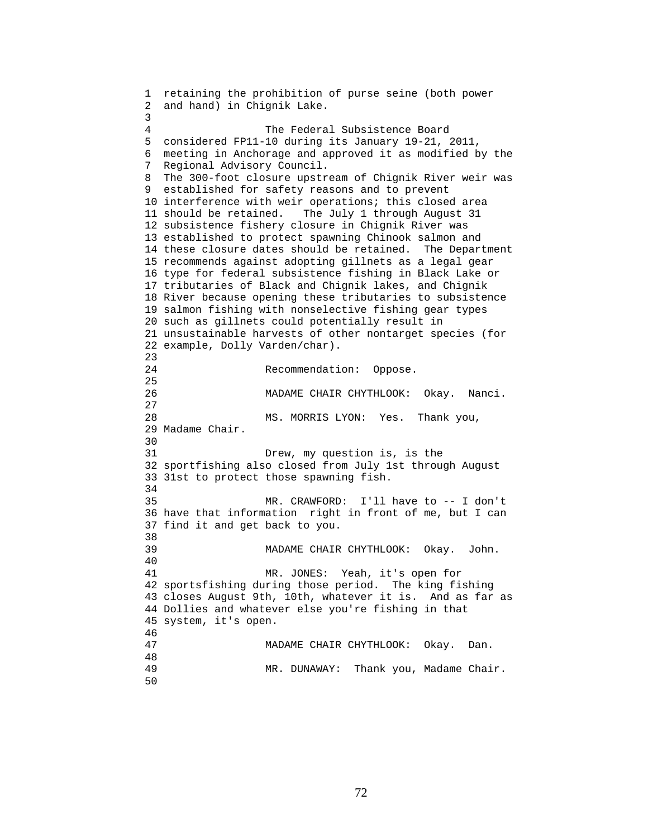```
1 retaining the prohibition of purse seine (both power 
2 and hand) in Chignik Lake. 
3 
4 The Federal Subsistence Board 
5 considered FP11-10 during its January 19-21, 2011, 
6 meeting in Anchorage and approved it as modified by the 
7 Regional Advisory Council. 
8 The 300-foot closure upstream of Chignik River weir was 
9 established for safety reasons and to prevent 
10 interference with weir operations; this closed area 
11 should be retained. The July 1 through August 31 
12 subsistence fishery closure in Chignik River was 
13 established to protect spawning Chinook salmon and 
14 these closure dates should be retained. The Department 
15 recommends against adopting gillnets as a legal gear 
16 type for federal subsistence fishing in Black Lake or 
17 tributaries of Black and Chignik lakes, and Chignik 
18 River because opening these tributaries to subsistence 
19 salmon fishing with nonselective fishing gear types 
20 such as gillnets could potentially result in 
21 unsustainable harvests of other nontarget species (for 
22 example, Dolly Varden/char). 
23 
24 Recommendation: Oppose. 
25 
26 MADAME CHAIR CHYTHLOOK: Okay. Nanci. 
27 
28 MS. MORRIS LYON: Yes. Thank you, 
29 Madame Chair. 
30 
31 Drew, my question is, is the 
32 sportfishing also closed from July 1st through August 
33 31st to protect those spawning fish. 
34 
35 MR. CRAWFORD: I'll have to -- I don't 
36 have that information right in front of me, but I can 
37 find it and get back to you. 
38 
39 MADAME CHAIR CHYTHLOOK: Okay. John. 
40 
41 MR. JONES: Yeah, it's open for 
42 sportsfishing during those period. The king fishing 
43 closes August 9th, 10th, whatever it is. And as far as 
44 Dollies and whatever else you're fishing in that 
45 system, it's open. 
46 
47 MADAME CHAIR CHYTHLOOK: Okay. Dan. 
48 
                 MR. DUNAWAY: Thank you, Madame Chair.
50
```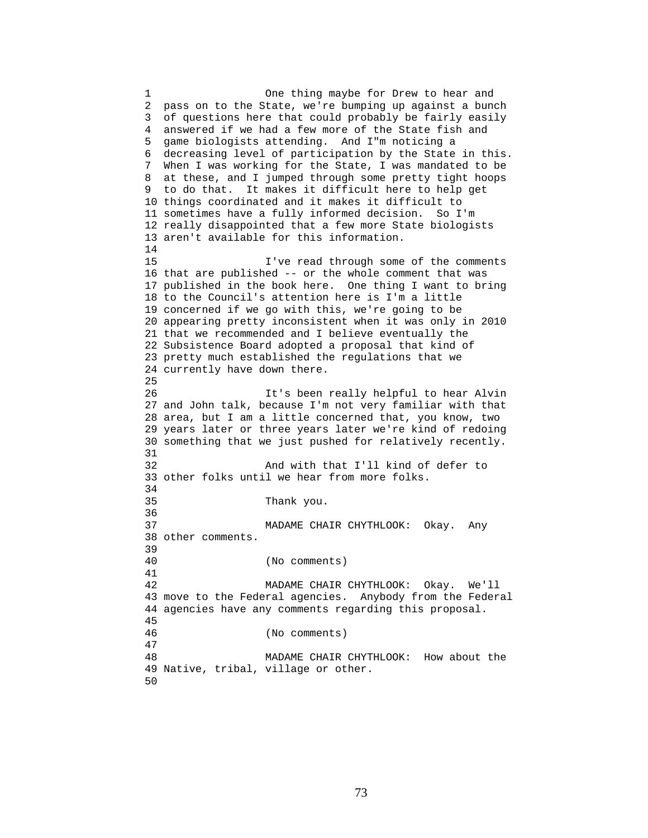1 One thing maybe for Drew to hear and 2 pass on to the State, we're bumping up against a bunch 3 of questions here that could probably be fairly easily 4 answered if we had a few more of the State fish and 5 game biologists attending. And I"m noticing a 6 decreasing level of participation by the State in this. 7 When I was working for the State, I was mandated to be 8 at these, and I jumped through some pretty tight hoops 9 to do that. It makes it difficult here to help get 10 things coordinated and it makes it difficult to 11 sometimes have a fully informed decision. So I'm 12 really disappointed that a few more State biologists 13 aren't available for this information. 14 15 I've read through some of the comments 16 that are published -- or the whole comment that was 17 published in the book here. One thing I want to bring 18 to the Council's attention here is I'm a little 19 concerned if we go with this, we're going to be 20 appearing pretty inconsistent when it was only in 2010 21 that we recommended and I believe eventually the 22 Subsistence Board adopted a proposal that kind of 23 pretty much established the regulations that we 24 currently have down there. 25 26 It's been really helpful to hear Alvin 27 and John talk, because I'm not very familiar with that 28 area, but I am a little concerned that, you know, two 29 years later or three years later we're kind of redoing 30 something that we just pushed for relatively recently. 31 32 And with that I'll kind of defer to 33 other folks until we hear from more folks. 34 35 Thank you. 36 37 MADAME CHAIR CHYTHLOOK: Okay. Any 38 other comments. 39 40 (No comments) 41 42 MADAME CHAIR CHYTHLOOK: Okay. We'll 43 move to the Federal agencies. Anybody from the Federal 44 agencies have any comments regarding this proposal. 45 46 (No comments) 47 48 MADAME CHAIR CHYTHLOOK: How about the 49 Native, tribal, village or other. 50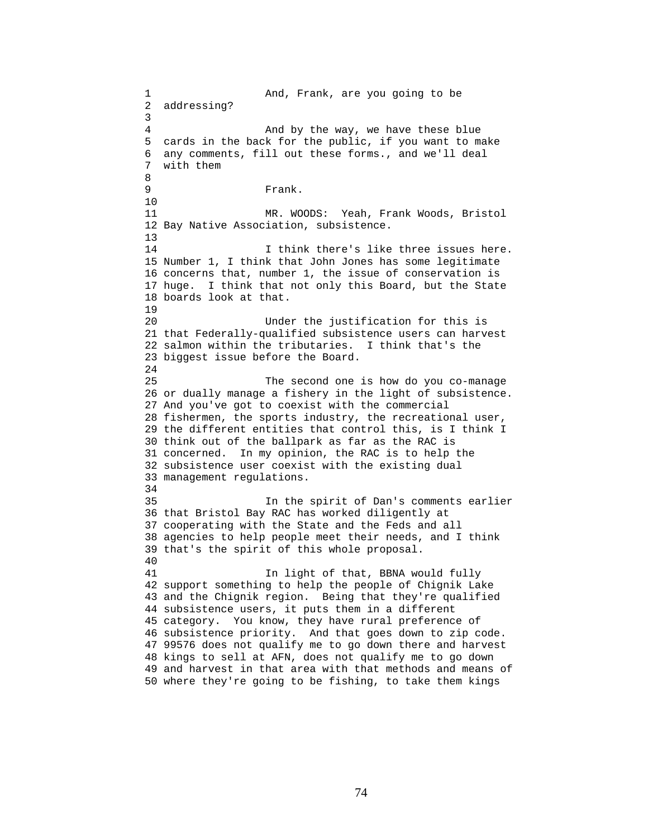1 And, Frank, are you going to be 2 addressing? 3 4 And by the way, we have these blue 5 cards in the back for the public, if you want to make 6 any comments, fill out these forms., and we'll deal 7 with them 8 9 Frank. 10 11 MR. WOODS: Yeah, Frank Woods, Bristol 12 Bay Native Association, subsistence. 13 14 14 I think there's like three issues here. 15 Number 1, I think that John Jones has some legitimate 16 concerns that, number 1, the issue of conservation is 17 huge. I think that not only this Board, but the State 18 boards look at that. 19 20 Under the justification for this is 21 that Federally-qualified subsistence users can harvest 22 salmon within the tributaries. I think that's the 23 biggest issue before the Board. 24 25 The second one is how do you co-manage 26 or dually manage a fishery in the light of subsistence. 27 And you've got to coexist with the commercial 28 fishermen, the sports industry, the recreational user, 29 the different entities that control this, is I think I 30 think out of the ballpark as far as the RAC is 31 concerned. In my opinion, the RAC is to help the 32 subsistence user coexist with the existing dual 33 management regulations. 34 35 In the spirit of Dan's comments earlier 36 that Bristol Bay RAC has worked diligently at 37 cooperating with the State and the Feds and all 38 agencies to help people meet their needs, and I think 39 that's the spirit of this whole proposal. 40 41 **In light of that, BBNA would fully** 42 support something to help the people of Chignik Lake 43 and the Chignik region. Being that they're qualified 44 subsistence users, it puts them in a different 45 category. You know, they have rural preference of 46 subsistence priority. And that goes down to zip code. 47 99576 does not qualify me to go down there and harvest 48 kings to sell at AFN, does not qualify me to go down 49 and harvest in that area with that methods and means of 50 where they're going to be fishing, to take them kings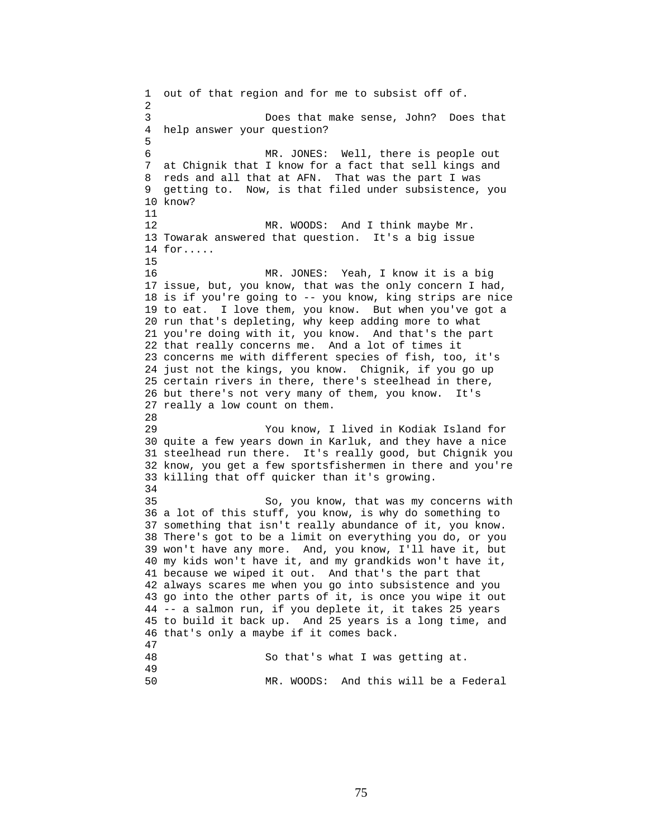1 out of that region and for me to subsist off of. 2 3 Does that make sense, John? Does that 4 help answer your question? 5 6 MR. JONES: Well, there is people out 7 at Chignik that I know for a fact that sell kings and 8 reds and all that at AFN. That was the part I was 9 getting to. Now, is that filed under subsistence, you 10 know? 11 12 MR. WOODS: And I think maybe Mr. 13 Towarak answered that question. It's a big issue 14 for..... 15 16 MR. JONES: Yeah, I know it is a big 17 issue, but, you know, that was the only concern I had, 18 is if you're going to -- you know, king strips are nice 19 to eat. I love them, you know. But when you've got a 20 run that's depleting, why keep adding more to what 21 you're doing with it, you know. And that's the part 22 that really concerns me. And a lot of times it 23 concerns me with different species of fish, too, it's 24 just not the kings, you know. Chignik, if you go up 25 certain rivers in there, there's steelhead in there, 26 but there's not very many of them, you know. It's 27 really a low count on them. 28 29 You know, I lived in Kodiak Island for 30 quite a few years down in Karluk, and they have a nice 31 steelhead run there. It's really good, but Chignik you 32 know, you get a few sportsfishermen in there and you're 33 killing that off quicker than it's growing. 34 35 So, you know, that was my concerns with 36 a lot of this stuff, you know, is why do something to 37 something that isn't really abundance of it, you know. 38 There's got to be a limit on everything you do, or you 39 won't have any more. And, you know, I'll have it, but 40 my kids won't have it, and my grandkids won't have it, 41 because we wiped it out. And that's the part that 42 always scares me when you go into subsistence and you 43 go into the other parts of it, is once you wipe it out 44 -- a salmon run, if you deplete it, it takes 25 years 45 to build it back up. And 25 years is a long time, and 46 that's only a maybe if it comes back. 47 So that's what I was getting at. 49 50 MR. WOODS: And this will be a Federal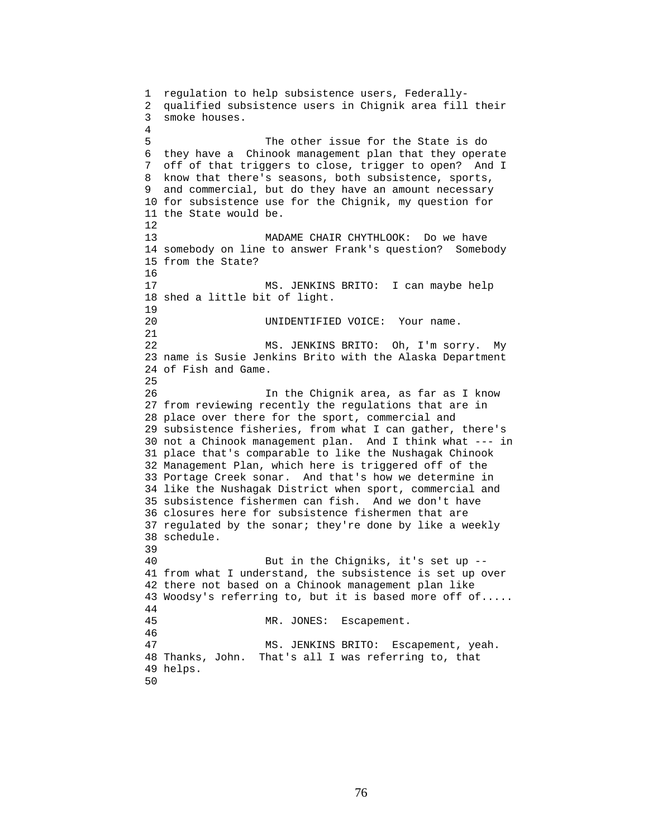1 regulation to help subsistence users, Federally-2 qualified subsistence users in Chignik area fill their 3 smoke houses. 4 5 The other issue for the State is do 6 they have a Chinook management plan that they operate 7 off of that triggers to close, trigger to open? And I 8 know that there's seasons, both subsistence, sports, 9 and commercial, but do they have an amount necessary 10 for subsistence use for the Chignik, my question for 11 the State would be. 12 13 MADAME CHAIR CHYTHLOOK: Do we have 14 somebody on line to answer Frank's question? Somebody 15 from the State? 16 17 MS. JENKINS BRITO: I can maybe help 18 shed a little bit of light. 19 20 UNIDENTIFIED VOICE: Your name. 21 22 MS. JENKINS BRITO: Oh, I'm sorry. My 23 name is Susie Jenkins Brito with the Alaska Department 24 of Fish and Game. 25 26 In the Chignik area, as far as I know 27 from reviewing recently the regulations that are in 28 place over there for the sport, commercial and 29 subsistence fisheries, from what I can gather, there's 30 not a Chinook management plan. And I think what --- in 31 place that's comparable to like the Nushagak Chinook 32 Management Plan, which here is triggered off of the 33 Portage Creek sonar. And that's how we determine in 34 like the Nushagak District when sport, commercial and 35 subsistence fishermen can fish. And we don't have 36 closures here for subsistence fishermen that are 37 regulated by the sonar; they're done by like a weekly 38 schedule. 39 40 But in the Chigniks, it's set up -- 41 from what I understand, the subsistence is set up over 42 there not based on a Chinook management plan like 43 Woodsy's referring to, but it is based more off of..... 44 45 MR. JONES: Escapement. 46 47 MS. JENKINS BRITO: Escapement, yeah. 48 Thanks, John. That's all I was referring to, that 49 helps. 50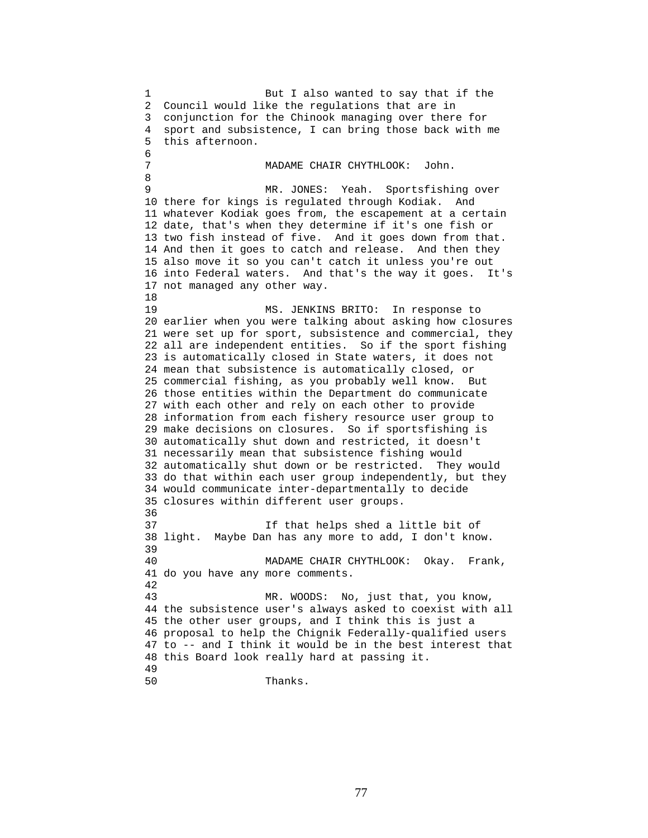1 But I also wanted to say that if the 2 Council would like the regulations that are in 3 conjunction for the Chinook managing over there for 4 sport and subsistence, I can bring those back with me 5 this afternoon. 6 7 MADAME CHAIR CHYTHLOOK: John. 8 9 MR. JONES: Yeah. Sportsfishing over 10 there for kings is regulated through Kodiak. And 11 whatever Kodiak goes from, the escapement at a certain 12 date, that's when they determine if it's one fish or 13 two fish instead of five. And it goes down from that. 14 And then it goes to catch and release. And then they 15 also move it so you can't catch it unless you're out 16 into Federal waters. And that's the way it goes. It's 17 not managed any other way. 18 19 MS. JENKINS BRITO: In response to 20 earlier when you were talking about asking how closures 21 were set up for sport, subsistence and commercial, they 22 all are independent entities. So if the sport fishing 23 is automatically closed in State waters, it does not 24 mean that subsistence is automatically closed, or 25 commercial fishing, as you probably well know. But 26 those entities within the Department do communicate 27 with each other and rely on each other to provide 28 information from each fishery resource user group to 29 make decisions on closures. So if sportsfishing is 30 automatically shut down and restricted, it doesn't 31 necessarily mean that subsistence fishing would 32 automatically shut down or be restricted. They would 33 do that within each user group independently, but they 34 would communicate inter-departmentally to decide 35 closures within different user groups. 36 37 If that helps shed a little bit of 38 light. Maybe Dan has any more to add, I don't know. 39 40 MADAME CHAIR CHYTHLOOK: Okay. Frank, 41 do you have any more comments. 42 43 MR. WOODS: No, just that, you know, 44 the subsistence user's always asked to coexist with all 45 the other user groups, and I think this is just a 46 proposal to help the Chignik Federally-qualified users 47 to -- and I think it would be in the best interest that 48 this Board look really hard at passing it. 49 50 Thanks.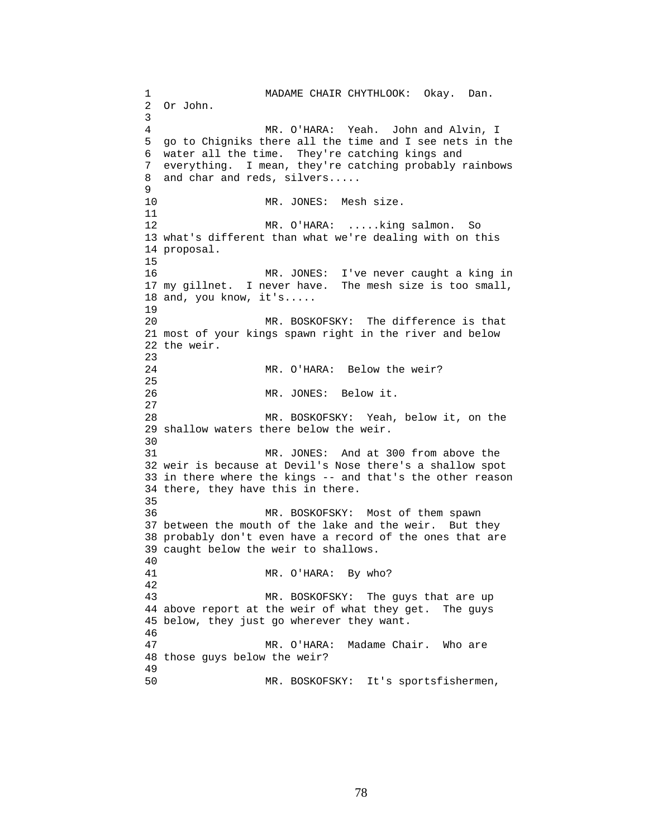1 MADAME CHAIR CHYTHLOOK: Okay. Dan. 2 Or John. 3 4 MR. O'HARA: Yeah. John and Alvin, I 5 go to Chigniks there all the time and I see nets in the 6 water all the time. They're catching kings and 7 everything. I mean, they're catching probably rainbows 8 and char and reds, silvers..... 9 10 MR. JONES: Mesh size. 11 12 MR. O'HARA: .....king salmon. So 13 what's different than what we're dealing with on this 14 proposal. 15 16 MR. JONES: I've never caught a king in 17 my gillnet. I never have. The mesh size is too small, 18 and, you know, it's..... 19 20 MR. BOSKOFSKY: The difference is that 21 most of your kings spawn right in the river and below 22 the weir. 23 24 MR. O'HARA: Below the weir? 25 26 MR. JONES: Below it. 27 28 MR. BOSKOFSKY: Yeah, below it, on the 29 shallow waters there below the weir. 30<br>31 MR. JONES: And at 300 from above the 32 weir is because at Devil's Nose there's a shallow spot 33 in there where the kings -- and that's the other reason 34 there, they have this in there. 35 36 MR. BOSKOFSKY: Most of them spawn 37 between the mouth of the lake and the weir. But they 38 probably don't even have a record of the ones that are 39 caught below the weir to shallows. 40 41 MR. O'HARA: By who? 42 43 MR. BOSKOFSKY: The guys that are up 44 above report at the weir of what they get. The guys 45 below, they just go wherever they want. 46 47 MR. O'HARA: Madame Chair. Who are 48 those guys below the weir? 49 50 MR. BOSKOFSKY: It's sportsfishermen,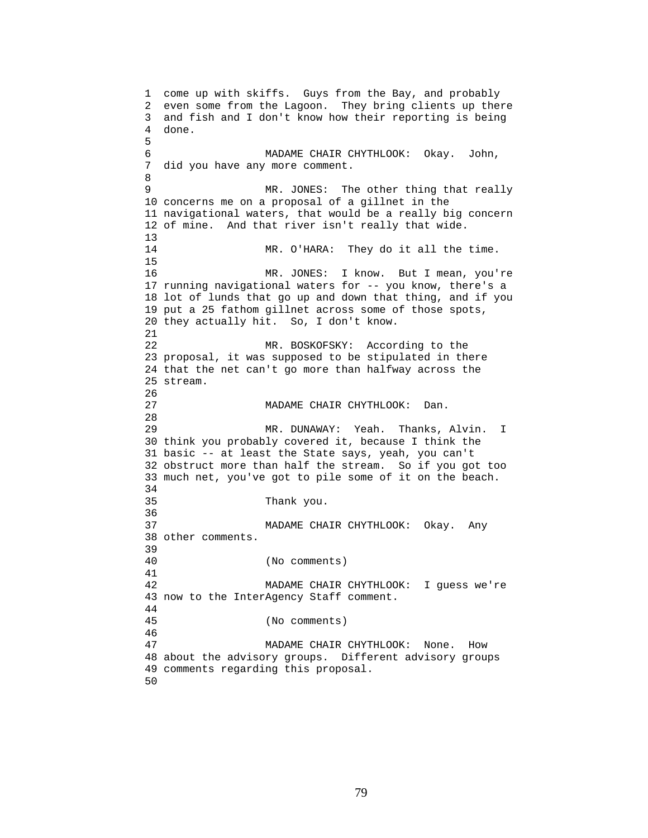```
1 come up with skiffs. Guys from the Bay, and probably 
2 even some from the Lagoon. They bring clients up there 
3 and fish and I don't know how their reporting is being 
4 done. 
5 
6 MADAME CHAIR CHYTHLOOK: Okay. John, 
7 did you have any more comment. 
8 
9 MR. JONES: The other thing that really 
10 concerns me on a proposal of a gillnet in the 
11 navigational waters, that would be a really big concern 
12 of mine. And that river isn't really that wide. 
13 
14 MR. O'HARA: They do it all the time. 
15 
16 MR. JONES: I know. But I mean, you're 
17 running navigational waters for -- you know, there's a 
18 lot of lunds that go up and down that thing, and if you 
19 put a 25 fathom gillnet across some of those spots, 
20 they actually hit. So, I don't know. 
21 
22 MR. BOSKOFSKY: According to the 
23 proposal, it was supposed to be stipulated in there 
24 that the net can't go more than halfway across the 
25 stream. 
26 
27 MADAME CHAIR CHYTHLOOK: Dan. 
28 
29 MR. DUNAWAY: Yeah. Thanks, Alvin. I 
30 think you probably covered it, because I think the 
31 basic -- at least the State says, yeah, you can't 
32 obstruct more than half the stream. So if you got too 
33 much net, you've got to pile some of it on the beach. 
34 
35 Thank you. 
36 
37 MADAME CHAIR CHYTHLOOK: Okay. Any 
38 other comments. 
39 
40 (No comments) 
41 
42 MADAME CHAIR CHYTHLOOK: I guess we're 
43 now to the InterAgency Staff comment. 
44 
45 (No comments) 
46 
47 MADAME CHAIR CHYTHLOOK: None. How 
48 about the advisory groups. Different advisory groups 
49 comments regarding this proposal. 
50
```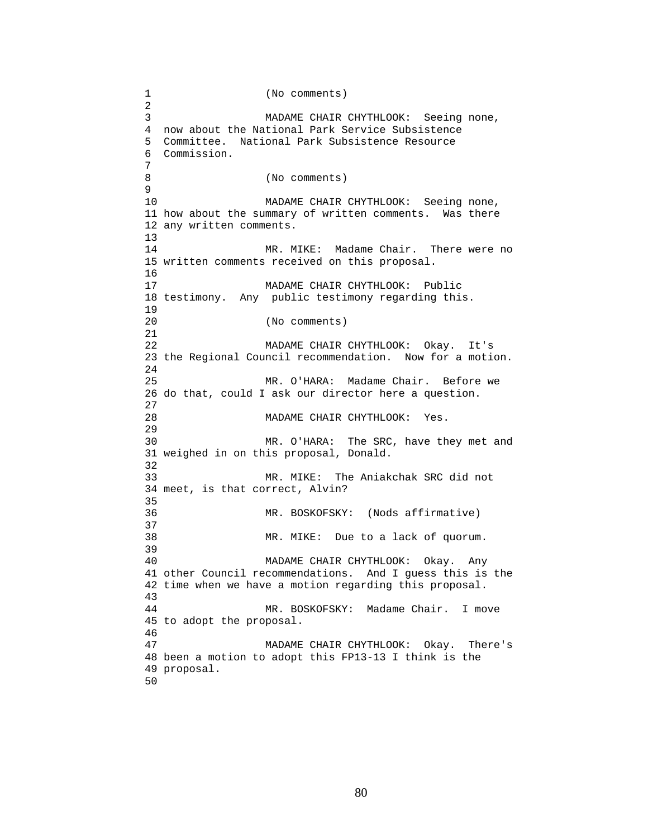1 (No comments) 2 3 MADAME CHAIR CHYTHLOOK: Seeing none, 4 now about the National Park Service Subsistence 5 Committee. National Park Subsistence Resource 6 Commission. 7 8 (No comments) 9 10 MADAME CHAIR CHYTHLOOK: Seeing none, 11 how about the summary of written comments. Was there 12 any written comments. 13 14 MR. MIKE: Madame Chair. There were no 15 written comments received on this proposal. 16 17 MADAME CHAIR CHYTHLOOK: Public 18 testimony. Any public testimony regarding this. 19 20 (No comments) 21 22 MADAME CHAIR CHYTHLOOK: Okay. It's 23 the Regional Council recommendation. Now for a motion. 24 25 MR. O'HARA: Madame Chair. Before we 26 do that, could I ask our director here a question. 27 28 MADAME CHAIR CHYTHLOOK: Yes. 29 30 MR. O'HARA: The SRC, have they met and 31 weighed in on this proposal, Donald. 32 33 MR. MIKE: The Aniakchak SRC did not 34 meet, is that correct, Alvin? 35 36 MR. BOSKOFSKY: (Nods affirmative) 37 38 MR. MIKE: Due to a lack of quorum. 39 40 MADAME CHAIR CHYTHLOOK: Okay. Any 41 other Council recommendations. And I guess this is the 42 time when we have a motion regarding this proposal. 43 44 MR. BOSKOFSKY: Madame Chair. I move 45 to adopt the proposal. 46 47 MADAME CHAIR CHYTHLOOK: Okay. There's 48 been a motion to adopt this FP13-13 I think is the 49 proposal. 50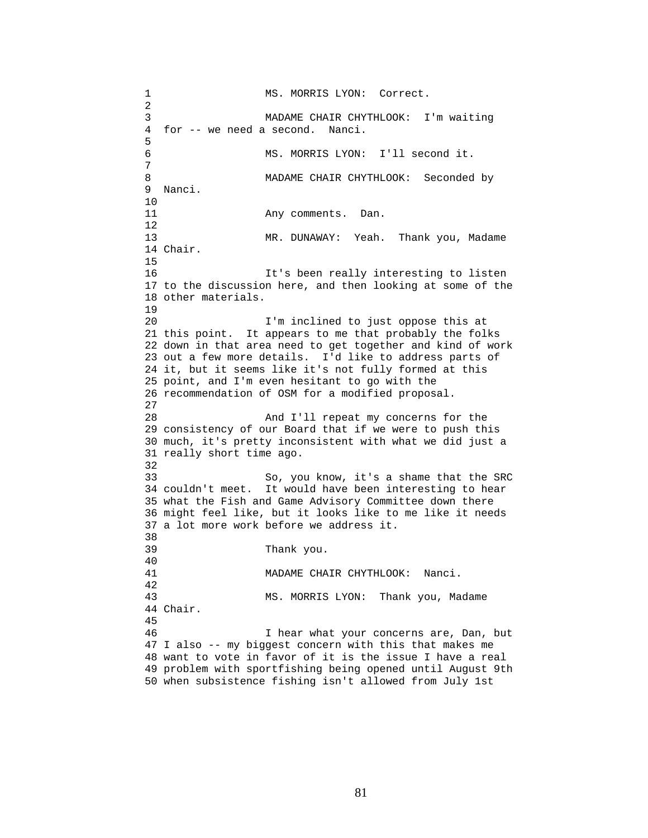1 MS. MORRIS LYON: Correct. 2 3 MADAME CHAIR CHYTHLOOK: I'm waiting 4 for -- we need a second. Nanci. 5 6 MS. MORRIS LYON: I'll second it. 7 8 MADAME CHAIR CHYTHLOOK: Seconded by 9 Nanci. 10 11 Any comments. Dan. 12 13 MR. DUNAWAY: Yeah. Thank you, Madame 14 Chair. 15 16 It's been really interesting to listen 17 to the discussion here, and then looking at some of the 18 other materials. 19 20 I'm inclined to just oppose this at 21 this point. It appears to me that probably the folks 22 down in that area need to get together and kind of work 23 out a few more details. I'd like to address parts of 24 it, but it seems like it's not fully formed at this 25 point, and I'm even hesitant to go with the 26 recommendation of OSM for a modified proposal. 27 28 And I'll repeat my concerns for the 29 consistency of our Board that if we were to push this 30 much, it's pretty inconsistent with what we did just a 31 really short time ago. 32 33 So, you know, it's a shame that the SRC 34 couldn't meet. It would have been interesting to hear 35 what the Fish and Game Advisory Committee down there 36 might feel like, but it looks like to me like it needs 37 a lot more work before we address it. 38 39 Thank you. 40 41 MADAME CHAIR CHYTHLOOK: Nanci. 42 43 MS. MORRIS LYON: Thank you, Madame 44 Chair. 45 46 I hear what your concerns are, Dan, but 47 I also -- my biggest concern with this that makes me 48 want to vote in favor of it is the issue I have a real 49 problem with sportfishing being opened until August 9th 50 when subsistence fishing isn't allowed from July 1st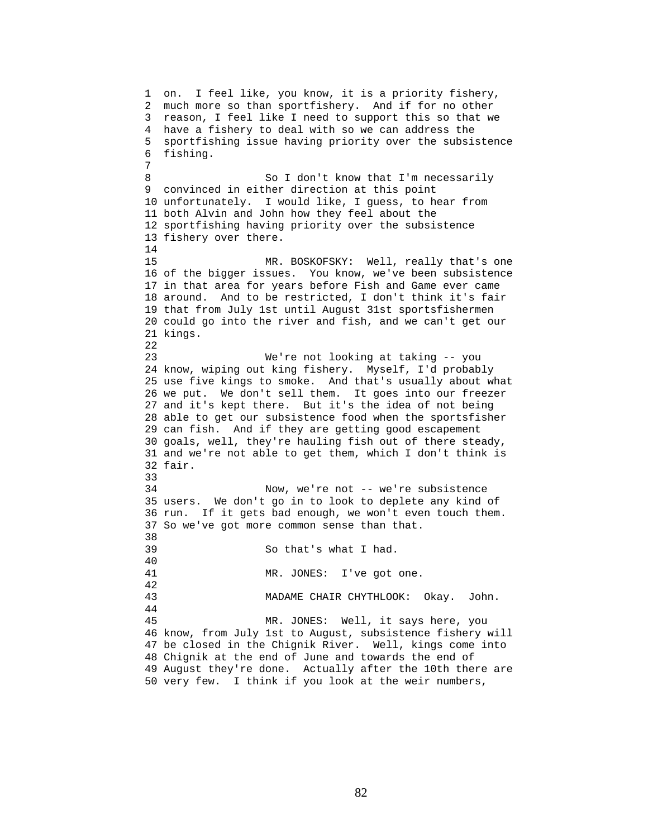1 on. I feel like, you know, it is a priority fishery, 2 much more so than sportfishery. And if for no other 3 reason, I feel like I need to support this so that we 4 have a fishery to deal with so we can address the 5 sportfishing issue having priority over the subsistence 6 fishing. 7 8 So I don't know that I'm necessarily 9 convinced in either direction at this point 10 unfortunately. I would like, I guess, to hear from 11 both Alvin and John how they feel about the 12 sportfishing having priority over the subsistence 13 fishery over there. 14 15 MR. BOSKOFSKY: Well, really that's one 16 of the bigger issues. You know, we've been subsistence 17 in that area for years before Fish and Game ever came 18 around. And to be restricted, I don't think it's fair 19 that from July 1st until August 31st sportsfishermen 20 could go into the river and fish, and we can't get our 21 kings. 22 23 We're not looking at taking -- you 24 know, wiping out king fishery. Myself, I'd probably 25 use five kings to smoke. And that's usually about what 26 we put. We don't sell them. It goes into our freezer 27 and it's kept there. But it's the idea of not being 28 able to get our subsistence food when the sportsfisher 29 can fish. And if they are getting good escapement 30 goals, well, they're hauling fish out of there steady, 31 and we're not able to get them, which I don't think is 32 fair. 33 34 Now, we're not -- we're subsistence 35 users. We don't go in to look to deplete any kind of 36 run. If it gets bad enough, we won't even touch them. 37 So we've got more common sense than that. 38 39 So that's what I had. 40 41 MR. JONES: I've got one. 42 43 MADAME CHAIR CHYTHLOOK: Okay. John. 44 45 MR. JONES: Well, it says here, you 46 know, from July 1st to August, subsistence fishery will 47 be closed in the Chignik River. Well, kings come into 48 Chignik at the end of June and towards the end of 49 August they're done. Actually after the 10th there are 50 very few. I think if you look at the weir numbers,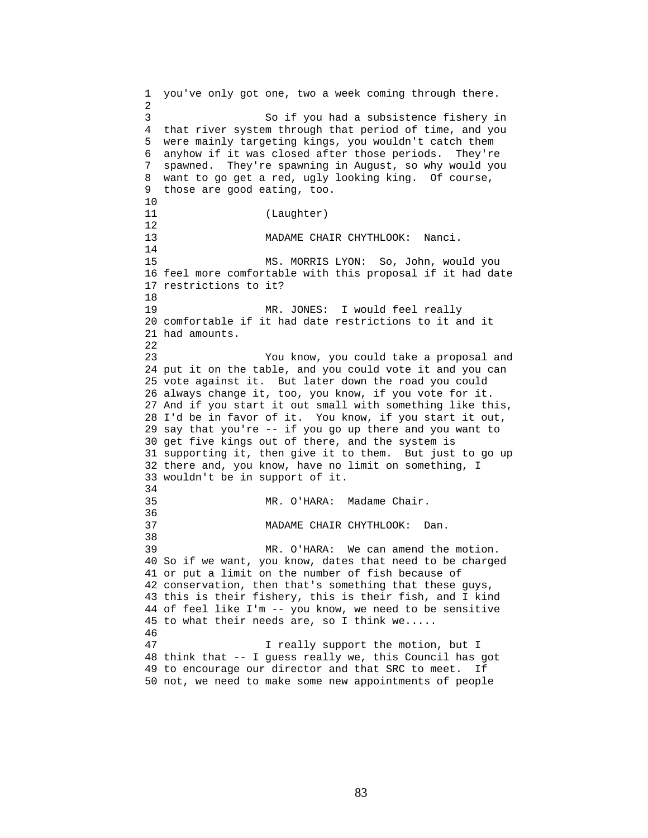1 you've only got one, two a week coming through there. 2 3 So if you had a subsistence fishery in 4 that river system through that period of time, and you 5 were mainly targeting kings, you wouldn't catch them 6 anyhow if it was closed after those periods. They're 7 spawned. They're spawning in August, so why would you 8 want to go get a red, ugly looking king. Of course, 9 those are good eating, too. 10 11 (Laughter) 12 13 MADAME CHAIR CHYTHLOOK: Nanci. 14 15 MS. MORRIS LYON: So, John, would you 16 feel more comfortable with this proposal if it had date 17 restrictions to it? 18 19 MR. JONES: I would feel really 20 comfortable if it had date restrictions to it and it 21 had amounts. 22 23 You know, you could take a proposal and 24 put it on the table, and you could vote it and you can 25 vote against it. But later down the road you could 26 always change it, too, you know, if you vote for it. 27 And if you start it out small with something like this, 28 I'd be in favor of it. You know, if you start it out, 29 say that you're -- if you go up there and you want to 30 get five kings out of there, and the system is 31 supporting it, then give it to them. But just to go up 32 there and, you know, have no limit on something, I 33 wouldn't be in support of it. 34<br>35 MR. O'HARA: Madame Chair. 36 37 MADAME CHAIR CHYTHLOOK: Dan. 38 39 MR. O'HARA: We can amend the motion. 40 So if we want, you know, dates that need to be charged 41 or put a limit on the number of fish because of 42 conservation, then that's something that these guys, 43 this is their fishery, this is their fish, and I kind 44 of feel like I'm -- you know, we need to be sensitive 45 to what their needs are, so I think we..... 46 47 I really support the motion, but I 48 think that -- I guess really we, this Council has got 49 to encourage our director and that SRC to meet. If 50 not, we need to make some new appointments of people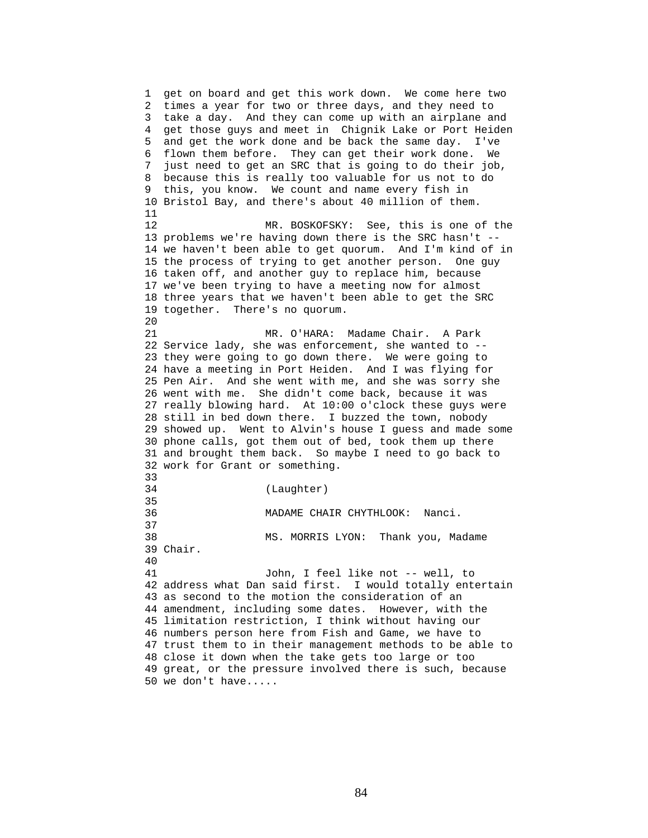1 get on board and get this work down. We come here two 2 times a year for two or three days, and they need to 3 take a day. And they can come up with an airplane and 4 get those guys and meet in Chignik Lake or Port Heiden 5 and get the work done and be back the same day. I've 6 flown them before. They can get their work done. We 7 just need to get an SRC that is going to do their job, 8 because this is really too valuable for us not to do 9 this, you know. We count and name every fish in 10 Bristol Bay, and there's about 40 million of them. 11 12 MR. BOSKOFSKY: See, this is one of the 13 problems we're having down there is the SRC hasn't -- 14 we haven't been able to get quorum. And I'm kind of in 15 the process of trying to get another person. One guy 16 taken off, and another guy to replace him, because 17 we've been trying to have a meeting now for almost 18 three years that we haven't been able to get the SRC 19 together. There's no quorum. 20 21 MR. O'HARA: Madame Chair. A Park 22 Service lady, she was enforcement, she wanted to -- 23 they were going to go down there. We were going to 24 have a meeting in Port Heiden. And I was flying for 25 Pen Air. And she went with me, and she was sorry she 26 went with me. She didn't come back, because it was 27 really blowing hard. At 10:00 o'clock these guys were 28 still in bed down there. I buzzed the town, nobody 29 showed up. Went to Alvin's house I guess and made some 30 phone calls, got them out of bed, took them up there 31 and brought them back. So maybe I need to go back to 32 work for Grant or something. 33 34 (Laughter) 35 36 MADAME CHAIR CHYTHLOOK: Nanci. 37 38 MS. MORRIS LYON: Thank you, Madame 39 Chair. 40 41 John, I feel like not -- well, to 42 address what Dan said first. I would totally entertain 43 as second to the motion the consideration of an 44 amendment, including some dates. However, with the 45 limitation restriction, I think without having our 46 numbers person here from Fish and Game, we have to 47 trust them to in their management methods to be able to 48 close it down when the take gets too large or too 49 great, or the pressure involved there is such, because 50 we don't have.....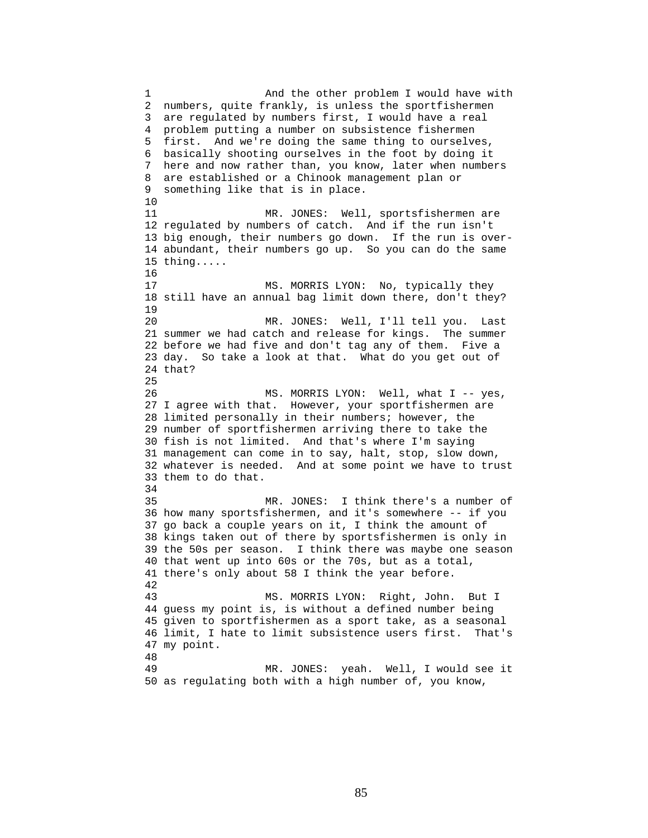1 And the other problem I would have with 2 numbers, quite frankly, is unless the sportfishermen 3 are regulated by numbers first, I would have a real 4 problem putting a number on subsistence fishermen 5 first. And we're doing the same thing to ourselves, 6 basically shooting ourselves in the foot by doing it 7 here and now rather than, you know, later when numbers 8 are established or a Chinook management plan or 9 something like that is in place. 10 11 MR. JONES: Well, sportsfishermen are 12 regulated by numbers of catch. And if the run isn't 13 big enough, their numbers go down. If the run is over-14 abundant, their numbers go up. So you can do the same 15 thing..... 16 17 MS. MORRIS LYON: No, typically they 18 still have an annual bag limit down there, don't they? 19 20 MR. JONES: Well, I'll tell you. Last 21 summer we had catch and release for kings. The summer 22 before we had five and don't tag any of them. Five a 23 day. So take a look at that. What do you get out of 24 that? 25 26 MS. MORRIS LYON: Well, what I -- yes, 27 I agree with that. However, your sportfishermen are 28 limited personally in their numbers; however, the 29 number of sportfishermen arriving there to take the 30 fish is not limited. And that's where I'm saying 31 management can come in to say, halt, stop, slow down, 32 whatever is needed. And at some point we have to trust 33 them to do that. 34 35 MR. JONES: I think there's a number of 36 how many sportsfishermen, and it's somewhere -- if you 37 go back a couple years on it, I think the amount of 38 kings taken out of there by sportsfishermen is only in 39 the 50s per season. I think there was maybe one season 40 that went up into 60s or the 70s, but as a total, 41 there's only about 58 I think the year before. 42 43 MS. MORRIS LYON: Right, John. But I 44 guess my point is, is without a defined number being 45 given to sportfishermen as a sport take, as a seasonal 46 limit, I hate to limit subsistence users first. That's 47 my point. 48 49 MR. JONES: yeah. Well, I would see it 50 as regulating both with a high number of, you know,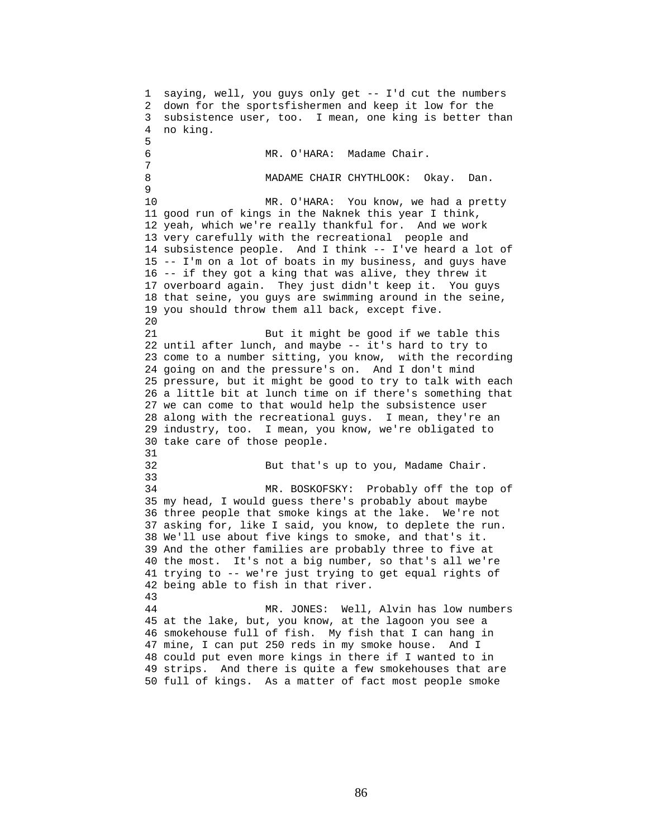1 saying, well, you guys only get -- I'd cut the numbers 2 down for the sportsfishermen and keep it low for the 3 subsistence user, too. I mean, one king is better than 4 no king. 5 6 MR. O'HARA: Madame Chair. 7 8 MADAME CHAIR CHYTHLOOK: Okay. Dan. 9 10 MR. O'HARA: You know, we had a pretty 11 good run of kings in the Naknek this year I think, 12 yeah, which we're really thankful for. And we work 13 very carefully with the recreational people and 14 subsistence people. And I think -- I've heard a lot of 15 -- I'm on a lot of boats in my business, and guys have 16 -- if they got a king that was alive, they threw it 17 overboard again. They just didn't keep it. You guys 18 that seine, you guys are swimming around in the seine, 19 you should throw them all back, except five. 20 21 But it might be good if we table this 22 until after lunch, and maybe -- it's hard to try to 23 come to a number sitting, you know, with the recording 24 going on and the pressure's on. And I don't mind 25 pressure, but it might be good to try to talk with each 26 a little bit at lunch time on if there's something that 27 we can come to that would help the subsistence user 28 along with the recreational guys. I mean, they're an 29 industry, too. I mean, you know, we're obligated to 30 take care of those people. 31 32 But that's up to you, Madame Chair. 33 34 MR. BOSKOFSKY: Probably off the top of 35 my head, I would guess there's probably about maybe 36 three people that smoke kings at the lake. We're not 37 asking for, like I said, you know, to deplete the run. 38 We'll use about five kings to smoke, and that's it. 39 And the other families are probably three to five at 40 the most. It's not a big number, so that's all we're 41 trying to -- we're just trying to get equal rights of 42 being able to fish in that river. 43 44 MR. JONES: Well, Alvin has low numbers 45 at the lake, but, you know, at the lagoon you see a 46 smokehouse full of fish. My fish that I can hang in 47 mine, I can put 250 reds in my smoke house. And I 48 could put even more kings in there if I wanted to in 49 strips. And there is quite a few smokehouses that are 50 full of kings. As a matter of fact most people smoke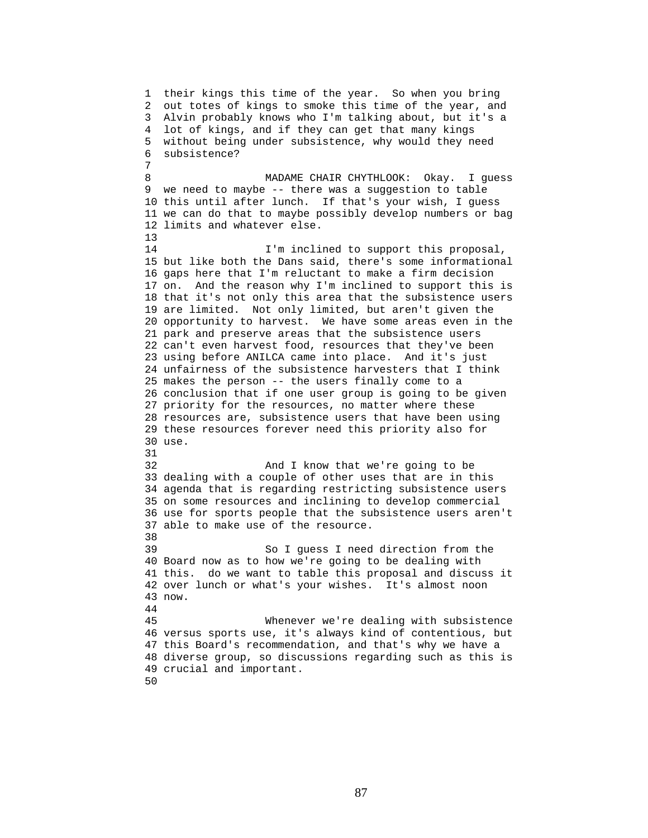1 their kings this time of the year. So when you bring 2 out totes of kings to smoke this time of the year, and 3 Alvin probably knows who I'm talking about, but it's a 4 lot of kings, and if they can get that many kings 5 without being under subsistence, why would they need 6 subsistence? 7 8 MADAME CHAIR CHYTHLOOK: Okay. I quess 9 we need to maybe -- there was a suggestion to table 10 this until after lunch. If that's your wish, I guess 11 we can do that to maybe possibly develop numbers or bag 12 limits and whatever else. 13 14 **I'm inclined to support this proposal,** 15 but like both the Dans said, there's some informational 16 gaps here that I'm reluctant to make a firm decision 17 on. And the reason why I'm inclined to support this is 18 that it's not only this area that the subsistence users 19 are limited. Not only limited, but aren't given the 20 opportunity to harvest. We have some areas even in the 21 park and preserve areas that the subsistence users 22 can't even harvest food, resources that they've been 23 using before ANILCA came into place. And it's just 24 unfairness of the subsistence harvesters that I think 25 makes the person -- the users finally come to a 26 conclusion that if one user group is going to be given 27 priority for the resources, no matter where these 28 resources are, subsistence users that have been using 29 these resources forever need this priority also for 30 use. 31 32 And I know that we're going to be 33 dealing with a couple of other uses that are in this 34 agenda that is regarding restricting subsistence users 35 on some resources and inclining to develop commercial 36 use for sports people that the subsistence users aren't 37 able to make use of the resource. 38 39 So I guess I need direction from the 40 Board now as to how we're going to be dealing with 41 this. do we want to table this proposal and discuss it 42 over lunch or what's your wishes. It's almost noon 43 now. 44 45 Whenever we're dealing with subsistence 46 versus sports use, it's always kind of contentious, but 47 this Board's recommendation, and that's why we have a 48 diverse group, so discussions regarding such as this is 49 crucial and important. 50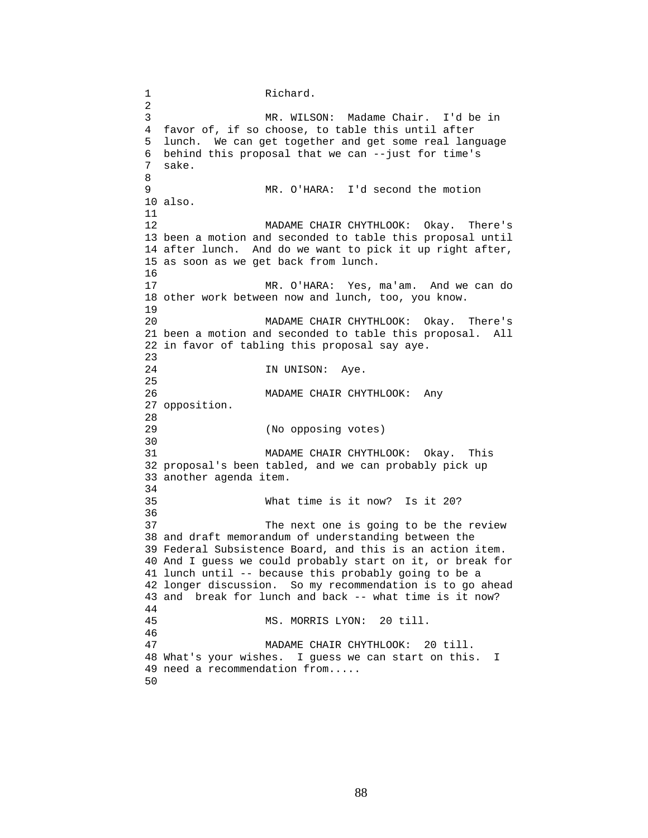1 Richard. 2 3 MR. WILSON: Madame Chair. I'd be in 4 favor of, if so choose, to table this until after 5 lunch. We can get together and get some real language 6 behind this proposal that we can --just for time's 7 sake. 8 9 MR. O'HARA: I'd second the motion 10 also. 11 12 MADAME CHAIR CHYTHLOOK: Okay. There's 13 been a motion and seconded to table this proposal until 14 after lunch. And do we want to pick it up right after, 15 as soon as we get back from lunch. 16 17 MR. O'HARA: Yes, ma'am. And we can do 18 other work between now and lunch, too, you know. 19 20 MADAME CHAIR CHYTHLOOK: Okay. There's 21 been a motion and seconded to table this proposal. All 22 in favor of tabling this proposal say aye. 23 24 IN UNISON: Aye. 25 26 MADAME CHAIR CHYTHLOOK: Any 27 opposition. 28<br>29 (No opposing votes) 30<br>31 MADAME CHAIR CHYTHLOOK: Okay. This 32 proposal's been tabled, and we can probably pick up 33 another agenda item. 34<br>35 What time is it now? Is it 20? 36 37 The next one is going to be the review 38 and draft memorandum of understanding between the 39 Federal Subsistence Board, and this is an action item. 40 And I guess we could probably start on it, or break for 41 lunch until -- because this probably going to be a 42 longer discussion. So my recommendation is to go ahead 43 and break for lunch and back -- what time is it now? 44 45 MS. MORRIS LYON: 20 till. 46 47 MADAME CHAIR CHYTHLOOK: 20 till. 48 What's your wishes. I guess we can start on this. I 49 need a recommendation from..... 50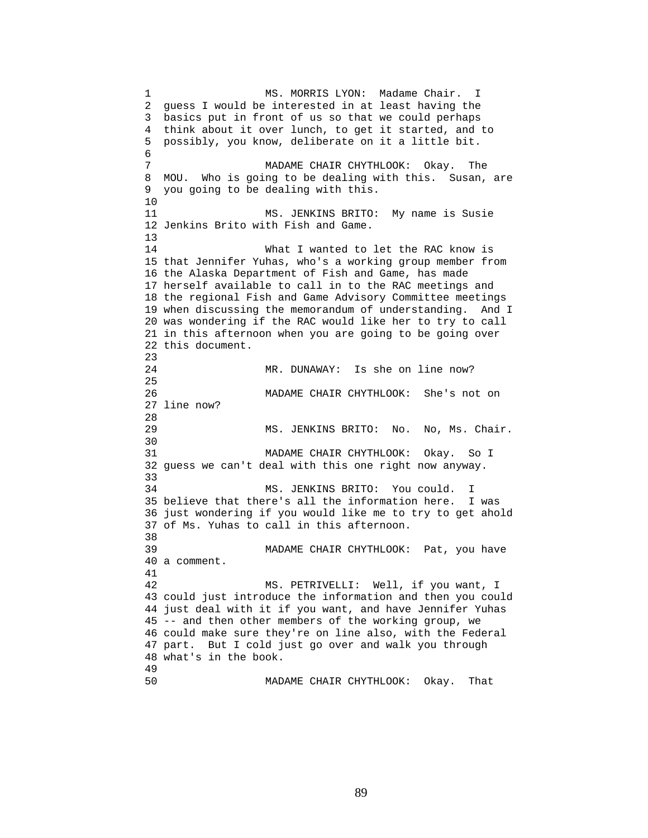1 MS. MORRIS LYON: Madame Chair. I 2 guess I would be interested in at least having the 3 basics put in front of us so that we could perhaps 4 think about it over lunch, to get it started, and to 5 possibly, you know, deliberate on it a little bit. 6 7 MADAME CHAIR CHYTHLOOK: Okay. The 8 MOU. Who is going to be dealing with this. Susan, are 9 you going to be dealing with this. 10 11 MS. JENKINS BRITO: My name is Susie 12 Jenkins Brito with Fish and Game. 13 14 What I wanted to let the RAC know is 15 that Jennifer Yuhas, who's a working group member from 16 the Alaska Department of Fish and Game, has made 17 herself available to call in to the RAC meetings and 18 the regional Fish and Game Advisory Committee meetings 19 when discussing the memorandum of understanding. And I 20 was wondering if the RAC would like her to try to call 21 in this afternoon when you are going to be going over 22 this document. 23 24 MR. DUNAWAY: Is she on line now? 25 26 MADAME CHAIR CHYTHLOOK: She's not on 27 line now? 28 29 MS. JENKINS BRITO: No. No, Ms. Chair. 30 31 MADAME CHAIR CHYTHLOOK: Okay. So I 32 guess we can't deal with this one right now anyway. 33 34 MS. JENKINS BRITO: You could. I 35 believe that there's all the information here. I was 36 just wondering if you would like me to try to get ahold 37 of Ms. Yuhas to call in this afternoon. 38 39 MADAME CHAIR CHYTHLOOK: Pat, you have 40 a comment. 41 42 MS. PETRIVELLI: Well, if you want, I 43 could just introduce the information and then you could 44 just deal with it if you want, and have Jennifer Yuhas 45 -- and then other members of the working group, we 46 could make sure they're on line also, with the Federal 47 part. But I cold just go over and walk you through 48 what's in the book. 49 50 MADAME CHAIR CHYTHLOOK: Okay. That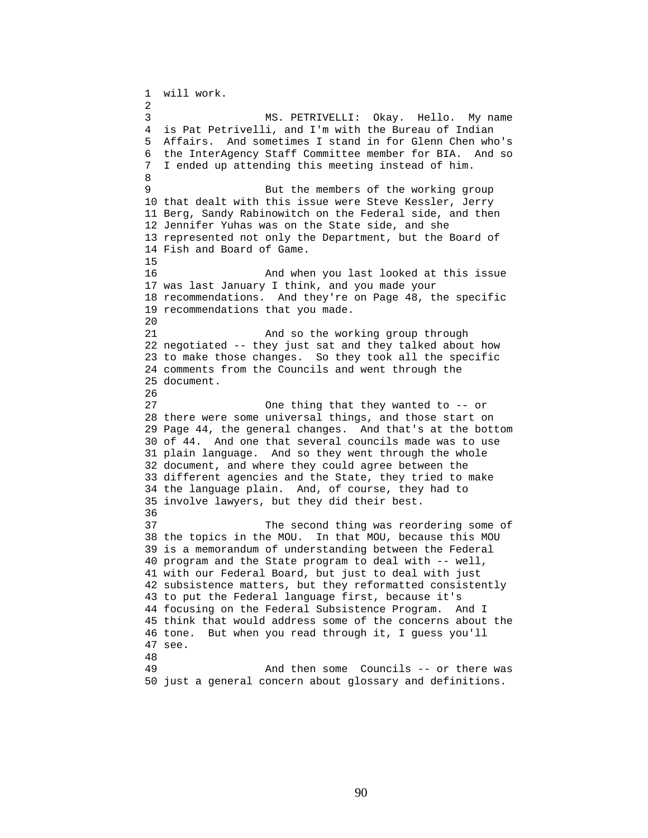1 will work. 2 3 MS. PETRIVELLI: Okay. Hello. My name 4 is Pat Petrivelli, and I'm with the Bureau of Indian 5 Affairs. And sometimes I stand in for Glenn Chen who's 6 the InterAgency Staff Committee member for BIA. And so 7 I ended up attending this meeting instead of him. 8 9 But the members of the working group 10 that dealt with this issue were Steve Kessler, Jerry 11 Berg, Sandy Rabinowitch on the Federal side, and then 12 Jennifer Yuhas was on the State side, and she 13 represented not only the Department, but the Board of 14 Fish and Board of Game. 15 16 And when you last looked at this issue 17 was last January I think, and you made your 18 recommendations. And they're on Page 48, the specific 19 recommendations that you made. 20 21 And so the working group through 22 negotiated -- they just sat and they talked about how 23 to make those changes. So they took all the specific 24 comments from the Councils and went through the 25 document. 26 27 One thing that they wanted to -- or 28 there were some universal things, and those start on 29 Page 44, the general changes. And that's at the bottom 30 of 44. And one that several councils made was to use 31 plain language. And so they went through the whole 32 document, and where they could agree between the 33 different agencies and the State, they tried to make 34 the language plain. And, of course, they had to 35 involve lawyers, but they did their best. 36 37 The second thing was reordering some of 38 the topics in the MOU. In that MOU, because this MOU 39 is a memorandum of understanding between the Federal 40 program and the State program to deal with -- well, 41 with our Federal Board, but just to deal with just 42 subsistence matters, but they reformatted consistently 43 to put the Federal language first, because it's 44 focusing on the Federal Subsistence Program. And I 45 think that would address some of the concerns about the 46 tone. But when you read through it, I guess you'll 47 see. 48 49 And then some Councils -- or there was 50 just a general concern about glossary and definitions.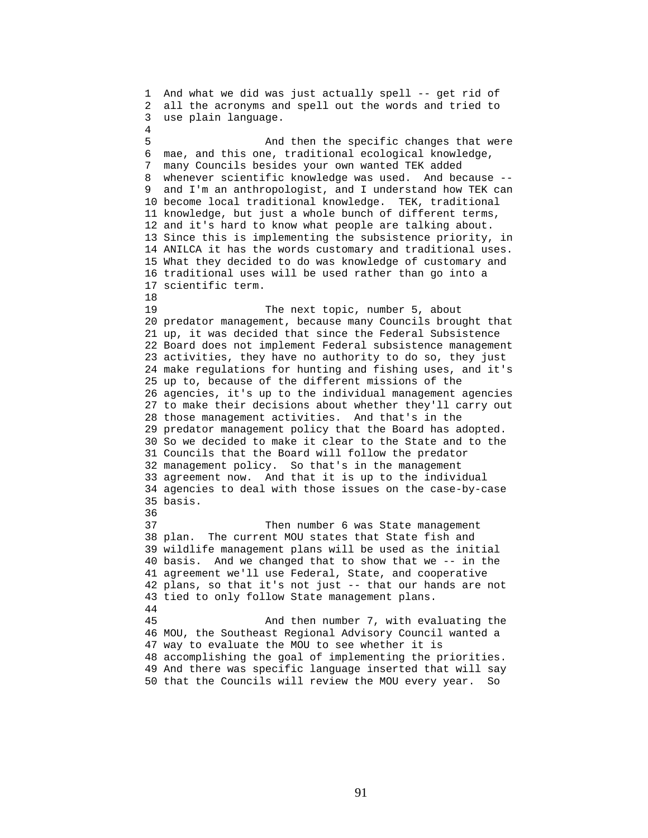1 And what we did was just actually spell -- get rid of 2 all the acronyms and spell out the words and tried to 3 use plain language. 4 5 And then the specific changes that were 6 mae, and this one, traditional ecological knowledge, 7 many Councils besides your own wanted TEK added 8 whenever scientific knowledge was used. And because -- 9 and I'm an anthropologist, and I understand how TEK can 10 become local traditional knowledge. TEK, traditional 11 knowledge, but just a whole bunch of different terms, 12 and it's hard to know what people are talking about. 13 Since this is implementing the subsistence priority, in 14 ANILCA it has the words customary and traditional uses. 15 What they decided to do was knowledge of customary and 16 traditional uses will be used rather than go into a 17 scientific term. 18 19 The next topic, number 5, about 20 predator management, because many Councils brought that 21 up, it was decided that since the Federal Subsistence 22 Board does not implement Federal subsistence management 23 activities, they have no authority to do so, they just 24 make regulations for hunting and fishing uses, and it's 25 up to, because of the different missions of the 26 agencies, it's up to the individual management agencies 27 to make their decisions about whether they'll carry out 28 those management activities. And that's in the 29 predator management policy that the Board has adopted. 30 So we decided to make it clear to the State and to the 31 Councils that the Board will follow the predator 32 management policy. So that's in the management 33 agreement now. And that it is up to the individual 34 agencies to deal with those issues on the case-by-case 35 basis. 36 37 Then number 6 was State management 38 plan. The current MOU states that State fish and 39 wildlife management plans will be used as the initial 40 basis. And we changed that to show that we -- in the 41 agreement we'll use Federal, State, and cooperative 42 plans, so that it's not just -- that our hands are not 43 tied to only follow State management plans. 44 45 And then number 7, with evaluating the 46 MOU, the Southeast Regional Advisory Council wanted a 47 way to evaluate the MOU to see whether it is 48 accomplishing the goal of implementing the priorities. 49 And there was specific language inserted that will say 50 that the Councils will review the MOU every year. So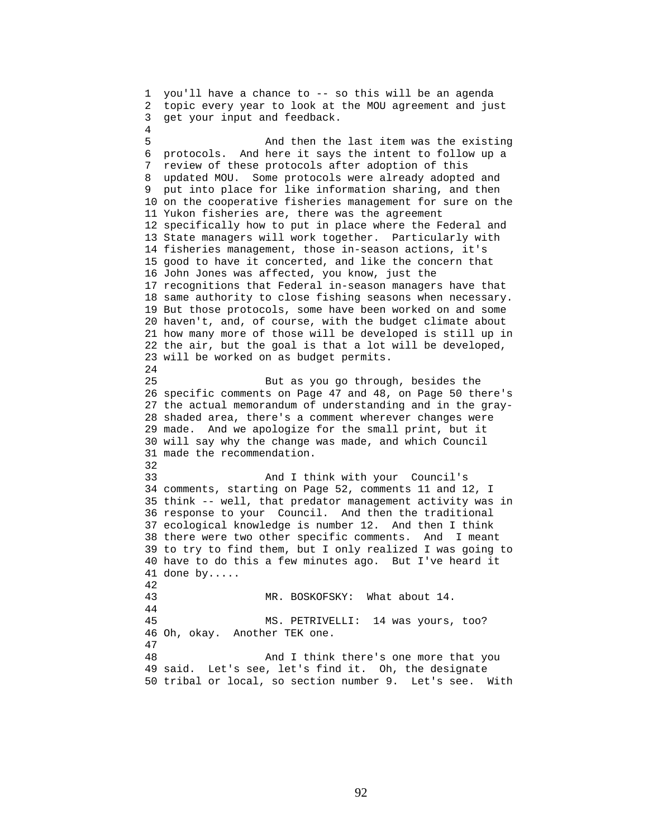1 you'll have a chance to -- so this will be an agenda 2 topic every year to look at the MOU agreement and just 3 get your input and feedback. 4 5 And then the last item was the existing 6 protocols. And here it says the intent to follow up a 7 review of these protocols after adoption of this 8 updated MOU. Some protocols were already adopted and 9 put into place for like information sharing, and then 10 on the cooperative fisheries management for sure on the 11 Yukon fisheries are, there was the agreement 12 specifically how to put in place where the Federal and 13 State managers will work together. Particularly with 14 fisheries management, those in-season actions, it's 15 good to have it concerted, and like the concern that 16 John Jones was affected, you know, just the 17 recognitions that Federal in-season managers have that 18 same authority to close fishing seasons when necessary. 19 But those protocols, some have been worked on and some 20 haven't, and, of course, with the budget climate about 21 how many more of those will be developed is still up in 22 the air, but the goal is that a lot will be developed, 23 will be worked on as budget permits. 24 25 But as you go through, besides the 26 specific comments on Page 47 and 48, on Page 50 there's 27 the actual memorandum of understanding and in the gray-28 shaded area, there's a comment wherever changes were 29 made. And we apologize for the small print, but it 30 will say why the change was made, and which Council 31 made the recommendation. 32 33 And I think with your Council's 34 comments, starting on Page 52, comments 11 and 12, I 35 think -- well, that predator management activity was in 36 response to your Council. And then the traditional 37 ecological knowledge is number 12. And then I think 38 there were two other specific comments. And I meant 39 to try to find them, but I only realized I was going to 40 have to do this a few minutes ago. But I've heard it 41 done by..... 42 43 MR. BOSKOFSKY: What about 14. 44 45 MS. PETRIVELLI: 14 was yours, too? 46 Oh, okay. Another TEK one. 47 48 And I think there's one more that you 49 said. Let's see, let's find it. Oh, the designate 50 tribal or local, so section number 9. Let's see. With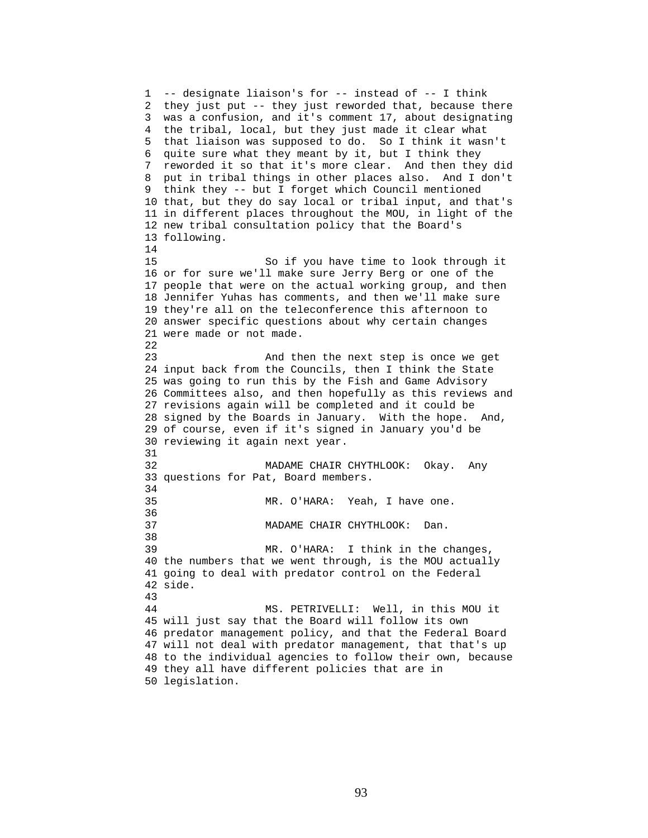1 -- designate liaison's for -- instead of -- I think 2 they just put -- they just reworded that, because there 3 was a confusion, and it's comment 17, about designating 4 the tribal, local, but they just made it clear what 5 that liaison was supposed to do. So I think it wasn't 6 quite sure what they meant by it, but I think they 7 reworded it so that it's more clear. And then they did 8 put in tribal things in other places also. And I don't 9 think they -- but I forget which Council mentioned 10 that, but they do say local or tribal input, and that's 11 in different places throughout the MOU, in light of the 12 new tribal consultation policy that the Board's 13 following. 14 15 So if you have time to look through it 16 or for sure we'll make sure Jerry Berg or one of the 17 people that were on the actual working group, and then 18 Jennifer Yuhas has comments, and then we'll make sure 19 they're all on the teleconference this afternoon to 20 answer specific questions about why certain changes 21 were made or not made. 22 23 And then the next step is once we get 24 input back from the Councils, then I think the State 25 was going to run this by the Fish and Game Advisory 26 Committees also, and then hopefully as this reviews and 27 revisions again will be completed and it could be 28 signed by the Boards in January. With the hope. And, 29 of course, even if it's signed in January you'd be 30 reviewing it again next year. 31 32 MADAME CHAIR CHYTHLOOK: Okay. Any 33 questions for Pat, Board members. 34 35 MR. O'HARA: Yeah, I have one. 36 37 MADAME CHAIR CHYTHLOOK: Dan. 38 39 MR. O'HARA: I think in the changes, 40 the numbers that we went through, is the MOU actually 41 going to deal with predator control on the Federal 42 side. 43 44 MS. PETRIVELLI: Well, in this MOU it 45 will just say that the Board will follow its own 46 predator management policy, and that the Federal Board 47 will not deal with predator management, that that's up 48 to the individual agencies to follow their own, because 49 they all have different policies that are in 50 legislation.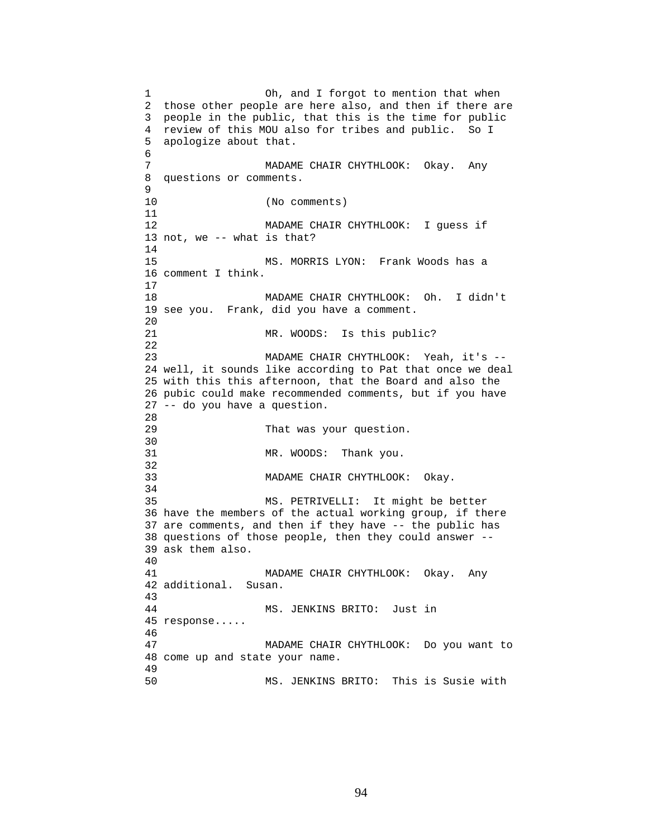1 Oh, and I forgot to mention that when 2 those other people are here also, and then if there are 3 people in the public, that this is the time for public 4 review of this MOU also for tribes and public. So I 5 apologize about that. 6 7 MADAME CHAIR CHYTHLOOK: Okay. Any 8 questions or comments. 9 10 (No comments) 11 12 MADAME CHAIR CHYTHLOOK: I guess if 13 not, we -- what is that? 14 15 MS. MORRIS LYON: Frank Woods has a 16 comment I think. 17 18 MADAME CHAIR CHYTHLOOK: Oh. I didn't 19 see you. Frank, did you have a comment. 20 21 MR. WOODS: Is this public? 22 23 MADAME CHAIR CHYTHLOOK: Yeah, it's -- 24 well, it sounds like according to Pat that once we deal 25 with this this afternoon, that the Board and also the 26 pubic could make recommended comments, but if you have 27 -- do you have a question. 28 29 That was your question. 30<br>31 MR. WOODS: Thank you. 32 33 MADAME CHAIR CHYTHLOOK: Okay. 34 35 MS. PETRIVELLI: It might be better 36 have the members of the actual working group, if there 37 are comments, and then if they have -- the public has 38 questions of those people, then they could answer -- 39 ask them also. 40 41 MADAME CHAIR CHYTHLOOK: Okay. Any 42 additional. Susan. 43 44 MS. JENKINS BRITO: Just in 45 response..... 46 47 MADAME CHAIR CHYTHLOOK: Do you want to 48 come up and state your name. 49 50 MS. JENKINS BRITO: This is Susie with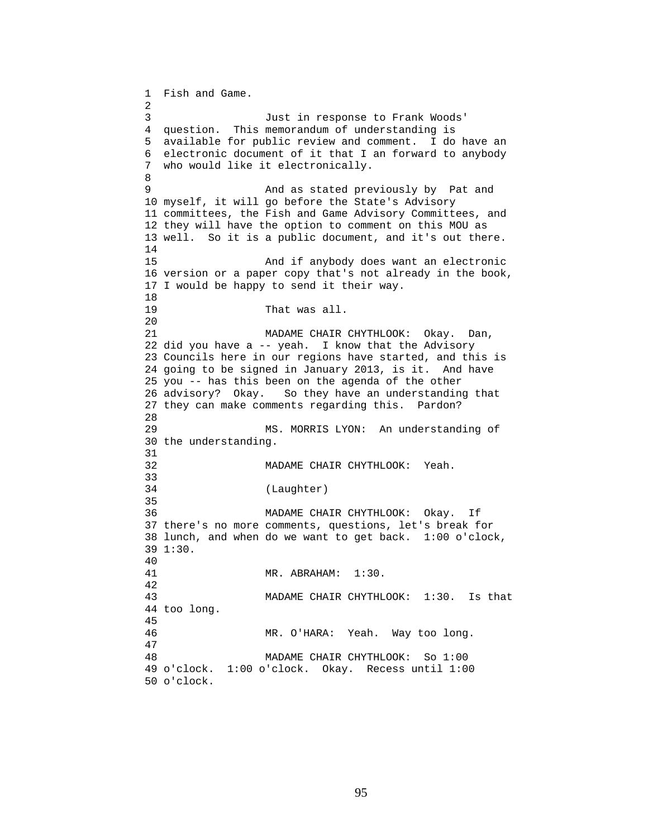1 Fish and Game. 2 3 Just in response to Frank Woods' 4 question. This memorandum of understanding is 5 available for public review and comment. I do have an 6 electronic document of it that I an forward to anybody 7 who would like it electronically. 8 9 And as stated previously by Pat and 10 myself, it will go before the State's Advisory 11 committees, the Fish and Game Advisory Committees, and 12 they will have the option to comment on this MOU as 13 well. So it is a public document, and it's out there. 14 15 And if anybody does want an electronic 16 version or a paper copy that's not already in the book, 17 I would be happy to send it their way. 18 19 That was all. 20 21 MADAME CHAIR CHYTHLOOK: Okay. Dan, 22 did you have a -- yeah. I know that the Advisory 23 Councils here in our regions have started, and this is 24 going to be signed in January 2013, is it. And have 25 you -- has this been on the agenda of the other 26 advisory? Okay. So they have an understanding that 27 they can make comments regarding this. Pardon? 28 29 MS. MORRIS LYON: An understanding of 30 the understanding. 31 32 MADAME CHAIR CHYTHLOOK: Yeah. 33 34 (Laughter) 35 36 MADAME CHAIR CHYTHLOOK: Okay. If 37 there's no more comments, questions, let's break for 38 lunch, and when do we want to get back. 1:00 o'clock, 39 1:30. 40 41 MR. ABRAHAM: 1:30. 42 43 MADAME CHAIR CHYTHLOOK: 1:30. Is that 44 too long. 45 46 MR. O'HARA: Yeah. Way too long. 47 48 MADAME CHAIR CHYTHLOOK: So 1:00 49 o'clock. 1:00 o'clock. Okay. Recess until 1:00 50 o'clock.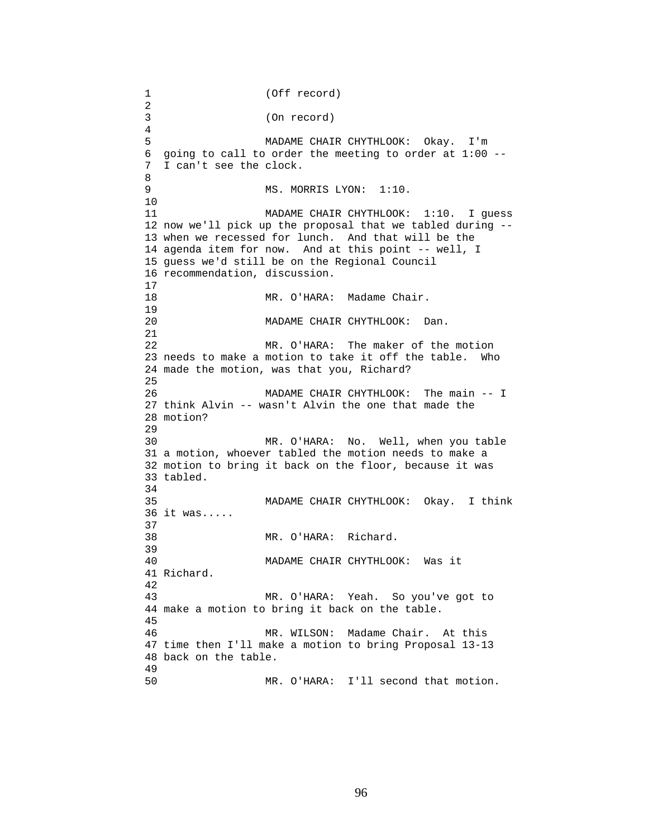1 (Off record) 2 3 (On record) 4 5 MADAME CHAIR CHYTHLOOK: Okay. I'm 6 going to call to order the meeting to order at 1:00 -- 7 I can't see the clock. 8 9 MS. MORRIS LYON: 1:10. 10 11 MADAME CHAIR CHYTHLOOK: 1:10. I guess 12 now we'll pick up the proposal that we tabled during -- 13 when we recessed for lunch. And that will be the 14 agenda item for now. And at this point -- well, I 15 guess we'd still be on the Regional Council 16 recommendation, discussion.  $\frac{17}{18}$ MR. O'HARA: Madame Chair. 19 20 MADAME CHAIR CHYTHLOOK: Dan. 21 22 MR. O'HARA: The maker of the motion 23 needs to make a motion to take it off the table. Who 24 made the motion, was that you, Richard? 25 26 MADAME CHAIR CHYTHLOOK: The main -- I 27 think Alvin -- wasn't Alvin the one that made the 28 motion? 29 30 MR. O'HARA: No. Well, when you table 31 a motion, whoever tabled the motion needs to make a 32 motion to bring it back on the floor, because it was 33 tabled. 34 35 MADAME CHAIR CHYTHLOOK: Okay. I think 36 it was..... 37 38 MR. O'HARA: Richard. 39 40 MADAME CHAIR CHYTHLOOK: Was it 41 Richard. 42 43 MR. O'HARA: Yeah. So you've got to 44 make a motion to bring it back on the table. 45 46 MR. WILSON: Madame Chair. At this 47 time then I'll make a motion to bring Proposal 13-13 48 back on the table. 49 50 MR. O'HARA: I'll second that motion.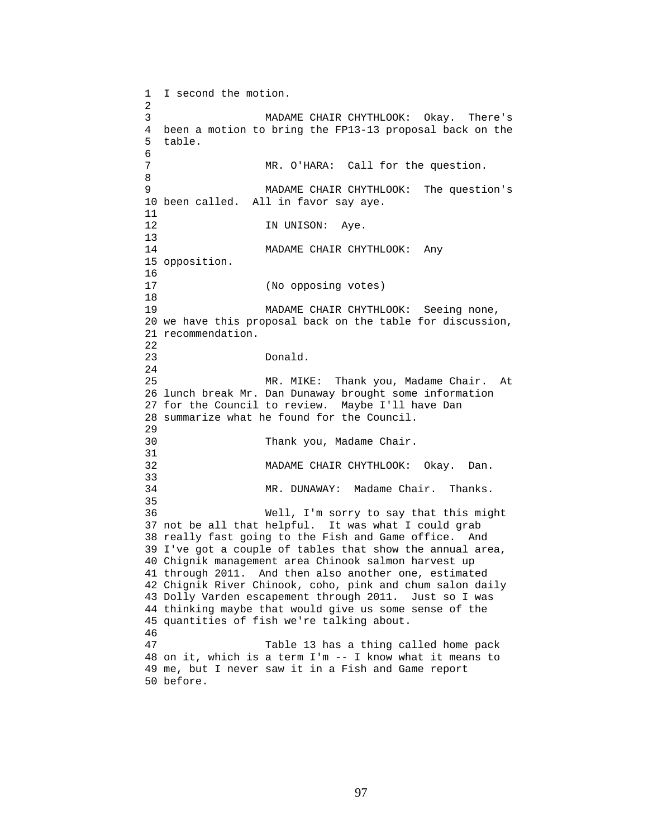1 I second the motion. 2 3 MADAME CHAIR CHYTHLOOK: Okay. There's 4 been a motion to bring the FP13-13 proposal back on the 5 table. 6 7 MR. O'HARA: Call for the question. 8 9 MADAME CHAIR CHYTHLOOK: The question's 10 been called. All in favor say aye. 11 12 IN UNISON: Aye. 13 14 MADAME CHAIR CHYTHLOOK: Any 15 opposition.  $\frac{16}{17}$ (No opposing votes) 18 19 MADAME CHAIR CHYTHLOOK: Seeing none, 20 we have this proposal back on the table for discussion, 21 recommendation. 22 23 Donald. 24 25 MR. MIKE: Thank you, Madame Chair. At 26 lunch break Mr. Dan Dunaway brought some information 27 for the Council to review. Maybe I'll have Dan 28 summarize what he found for the Council. 29 30 Thank you, Madame Chair. 31 32 MADAME CHAIR CHYTHLOOK: Okay. Dan. 33 34 MR. DUNAWAY: Madame Chair. Thanks. 35 36 Well, I'm sorry to say that this might 37 not be all that helpful. It was what I could grab 38 really fast going to the Fish and Game office. And 39 I've got a couple of tables that show the annual area, 40 Chignik management area Chinook salmon harvest up 41 through 2011. And then also another one, estimated 42 Chignik River Chinook, coho, pink and chum salon daily 43 Dolly Varden escapement through 2011. Just so I was 44 thinking maybe that would give us some sense of the 45 quantities of fish we're talking about. 46 47 Table 13 has a thing called home pack 48 on it, which is a term I'm -- I know what it means to 49 me, but I never saw it in a Fish and Game report 50 before.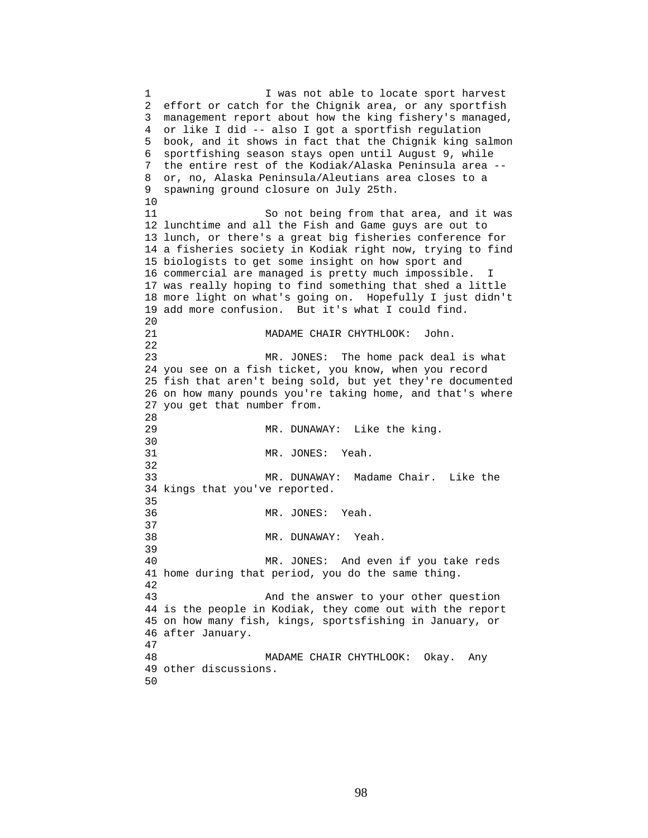1 I was not able to locate sport harvest 2 effort or catch for the Chignik area, or any sportfish 3 management report about how the king fishery's managed, 4 or like I did -- also I got a sportfish regulation 5 book, and it shows in fact that the Chignik king salmon 6 sportfishing season stays open until August 9, while 7 the entire rest of the Kodiak/Alaska Peninsula area -- 8 or, no, Alaska Peninsula/Aleutians area closes to a 9 spawning ground closure on July 25th. 10 11 So not being from that area, and it was 12 lunchtime and all the Fish and Game guys are out to 13 lunch, or there's a great big fisheries conference for 14 a fisheries society in Kodiak right now, trying to find 15 biologists to get some insight on how sport and 16 commercial are managed is pretty much impossible. I 17 was really hoping to find something that shed a little 18 more light on what's going on. Hopefully I just didn't 19 add more confusion. But it's what I could find. 20 21 MADAME CHAIR CHYTHLOOK: John. 22 23 MR. JONES: The home pack deal is what 24 you see on a fish ticket, you know, when you record 25 fish that aren't being sold, but yet they're documented 26 on how many pounds you're taking home, and that's where 27 you get that number from. 28 29 MR. DUNAWAY: Like the king. 30<br>31 MR. JONES: Yeah. 32 33 MR. DUNAWAY: Madame Chair. Like the 34 kings that you've reported. 35 36 MR. JONES: Yeah. 37 38 MR. DUNAWAY: Yeah. 39 40 MR. JONES: And even if you take reds 41 home during that period, you do the same thing. 42 43 And the answer to your other question 44 is the people in Kodiak, they come out with the report 45 on how many fish, kings, sportsfishing in January, or 46 after January. 47 48 MADAME CHAIR CHYTHLOOK: Okay. Any 49 other discussions. 50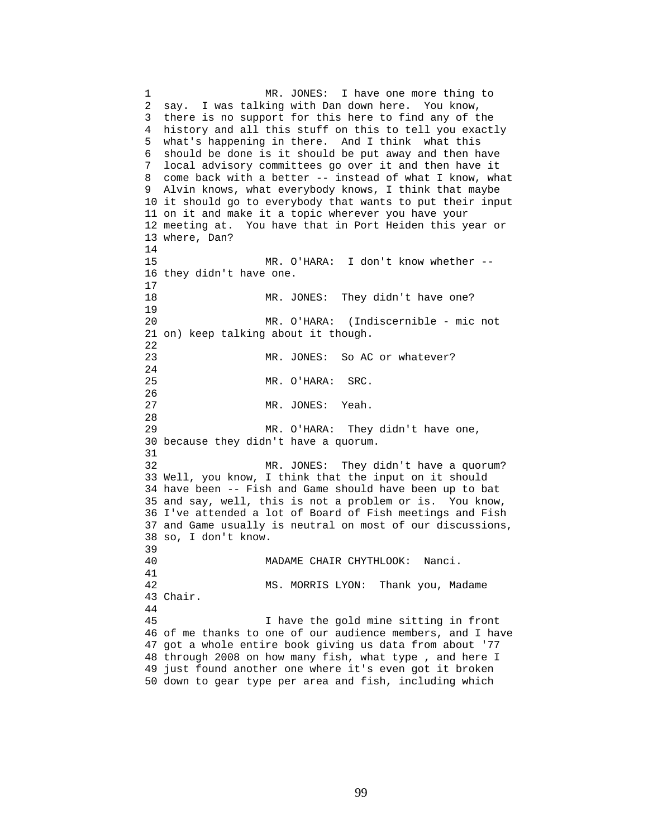1 MR. JONES: I have one more thing to 2 say. I was talking with Dan down here. You know, 3 there is no support for this here to find any of the 4 history and all this stuff on this to tell you exactly 5 what's happening in there. And I think what this 6 should be done is it should be put away and then have 7 local advisory committees go over it and then have it 8 come back with a better -- instead of what I know, what 9 Alvin knows, what everybody knows, I think that maybe 10 it should go to everybody that wants to put their input 11 on it and make it a topic wherever you have your 12 meeting at. You have that in Port Heiden this year or 13 where, Dan? 14 15 MR. O'HARA: I don't know whether -- 16 they didn't have one. 17 18 MR. JONES: They didn't have one? 19 20 MR. O'HARA: (Indiscernible - mic not 21 on) keep talking about it though. 22 23 MR. JONES: So AC or whatever? 24 25 MR. O'HARA: SRC. 26 27 MR. JONES: Yeah. 28 29 MR. O'HARA: They didn't have one, 30 because they didn't have a quorum. 31 32 MR. JONES: They didn't have a quorum? 33 Well, you know, I think that the input on it should 34 have been -- Fish and Game should have been up to bat 35 and say, well, this is not a problem or is. You know, 36 I've attended a lot of Board of Fish meetings and Fish 37 and Game usually is neutral on most of our discussions, 38 so, I don't know. 39 40 MADAME CHAIR CHYTHLOOK: Nanci. 41 42 MS. MORRIS LYON: Thank you, Madame 43 Chair. 44 45 I have the gold mine sitting in front 46 of me thanks to one of our audience members, and I have 47 got a whole entire book giving us data from about '77 48 through 2008 on how many fish, what type , and here I 49 just found another one where it's even got it broken 50 down to gear type per area and fish, including which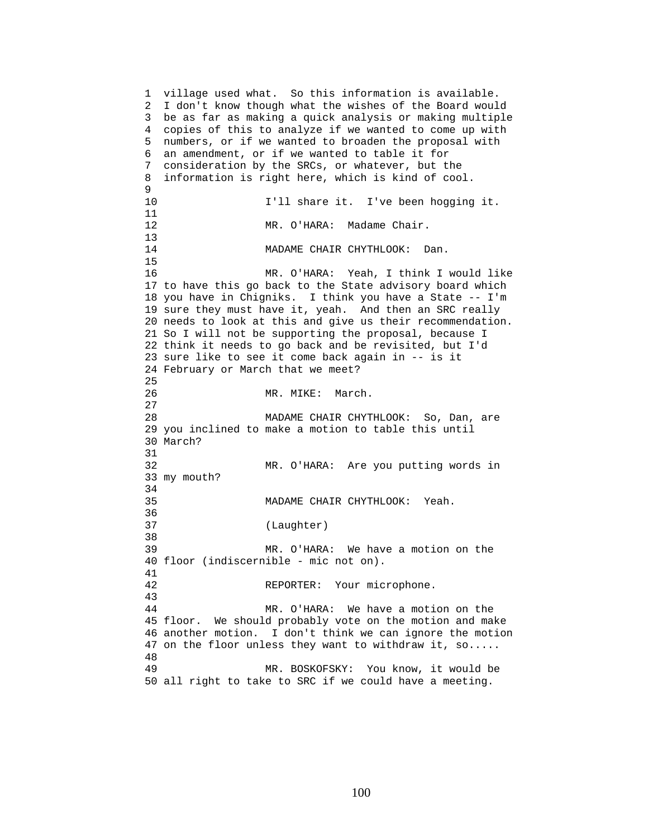1 village used what. So this information is available. 2 I don't know though what the wishes of the Board would 3 be as far as making a quick analysis or making multiple 4 copies of this to analyze if we wanted to come up with 5 numbers, or if we wanted to broaden the proposal with 6 an amendment, or if we wanted to table it for 7 consideration by the SRCs, or whatever, but the 8 information is right here, which is kind of cool. 9 10 I'll share it. I've been hogging it. 11 12 MR. O'HARA: Madame Chair.  $\frac{13}{14}$ MADAME CHAIR CHYTHLOOK: Dan. 15 16 MR. O'HARA: Yeah, I think I would like 17 to have this go back to the State advisory board which 18 you have in Chigniks. I think you have a State -- I'm 19 sure they must have it, yeah. And then an SRC really 20 needs to look at this and give us their recommendation. 21 So I will not be supporting the proposal, because I 22 think it needs to go back and be revisited, but I'd 23 sure like to see it come back again in -- is it 24 February or March that we meet? 25 26 MR. MIKE: March. 27 28 MADAME CHAIR CHYTHLOOK: So, Dan, are 29 you inclined to make a motion to table this until 30 March? 31 32 MR. O'HARA: Are you putting words in 33 my mouth? 34 35 MADAME CHAIR CHYTHLOOK: Yeah. 36 37 (Laughter) 38 39 MR. O'HARA: We have a motion on the 40 floor (indiscernible - mic not on). 41 42 REPORTER: Your microphone. 43 44 MR. O'HARA: We have a motion on the 45 floor. We should probably vote on the motion and make 46 another motion. I don't think we can ignore the motion 47 on the floor unless they want to withdraw it, so..... 48 49 MR. BOSKOFSKY: You know, it would be 50 all right to take to SRC if we could have a meeting.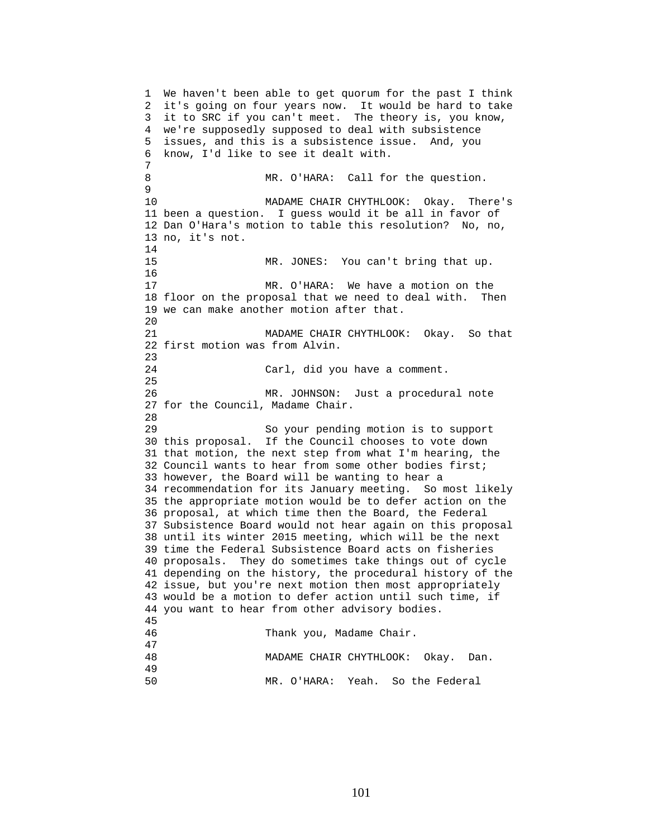1 We haven't been able to get quorum for the past I think 2 it's going on four years now. It would be hard to take 3 it to SRC if you can't meet. The theory is, you know, 4 we're supposedly supposed to deal with subsistence 5 issues, and this is a subsistence issue. And, you 6 know, I'd like to see it dealt with. 7 8 MR. O'HARA: Call for the question. 9 10 MADAME CHAIR CHYTHLOOK: Okay. There's 11 been a question. I guess would it be all in favor of 12 Dan O'Hara's motion to table this resolution? No, no, 13 no, it's not. 14 15 MR. JONES: You can't bring that up. 16 17 MR. O'HARA: We have a motion on the 18 floor on the proposal that we need to deal with. Then 19 we can make another motion after that. 20 21 MADAME CHAIR CHYTHLOOK: Okay. So that 22 first motion was from Alvin. 23 24 Carl, did you have a comment. 25 26 MR. JOHNSON: Just a procedural note 27 for the Council, Madame Chair. 28 29 So your pending motion is to support 30 this proposal. If the Council chooses to vote down 31 that motion, the next step from what I'm hearing, the 32 Council wants to hear from some other bodies first; 33 however, the Board will be wanting to hear a 34 recommendation for its January meeting. So most likely 35 the appropriate motion would be to defer action on the 36 proposal, at which time then the Board, the Federal 37 Subsistence Board would not hear again on this proposal 38 until its winter 2015 meeting, which will be the next 39 time the Federal Subsistence Board acts on fisheries 40 proposals. They do sometimes take things out of cycle 41 depending on the history, the procedural history of the 42 issue, but you're next motion then most appropriately 43 would be a motion to defer action until such time, if 44 you want to hear from other advisory bodies. 45 46 Thank you, Madame Chair. 47 48 MADAME CHAIR CHYTHLOOK: Okay. Dan. 49 50 MR. O'HARA: Yeah. So the Federal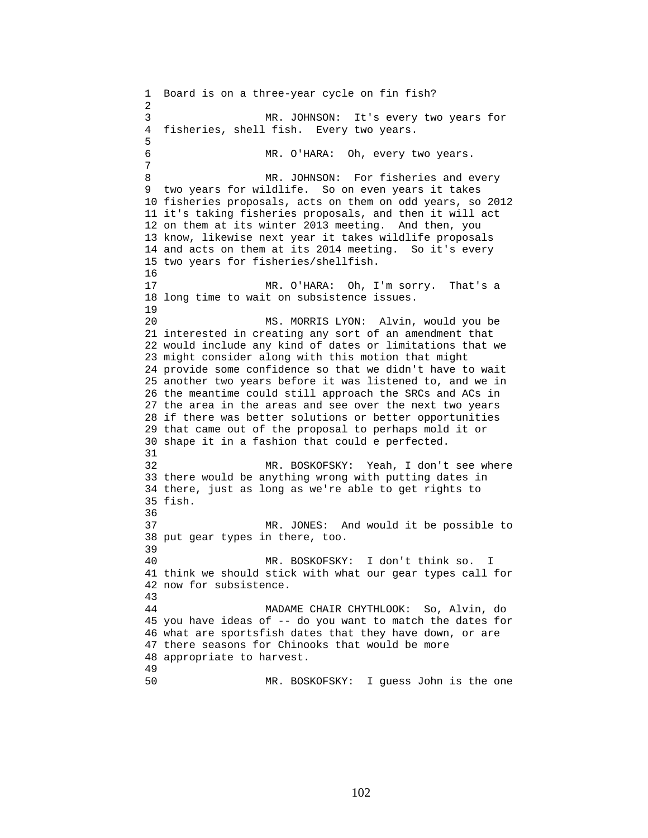1 Board is on a three-year cycle on fin fish? 2 3 MR. JOHNSON: It's every two years for 4 fisheries, shell fish. Every two years. 5 6 MR. O'HARA: Oh, every two years. 7 8 MR. JOHNSON: For fisheries and every 9 two years for wildlife. So on even years it takes 10 fisheries proposals, acts on them on odd years, so 2012 11 it's taking fisheries proposals, and then it will act 12 on them at its winter 2013 meeting. And then, you 13 know, likewise next year it takes wildlife proposals 14 and acts on them at its 2014 meeting. So it's every 15 two years for fisheries/shellfish. 16 17 MR. O'HARA: Oh, I'm sorry. That's a 18 long time to wait on subsistence issues. 19 20 MS. MORRIS LYON: Alvin, would you be 21 interested in creating any sort of an amendment that 22 would include any kind of dates or limitations that we 23 might consider along with this motion that might 24 provide some confidence so that we didn't have to wait 25 another two years before it was listened to, and we in 26 the meantime could still approach the SRCs and ACs in 27 the area in the areas and see over the next two years 28 if there was better solutions or better opportunities 29 that came out of the proposal to perhaps mold it or 30 shape it in a fashion that could e perfected. 31 32 MR. BOSKOFSKY: Yeah, I don't see where 33 there would be anything wrong with putting dates in 34 there, just as long as we're able to get rights to 35 fish. 36 37 MR. JONES: And would it be possible to 38 put gear types in there, too. 39 40 MR. BOSKOFSKY: I don't think so. I 41 think we should stick with what our gear types call for 42 now for subsistence. 43 44 MADAME CHAIR CHYTHLOOK: So, Alvin, do 45 you have ideas of -- do you want to match the dates for 46 what are sportsfish dates that they have down, or are 47 there seasons for Chinooks that would be more 48 appropriate to harvest. 49 50 MR. BOSKOFSKY: I guess John is the one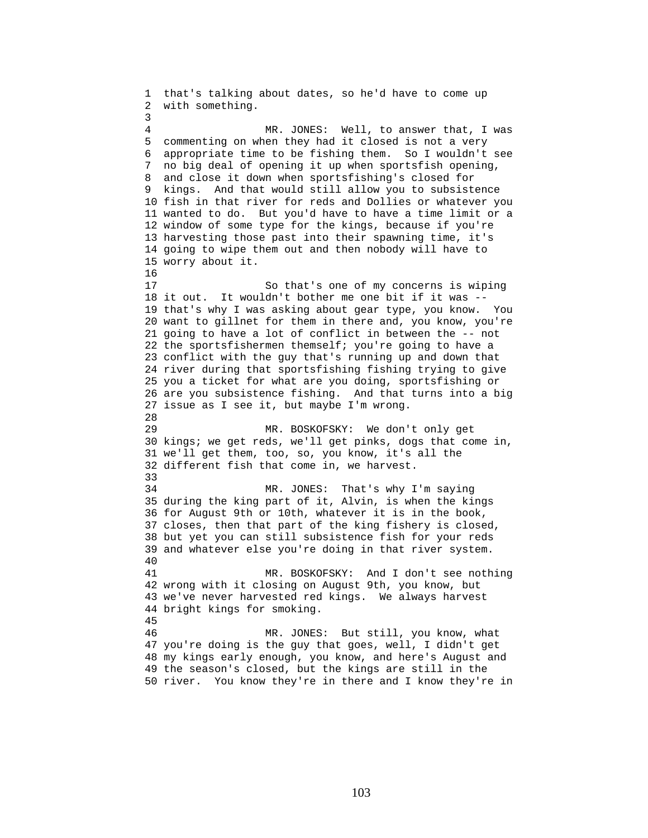1 that's talking about dates, so he'd have to come up 2 with something. 3 4 MR. JONES: Well, to answer that, I was 5 commenting on when they had it closed is not a very 6 appropriate time to be fishing them. So I wouldn't see 7 no big deal of opening it up when sportsfish opening, 8 and close it down when sportsfishing's closed for 9 kings. And that would still allow you to subsistence 10 fish in that river for reds and Dollies or whatever you 11 wanted to do. But you'd have to have a time limit or a 12 window of some type for the kings, because if you're 13 harvesting those past into their spawning time, it's 14 going to wipe them out and then nobody will have to 15 worry about it. 16 17 So that's one of my concerns is wiping 18 it out. It wouldn't bother me one bit if it was -- 19 that's why I was asking about gear type, you know. You 20 want to gillnet for them in there and, you know, you're 21 going to have a lot of conflict in between the -- not 22 the sportsfishermen themself; you're going to have a 23 conflict with the guy that's running up and down that 24 river during that sportsfishing fishing trying to give 25 you a ticket for what are you doing, sportsfishing or 26 are you subsistence fishing. And that turns into a big 27 issue as I see it, but maybe I'm wrong. 28 29 MR. BOSKOFSKY: We don't only get 30 kings; we get reds, we'll get pinks, dogs that come in, 31 we'll get them, too, so, you know, it's all the 32 different fish that come in, we harvest. 33 34 MR. JONES: That's why I'm saying 35 during the king part of it, Alvin, is when the kings 36 for August 9th or 10th, whatever it is in the book, 37 closes, then that part of the king fishery is closed, 38 but yet you can still subsistence fish for your reds 39 and whatever else you're doing in that river system. 40 41 MR. BOSKOFSKY: And I don't see nothing 42 wrong with it closing on August 9th, you know, but 43 we've never harvested red kings. We always harvest 44 bright kings for smoking. 45 46 MR. JONES: But still, you know, what 47 you're doing is the guy that goes, well, I didn't get 48 my kings early enough, you know, and here's August and 49 the season's closed, but the kings are still in the 50 river. You know they're in there and I know they're in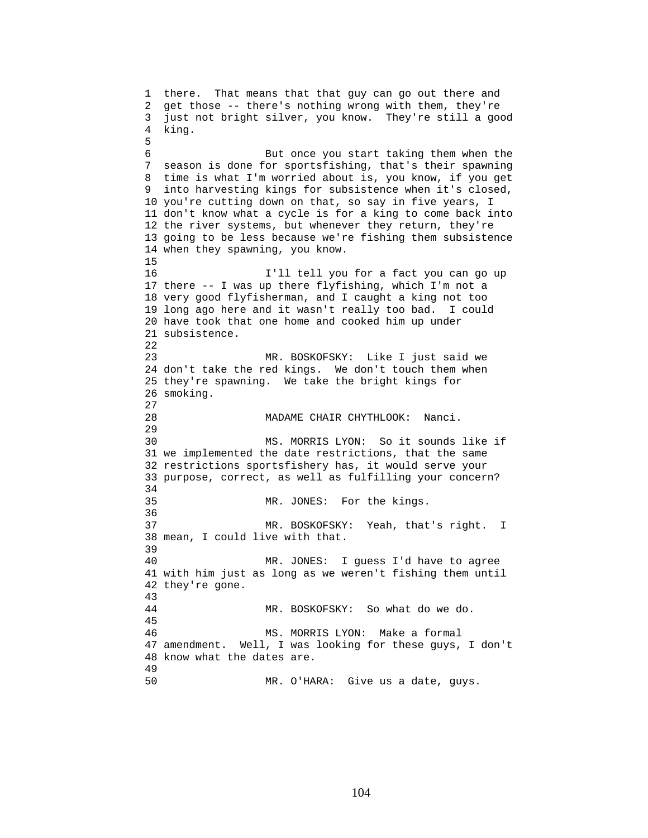1 there. That means that that guy can go out there and 2 get those -- there's nothing wrong with them, they're 3 just not bright silver, you know. They're still a good 4 king. 5 6 But once you start taking them when the 7 season is done for sportsfishing, that's their spawning 8 time is what I'm worried about is, you know, if you get 9 into harvesting kings for subsistence when it's closed, 10 you're cutting down on that, so say in five years, I 11 don't know what a cycle is for a king to come back into 12 the river systems, but whenever they return, they're 13 going to be less because we're fishing them subsistence 14 when they spawning, you know. 15 16 I'll tell you for a fact you can go up 17 there -- I was up there flyfishing, which I'm not a 18 very good flyfisherman, and I caught a king not too 19 long ago here and it wasn't really too bad. I could 20 have took that one home and cooked him up under 21 subsistence. 22 23 MR. BOSKOFSKY: Like I just said we 24 don't take the red kings. We don't touch them when 25 they're spawning. We take the bright kings for 26 smoking. 27 28 MADAME CHAIR CHYTHLOOK: Nanci. 29 30 MS. MORRIS LYON: So it sounds like if 31 we implemented the date restrictions, that the same 32 restrictions sportsfishery has, it would serve your 33 purpose, correct, as well as fulfilling your concern? 34 35 MR. JONES: For the kings. 36 37 MR. BOSKOFSKY: Yeah, that's right. I 38 mean, I could live with that. 39 40 MR. JONES: I guess I'd have to agree 41 with him just as long as we weren't fishing them until 42 they're gone. 43 44 MR. BOSKOFSKY: So what do we do. 45 46 MS. MORRIS LYON: Make a formal 47 amendment. Well, I was looking for these guys, I don't 48 know what the dates are. 49 50 MR. O'HARA: Give us a date, guys.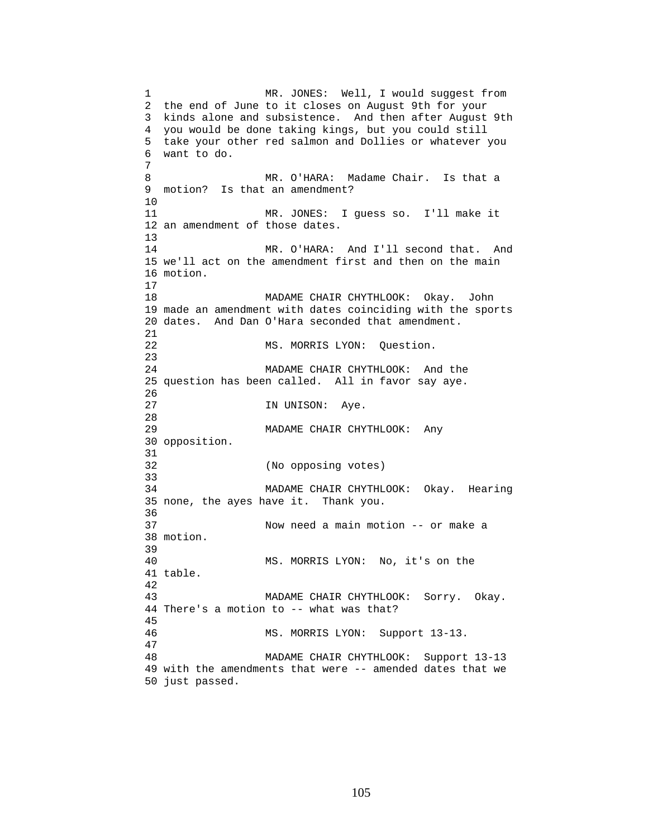1 MR. JONES: Well, I would suggest from 2 the end of June to it closes on August 9th for your 3 kinds alone and subsistence. And then after August 9th 4 you would be done taking kings, but you could still 5 take your other red salmon and Dollies or whatever you 6 want to do. 7 8 MR. O'HARA: Madame Chair. Is that a 9 motion? Is that an amendment? 10 11 MR. JONES: I guess so. I'll make it 12 an amendment of those dates. 13 14 MR. O'HARA: And I'll second that. And 15 we'll act on the amendment first and then on the main 16 motion. 17 18 MADAME CHAIR CHYTHLOOK: Okay. John 19 made an amendment with dates coinciding with the sports 20 dates. And Dan O'Hara seconded that amendment. 21 22 MS. MORRIS LYON: Question. 23 24 MADAME CHAIR CHYTHLOOK: And the 25 question has been called. All in favor say aye. 26 27 IN UNISON: Aye. 28 29 MADAME CHAIR CHYTHLOOK: Any 30 opposition. 31 32 (No opposing votes) 33 34 MADAME CHAIR CHYTHLOOK: Okay. Hearing 35 none, the ayes have it. Thank you. 36 37 Now need a main motion -- or make a 38 motion. 39 40 MS. MORRIS LYON: No, it's on the 41 table. 42 43 MADAME CHAIR CHYTHLOOK: Sorry. Okay. 44 There's a motion to -- what was that? 45 46 MS. MORRIS LYON: Support 13-13. 47 48 MADAME CHAIR CHYTHLOOK: Support 13-13 49 with the amendments that were -- amended dates that we 50 just passed.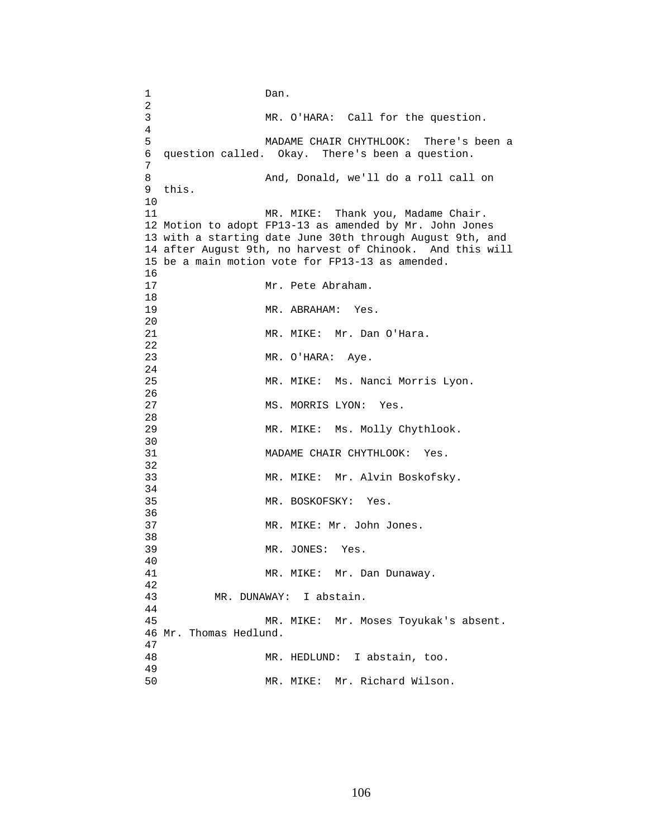1 Dan.  $\frac{2}{3}$ MR. O'HARA: Call for the question. 4 5 MADAME CHAIR CHYTHLOOK: There's been a 6 question called. Okay. There's been a question. 7 8 And, Donald, we'll do a roll call on 9 this. 10 11 MR. MIKE: Thank you, Madame Chair. 12 Motion to adopt FP13-13 as amended by Mr. John Jones 13 with a starting date June 30th through August 9th, and 14 after August 9th, no harvest of Chinook. And this will 15 be a main motion vote for FP13-13 as amended.  $\frac{16}{17}$ Mr. Pete Abraham. 18 19 MR. ABRAHAM: Yes. 20 21 MR. MIKE: Mr. Dan O'Hara. 22 23 MR. O'HARA: Aye. 24 25 MR. MIKE: Ms. Nanci Morris Lyon. 26 27 MS. MORRIS LYON: Yes. 28 29 MR. MIKE: Ms. Molly Chythlook. 30<br>31 MADAME CHAIR CHYTHLOOK: Yes. 32 33 MR. MIKE: Mr. Alvin Boskofsky. 34 35 MR. BOSKOFSKY: Yes. 36 37 MR. MIKE: Mr. John Jones. 38 39 MR. JONES: Yes. 40 41 MR. MIKE: Mr. Dan Dunaway. 42 43 MR. DUNAWAY: I abstain. 44 45 MR. MIKE: Mr. Moses Toyukak's absent. 46 Mr. Thomas Hedlund.  $\frac{47}{48}$ MR. HEDLUND: I abstain, too. 49 50 MR. MIKE: Mr. Richard Wilson.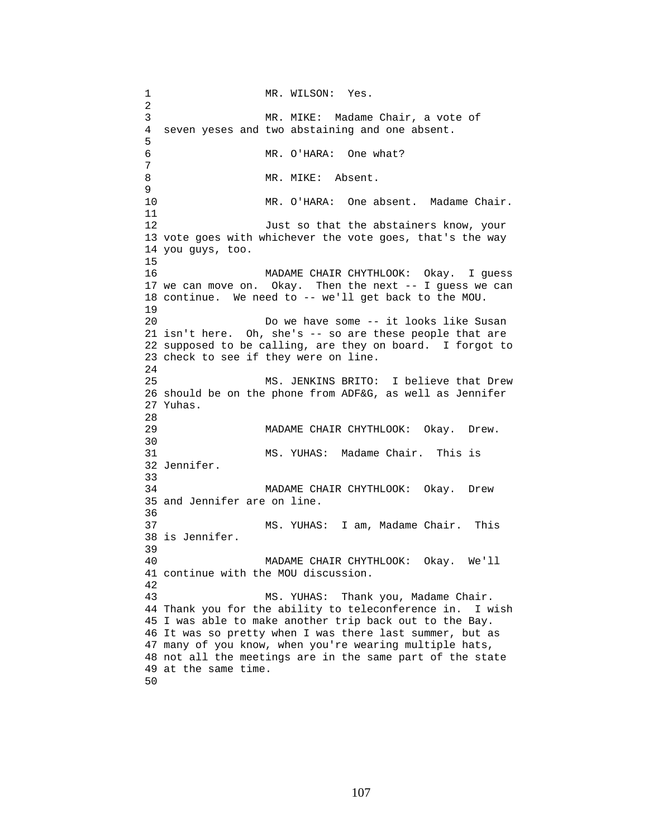1 MR. WILSON: Yes. 2 3 MR. MIKE: Madame Chair, a vote of 4 seven yeses and two abstaining and one absent. 5 6 MR. O'HARA: One what? 7 8 MR. MIKE: Absent. 9 10 MR. O'HARA: One absent. Madame Chair. 11 12 Just so that the abstainers know, your 13 vote goes with whichever the vote goes, that's the way 14 you guys, too. 15 16 MADAME CHAIR CHYTHLOOK: Okay. I guess 17 we can move on. Okay. Then the next -- I guess we can 18 continue. We need to -- we'll get back to the MOU. 19 20 Do we have some -- it looks like Susan 21 isn't here. Oh, she's -- so are these people that are 22 supposed to be calling, are they on board. I forgot to 23 check to see if they were on line. 24 25 MS. JENKINS BRITO: I believe that Drew 26 should be on the phone from ADF&G, as well as Jennifer 27 Yuhas. 28<br>29 MADAME CHAIR CHYTHLOOK: Okay. Drew. 30<br>31 MS. YUHAS: Madame Chair. This is 32 Jennifer. 33 34 MADAME CHAIR CHYTHLOOK: Okay. Drew 35 and Jennifer are on line. 36 37 MS. YUHAS: I am, Madame Chair. This 38 is Jennifer. 39 40 MADAME CHAIR CHYTHLOOK: Okay. We'll 41 continue with the MOU discussion. 42 43 MS. YUHAS: Thank you, Madame Chair. 44 Thank you for the ability to teleconference in. I wish 45 I was able to make another trip back out to the Bay. 46 It was so pretty when I was there last summer, but as 47 many of you know, when you're wearing multiple hats, 48 not all the meetings are in the same part of the state 49 at the same time. 50

107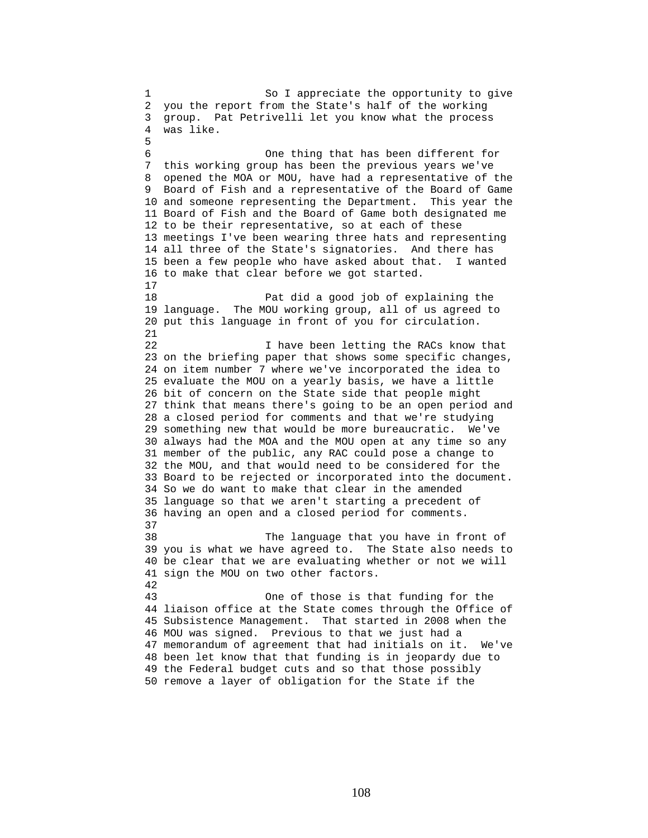1 So I appreciate the opportunity to give 2 you the report from the State's half of the working 3 group. Pat Petrivelli let you know what the process 4 was like. 5 6 One thing that has been different for 7 this working group has been the previous years we've 8 opened the MOA or MOU, have had a representative of the 9 Board of Fish and a representative of the Board of Game 10 and someone representing the Department. This year the 11 Board of Fish and the Board of Game both designated me 12 to be their representative, so at each of these 13 meetings I've been wearing three hats and representing 14 all three of the State's signatories. And there has 15 been a few people who have asked about that. I wanted 16 to make that clear before we got started. 17 18 Pat did a good job of explaining the 19 language. The MOU working group, all of us agreed to 20 put this language in front of you for circulation. 21 22 I have been letting the RACs know that 23 on the briefing paper that shows some specific changes, 24 on item number 7 where we've incorporated the idea to 25 evaluate the MOU on a yearly basis, we have a little 26 bit of concern on the State side that people might 27 think that means there's going to be an open period and 28 a closed period for comments and that we're studying 29 something new that would be more bureaucratic. We've 30 always had the MOA and the MOU open at any time so any 31 member of the public, any RAC could pose a change to 32 the MOU, and that would need to be considered for the 33 Board to be rejected or incorporated into the document. 34 So we do want to make that clear in the amended 35 language so that we aren't starting a precedent of 36 having an open and a closed period for comments. 37 38 The language that you have in front of 39 you is what we have agreed to. The State also needs to 40 be clear that we are evaluating whether or not we will 41 sign the MOU on two other factors. 42 43 One of those is that funding for the 44 liaison office at the State comes through the Office of 45 Subsistence Management. That started in 2008 when the 46 MOU was signed. Previous to that we just had a 47 memorandum of agreement that had initials on it. We've 48 been let know that that funding is in jeopardy due to 49 the Federal budget cuts and so that those possibly 50 remove a layer of obligation for the State if the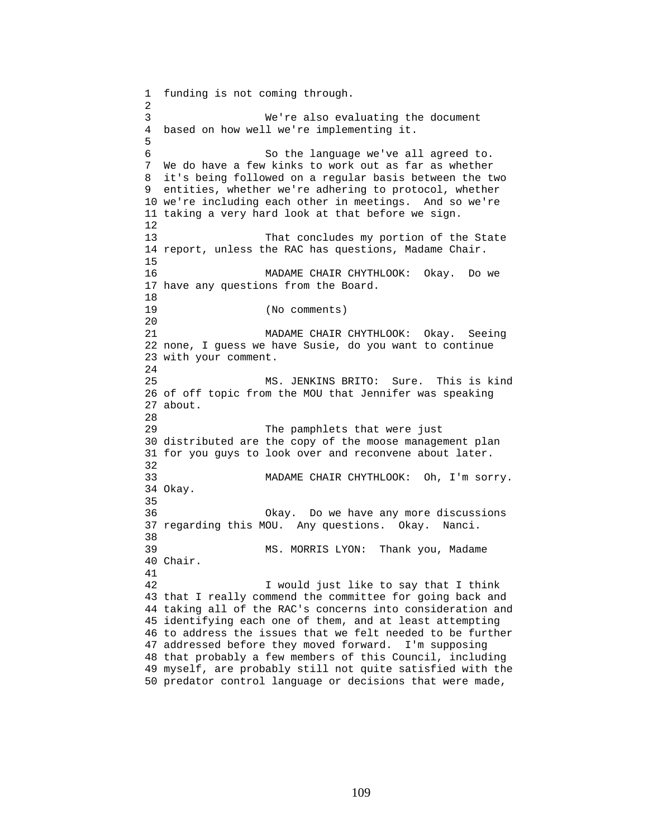1 funding is not coming through. 2 3 We're also evaluating the document 4 based on how well we're implementing it. 5 6 So the language we've all agreed to. 7 We do have a few kinks to work out as far as whether 8 it's being followed on a regular basis between the two 9 entities, whether we're adhering to protocol, whether 10 we're including each other in meetings. And so we're 11 taking a very hard look at that before we sign. 12 13 That concludes my portion of the State 14 report, unless the RAC has questions, Madame Chair. 15 16 MADAME CHAIR CHYTHLOOK: Okay. Do we 17 have any questions from the Board. 18 19 (No comments) 20 21 MADAME CHAIR CHYTHLOOK: Okay. Seeing 22 none, I guess we have Susie, do you want to continue 23 with your comment.  $2.4$ 25 MS. JENKINS BRITO: Sure. This is kind 26 of off topic from the MOU that Jennifer was speaking 27 about. 28 29 The pamphlets that were just 30 distributed are the copy of the moose management plan 31 for you guys to look over and reconvene about later. 32 33 MADAME CHAIR CHYTHLOOK: Oh, I'm sorry. 34 Okay. 35 36 Okay. Do we have any more discussions 37 regarding this MOU. Any questions. Okay. Nanci. 38 39 MS. MORRIS LYON: Thank you, Madame 40 Chair. 41 42 I would just like to say that I think 43 that I really commend the committee for going back and 44 taking all of the RAC's concerns into consideration and 45 identifying each one of them, and at least attempting 46 to address the issues that we felt needed to be further 47 addressed before they moved forward. I'm supposing 48 that probably a few members of this Council, including 49 myself, are probably still not quite satisfied with the 50 predator control language or decisions that were made,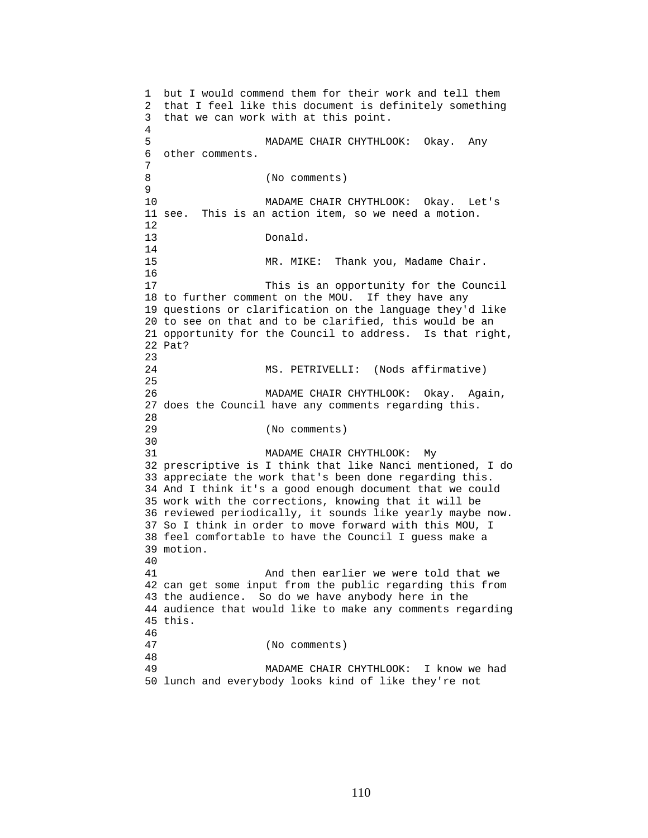1 but I would commend them for their work and tell them 2 that I feel like this document is definitely something 3 that we can work with at this point. 4 5 MADAME CHAIR CHYTHLOOK: Okay. Any 6 other comments. 7 8 (No comments) 9 10 MADAME CHAIR CHYTHLOOK: Okay. Let's 11 see. This is an action item, so we need a motion. 12 13 Donald. 14 15 MR. MIKE: Thank you, Madame Chair. 16 17 This is an opportunity for the Council 18 to further comment on the MOU. If they have any 19 questions or clarification on the language they'd like 20 to see on that and to be clarified, this would be an 21 opportunity for the Council to address. Is that right, 22 Pat? 23 24 MS. PETRIVELLI: (Nods affirmative) 25 26 MADAME CHAIR CHYTHLOOK: Okay. Again, 27 does the Council have any comments regarding this. 28 29 (No comments) 30<br>31 MADAME CHAIR CHYTHLOOK: My 32 prescriptive is I think that like Nanci mentioned, I do 33 appreciate the work that's been done regarding this. 34 And I think it's a good enough document that we could 35 work with the corrections, knowing that it will be 36 reviewed periodically, it sounds like yearly maybe now. 37 So I think in order to move forward with this MOU, I 38 feel comfortable to have the Council I guess make a 39 motion. 40 41 And then earlier we were told that we 42 can get some input from the public regarding this from 43 the audience. So do we have anybody here in the 44 audience that would like to make any comments regarding 45 this. 46 47 (No comments) 48 49 MADAME CHAIR CHYTHLOOK: I know we had 50 lunch and everybody looks kind of like they're not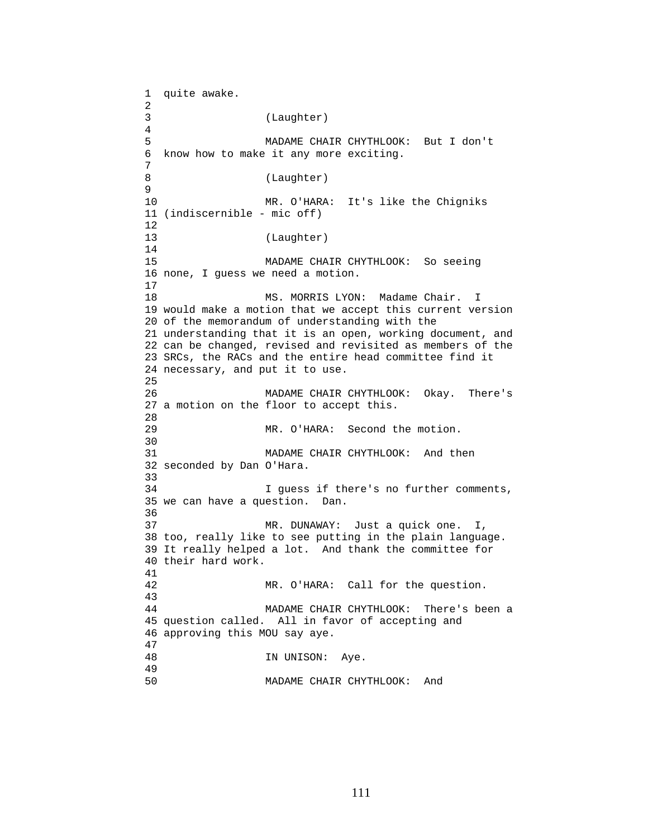1 quite awake. 2 3 (Laughter) 4 5 MADAME CHAIR CHYTHLOOK: But I don't 6 know how to make it any more exciting. 7 8 (Laughter) 9 10 MR. O'HARA: It's like the Chigniks 11 (indiscernible - mic off) 12 13 (Laughter) 14 15 MADAME CHAIR CHYTHLOOK: So seeing 16 none, I guess we need a motion. 17 18 MS. MORRIS LYON: Madame Chair. I 19 would make a motion that we accept this current version 20 of the memorandum of understanding with the 21 understanding that it is an open, working document, and 22 can be changed, revised and revisited as members of the 23 SRCs, the RACs and the entire head committee find it 24 necessary, and put it to use. 25 26 MADAME CHAIR CHYTHLOOK: Okay. There's 27 a motion on the floor to accept this.  $28$ 29 MR. O'HARA: Second the motion. 30 31 MADAME CHAIR CHYTHLOOK: And then 32 seconded by Dan O'Hara. 33 34 I guess if there's no further comments, 35 we can have a question. Dan. 36 37 MR. DUNAWAY: Just a quick one. I, 38 too, really like to see putting in the plain language. 39 It really helped a lot. And thank the committee for 40 their hard work. 41 42 MR. O'HARA: Call for the question. 43 44 MADAME CHAIR CHYTHLOOK: There's been a 45 question called. All in favor of accepting and 46 approving this MOU say aye.  $\frac{47}{48}$ IN UNISON: Aye. 49 50 MADAME CHAIR CHYTHLOOK: And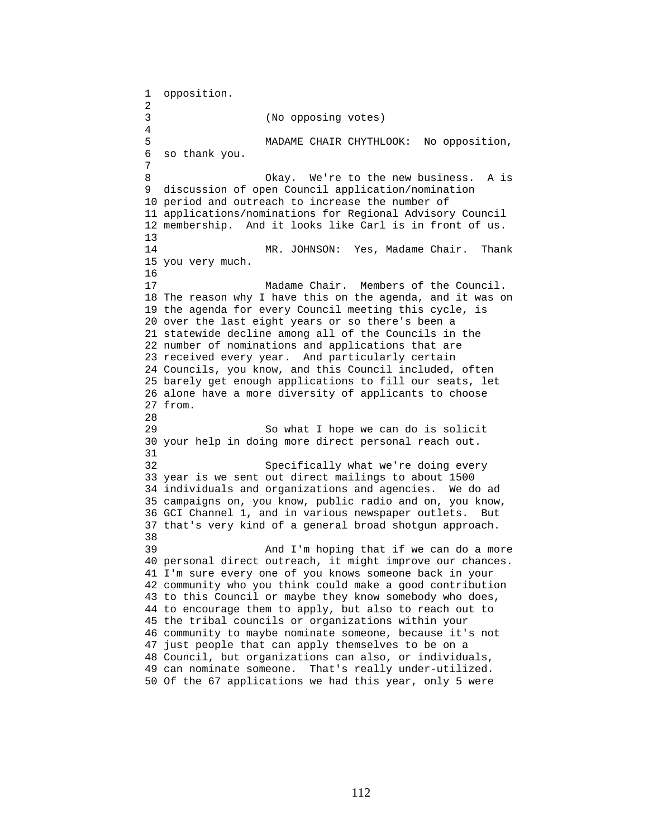1 opposition. 2 3 (No opposing votes) 4 5 MADAME CHAIR CHYTHLOOK: No opposition, 6 so thank you. 7 8 Okay. We're to the new business. A is 9 discussion of open Council application/nomination 10 period and outreach to increase the number of 11 applications/nominations for Regional Advisory Council 12 membership. And it looks like Carl is in front of us. 13 14 MR. JOHNSON: Yes, Madame Chair. Thank 15 you very much. 16 17 Madame Chair. Members of the Council. 18 The reason why I have this on the agenda, and it was on 19 the agenda for every Council meeting this cycle, is 20 over the last eight years or so there's been a 21 statewide decline among all of the Councils in the 22 number of nominations and applications that are 23 received every year. And particularly certain 24 Councils, you know, and this Council included, often 25 barely get enough applications to fill our seats, let 26 alone have a more diversity of applicants to choose 27 from. 28 29 So what I hope we can do is solicit 30 your help in doing more direct personal reach out. 31 32 Specifically what we're doing every 33 year is we sent out direct mailings to about 1500 34 individuals and organizations and agencies. We do ad 35 campaigns on, you know, public radio and on, you know, 36 GCI Channel 1, and in various newspaper outlets. But 37 that's very kind of a general broad shotgun approach. 38 39 And I'm hoping that if we can do a more 40 personal direct outreach, it might improve our chances. 41 I'm sure every one of you knows someone back in your 42 community who you think could make a good contribution 43 to this Council or maybe they know somebody who does, 44 to encourage them to apply, but also to reach out to 45 the tribal councils or organizations within your 46 community to maybe nominate someone, because it's not 47 just people that can apply themselves to be on a 48 Council, but organizations can also, or individuals, 49 can nominate someone. That's really under-utilized. 50 Of the 67 applications we had this year, only 5 were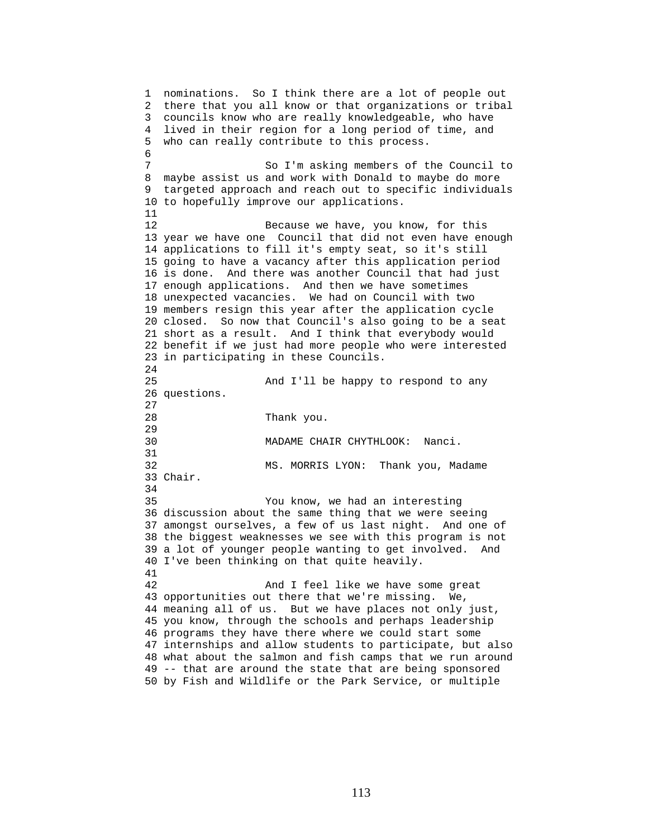1 nominations. So I think there are a lot of people out 2 there that you all know or that organizations or tribal 3 councils know who are really knowledgeable, who have 4 lived in their region for a long period of time, and 5 who can really contribute to this process. 6 7 So I'm asking members of the Council to 8 maybe assist us and work with Donald to maybe do more 9 targeted approach and reach out to specific individuals 10 to hopefully improve our applications. 11 12 Because we have, you know, for this 13 year we have one Council that did not even have enough 14 applications to fill it's empty seat, so it's still 15 going to have a vacancy after this application period 16 is done. And there was another Council that had just 17 enough applications. And then we have sometimes 18 unexpected vacancies. We had on Council with two 19 members resign this year after the application cycle 20 closed. So now that Council's also going to be a seat 21 short as a result. And I think that everybody would 22 benefit if we just had more people who were interested 23 in participating in these Councils. 24 25 And I'll be happy to respond to any 26 questions. 27 28 Thank you. 29 30 MADAME CHAIR CHYTHLOOK: Nanci. 31 32 MS. MORRIS LYON: Thank you, Madame 33 Chair. 34 35 You know, we had an interesting 36 discussion about the same thing that we were seeing 37 amongst ourselves, a few of us last night. And one of 38 the biggest weaknesses we see with this program is not 39 a lot of younger people wanting to get involved. And 40 I've been thinking on that quite heavily. 41 42 And I feel like we have some great 43 opportunities out there that we're missing. We, 44 meaning all of us. But we have places not only just, 45 you know, through the schools and perhaps leadership 46 programs they have there where we could start some 47 internships and allow students to participate, but also 48 what about the salmon and fish camps that we run around 49 -- that are around the state that are being sponsored 50 by Fish and Wildlife or the Park Service, or multiple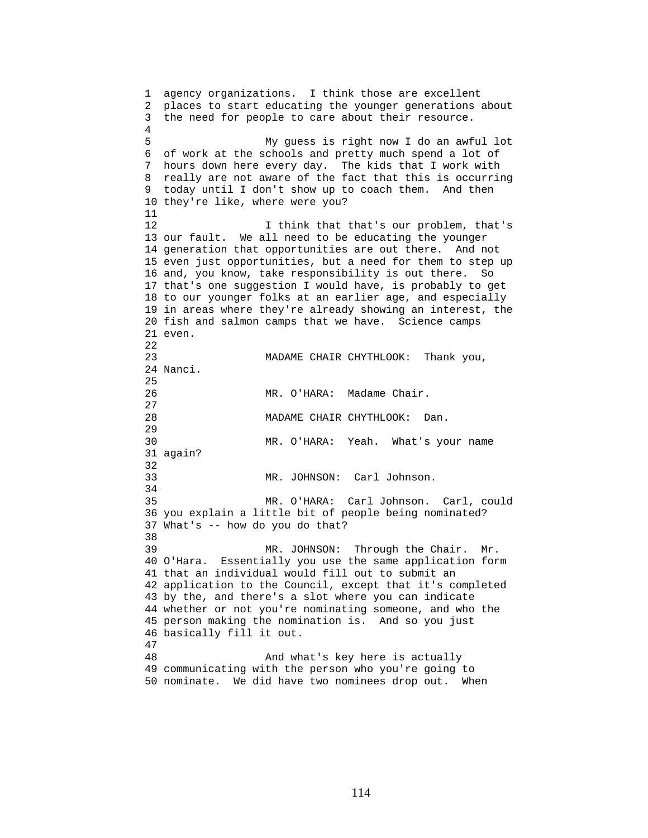1 agency organizations. I think those are excellent 2 places to start educating the younger generations about 3 the need for people to care about their resource. 4 5 My guess is right now I do an awful lot 6 of work at the schools and pretty much spend a lot of 7 hours down here every day. The kids that I work with 8 really are not aware of the fact that this is occurring 9 today until I don't show up to coach them. And then 10 they're like, where were you? 11 12 12 I think that that's our problem, that's 13 our fault. We all need to be educating the younger 14 generation that opportunities are out there. And not 15 even just opportunities, but a need for them to step up 16 and, you know, take responsibility is out there. So 17 that's one suggestion I would have, is probably to get 18 to our younger folks at an earlier age, and especially 19 in areas where they're already showing an interest, the 20 fish and salmon camps that we have. Science camps 21 even. 22 23 MADAME CHAIR CHYTHLOOK: Thank you, 24 Nanci. 25 26 MR. O'HARA: Madame Chair. 27 28 MADAME CHAIR CHYTHLOOK: Dan. 29 30 MR. O'HARA: Yeah. What's your name 31 again? 32 33 MR. JOHNSON: Carl Johnson. 34 35 MR. O'HARA: Carl Johnson. Carl, could 36 you explain a little bit of people being nominated? 37 What's -- how do you do that? 38 39 MR. JOHNSON: Through the Chair. Mr. 40 O'Hara. Essentially you use the same application form 41 that an individual would fill out to submit an 42 application to the Council, except that it's completed 43 by the, and there's a slot where you can indicate 44 whether or not you're nominating someone, and who the 45 person making the nomination is. And so you just 46 basically fill it out. 47 48 And what's key here is actually 49 communicating with the person who you're going to 50 nominate. We did have two nominees drop out. When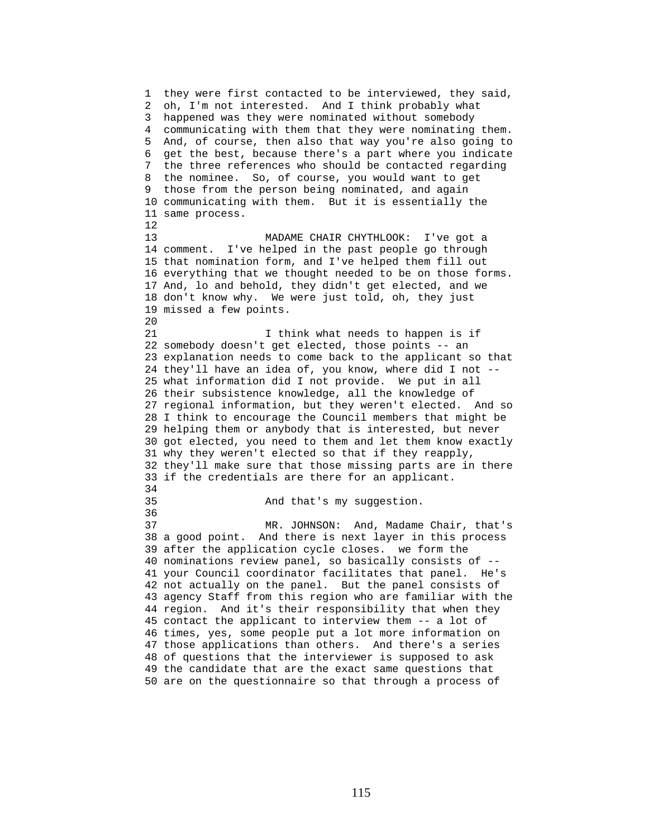1 they were first contacted to be interviewed, they said, 2 oh, I'm not interested. And I think probably what 3 happened was they were nominated without somebody 4 communicating with them that they were nominating them. 5 And, of course, then also that way you're also going to 6 get the best, because there's a part where you indicate 7 the three references who should be contacted regarding 8 the nominee. So, of course, you would want to get 9 those from the person being nominated, and again 10 communicating with them. But it is essentially the 11 same process. 12 13 MADAME CHAIR CHYTHLOOK: I've got a 14 comment. I've helped in the past people go through 15 that nomination form, and I've helped them fill out 16 everything that we thought needed to be on those forms. 17 And, lo and behold, they didn't get elected, and we 18 don't know why. We were just told, oh, they just 19 missed a few points. 20 21 I think what needs to happen is if 22 somebody doesn't get elected, those points -- an 23 explanation needs to come back to the applicant so that 24 they'll have an idea of, you know, where did I not -- 25 what information did I not provide. We put in all 26 their subsistence knowledge, all the knowledge of 27 regional information, but they weren't elected. And so 28 I think to encourage the Council members that might be 29 helping them or anybody that is interested, but never 30 got elected, you need to them and let them know exactly 31 why they weren't elected so that if they reapply, 32 they'll make sure that those missing parts are in there 33 if the credentials are there for an applicant. 34 35 And that's my suggestion. 36 37 MR. JOHNSON: And, Madame Chair, that's 38 a good point. And there is next layer in this process 39 after the application cycle closes. we form the 40 nominations review panel, so basically consists of -- 41 your Council coordinator facilitates that panel. He's 42 not actually on the panel. But the panel consists of 43 agency Staff from this region who are familiar with the 44 region. And it's their responsibility that when they 45 contact the applicant to interview them -- a lot of 46 times, yes, some people put a lot more information on 47 those applications than others. And there's a series 48 of questions that the interviewer is supposed to ask 49 the candidate that are the exact same questions that 50 are on the questionnaire so that through a process of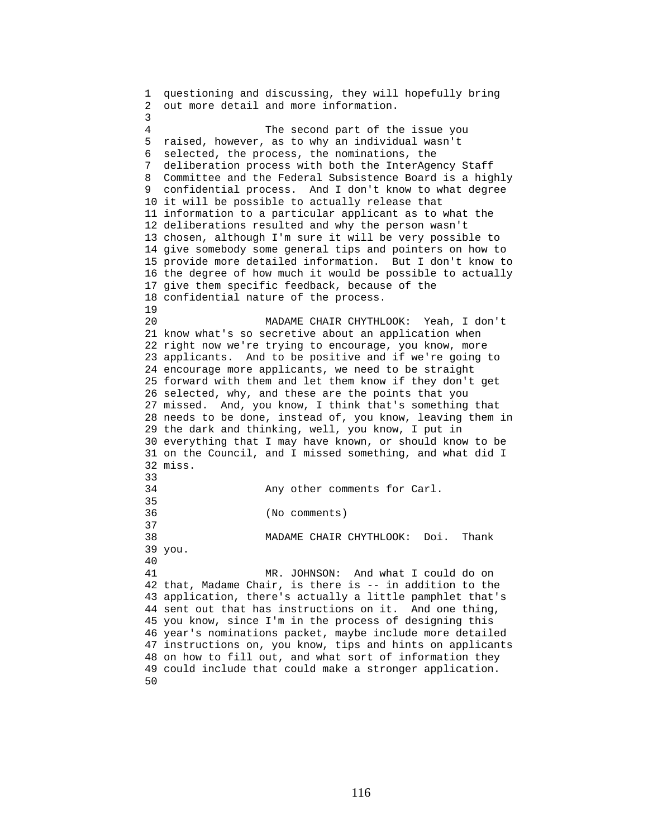1 questioning and discussing, they will hopefully bring 2 out more detail and more information. 3 4 The second part of the issue you 5 raised, however, as to why an individual wasn't 6 selected, the process, the nominations, the 7 deliberation process with both the InterAgency Staff 8 Committee and the Federal Subsistence Board is a highly 9 confidential process. And I don't know to what degree 10 it will be possible to actually release that 11 information to a particular applicant as to what the 12 deliberations resulted and why the person wasn't 13 chosen, although I'm sure it will be very possible to 14 give somebody some general tips and pointers on how to 15 provide more detailed information. But I don't know to 16 the degree of how much it would be possible to actually 17 give them specific feedback, because of the 18 confidential nature of the process. 19 20 MADAME CHAIR CHYTHLOOK: Yeah, I don't 21 know what's so secretive about an application when 22 right now we're trying to encourage, you know, more 23 applicants. And to be positive and if we're going to 24 encourage more applicants, we need to be straight 25 forward with them and let them know if they don't get 26 selected, why, and these are the points that you 27 missed. And, you know, I think that's something that 28 needs to be done, instead of, you know, leaving them in 29 the dark and thinking, well, you know, I put in 30 everything that I may have known, or should know to be 31 on the Council, and I missed something, and what did I 32 miss. 33 34 Any other comments for Carl. 35 36 (No comments) 37 38 MADAME CHAIR CHYTHLOOK: Doi. Thank 39 you. 40 41 MR. JOHNSON: And what I could do on 42 that, Madame Chair, is there is -- in addition to the 43 application, there's actually a little pamphlet that's 44 sent out that has instructions on it. And one thing, 45 you know, since I'm in the process of designing this 46 year's nominations packet, maybe include more detailed 47 instructions on, you know, tips and hints on applicants 48 on how to fill out, and what sort of information they 49 could include that could make a stronger application. 50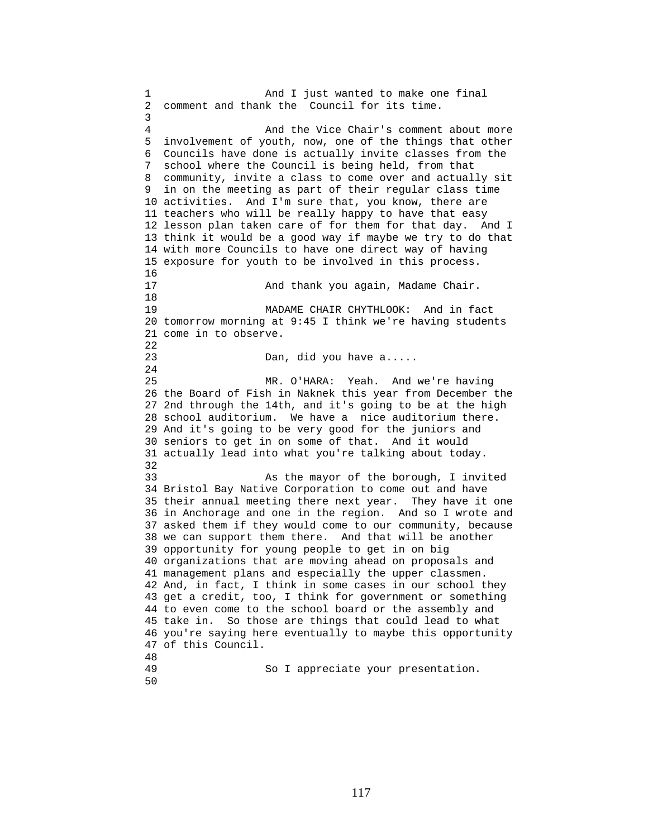1 And I just wanted to make one final 2 comment and thank the Council for its time. 3 4 And the Vice Chair's comment about more 5 involvement of youth, now, one of the things that other 6 Councils have done is actually invite classes from the 7 school where the Council is being held, from that 8 community, invite a class to come over and actually sit 9 in on the meeting as part of their regular class time 10 activities. And I'm sure that, you know, there are 11 teachers who will be really happy to have that easy 12 lesson plan taken care of for them for that day. And I 13 think it would be a good way if maybe we try to do that 14 with more Councils to have one direct way of having 15 exposure for youth to be involved in this process.  $\frac{16}{17}$ And thank you again, Madame Chair. 18 19 MADAME CHAIR CHYTHLOOK: And in fact 20 tomorrow morning at 9:45 I think we're having students 21 come in to observe. 22 23 Dan, did you have a..... 24 25 MR. O'HARA: Yeah. And we're having 26 the Board of Fish in Naknek this year from December the 27 2nd through the 14th, and it's going to be at the high 28 school auditorium. We have a nice auditorium there. 29 And it's going to be very good for the juniors and 30 seniors to get in on some of that. And it would 31 actually lead into what you're talking about today. 32 33 As the mayor of the borough, I invited 34 Bristol Bay Native Corporation to come out and have 35 their annual meeting there next year. They have it one 36 in Anchorage and one in the region. And so I wrote and 37 asked them if they would come to our community, because 38 we can support them there. And that will be another 39 opportunity for young people to get in on big 40 organizations that are moving ahead on proposals and 41 management plans and especially the upper classmen. 42 And, in fact, I think in some cases in our school they 43 get a credit, too, I think for government or something 44 to even come to the school board or the assembly and 45 take in. So those are things that could lead to what 46 you're saying here eventually to maybe this opportunity 47 of this Council. 48 So I appreciate your presentation.

50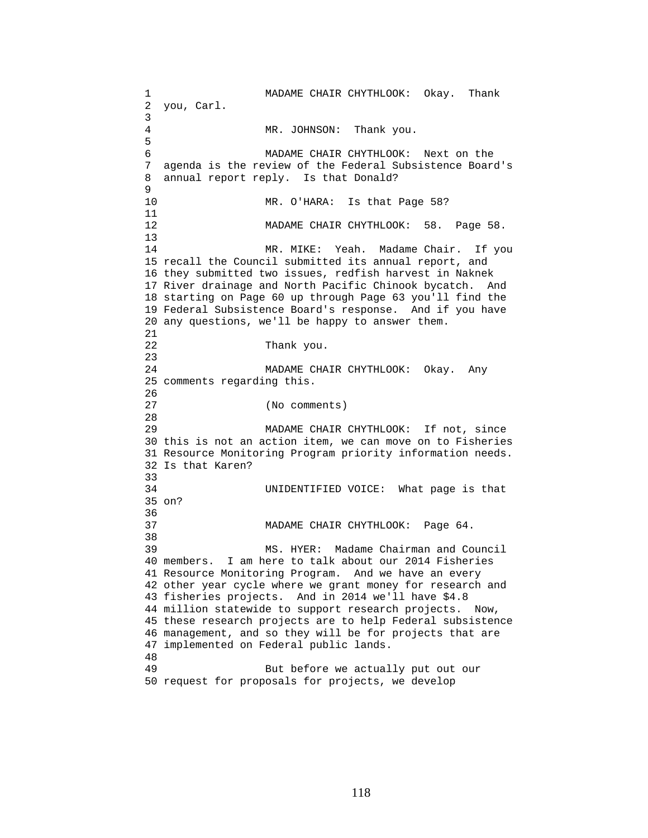1 MADAME CHAIR CHYTHLOOK: Okay. Thank 2 you, Carl. 3 4 MR. JOHNSON: Thank you. 5 6 MADAME CHAIR CHYTHLOOK: Next on the 7 agenda is the review of the Federal Subsistence Board's 8 annual report reply. Is that Donald? 9 10 MR. O'HARA: Is that Page 58? 11 12 MADAME CHAIR CHYTHLOOK: 58. Page 58. 13 14 MR. MIKE: Yeah. Madame Chair. If you 15 recall the Council submitted its annual report, and 16 they submitted two issues, redfish harvest in Naknek 17 River drainage and North Pacific Chinook bycatch. And 18 starting on Page 60 up through Page 63 you'll find the 19 Federal Subsistence Board's response. And if you have 20 any questions, we'll be happy to answer them. 21 22 Thank you. 23 24 MADAME CHAIR CHYTHLOOK: Okay. Any 25 comments regarding this. 26 27 (No comments) 28 29 MADAME CHAIR CHYTHLOOK: If not, since 30 this is not an action item, we can move on to Fisheries 31 Resource Monitoring Program priority information needs. 32 Is that Karen? 33 34 UNIDENTIFIED VOICE: What page is that 35 on? 36 37 MADAME CHAIR CHYTHLOOK: Page 64. 38 39 MS. HYER: Madame Chairman and Council 40 members. I am here to talk about our 2014 Fisheries 41 Resource Monitoring Program. And we have an every 42 other year cycle where we grant money for research and 43 fisheries projects. And in 2014 we'll have \$4.8 44 million statewide to support research projects. Now, 45 these research projects are to help Federal subsistence 46 management, and so they will be for projects that are 47 implemented on Federal public lands. 48 49 But before we actually put out our 50 request for proposals for projects, we develop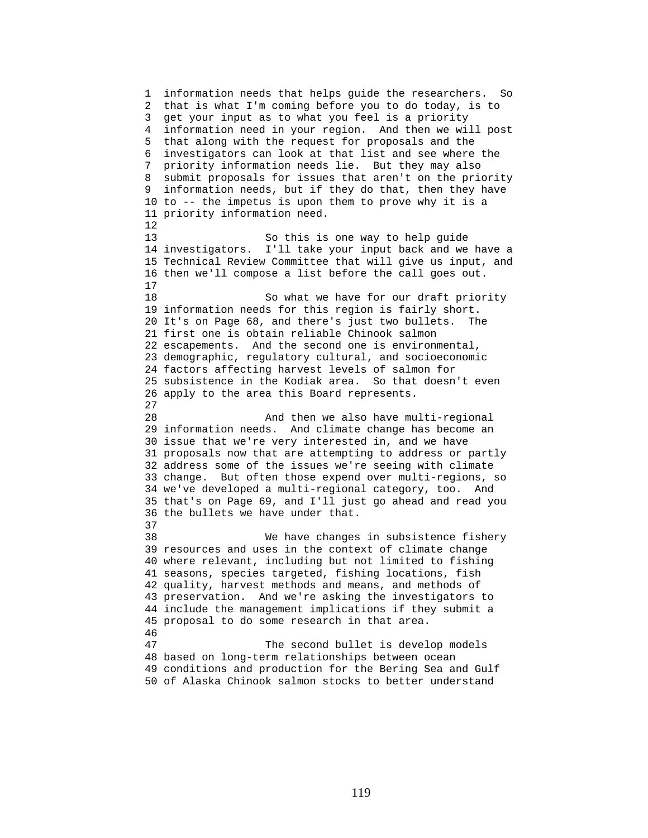1 information needs that helps guide the researchers. So 2 that is what I'm coming before you to do today, is to 3 get your input as to what you feel is a priority 4 information need in your region. And then we will post 5 that along with the request for proposals and the 6 investigators can look at that list and see where the 7 priority information needs lie. But they may also 8 submit proposals for issues that aren't on the priority 9 information needs, but if they do that, then they have 10 to -- the impetus is upon them to prove why it is a 11 priority information need. 12 13 So this is one way to help guide 14 investigators. I'll take your input back and we have a 15 Technical Review Committee that will give us input, and 16 then we'll compose a list before the call goes out. 17 18 So what we have for our draft priority 19 information needs for this region is fairly short. 20 It's on Page 68, and there's just two bullets. The 21 first one is obtain reliable Chinook salmon 22 escapements. And the second one is environmental, 23 demographic, regulatory cultural, and socioeconomic 24 factors affecting harvest levels of salmon for 25 subsistence in the Kodiak area. So that doesn't even 26 apply to the area this Board represents. 27 28 And then we also have multi-regional 29 information needs. And climate change has become an 30 issue that we're very interested in, and we have 31 proposals now that are attempting to address or partly 32 address some of the issues we're seeing with climate 33 change. But often those expend over multi-regions, so 34 we've developed a multi-regional category, too. And 35 that's on Page 69, and I'll just go ahead and read you 36 the bullets we have under that. 37 38 We have changes in subsistence fishery 39 resources and uses in the context of climate change 40 where relevant, including but not limited to fishing 41 seasons, species targeted, fishing locations, fish 42 quality, harvest methods and means, and methods of 43 preservation. And we're asking the investigators to 44 include the management implications if they submit a 45 proposal to do some research in that area. 46 47 The second bullet is develop models 48 based on long-term relationships between ocean 49 conditions and production for the Bering Sea and Gulf 50 of Alaska Chinook salmon stocks to better understand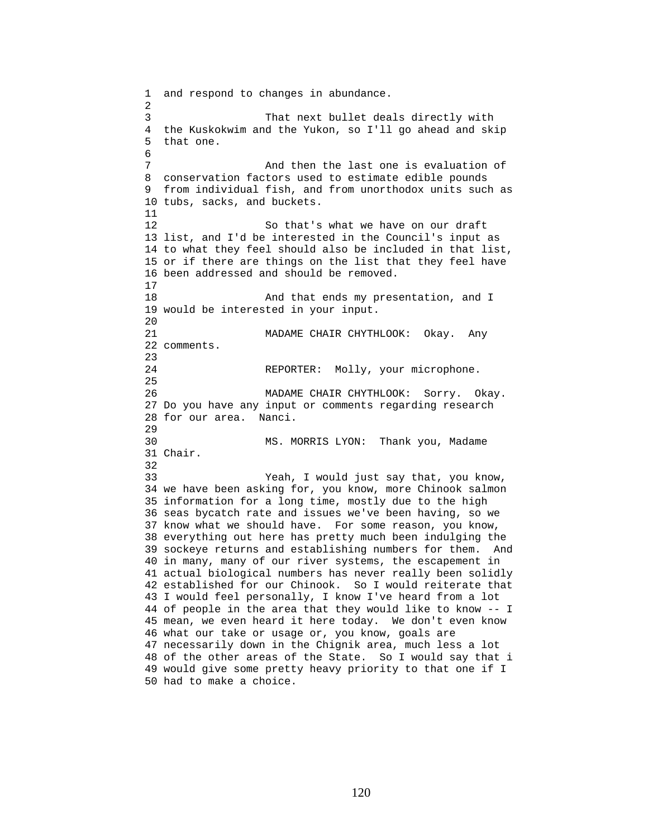1 and respond to changes in abundance. 2 3 That next bullet deals directly with 4 the Kuskokwim and the Yukon, so I'll go ahead and skip 5 that one. 6 7 And then the last one is evaluation of 8 conservation factors used to estimate edible pounds 9 from individual fish, and from unorthodox units such as 10 tubs, sacks, and buckets. 11 12 So that's what we have on our draft 13 list, and I'd be interested in the Council's input as 14 to what they feel should also be included in that list, 15 or if there are things on the list that they feel have 16 been addressed and should be removed. 17 18 And that ends my presentation, and I 19 would be interested in your input.  $20$ 21 MADAME CHAIR CHYTHLOOK: Okay. Any 22 comments. 23 24 REPORTER: Molly, your microphone. 25 26 MADAME CHAIR CHYTHLOOK: Sorry. Okay. 27 Do you have any input or comments regarding research 28 for our area. Nanci. 29 30 MS. MORRIS LYON: Thank you, Madame 31 Chair. 32 33 Yeah, I would just say that, you know, 34 we have been asking for, you know, more Chinook salmon 35 information for a long time, mostly due to the high 36 seas bycatch rate and issues we've been having, so we 37 know what we should have. For some reason, you know, 38 everything out here has pretty much been indulging the 39 sockeye returns and establishing numbers for them. And 40 in many, many of our river systems, the escapement in 41 actual biological numbers has never really been solidly 42 established for our Chinook. So I would reiterate that 43 I would feel personally, I know I've heard from a lot 44 of people in the area that they would like to know -- I 45 mean, we even heard it here today. We don't even know 46 what our take or usage or, you know, goals are 47 necessarily down in the Chignik area, much less a lot 48 of the other areas of the State. So I would say that i 49 would give some pretty heavy priority to that one if I 50 had to make a choice.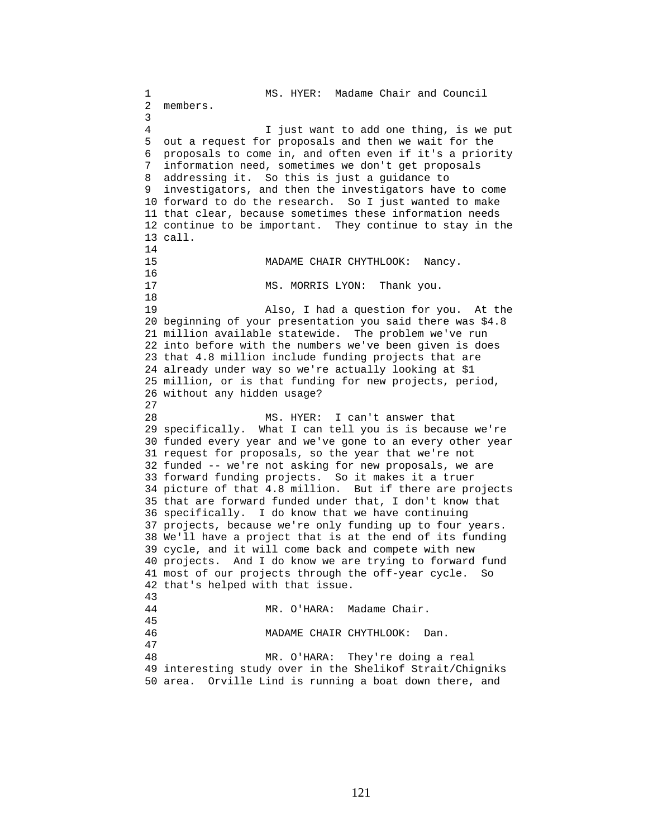1 MS. HYER: Madame Chair and Council 2 members. 3 4 I just want to add one thing, is we put 5 out a request for proposals and then we wait for the 6 proposals to come in, and often even if it's a priority 7 information need, sometimes we don't get proposals 8 addressing it. So this is just a guidance to 9 investigators, and then the investigators have to come 10 forward to do the research. So I just wanted to make 11 that clear, because sometimes these information needs 12 continue to be important. They continue to stay in the 13 call. 14 15 MADAME CHAIR CHYTHLOOK: Nancy. 16<br>17 MS. MORRIS LYON: Thank you. 18 19 Also, I had a question for you. At the 20 beginning of your presentation you said there was \$4.8 21 million available statewide. The problem we've run 22 into before with the numbers we've been given is does 23 that 4.8 million include funding projects that are 24 already under way so we're actually looking at \$1 25 million, or is that funding for new projects, period, 26 without any hidden usage? 27 28 MS. HYER: I can't answer that 29 specifically. What I can tell you is is because we're 30 funded every year and we've gone to an every other year 31 request for proposals, so the year that we're not 32 funded -- we're not asking for new proposals, we are 33 forward funding projects. So it makes it a truer 34 picture of that 4.8 million. But if there are projects 35 that are forward funded under that, I don't know that 36 specifically. I do know that we have continuing 37 projects, because we're only funding up to four years. 38 We'll have a project that is at the end of its funding 39 cycle, and it will come back and compete with new 40 projects. And I do know we are trying to forward fund 41 most of our projects through the off-year cycle. So 42 that's helped with that issue. 43 44 MR. O'HARA: Madame Chair. 45 46 MADAME CHAIR CHYTHLOOK: Dan. 47 48 MR. O'HARA: They're doing a real 49 interesting study over in the Shelikof Strait/Chigniks 50 area. Orville Lind is running a boat down there, and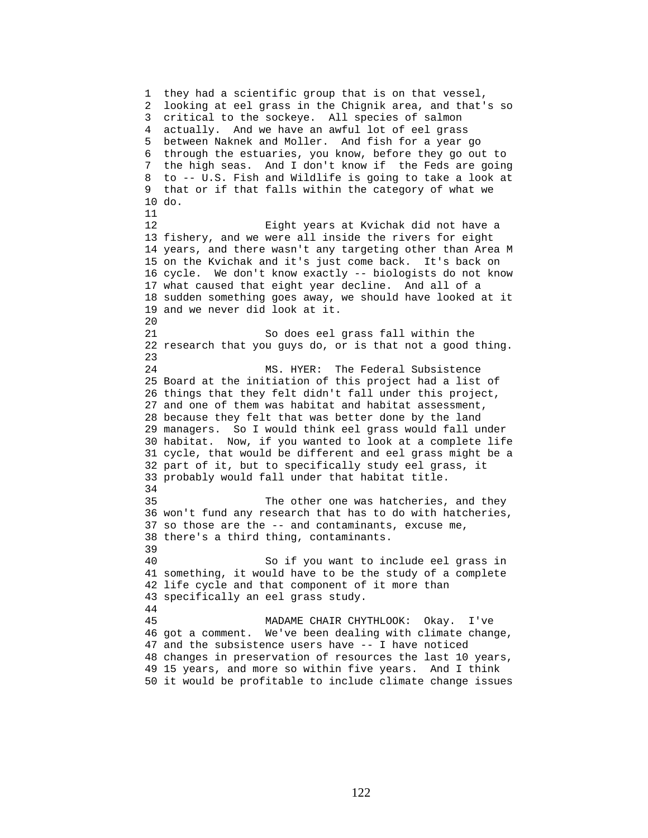1 they had a scientific group that is on that vessel, 2 looking at eel grass in the Chignik area, and that's so 3 critical to the sockeye. All species of salmon 4 actually. And we have an awful lot of eel grass 5 between Naknek and Moller. And fish for a year go 6 through the estuaries, you know, before they go out to 7 the high seas. And I don't know if the Feds are going 8 to -- U.S. Fish and Wildlife is going to take a look at 9 that or if that falls within the category of what we 10 do. 11 12 Eight years at Kvichak did not have a 13 fishery, and we were all inside the rivers for eight 14 years, and there wasn't any targeting other than Area M 15 on the Kvichak and it's just come back. It's back on 16 cycle. We don't know exactly -- biologists do not know 17 what caused that eight year decline. And all of a 18 sudden something goes away, we should have looked at it 19 and we never did look at it. 20 21 So does eel grass fall within the 22 research that you guys do, or is that not a good thing. 23 24 MS. HYER: The Federal Subsistence 25 Board at the initiation of this project had a list of 26 things that they felt didn't fall under this project, 27 and one of them was habitat and habitat assessment, 28 because they felt that was better done by the land 29 managers. So I would think eel grass would fall under 30 habitat. Now, if you wanted to look at a complete life 31 cycle, that would be different and eel grass might be a 32 part of it, but to specifically study eel grass, it 33 probably would fall under that habitat title. 34 35 The other one was hatcheries, and they 36 won't fund any research that has to do with hatcheries, 37 so those are the -- and contaminants, excuse me, 38 there's a third thing, contaminants. 39 40 So if you want to include eel grass in 41 something, it would have to be the study of a complete 42 life cycle and that component of it more than 43 specifically an eel grass study. 44 45 MADAME CHAIR CHYTHLOOK: Okay. I've 46 got a comment. We've been dealing with climate change, 47 and the subsistence users have -- I have noticed 48 changes in preservation of resources the last 10 years, 49 15 years, and more so within five years. And I think 50 it would be profitable to include climate change issues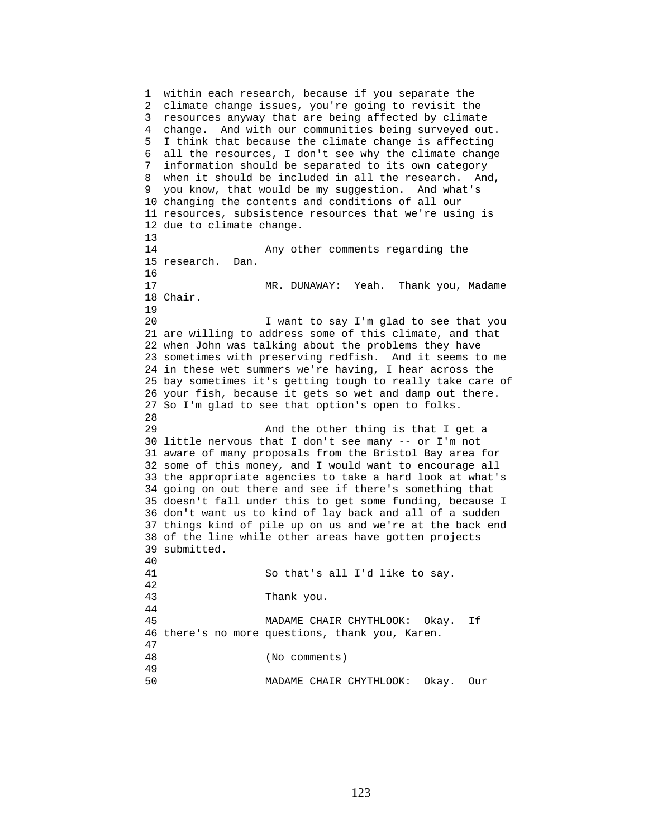1 within each research, because if you separate the 2 climate change issues, you're going to revisit the 3 resources anyway that are being affected by climate 4 change. And with our communities being surveyed out. 5 I think that because the climate change is affecting 6 all the resources, I don't see why the climate change 7 information should be separated to its own category 8 when it should be included in all the research. And, 9 you know, that would be my suggestion. And what's 10 changing the contents and conditions of all our 11 resources, subsistence resources that we're using is 12 due to climate change. 13 14 Any other comments regarding the 15 research. Dan. 16 17 MR. DUNAWAY: Yeah. Thank you, Madame 18 Chair. 19 20 I want to say I'm glad to see that you 21 are willing to address some of this climate, and that 22 when John was talking about the problems they have 23 sometimes with preserving redfish. And it seems to me 24 in these wet summers we're having, I hear across the 25 bay sometimes it's getting tough to really take care of 26 your fish, because it gets so wet and damp out there. 27 So I'm glad to see that option's open to folks. 28 29 And the other thing is that I get a 30 little nervous that I don't see many -- or I'm not 31 aware of many proposals from the Bristol Bay area for 32 some of this money, and I would want to encourage all 33 the appropriate agencies to take a hard look at what's 34 going on out there and see if there's something that 35 doesn't fall under this to get some funding, because I 36 don't want us to kind of lay back and all of a sudden 37 things kind of pile up on us and we're at the back end 38 of the line while other areas have gotten projects 39 submitted. 40 41 So that's all I'd like to say. 42 43 Thank you. 44 45 MADAME CHAIR CHYTHLOOK: Okay. If 46 there's no more questions, thank you, Karen. 47 48 (No comments) 49 50 MADAME CHAIR CHYTHLOOK: Okay. Our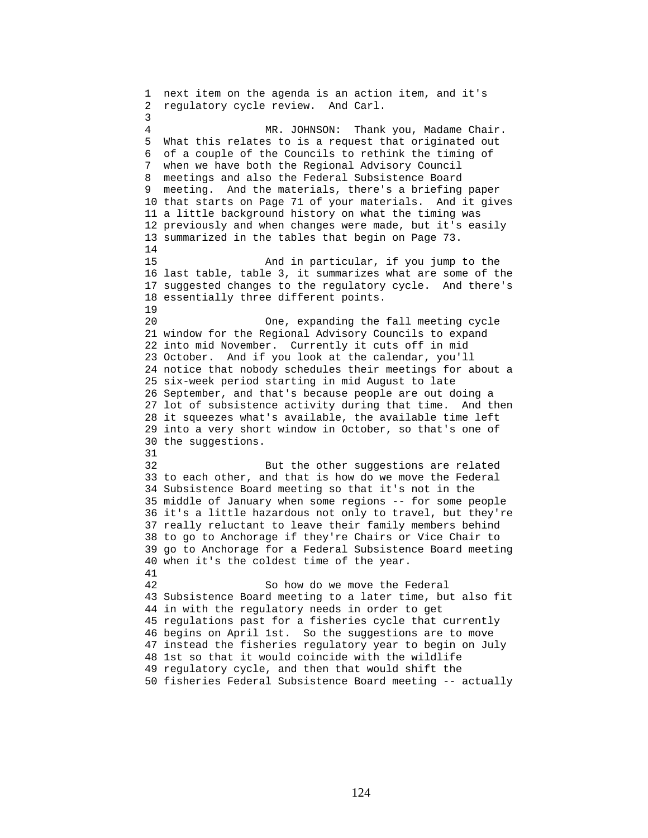1 next item on the agenda is an action item, and it's 2 regulatory cycle review. And Carl. 3 4 MR. JOHNSON: Thank you, Madame Chair. 5 What this relates to is a request that originated out 6 of a couple of the Councils to rethink the timing of 7 when we have both the Regional Advisory Council 8 meetings and also the Federal Subsistence Board 9 meeting. And the materials, there's a briefing paper 10 that starts on Page 71 of your materials. And it gives 11 a little background history on what the timing was 12 previously and when changes were made, but it's easily 13 summarized in the tables that begin on Page 73. 14 15 And in particular, if you jump to the 16 last table, table 3, it summarizes what are some of the 17 suggested changes to the regulatory cycle. And there's 18 essentially three different points. 19 20 One, expanding the fall meeting cycle 21 window for the Regional Advisory Councils to expand 22 into mid November. Currently it cuts off in mid 23 October. And if you look at the calendar, you'll 24 notice that nobody schedules their meetings for about a 25 six-week period starting in mid August to late 26 September, and that's because people are out doing a 27 lot of subsistence activity during that time. And then 28 it squeezes what's available, the available time left 29 into a very short window in October, so that's one of 30 the suggestions. 31 32 But the other suggestions are related 33 to each other, and that is how do we move the Federal 34 Subsistence Board meeting so that it's not in the 35 middle of January when some regions -- for some people 36 it's a little hazardous not only to travel, but they're 37 really reluctant to leave their family members behind 38 to go to Anchorage if they're Chairs or Vice Chair to 39 go to Anchorage for a Federal Subsistence Board meeting 40 when it's the coldest time of the year. 41 42 So how do we move the Federal 43 Subsistence Board meeting to a later time, but also fit 44 in with the regulatory needs in order to get 45 regulations past for a fisheries cycle that currently 46 begins on April 1st. So the suggestions are to move 47 instead the fisheries regulatory year to begin on July 48 1st so that it would coincide with the wildlife 49 regulatory cycle, and then that would shift the 50 fisheries Federal Subsistence Board meeting -- actually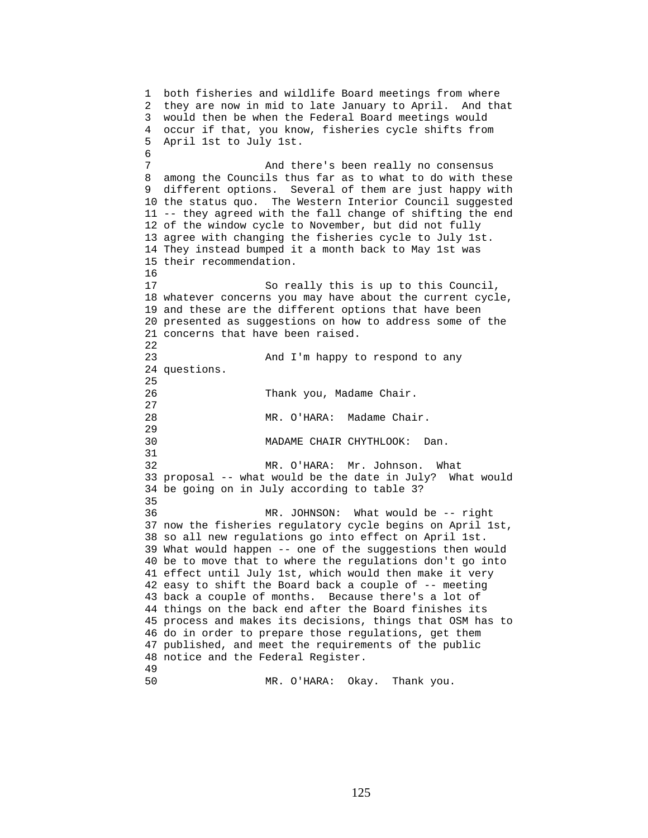1 both fisheries and wildlife Board meetings from where 2 they are now in mid to late January to April. And that 3 would then be when the Federal Board meetings would 4 occur if that, you know, fisheries cycle shifts from 5 April 1st to July 1st. 6 7 And there's been really no consensus 8 among the Councils thus far as to what to do with these 9 different options. Several of them are just happy with 10 the status quo. The Western Interior Council suggested 11 -- they agreed with the fall change of shifting the end 12 of the window cycle to November, but did not fully 13 agree with changing the fisheries cycle to July 1st. 14 They instead bumped it a month back to May 1st was 15 their recommendation. 16 17 So really this is up to this Council, 18 whatever concerns you may have about the current cycle, 19 and these are the different options that have been 20 presented as suggestions on how to address some of the 21 concerns that have been raised. 22 23 And I'm happy to respond to any 24 questions. 25 26 Thank you, Madame Chair. 27 28 MR. O'HARA: Madame Chair. 29 30 MADAME CHAIR CHYTHLOOK: Dan. 31 32 MR. O'HARA: Mr. Johnson. What 33 proposal -- what would be the date in July? What would 34 be going on in July according to table 3? 35 36 MR. JOHNSON: What would be -- right 37 now the fisheries regulatory cycle begins on April 1st, 38 so all new regulations go into effect on April 1st. 39 What would happen -- one of the suggestions then would 40 be to move that to where the regulations don't go into 41 effect until July 1st, which would then make it very 42 easy to shift the Board back a couple of -- meeting 43 back a couple of months. Because there's a lot of 44 things on the back end after the Board finishes its 45 process and makes its decisions, things that OSM has to 46 do in order to prepare those regulations, get them 47 published, and meet the requirements of the public 48 notice and the Federal Register. 49

50 MR. O'HARA: Okay. Thank you.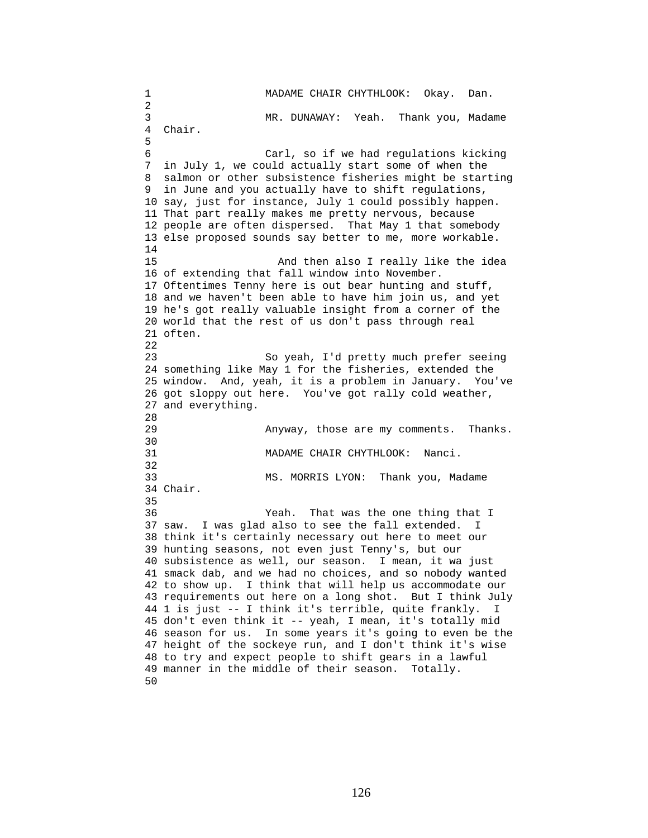1 MADAME CHAIR CHYTHLOOK: Okay. Dan. 2 3 MR. DUNAWAY: Yeah. Thank you, Madame 4 Chair. 5 6 Carl, so if we had regulations kicking 7 in July 1, we could actually start some of when the 8 salmon or other subsistence fisheries might be starting 9 in June and you actually have to shift regulations, 10 say, just for instance, July 1 could possibly happen. 11 That part really makes me pretty nervous, because 12 people are often dispersed. That May 1 that somebody 13 else proposed sounds say better to me, more workable. 14 15 And then also I really like the idea 16 of extending that fall window into November. 17 Oftentimes Tenny here is out bear hunting and stuff, 18 and we haven't been able to have him join us, and yet 19 he's got really valuable insight from a corner of the 20 world that the rest of us don't pass through real 21 often. 22 23 So yeah, I'd pretty much prefer seeing 24 something like May 1 for the fisheries, extended the 25 window. And, yeah, it is a problem in January. You've 26 got sloppy out here. You've got rally cold weather, 27 and everything. 28 29 Anyway, those are my comments. Thanks. 30<br>31 MADAME CHAIR CHYTHLOOK: Nanci. 32 33 MS. MORRIS LYON: Thank you, Madame 34 Chair. 35 36 Yeah. That was the one thing that I 37 saw. I was glad also to see the fall extended. I 38 think it's certainly necessary out here to meet our 39 hunting seasons, not even just Tenny's, but our 40 subsistence as well, our season. I mean, it wa just 41 smack dab, and we had no choices, and so nobody wanted 42 to show up. I think that will help us accommodate our 43 requirements out here on a long shot. But I think July 44 1 is just -- I think it's terrible, quite frankly. I 45 don't even think it -- yeah, I mean, it's totally mid 46 season for us. In some years it's going to even be the 47 height of the sockeye run, and I don't think it's wise 48 to try and expect people to shift gears in a lawful 49 manner in the middle of their season. Totally. 50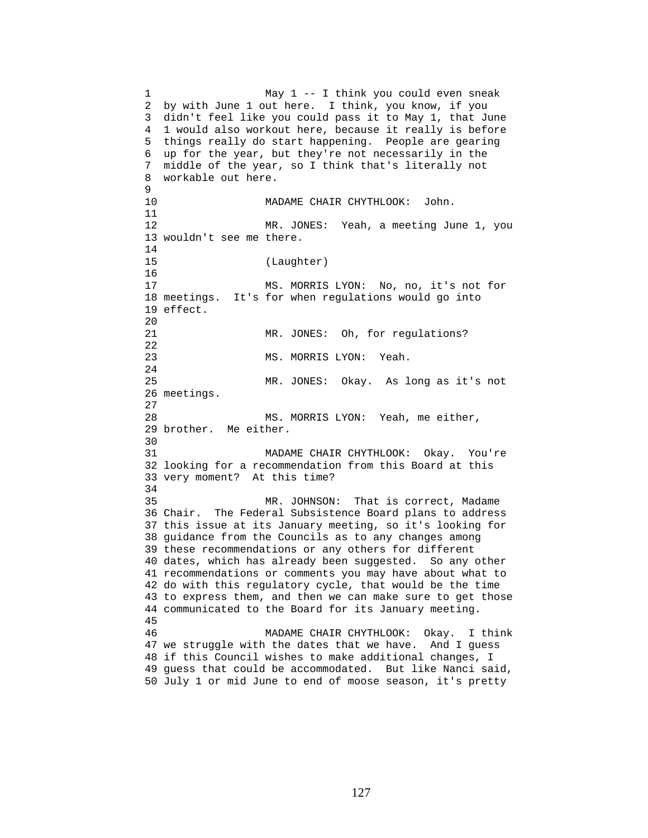1 May 1 -- I think you could even sneak 2 by with June 1 out here. I think, you know, if you 3 didn't feel like you could pass it to May 1, that June 4 1 would also workout here, because it really is before 5 things really do start happening. People are gearing 6 up for the year, but they're not necessarily in the 7 middle of the year, so I think that's literally not 8 workable out here. 9 10 MADAME CHAIR CHYTHLOOK: John. 11 12 MR. JONES: Yeah, a meeting June 1, you 13 wouldn't see me there. 14 15 (Laughter) 16 17 MS. MORRIS LYON: No, no, it's not for 18 meetings. It's for when regulations would go into 19 effect. 20 21 MR. JONES: Oh, for regulations? 22 23 MS. MORRIS LYON: Yeah. 24 25 MR. JONES: Okay. As long as it's not 26 meetings. 27 28 MS. MORRIS LYON: Yeah, me either, 29 brother. Me either. 30 31 MADAME CHAIR CHYTHLOOK: Okay. You're 32 looking for a recommendation from this Board at this 33 very moment? At this time? 34 35 MR. JOHNSON: That is correct, Madame 36 Chair. The Federal Subsistence Board plans to address 37 this issue at its January meeting, so it's looking for 38 guidance from the Councils as to any changes among 39 these recommendations or any others for different 40 dates, which has already been suggested. So any other 41 recommendations or comments you may have about what to 42 do with this regulatory cycle, that would be the time 43 to express them, and then we can make sure to get those 44 communicated to the Board for its January meeting. 45 46 MADAME CHAIR CHYTHLOOK: Okay. I think 47 we struggle with the dates that we have. And I guess 48 if this Council wishes to make additional changes, I 49 guess that could be accommodated. But like Nanci said, 50 July 1 or mid June to end of moose season, it's pretty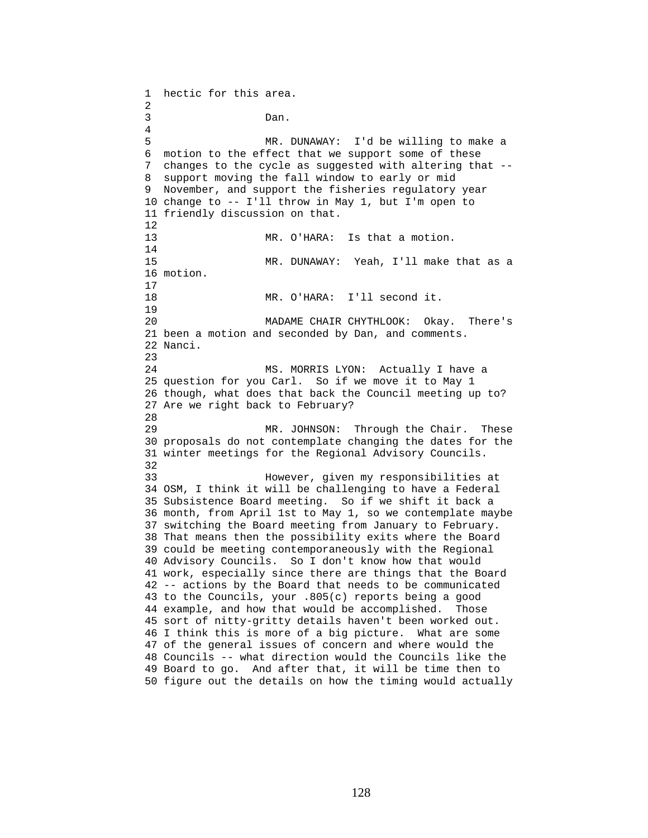1 hectic for this area. 2 3 Dan. 4 5 MR. DUNAWAY: I'd be willing to make a 6 motion to the effect that we support some of these 7 changes to the cycle as suggested with altering that -- 8 support moving the fall window to early or mid 9 November, and support the fisheries regulatory year 10 change to -- I'll throw in May 1, but I'm open to 11 friendly discussion on that. 12 13 MR. O'HARA: Is that a motion. 14 15 MR. DUNAWAY: Yeah, I'll make that as a 16 motion. 17 18 MR. O'HARA: I'll second it. 19 20 MADAME CHAIR CHYTHLOOK: Okay. There's 21 been a motion and seconded by Dan, and comments. 22 Nanci. 23 24 MS. MORRIS LYON: Actually I have a 25 question for you Carl. So if we move it to May 1 26 though, what does that back the Council meeting up to? 27 Are we right back to February? 28 29 MR. JOHNSON: Through the Chair. These 30 proposals do not contemplate changing the dates for the 31 winter meetings for the Regional Advisory Councils. 32 33 However, given my responsibilities at 34 OSM, I think it will be challenging to have a Federal 35 Subsistence Board meeting. So if we shift it back a 36 month, from April 1st to May 1, so we contemplate maybe 37 switching the Board meeting from January to February. 38 That means then the possibility exits where the Board 39 could be meeting contemporaneously with the Regional 40 Advisory Councils. So I don't know how that would 41 work, especially since there are things that the Board 42 -- actions by the Board that needs to be communicated 43 to the Councils, your .805(c) reports being a good 44 example, and how that would be accomplished. Those 45 sort of nitty-gritty details haven't been worked out. 46 I think this is more of a big picture. What are some 47 of the general issues of concern and where would the 48 Councils -- what direction would the Councils like the 49 Board to go. And after that, it will be time then to 50 figure out the details on how the timing would actually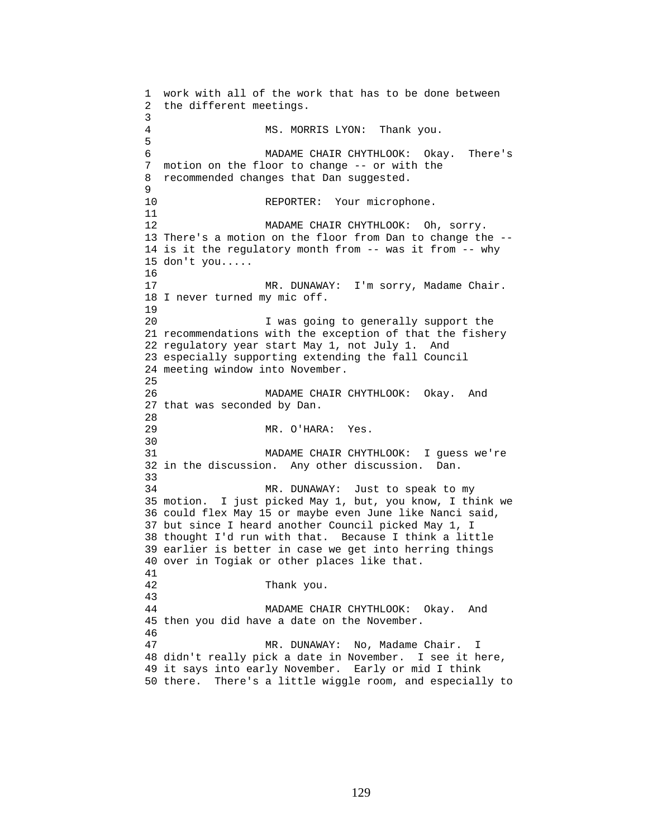```
1 work with all of the work that has to be done between 
2 the different meetings. 
3 
4 MS. MORRIS LYON: Thank you. 
5 
6 MADAME CHAIR CHYTHLOOK: Okay. There's 
7 motion on the floor to change -- or with the 
8 recommended changes that Dan suggested. 
9 
10 REPORTER: Your microphone.
11 
12 MADAME CHAIR CHYTHLOOK: Oh, sorry. 
13 There's a motion on the floor from Dan to change the -- 
14 is it the regulatory month from -- was it from -- why 
15 don't you..... 
16 
17 MR. DUNAWAY: I'm sorry, Madame Chair.
18 I never turned my mic off. 
19 
20 I was going to generally support the 
21 recommendations with the exception of that the fishery 
22 regulatory year start May 1, not July 1. And 
23 especially supporting extending the fall Council 
24 meeting window into November. 
25 
26 MADAME CHAIR CHYTHLOOK: Okay. And 
27 that was seconded by Dan. 
2829 MR. O'HARA: Yes. 
30 
31 MADAME CHAIR CHYTHLOOK: I guess we're 
32 in the discussion. Any other discussion. Dan. 
33 
34 MR. DUNAWAY: Just to speak to my 
35 motion. I just picked May 1, but, you know, I think we 
36 could flex May 15 or maybe even June like Nanci said, 
37 but since I heard another Council picked May 1, I 
38 thought I'd run with that. Because I think a little 
39 earlier is better in case we get into herring things 
40 over in Togiak or other places like that. 
41 
42 Thank you. 
43 
44 MADAME CHAIR CHYTHLOOK: Okay. And 
45 then you did have a date on the November. 
46 
47 MR. DUNAWAY: No, Madame Chair. I 
48 didn't really pick a date in November. I see it here, 
49 it says into early November. Early or mid I think 
50 there. There's a little wiggle room, and especially to
```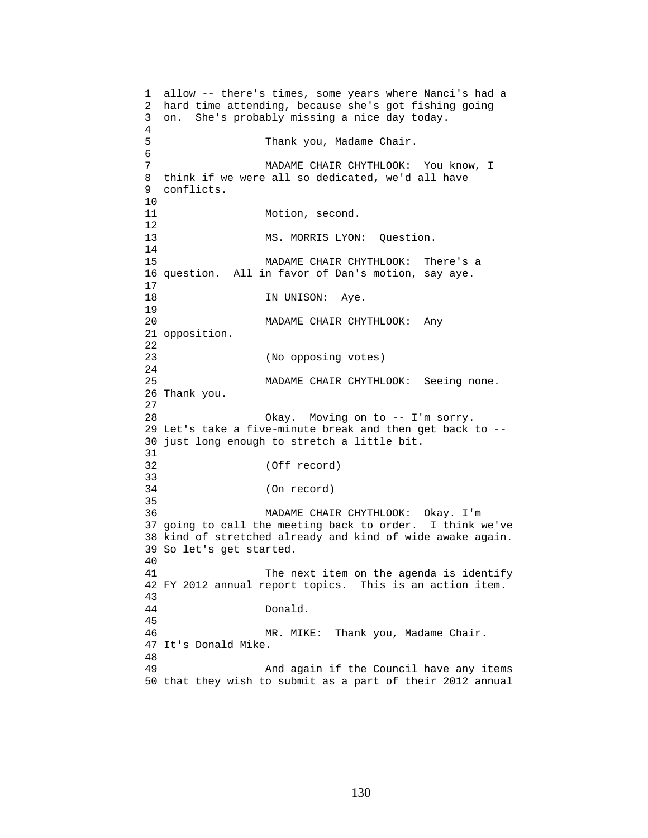```
1 allow -- there's times, some years where Nanci's had a 
2 hard time attending, because she's got fishing going 
3 on. She's probably missing a nice day today. 
4 
5 Thank you, Madame Chair. 
6 
7 MADAME CHAIR CHYTHLOOK: You know, I 
8 think if we were all so dedicated, we'd all have 
9 conflicts. 
10 
11 Motion, second.
12 
13 MS. MORRIS LYON: Question.
14 
15 MADAME CHAIR CHYTHLOOK: There's a 
16 question. All in favor of Dan's motion, say aye. 
\frac{17}{18}IN UNISON: Aye.
19 
20 MADAME CHAIR CHYTHLOOK: Any 
21 opposition. 
22 
23 (No opposing votes) 
24 
25 MADAME CHAIR CHYTHLOOK: Seeing none. 
26 Thank you. 
27 
28 Okay. Moving on to -- I'm sorry. 
29 Let's take a five-minute break and then get back to -- 
30 just long enough to stretch a little bit. 
31 
32 (Off record) 
33 
34 (On record) 
35 
36 MADAME CHAIR CHYTHLOOK: Okay. I'm 
37 going to call the meeting back to order. I think we've 
38 kind of stretched already and kind of wide awake again. 
39 So let's get started. 
40 
41 The next item on the agenda is identify 
42 FY 2012 annual report topics. This is an action item. 
43 
44 Donald. 
45 
46 MR. MIKE: Thank you, Madame Chair. 
47 It's Donald Mike. 
48 
49 And again if the Council have any items 
50 that they wish to submit as a part of their 2012 annual
```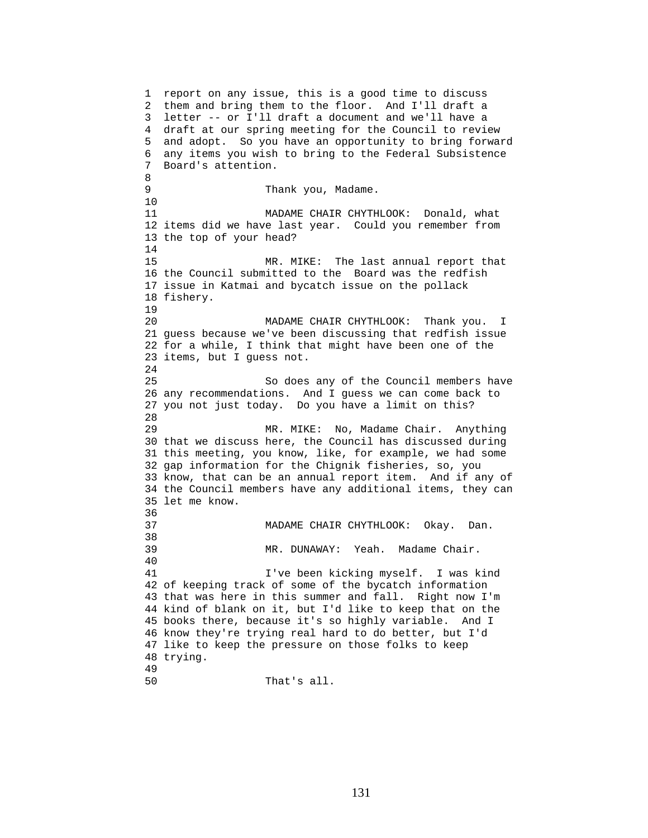1 report on any issue, this is a good time to discuss 2 them and bring them to the floor. And I'll draft a 3 letter -- or I'll draft a document and we'll have a 4 draft at our spring meeting for the Council to review 5 and adopt. So you have an opportunity to bring forward 6 any items you wish to bring to the Federal Subsistence 7 Board's attention. 8 9 Thank you, Madame. 10 11 MADAME CHAIR CHYTHLOOK: Donald, what 12 items did we have last year. Could you remember from 13 the top of your head? 14 15 MR. MIKE: The last annual report that 16 the Council submitted to the Board was the redfish 17 issue in Katmai and bycatch issue on the pollack 18 fishery. 19 20 MADAME CHAIR CHYTHLOOK: Thank you. I 21 guess because we've been discussing that redfish issue 22 for a while, I think that might have been one of the 23 items, but I guess not. 24 25 So does any of the Council members have 26 any recommendations. And I guess we can come back to 27 you not just today. Do you have a limit on this? 28 29 MR. MIKE: No, Madame Chair. Anything 30 that we discuss here, the Council has discussed during 31 this meeting, you know, like, for example, we had some 32 gap information for the Chignik fisheries, so, you 33 know, that can be an annual report item. And if any of 34 the Council members have any additional items, they can 35 let me know. 36 37 MADAME CHAIR CHYTHLOOK: Okay. Dan. 38 39 MR. DUNAWAY: Yeah. Madame Chair. 40 41 I've been kicking myself. I was kind 42 of keeping track of some of the bycatch information 43 that was here in this summer and fall. Right now I'm 44 kind of blank on it, but I'd like to keep that on the 45 books there, because it's so highly variable. And I 46 know they're trying real hard to do better, but I'd 47 like to keep the pressure on those folks to keep 48 trying. 49 50 That's all.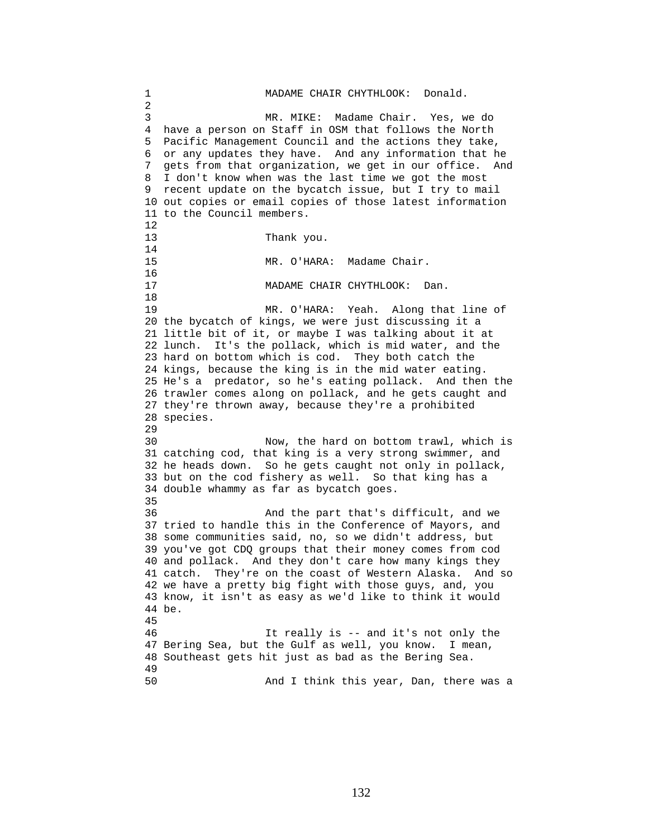1 MADAME CHAIR CHYTHLOOK: Donald. 2 3 MR. MIKE: Madame Chair. Yes, we do 4 have a person on Staff in OSM that follows the North 5 Pacific Management Council and the actions they take, 6 or any updates they have. And any information that he 7 gets from that organization, we get in our office. And 8 I don't know when was the last time we got the most 9 recent update on the bycatch issue, but I try to mail 10 out copies or email copies of those latest information 11 to the Council members. 12 13 Thank you. 14 15 MR. O'HARA: Madame Chair.  $16$ <br> $17$ MADAME CHAIR CHYTHLOOK: Dan. 18 19 MR. O'HARA: Yeah. Along that line of 20 the bycatch of kings, we were just discussing it a 21 little bit of it, or maybe I was talking about it at 22 lunch. It's the pollack, which is mid water, and the 23 hard on bottom which is cod. They both catch the 24 kings, because the king is in the mid water eating. 25 He's a predator, so he's eating pollack. And then the 26 trawler comes along on pollack, and he gets caught and 27 they're thrown away, because they're a prohibited 28 species. 29 30 Now, the hard on bottom trawl, which is 31 catching cod, that king is a very strong swimmer, and 32 he heads down. So he gets caught not only in pollack, 33 but on the cod fishery as well. So that king has a 34 double whammy as far as bycatch goes. 35 36 And the part that's difficult, and we 37 tried to handle this in the Conference of Mayors, and 38 some communities said, no, so we didn't address, but 39 you've got CDQ groups that their money comes from cod 40 and pollack. And they don't care how many kings they 41 catch. They're on the coast of Western Alaska. And so 42 we have a pretty big fight with those guys, and, you 43 know, it isn't as easy as we'd like to think it would 44 be. 45 46 It really is -- and it's not only the 47 Bering Sea, but the Gulf as well, you know. I mean, 48 Southeast gets hit just as bad as the Bering Sea. 49 50 And I think this year, Dan, there was a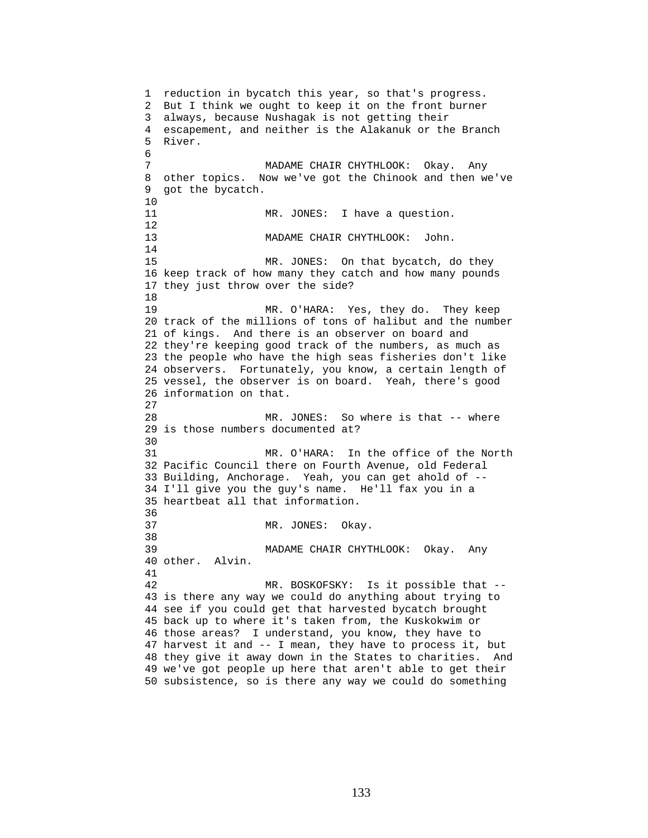1 reduction in bycatch this year, so that's progress. 2 But I think we ought to keep it on the front burner 3 always, because Nushagak is not getting their 4 escapement, and neither is the Alakanuk or the Branch 5 River. 6 7 MADAME CHAIR CHYTHLOOK: Okay. Any 8 other topics. Now we've got the Chinook and then we've 9 got the bycatch. 10 11 MR. JONES: I have a question. 12 13 MADAME CHAIR CHYTHLOOK: John. 14 15 MR. JONES: On that bycatch, do they 16 keep track of how many they catch and how many pounds 17 they just throw over the side? 18 19 MR. O'HARA: Yes, they do. They keep 20 track of the millions of tons of halibut and the number 21 of kings. And there is an observer on board and 22 they're keeping good track of the numbers, as much as 23 the people who have the high seas fisheries don't like 24 observers. Fortunately, you know, a certain length of 25 vessel, the observer is on board. Yeah, there's good 26 information on that. 27 28 MR. JONES: So where is that -- where 29 is those numbers documented at? 30<br>31 MR. O'HARA: In the office of the North 32 Pacific Council there on Fourth Avenue, old Federal 33 Building, Anchorage. Yeah, you can get ahold of -- 34 I'll give you the guy's name. He'll fax you in a 35 heartbeat all that information. 36 37 MR. JONES: Okay. 38 39 MADAME CHAIR CHYTHLOOK: Okay. Any 40 other. Alvin. 41 42 MR. BOSKOFSKY: Is it possible that -- 43 is there any way we could do anything about trying to 44 see if you could get that harvested bycatch brought 45 back up to where it's taken from, the Kuskokwim or 46 those areas? I understand, you know, they have to 47 harvest it and -- I mean, they have to process it, but 48 they give it away down in the States to charities. And 49 we've got people up here that aren't able to get their 50 subsistence, so is there any way we could do something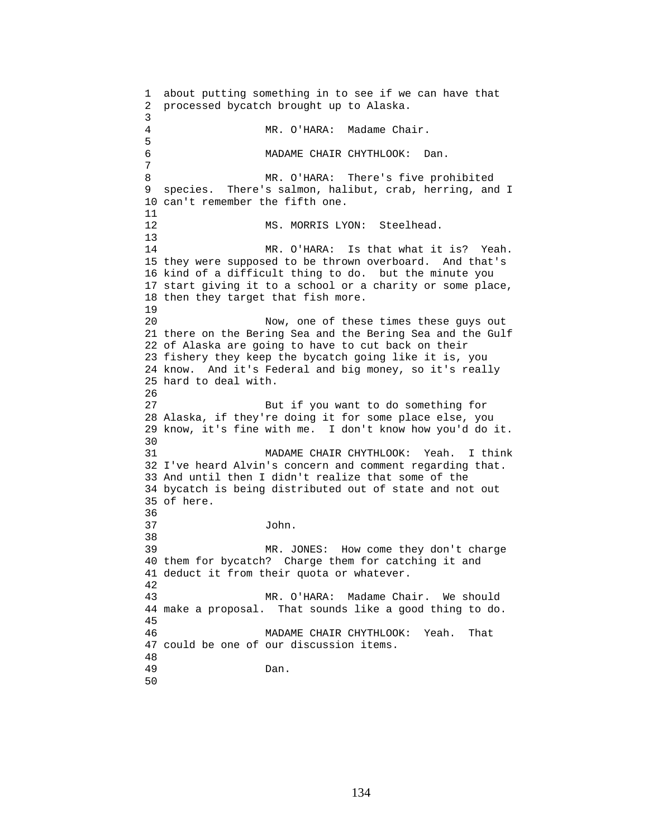1 about putting something in to see if we can have that 2 processed bycatch brought up to Alaska. 3 MR. O'HARA: Madame Chair. 5 6 MADAME CHAIR CHYTHLOOK: Dan. 7 8 MR. O'HARA: There's five prohibited 9 species. There's salmon, halibut, crab, herring, and I 10 can't remember the fifth one. 11 12 MS. MORRIS LYON: Steelhead. 13 14 MR. O'HARA: Is that what it is? Yeah. 15 they were supposed to be thrown overboard. And that's 16 kind of a difficult thing to do. but the minute you 17 start giving it to a school or a charity or some place, 18 then they target that fish more. 19 20 Now, one of these times these guys out 21 there on the Bering Sea and the Bering Sea and the Gulf 22 of Alaska are going to have to cut back on their 23 fishery they keep the bycatch going like it is, you 24 know. And it's Federal and big money, so it's really 25 hard to deal with. 26 27 But if you want to do something for 28 Alaska, if they're doing it for some place else, you 29 know, it's fine with me. I don't know how you'd do it. 30<br>31 MADAME CHAIR CHYTHLOOK: Yeah. I think 32 I've heard Alvin's concern and comment regarding that. 33 And until then I didn't realize that some of the 34 bycatch is being distributed out of state and not out 35 of here. 36 37 John. 38 39 MR. JONES: How come they don't charge 40 them for bycatch? Charge them for catching it and 41 deduct it from their quota or whatever. 42 43 MR. O'HARA: Madame Chair. We should 44 make a proposal. That sounds like a good thing to do. 45 46 MADAME CHAIR CHYTHLOOK: Yeah. That 47 could be one of our discussion items. 48 49 Dan. 50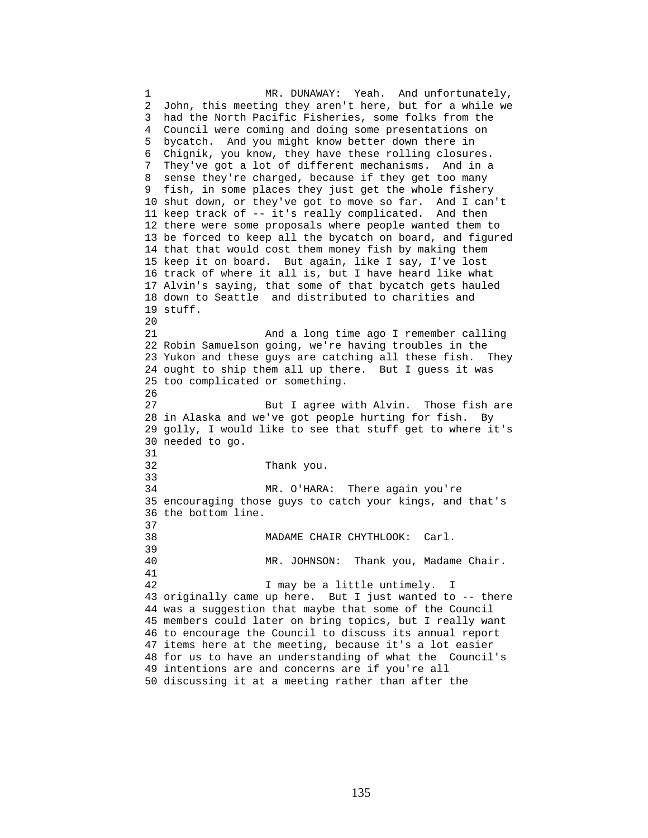1 MR. DUNAWAY: Yeah. And unfortunately, 2 John, this meeting they aren't here, but for a while we 3 had the North Pacific Fisheries, some folks from the 4 Council were coming and doing some presentations on 5 bycatch. And you might know better down there in 6 Chignik, you know, they have these rolling closures. 7 They've got a lot of different mechanisms. And in a 8 sense they're charged, because if they get too many 9 fish, in some places they just get the whole fishery 10 shut down, or they've got to move so far. And I can't 11 keep track of -- it's really complicated. And then 12 there were some proposals where people wanted them to 13 be forced to keep all the bycatch on board, and figured 14 that that would cost them money fish by making them 15 keep it on board. But again, like I say, I've lost 16 track of where it all is, but I have heard like what 17 Alvin's saying, that some of that bycatch gets hauled 18 down to Seattle and distributed to charities and 19 stuff. 20 21 And a long time ago I remember calling 22 Robin Samuelson going, we're having troubles in the 23 Yukon and these guys are catching all these fish. They 24 ought to ship them all up there. But I guess it was 25 too complicated or something. 26 27 But I agree with Alvin. Those fish are 28 in Alaska and we've got people hurting for fish. By 29 golly, I would like to see that stuff get to where it's 30 needed to go. 31 32 Thank you. 33 34 MR. O'HARA: There again you're 35 encouraging those guys to catch your kings, and that's 36 the bottom line. 37 38 MADAME CHAIR CHYTHLOOK: Carl. 39 40 MR. JOHNSON: Thank you, Madame Chair. 41 42 I may be a little untimely. I 43 originally came up here. But I just wanted to -- there 44 was a suggestion that maybe that some of the Council 45 members could later on bring topics, but I really want 46 to encourage the Council to discuss its annual report 47 items here at the meeting, because it's a lot easier 48 for us to have an understanding of what the Council's 49 intentions are and concerns are if you're all 50 discussing it at a meeting rather than after the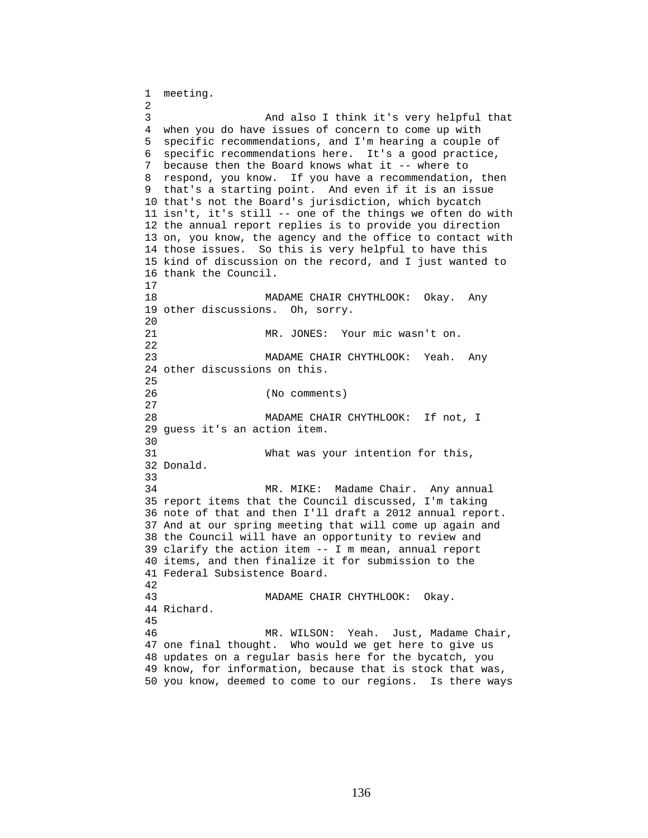1 meeting. 2 3 And also I think it's very helpful that 4 when you do have issues of concern to come up with 5 specific recommendations, and I'm hearing a couple of 6 specific recommendations here. It's a good practice, 7 because then the Board knows what it -- where to 8 respond, you know. If you have a recommendation, then 9 that's a starting point. And even if it is an issue 10 that's not the Board's jurisdiction, which bycatch 11 isn't, it's still -- one of the things we often do with 12 the annual report replies is to provide you direction 13 on, you know, the agency and the office to contact with 14 those issues. So this is very helpful to have this 15 kind of discussion on the record, and I just wanted to 16 thank the Council. 17 18 MADAME CHAIR CHYTHLOOK: Okay. Any 19 other discussions. Oh, sorry.  $20$ 21 MR. JONES: Your mic wasn't on. 22 23 MADAME CHAIR CHYTHLOOK: Yeah. Any 24 other discussions on this. 25 26 (No comments) 27 28 MADAME CHAIR CHYTHLOOK: If not, I 29 guess it's an action item. 30<br>31 What was your intention for this, 32 Donald. 33 34 MR. MIKE: Madame Chair. Any annual 35 report items that the Council discussed, I'm taking 36 note of that and then I'll draft a 2012 annual report. 37 And at our spring meeting that will come up again and 38 the Council will have an opportunity to review and 39 clarify the action item -- I m mean, annual report 40 items, and then finalize it for submission to the 41 Federal Subsistence Board. 42 43 MADAME CHAIR CHYTHLOOK: Okay. 44 Richard. 45 46 MR. WILSON: Yeah. Just, Madame Chair, 47 one final thought. Who would we get here to give us 48 updates on a regular basis here for the bycatch, you 49 know, for information, because that is stock that was, 50 you know, deemed to come to our regions. Is there ways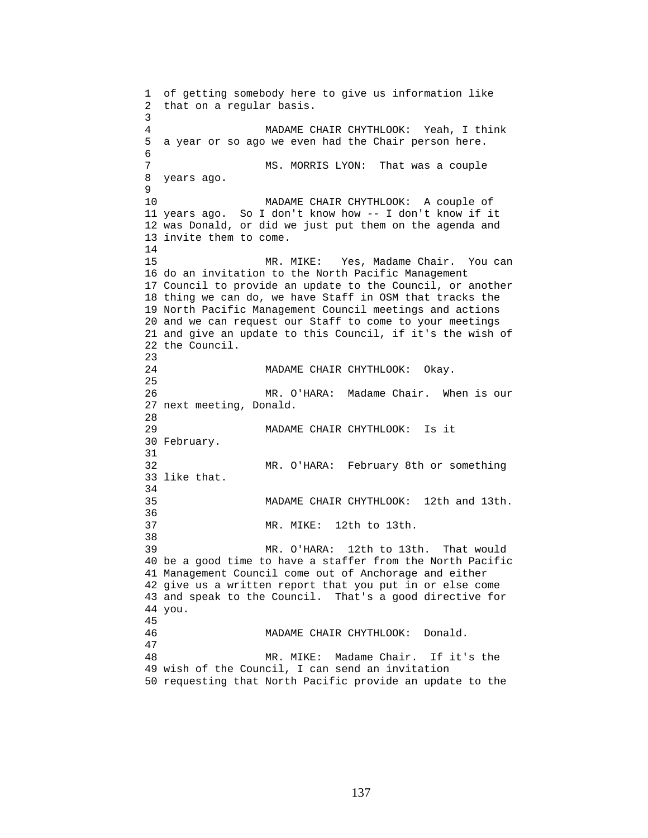1 of getting somebody here to give us information like 2 that on a regular basis. 3 4 MADAME CHAIR CHYTHLOOK: Yeah, I think 5 a year or so ago we even had the Chair person here. 6 7 MS. MORRIS LYON: That was a couple 8 years ago. 9 10 MADAME CHAIR CHYTHLOOK: A couple of 11 years ago. So I don't know how -- I don't know if it 12 was Donald, or did we just put them on the agenda and 13 invite them to come. 14 15 MR. MIKE: Yes, Madame Chair. You can 16 do an invitation to the North Pacific Management 17 Council to provide an update to the Council, or another 18 thing we can do, we have Staff in OSM that tracks the 19 North Pacific Management Council meetings and actions 20 and we can request our Staff to come to your meetings 21 and give an update to this Council, if it's the wish of 22 the Council. 23 24 MADAME CHAIR CHYTHLOOK: Okay. 25 26 MR. O'HARA: Madame Chair. When is our 27 next meeting, Donald. 28 29 MADAME CHAIR CHYTHLOOK: Is it 30 February. 31 32 MR. O'HARA: February 8th or something 33 like that. 34 35 MADAME CHAIR CHYTHLOOK: 12th and 13th. 36 37 MR. MIKE: 12th to 13th. 38 39 MR. O'HARA: 12th to 13th. That would 40 be a good time to have a staffer from the North Pacific 41 Management Council come out of Anchorage and either 42 give us a written report that you put in or else come 43 and speak to the Council. That's a good directive for 44 you. 45 46 MADAME CHAIR CHYTHLOOK: Donald. 47 48 MR. MIKE: Madame Chair. If it's the 49 wish of the Council, I can send an invitation 50 requesting that North Pacific provide an update to the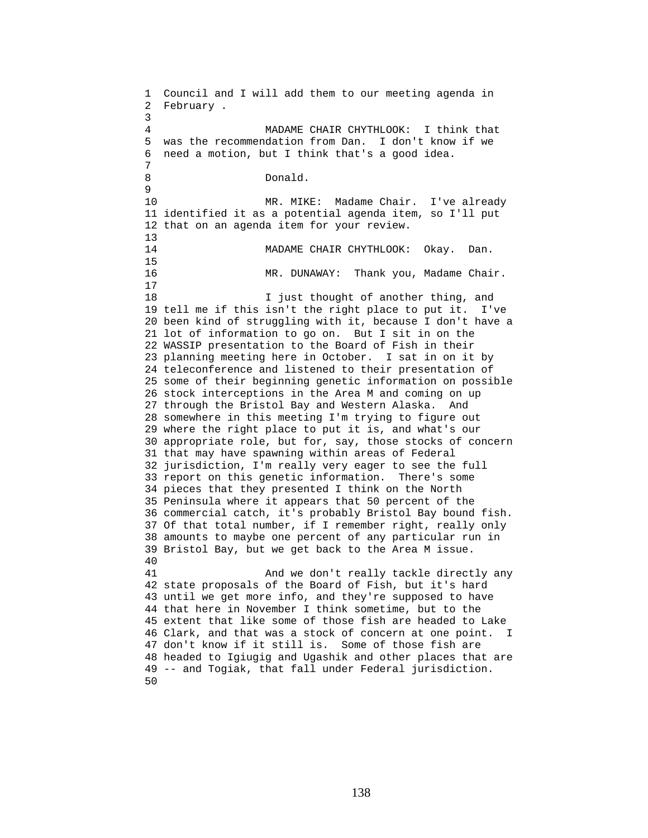1 Council and I will add them to our meeting agenda in 2 February . 3 4 MADAME CHAIR CHYTHLOOK: I think that 5 was the recommendation from Dan. I don't know if we 6 need a motion, but I think that's a good idea. 7 8 Donald. 9 10 MR. MIKE: Madame Chair. I've already 11 identified it as a potential agenda item, so I'll put 12 that on an agenda item for your review.  $\begin{array}{c} 13 \\ 14 \end{array}$ MADAME CHAIR CHYTHLOOK: Okay. Dan. 15 16 MR. DUNAWAY: Thank you, Madame Chair. 17 18 **I** just thought of another thing, and 19 tell me if this isn't the right place to put it. I've 20 been kind of struggling with it, because I don't have a 21 lot of information to go on. But I sit in on the 22 WASSIP presentation to the Board of Fish in their 23 planning meeting here in October. I sat in on it by 24 teleconference and listened to their presentation of 25 some of their beginning genetic information on possible 26 stock interceptions in the Area M and coming on up 27 through the Bristol Bay and Western Alaska. And 28 somewhere in this meeting I'm trying to figure out 29 where the right place to put it is, and what's our 30 appropriate role, but for, say, those stocks of concern 31 that may have spawning within areas of Federal 32 jurisdiction, I'm really very eager to see the full 33 report on this genetic information. There's some 34 pieces that they presented I think on the North 35 Peninsula where it appears that 50 percent of the 36 commercial catch, it's probably Bristol Bay bound fish. 37 Of that total number, if I remember right, really only 38 amounts to maybe one percent of any particular run in 39 Bristol Bay, but we get back to the Area M issue. 40 41 And we don't really tackle directly any 42 state proposals of the Board of Fish, but it's hard 43 until we get more info, and they're supposed to have 44 that here in November I think sometime, but to the 45 extent that like some of those fish are headed to Lake 46 Clark, and that was a stock of concern at one point. I 47 don't know if it still is. Some of those fish are 48 headed to Igiugig and Ugashik and other places that are 49 -- and Togiak, that fall under Federal jurisdiction. 50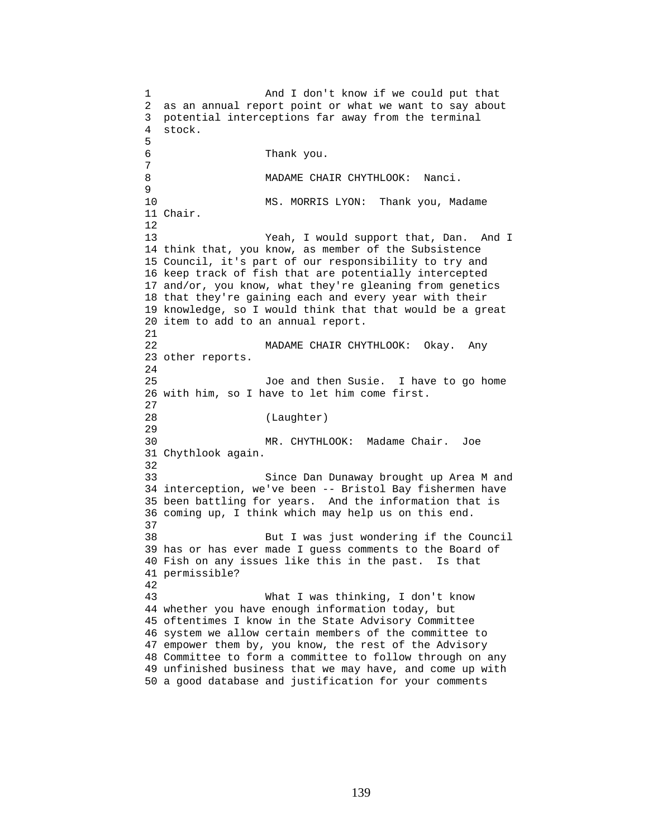1 And I don't know if we could put that 2 as an annual report point or what we want to say about 3 potential interceptions far away from the terminal 4 stock. 5 6 Thank you. 7 8 MADAME CHAIR CHYTHLOOK: Nanci. 9 10 MS. MORRIS LYON: Thank you, Madame 11 Chair. 12 13 Yeah, I would support that, Dan. And I 14 think that, you know, as member of the Subsistence 15 Council, it's part of our responsibility to try and 16 keep track of fish that are potentially intercepted 17 and/or, you know, what they're gleaning from genetics 18 that they're gaining each and every year with their 19 knowledge, so I would think that that would be a great 20 item to add to an annual report. 21 22 MADAME CHAIR CHYTHLOOK: Okay. Any 23 other reports.  $2.4$ 25 Joe and then Susie. I have to go home 26 with him, so I have to let him come first. 27 28 (Laughter) 29 30 MR. CHYTHLOOK: Madame Chair. Joe 31 Chythlook again. 32 33 Since Dan Dunaway brought up Area M and 34 interception, we've been -- Bristol Bay fishermen have 35 been battling for years. And the information that is 36 coming up, I think which may help us on this end. 37 38 But I was just wondering if the Council 39 has or has ever made I guess comments to the Board of 40 Fish on any issues like this in the past. Is that 41 permissible? 42 43 What I was thinking, I don't know 44 whether you have enough information today, but 45 oftentimes I know in the State Advisory Committee 46 system we allow certain members of the committee to 47 empower them by, you know, the rest of the Advisory 48 Committee to form a committee to follow through on any 49 unfinished business that we may have, and come up with 50 a good database and justification for your comments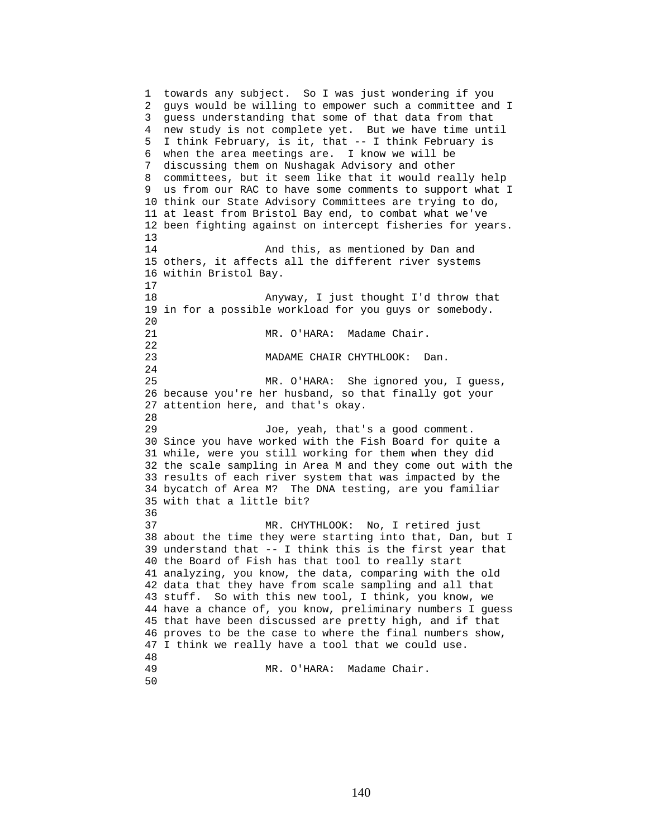1 towards any subject. So I was just wondering if you 2 guys would be willing to empower such a committee and I 3 guess understanding that some of that data from that 4 new study is not complete yet. But we have time until 5 I think February, is it, that -- I think February is 6 when the area meetings are. I know we will be 7 discussing them on Nushagak Advisory and other 8 committees, but it seem like that it would really help 9 us from our RAC to have some comments to support what I 10 think our State Advisory Committees are trying to do, 11 at least from Bristol Bay end, to combat what we've 12 been fighting against on intercept fisheries for years. 13 14 And this, as mentioned by Dan and 15 others, it affects all the different river systems 16 within Bristol Bay. 17 18 Anyway, I just thought I'd throw that 19 in for a possible workload for you guys or somebody.  $20$ 21 MR. O'HARA: Madame Chair. 22 23 MADAME CHAIR CHYTHLOOK: Dan. 24 25 MR. O'HARA: She ignored you, I guess, 26 because you're her husband, so that finally got your 27 attention here, and that's okay. 28 29 Joe, yeah, that's a good comment. 30 Since you have worked with the Fish Board for quite a 31 while, were you still working for them when they did 32 the scale sampling in Area M and they come out with the 33 results of each river system that was impacted by the 34 bycatch of Area M? The DNA testing, are you familiar 35 with that a little bit? 36 37 MR. CHYTHLOOK: No, I retired just 38 about the time they were starting into that, Dan, but I 39 understand that  $--$  I think this is the first year that 40 the Board of Fish has that tool to really start 41 analyzing, you know, the data, comparing with the old 42 data that they have from scale sampling and all that 43 stuff. So with this new tool, I think, you know, we 44 have a chance of, you know, preliminary numbers I guess 45 that have been discussed are pretty high, and if that 46 proves to be the case to where the final numbers show, 47 I think we really have a tool that we could use. 48 MR. O'HARA: Madame Chair. 50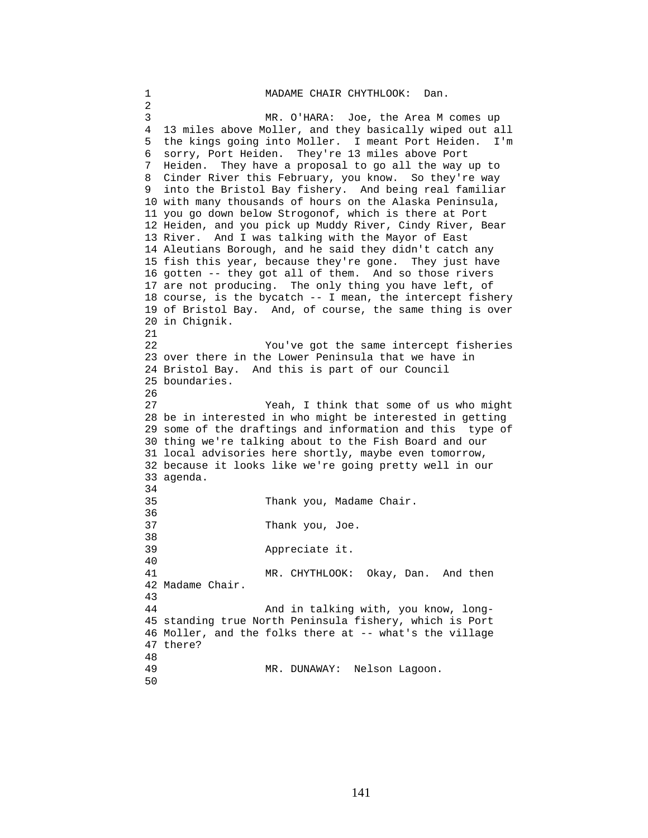```
1 MADAME CHAIR CHYTHLOOK: Dan. 
2 
3 MR. O'HARA: Joe, the Area M comes up 
4 13 miles above Moller, and they basically wiped out all 
5 the kings going into Moller. I meant Port Heiden. I'm 
6 sorry, Port Heiden. They're 13 miles above Port 
7 Heiden. They have a proposal to go all the way up to 
8 Cinder River this February, you know. So they're way 
9 into the Bristol Bay fishery. And being real familiar 
10 with many thousands of hours on the Alaska Peninsula, 
11 you go down below Strogonof, which is there at Port 
12 Heiden, and you pick up Muddy River, Cindy River, Bear 
13 River. And I was talking with the Mayor of East 
14 Aleutians Borough, and he said they didn't catch any 
15 fish this year, because they're gone. They just have 
16 gotten -- they got all of them. And so those rivers 
17 are not producing. The only thing you have left, of 
18 course, is the bycatch -- I mean, the intercept fishery 
19 of Bristol Bay. And, of course, the same thing is over 
20 in Chignik. 
21 
22 You've got the same intercept fisheries 
23 over there in the Lower Peninsula that we have in 
24 Bristol Bay. And this is part of our Council 
25 boundaries. 
26 
27 Yeah, I think that some of us who might 
28 be in interested in who might be interested in getting 
29 some of the draftings and information and this type of 
30 thing we're talking about to the Fish Board and our 
31 local advisories here shortly, maybe even tomorrow, 
32 because it looks like we're going pretty well in our 
33 agenda. 
34 
35 Thank you, Madame Chair. 
36 
37 Thank you, Joe. 
38 
39 Appreciate it. 
40 
41 MR. CHYTHLOOK: Okay, Dan. And then 
42 Madame Chair. 
43 
44 And in talking with, you know, long-
45 standing true North Peninsula fishery, which is Port 
46 Moller, and the folks there at -- what's the village 
47 there? 
48 
                 MR. DUNAWAY: Nelson Lagoon.
50
```
141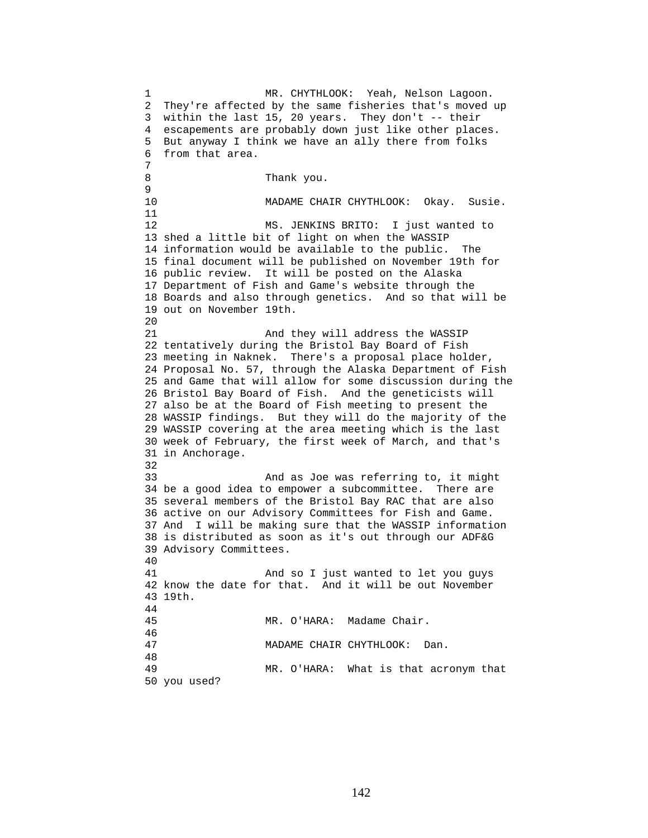1 MR. CHYTHLOOK: Yeah, Nelson Lagoon. 2 They're affected by the same fisheries that's moved up 3 within the last 15, 20 years. They don't -- their 4 escapements are probably down just like other places. 5 But anyway I think we have an ally there from folks 6 from that area. 7 8 Thank you. 9 10 MADAME CHAIR CHYTHLOOK: Okay. Susie. 11 12 MS. JENKINS BRITO: I just wanted to 13 shed a little bit of light on when the WASSIP 14 information would be available to the public. The 15 final document will be published on November 19th for 16 public review. It will be posted on the Alaska 17 Department of Fish and Game's website through the 18 Boards and also through genetics. And so that will be 19 out on November 19th. 20 21 And they will address the WASSIP 22 tentatively during the Bristol Bay Board of Fish 23 meeting in Naknek. There's a proposal place holder, 24 Proposal No. 57, through the Alaska Department of Fish 25 and Game that will allow for some discussion during the 26 Bristol Bay Board of Fish. And the geneticists will 27 also be at the Board of Fish meeting to present the 28 WASSIP findings. But they will do the majority of the 29 WASSIP covering at the area meeting which is the last 30 week of February, the first week of March, and that's 31 in Anchorage. 32 33 And as Joe was referring to, it might 34 be a good idea to empower a subcommittee. There are 35 several members of the Bristol Bay RAC that are also 36 active on our Advisory Committees for Fish and Game. 37 And I will be making sure that the WASSIP information 38 is distributed as soon as it's out through our ADF&G 39 Advisory Committees. 40 41 And so I just wanted to let you guys 42 know the date for that. And it will be out November 43 19th. 44 45 MR. O'HARA: Madame Chair. 46 47 MADAME CHAIR CHYTHLOOK: Dan. 48 49 MR. O'HARA: What is that acronym that 50 you used?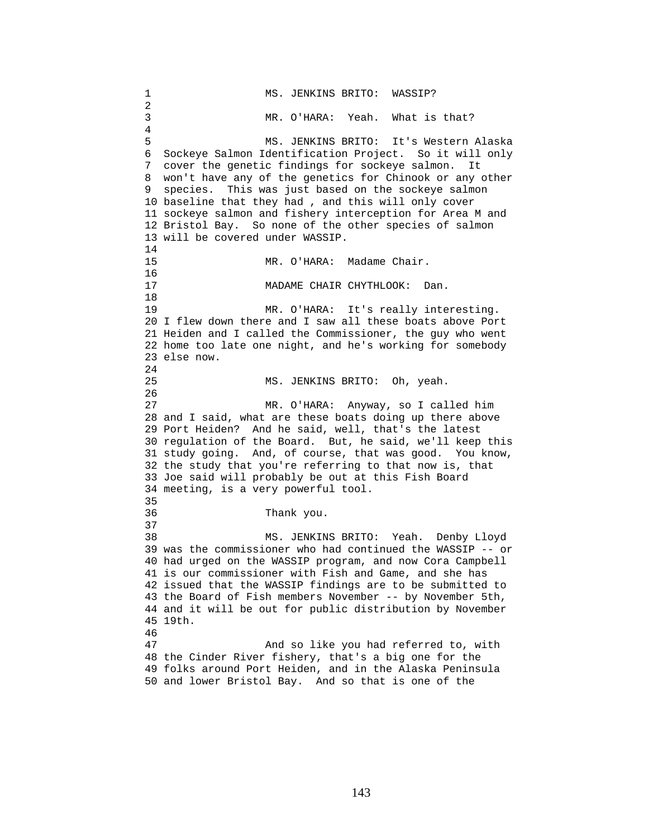1 MS. JENKINS BRITO: WASSIP? 2 3 MR. O'HARA: Yeah. What is that? 4 5 MS. JENKINS BRITO: It's Western Alaska 6 Sockeye Salmon Identification Project. So it will only 7 cover the genetic findings for sockeye salmon. It 8 won't have any of the genetics for Chinook or any other 9 species. This was just based on the sockeye salmon 10 baseline that they had , and this will only cover 11 sockeye salmon and fishery interception for Area M and 12 Bristol Bay. So none of the other species of salmon 13 will be covered under WASSIP. 14 15 MR. O'HARA: Madame Chair. 16<br>17 MADAME CHAIR CHYTHLOOK: Dan. 18 19 MR. O'HARA: It's really interesting. 20 I flew down there and I saw all these boats above Port 21 Heiden and I called the Commissioner, the guy who went 22 home too late one night, and he's working for somebody 23 else now. 24 25 MS. JENKINS BRITO: Oh, yeah. 26 27 MR. O'HARA: Anyway, so I called him 28 and I said, what are these boats doing up there above 29 Port Heiden? And he said, well, that's the latest 30 regulation of the Board. But, he said, we'll keep this 31 study going. And, of course, that was good. You know, 32 the study that you're referring to that now is, that 33 Joe said will probably be out at this Fish Board 34 meeting, is a very powerful tool. 35 36 Thank you. 37 38 MS. JENKINS BRITO: Yeah. Denby Lloyd 39 was the commissioner who had continued the WASSIP -- or 40 had urged on the WASSIP program, and now Cora Campbell 41 is our commissioner with Fish and Game, and she has 42 issued that the WASSIP findings are to be submitted to 43 the Board of Fish members November -- by November 5th, 44 and it will be out for public distribution by November 45 19th. 46 47 And so like you had referred to, with 48 the Cinder River fishery, that's a big one for the 49 folks around Port Heiden, and in the Alaska Peninsula 50 and lower Bristol Bay. And so that is one of the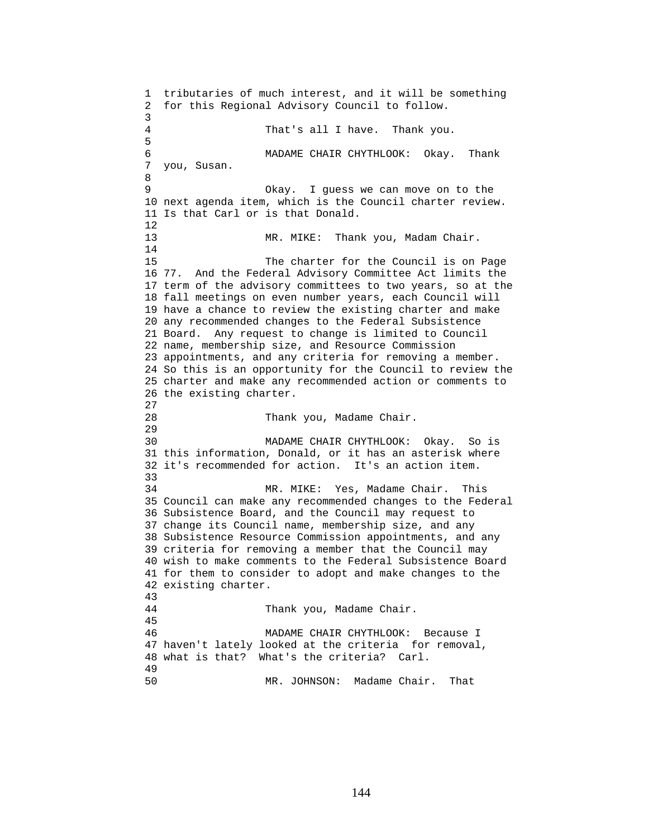1 tributaries of much interest, and it will be something 2 for this Regional Advisory Council to follow. 3 4 That's all I have. Thank you. 5 6 MADAME CHAIR CHYTHLOOK: Okay. Thank 7 you, Susan. 8 9 Okay. I guess we can move on to the 10 next agenda item, which is the Council charter review. 11 Is that Carl or is that Donald. 12 13 MR. MIKE: Thank you, Madam Chair. 14 15 The charter for the Council is on Page 16 77. And the Federal Advisory Committee Act limits the 17 term of the advisory committees to two years, so at the 18 fall meetings on even number years, each Council will 19 have a chance to review the existing charter and make 20 any recommended changes to the Federal Subsistence 21 Board. Any request to change is limited to Council 22 name, membership size, and Resource Commission 23 appointments, and any criteria for removing a member. 24 So this is an opportunity for the Council to review the 25 charter and make any recommended action or comments to 26 the existing charter. 27 28 Thank you, Madame Chair. 29 30 MADAME CHAIR CHYTHLOOK: Okay. So is 31 this information, Donald, or it has an asterisk where 32 it's recommended for action. It's an action item. 33 34 MR. MIKE: Yes, Madame Chair. This 35 Council can make any recommended changes to the Federal 36 Subsistence Board, and the Council may request to 37 change its Council name, membership size, and any 38 Subsistence Resource Commission appointments, and any 39 criteria for removing a member that the Council may 40 wish to make comments to the Federal Subsistence Board 41 for them to consider to adopt and make changes to the 42 existing charter. 43 44 Thank you, Madame Chair. 45 46 MADAME CHAIR CHYTHLOOK: Because I 47 haven't lately looked at the criteria for removal, 48 what is that? What's the criteria? Carl. 49 50 MR. JOHNSON: Madame Chair. That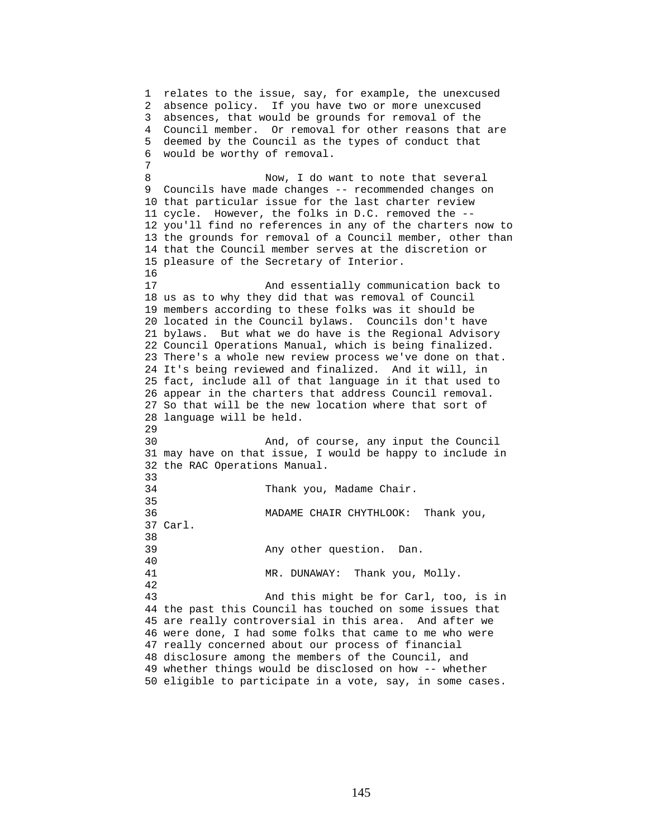1 relates to the issue, say, for example, the unexcused 2 absence policy. If you have two or more unexcused 3 absences, that would be grounds for removal of the 4 Council member. Or removal for other reasons that are 5 deemed by the Council as the types of conduct that 6 would be worthy of removal. 7 8 Now, I do want to note that several 9 Councils have made changes -- recommended changes on 10 that particular issue for the last charter review 11 cycle. However, the folks in D.C. removed the -- 12 you'll find no references in any of the charters now to 13 the grounds for removal of a Council member, other than 14 that the Council member serves at the discretion or 15 pleasure of the Secretary of Interior. 16 17 And essentially communication back to 18 us as to why they did that was removal of Council 19 members according to these folks was it should be 20 located in the Council bylaws. Councils don't have 21 bylaws. But what we do have is the Regional Advisory 22 Council Operations Manual, which is being finalized. 23 There's a whole new review process we've done on that. 24 It's being reviewed and finalized. And it will, in 25 fact, include all of that language in it that used to 26 appear in the charters that address Council removal. 27 So that will be the new location where that sort of 28 language will be held. 29 30 And, of course, any input the Council 31 may have on that issue, I would be happy to include in 32 the RAC Operations Manual. 33 34 Thank you, Madame Chair. 35 36 MADAME CHAIR CHYTHLOOK: Thank you, 37 Carl. 38 39 Any other question. Dan. 40 41 MR. DUNAWAY: Thank you, Molly. 42 43 And this might be for Carl, too, is in 44 the past this Council has touched on some issues that 45 are really controversial in this area. And after we 46 were done, I had some folks that came to me who were 47 really concerned about our process of financial 48 disclosure among the members of the Council, and 49 whether things would be disclosed on how -- whether 50 eligible to participate in a vote, say, in some cases.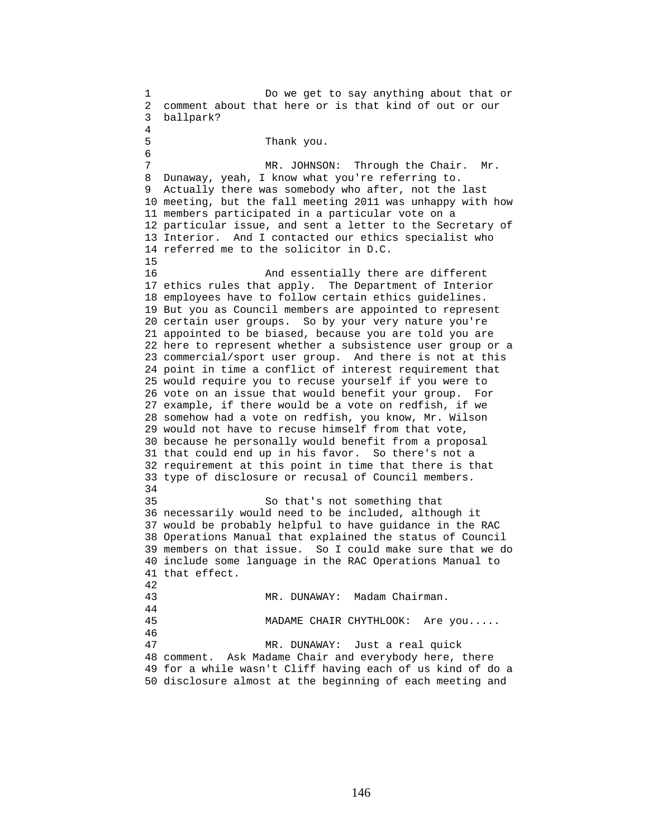1 Do we get to say anything about that or 2 comment about that here or is that kind of out or our 3 ballpark? 4 5 Thank you. 6 7 MR. JOHNSON: Through the Chair. Mr. 8 Dunaway, yeah, I know what you're referring to. 9 Actually there was somebody who after, not the last 10 meeting, but the fall meeting 2011 was unhappy with how 11 members participated in a particular vote on a 12 particular issue, and sent a letter to the Secretary of 13 Interior. And I contacted our ethics specialist who 14 referred me to the solicitor in D.C. 15 16 And essentially there are different 17 ethics rules that apply. The Department of Interior 18 employees have to follow certain ethics guidelines. 19 But you as Council members are appointed to represent 20 certain user groups. So by your very nature you're 21 appointed to be biased, because you are told you are 22 here to represent whether a subsistence user group or a 23 commercial/sport user group. And there is not at this 24 point in time a conflict of interest requirement that 25 would require you to recuse yourself if you were to 26 vote on an issue that would benefit your group. For 27 example, if there would be a vote on redfish, if we 28 somehow had a vote on redfish, you know, Mr. Wilson 29 would not have to recuse himself from that vote, 30 because he personally would benefit from a proposal 31 that could end up in his favor. So there's not a 32 requirement at this point in time that there is that 33 type of disclosure or recusal of Council members. 34 35 So that's not something that 36 necessarily would need to be included, although it 37 would be probably helpful to have guidance in the RAC 38 Operations Manual that explained the status of Council 39 members on that issue. So I could make sure that we do 40 include some language in the RAC Operations Manual to 41 that effect. 42 43 MR. DUNAWAY: Madam Chairman. 44 45 MADAME CHAIR CHYTHLOOK: Are you..... 46 47 MR. DUNAWAY: Just a real quick 48 comment. Ask Madame Chair and everybody here, there 49 for a while wasn't Cliff having each of us kind of do a 50 disclosure almost at the beginning of each meeting and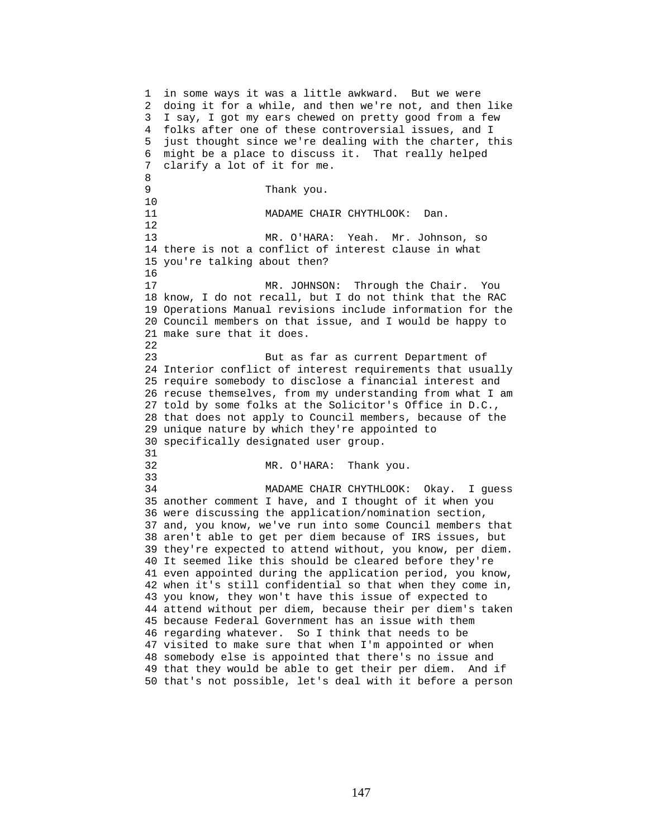1 in some ways it was a little awkward. But we were 2 doing it for a while, and then we're not, and then like 3 I say, I got my ears chewed on pretty good from a few 4 folks after one of these controversial issues, and I 5 just thought since we're dealing with the charter, this 6 might be a place to discuss it. That really helped 7 clarify a lot of it for me. 8 9 Thank you. 10 11 MADAME CHAIR CHYTHLOOK: Dan. 12 13 MR. O'HARA: Yeah. Mr. Johnson, so 14 there is not a conflict of interest clause in what 15 you're talking about then? 16 17 MR. JOHNSON: Through the Chair. You 18 know, I do not recall, but I do not think that the RAC 19 Operations Manual revisions include information for the 20 Council members on that issue, and I would be happy to 21 make sure that it does. 22 23 But as far as current Department of 24 Interior conflict of interest requirements that usually 25 require somebody to disclose a financial interest and 26 recuse themselves, from my understanding from what I am 27 told by some folks at the Solicitor's Office in D.C., 28 that does not apply to Council members, because of the 29 unique nature by which they're appointed to 30 specifically designated user group. 31 32 MR. O'HARA: Thank you. 33 34 MADAME CHAIR CHYTHLOOK: Okay. I guess 35 another comment I have, and I thought of it when you 36 were discussing the application/nomination section, 37 and, you know, we've run into some Council members that 38 aren't able to get per diem because of IRS issues, but 39 they're expected to attend without, you know, per diem. 40 It seemed like this should be cleared before they're 41 even appointed during the application period, you know, 42 when it's still confidential so that when they come in, 43 you know, they won't have this issue of expected to 44 attend without per diem, because their per diem's taken 45 because Federal Government has an issue with them 46 regarding whatever. So I think that needs to be 47 visited to make sure that when I'm appointed or when 48 somebody else is appointed that there's no issue and 49 that they would be able to get their per diem. And if 50 that's not possible, let's deal with it before a person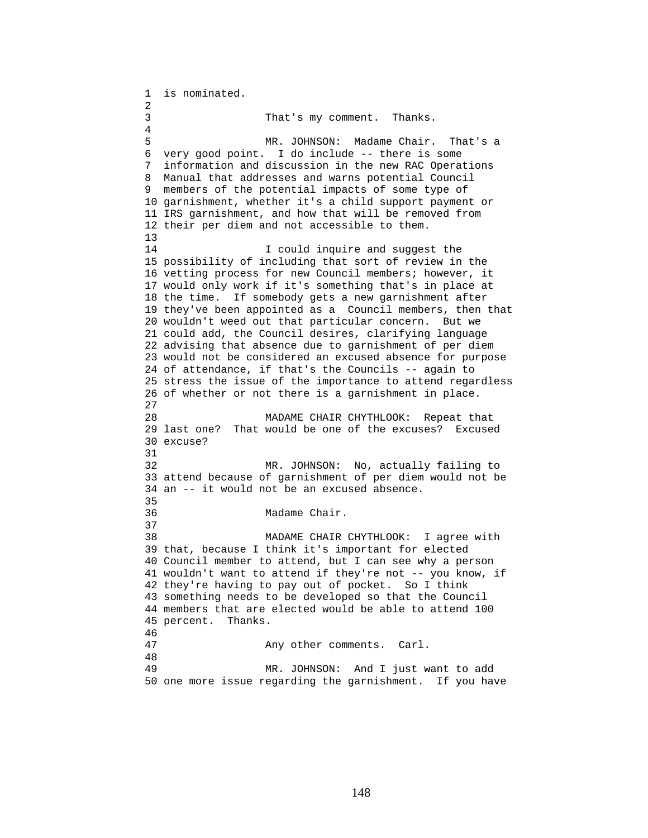1 is nominated. 2 3 That's my comment. Thanks. 4 5 MR. JOHNSON: Madame Chair. That's a 6 very good point. I do include -- there is some 7 information and discussion in the new RAC Operations 8 Manual that addresses and warns potential Council 9 members of the potential impacts of some type of 10 garnishment, whether it's a child support payment or 11 IRS garnishment, and how that will be removed from 12 their per diem and not accessible to them. 13 14 **I** could inquire and suggest the 15 possibility of including that sort of review in the 16 vetting process for new Council members; however, it 17 would only work if it's something that's in place at 18 the time. If somebody gets a new garnishment after 19 they've been appointed as a Council members, then that 20 wouldn't weed out that particular concern. But we 21 could add, the Council desires, clarifying language 22 advising that absence due to garnishment of per diem 23 would not be considered an excused absence for purpose 24 of attendance, if that's the Councils -- again to 25 stress the issue of the importance to attend regardless 26 of whether or not there is a garnishment in place. 27 28 MADAME CHAIR CHYTHLOOK: Repeat that 29 last one? That would be one of the excuses? Excused 30 excuse? 31 32 MR. JOHNSON: No, actually failing to 33 attend because of garnishment of per diem would not be 34 an -- it would not be an excused absence. 35 36 Madame Chair. 37 38 MADAME CHAIR CHYTHLOOK: I agree with 39 that, because I think it's important for elected 40 Council member to attend, but I can see why a person 41 wouldn't want to attend if they're not -- you know, if 42 they're having to pay out of pocket. So I think 43 something needs to be developed so that the Council 44 members that are elected would be able to attend 100 45 percent. Thanks. 46 47 Any other comments. Carl. 48 49 MR. JOHNSON: And I just want to add 50 one more issue regarding the garnishment. If you have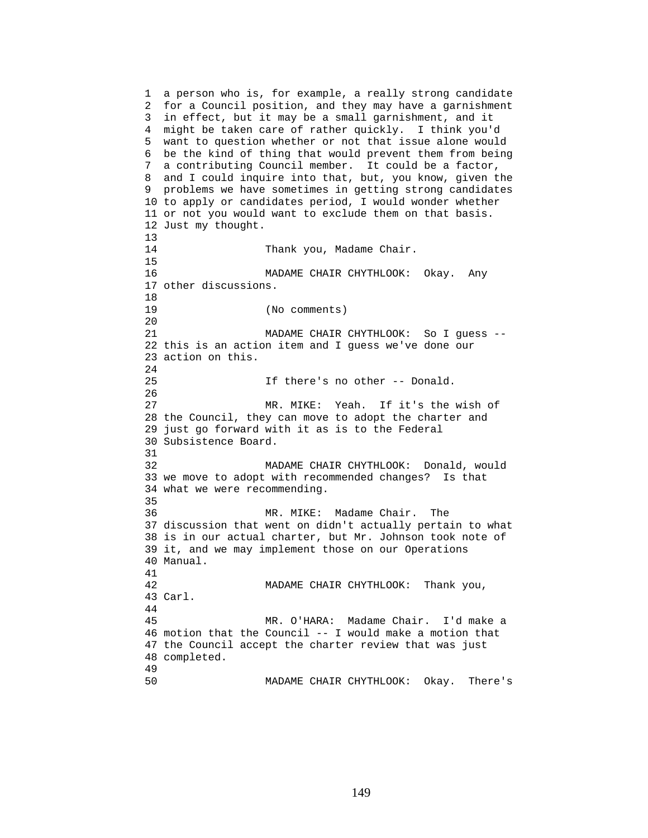```
1 a person who is, for example, a really strong candidate 
2 for a Council position, and they may have a garnishment 
3 in effect, but it may be a small garnishment, and it 
4 might be taken care of rather quickly. I think you'd 
5 want to question whether or not that issue alone would 
6 be the kind of thing that would prevent them from being 
7 a contributing Council member. It could be a factor, 
8 and I could inquire into that, but, you know, given the 
9 problems we have sometimes in getting strong candidates 
10 to apply or candidates period, I would wonder whether 
11 or not you would want to exclude them on that basis. 
12 Just my thought. 
13 
14 Thank you, Madame Chair.
15 
16 MADAME CHAIR CHYTHLOOK: Okay. Any 
17 other discussions. 
18 
19 (No comments) 
20 
21 MADAME CHAIR CHYTHLOOK: So I guess -- 
22 this is an action item and I guess we've done our 
23 action on this. 
24 
25 If there's no other -- Donald. 
26 
27 MR. MIKE: Yeah. If it's the wish of 
28 the Council, they can move to adopt the charter and 
29 just go forward with it as is to the Federal 
30 Subsistence Board. 
31 
32 MADAME CHAIR CHYTHLOOK: Donald, would 
33 we move to adopt with recommended changes? Is that 
34 what we were recommending. 
35 
36 MR. MIKE: Madame Chair. The 
37 discussion that went on didn't actually pertain to what 
38 is in our actual charter, but Mr. Johnson took note of 
39 it, and we may implement those on our Operations 
40 Manual. 
41 
42 MADAME CHAIR CHYTHLOOK: Thank you, 
43 Carl. 
44 
45 MR. O'HARA: Madame Chair. I'd make a 
46 motion that the Council -- I would make a motion that 
47 the Council accept the charter review that was just 
48 completed. 
49 
50 MADAME CHAIR CHYTHLOOK: Okay. There's
```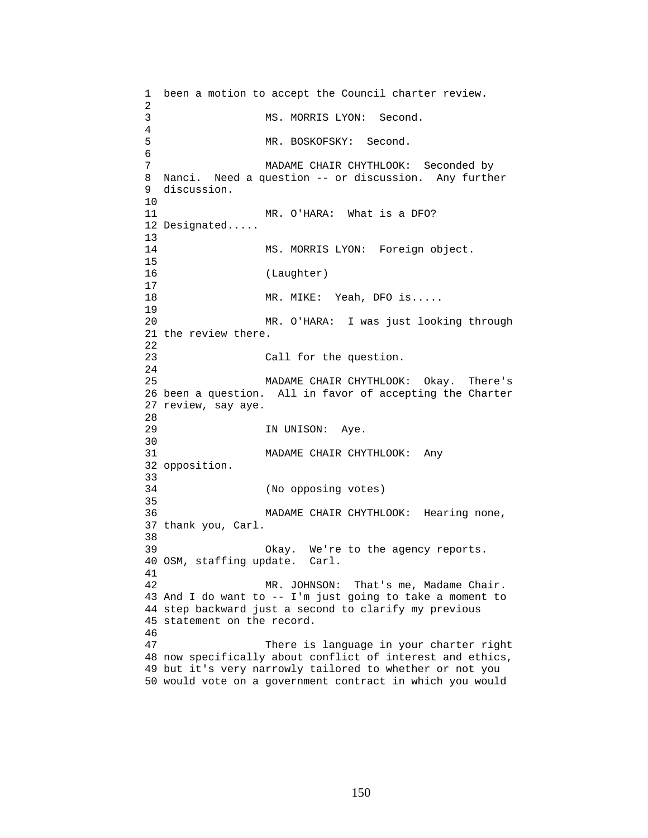1 been a motion to accept the Council charter review. 2 3 MS. MORRIS LYON: Second. 4 5 MR. BOSKOFSKY: Second. 6 7 MADAME CHAIR CHYTHLOOK: Seconded by 8 Nanci. Need a question -- or discussion. Any further 9 discussion. 10 11 MR. O'HARA: What is a DFO? 12 Designated..... 13 14 MS. MORRIS LYON: Foreign object. 15 16 (Laughter) 17 18 MR. MIKE: Yeah, DFO is..... 19 20 MR. O'HARA: I was just looking through 21 the review there. 22 23 Call for the question. 24 25 MADAME CHAIR CHYTHLOOK: Okay. There's 26 been a question. All in favor of accepting the Charter 27 review, say aye. 28 29 IN UNISON: Aye. 30<br>31 MADAME CHAIR CHYTHLOOK: Any 32 opposition. 33 34 (No opposing votes) 35 36 MADAME CHAIR CHYTHLOOK: Hearing none, 37 thank you, Carl. 38 39 Okay. We're to the agency reports. 40 OSM, staffing update. Carl. 41 42 MR. JOHNSON: That's me, Madame Chair. 43 And I do want to -- I'm just going to take a moment to 44 step backward just a second to clarify my previous 45 statement on the record. 46 47 There is language in your charter right 48 now specifically about conflict of interest and ethics, 49 but it's very narrowly tailored to whether or not you 50 would vote on a government contract in which you would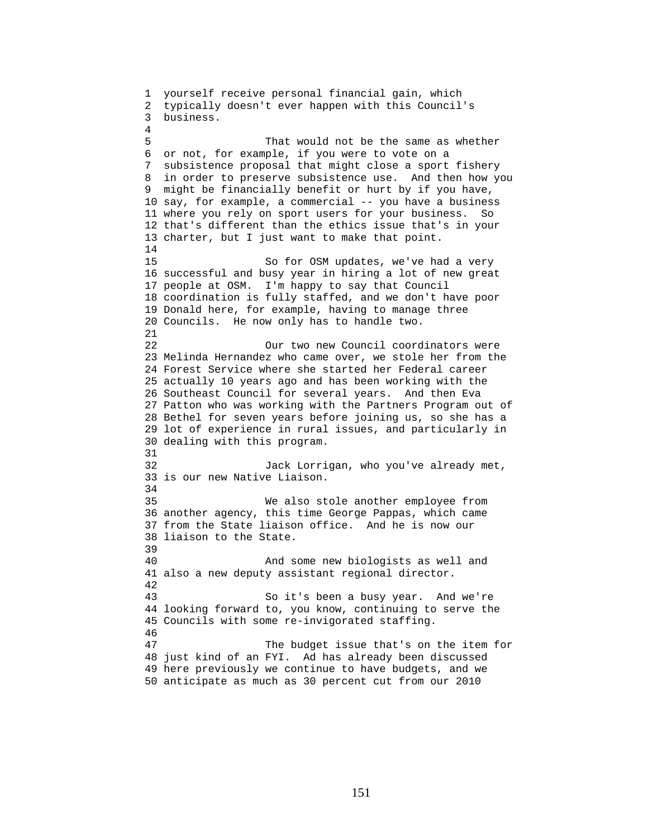1 yourself receive personal financial gain, which 2 typically doesn't ever happen with this Council's 3 business. 4 5 That would not be the same as whether 6 or not, for example, if you were to vote on a 7 subsistence proposal that might close a sport fishery 8 in order to preserve subsistence use. And then how you 9 might be financially benefit or hurt by if you have, 10 say, for example, a commercial -- you have a business 11 where you rely on sport users for your business. So 12 that's different than the ethics issue that's in your 13 charter, but I just want to make that point. 14 15 So for OSM updates, we've had a very 16 successful and busy year in hiring a lot of new great 17 people at OSM. I'm happy to say that Council 18 coordination is fully staffed, and we don't have poor 19 Donald here, for example, having to manage three 20 Councils. He now only has to handle two. 21 22 Our two new Council coordinators were 23 Melinda Hernandez who came over, we stole her from the 24 Forest Service where she started her Federal career 25 actually 10 years ago and has been working with the 26 Southeast Council for several years. And then Eva 27 Patton who was working with the Partners Program out of 28 Bethel for seven years before joining us, so she has a 29 lot of experience in rural issues, and particularly in 30 dealing with this program. 31 32 Jack Lorrigan, who you've already met, 33 is our new Native Liaison. 34 35 We also stole another employee from 36 another agency, this time George Pappas, which came 37 from the State liaison office. And he is now our 38 liaison to the State. 39 40 And some new biologists as well and 41 also a new deputy assistant regional director. 42 43 So it's been a busy year. And we're 44 looking forward to, you know, continuing to serve the 45 Councils with some re-invigorated staffing. 46 47 The budget issue that's on the item for 48 just kind of an FYI. Ad has already been discussed 49 here previously we continue to have budgets, and we 50 anticipate as much as 30 percent cut from our 2010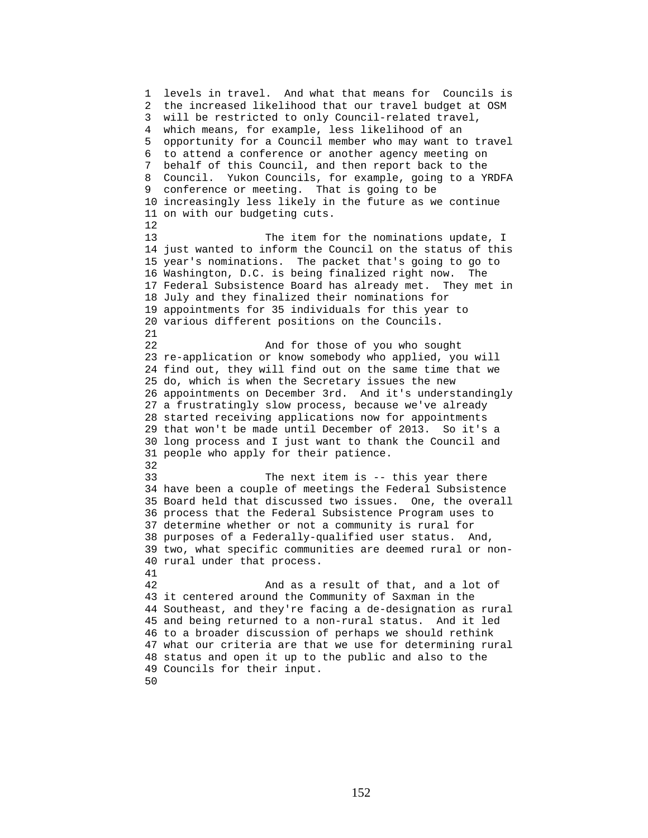1 levels in travel. And what that means for Councils is 2 the increased likelihood that our travel budget at OSM 3 will be restricted to only Council-related travel, 4 which means, for example, less likelihood of an 5 opportunity for a Council member who may want to travel 6 to attend a conference or another agency meeting on 7 behalf of this Council, and then report back to the 8 Council. Yukon Councils, for example, going to a YRDFA 9 conference or meeting. That is going to be 10 increasingly less likely in the future as we continue 11 on with our budgeting cuts. 12 13 The item for the nominations update, I 14 just wanted to inform the Council on the status of this 15 year's nominations. The packet that's going to go to 16 Washington, D.C. is being finalized right now. The 17 Federal Subsistence Board has already met. They met in 18 July and they finalized their nominations for 19 appointments for 35 individuals for this year to 20 various different positions on the Councils. 21 22 And for those of you who sought 23 re-application or know somebody who applied, you will 24 find out, they will find out on the same time that we 25 do, which is when the Secretary issues the new 26 appointments on December 3rd. And it's understandingly 27 a frustratingly slow process, because we've already 28 started receiving applications now for appointments 29 that won't be made until December of 2013. So it's a 30 long process and I just want to thank the Council and 31 people who apply for their patience. 32 33 The next item is -- this year there 34 have been a couple of meetings the Federal Subsistence 35 Board held that discussed two issues. One, the overall 36 process that the Federal Subsistence Program uses to 37 determine whether or not a community is rural for 38 purposes of a Federally-qualified user status. And, 39 two, what specific communities are deemed rural or non-40 rural under that process. 41 42 And as a result of that, and a lot of 43 it centered around the Community of Saxman in the 44 Southeast, and they're facing a de-designation as rural 45 and being returned to a non-rural status. And it led 46 to a broader discussion of perhaps we should rethink 47 what our criteria are that we use for determining rural 48 status and open it up to the public and also to the 49 Councils for their input. 50

152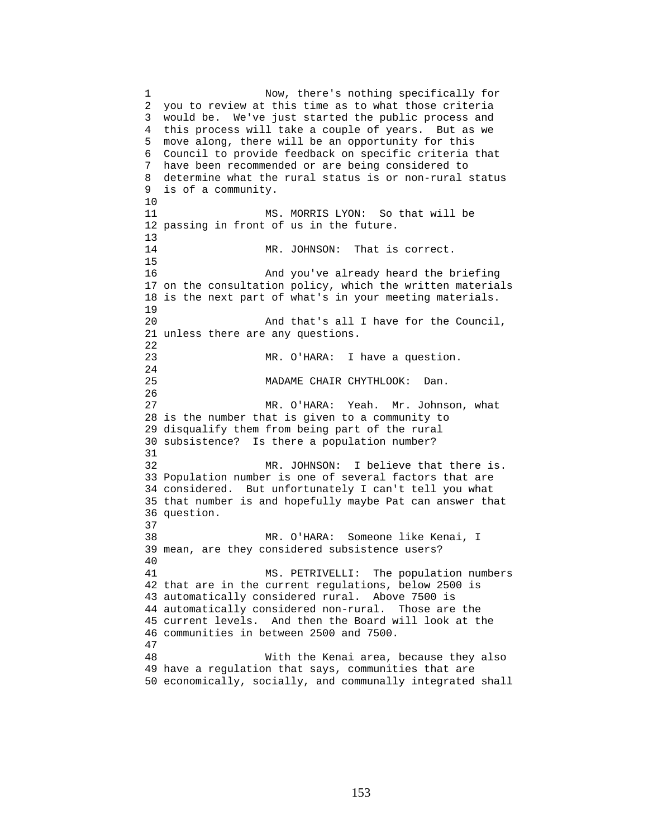1 Now, there's nothing specifically for 2 you to review at this time as to what those criteria 3 would be. We've just started the public process and 4 this process will take a couple of years. But as we 5 move along, there will be an opportunity for this 6 Council to provide feedback on specific criteria that 7 have been recommended or are being considered to 8 determine what the rural status is or non-rural status 9 is of a community. 10 11 MS. MORRIS LYON: So that will be 12 passing in front of us in the future.  $\frac{13}{14}$ MR. JOHNSON: That is correct. 15 16 And you've already heard the briefing 17 on the consultation policy, which the written materials 18 is the next part of what's in your meeting materials. 19 20 And that's all I have for the Council, 21 unless there are any questions. 22 23 MR. O'HARA: I have a question. 24 25 MADAME CHAIR CHYTHLOOK: Dan. 26 27 MR. O'HARA: Yeah. Mr. Johnson, what 28 is the number that is given to a community to 29 disqualify them from being part of the rural 30 subsistence? Is there a population number? 31 32 MR. JOHNSON: I believe that there is. 33 Population number is one of several factors that are 34 considered. But unfortunately I can't tell you what 35 that number is and hopefully maybe Pat can answer that 36 question. 37 38 MR. O'HARA: Someone like Kenai, I 39 mean, are they considered subsistence users? 40 41 MS. PETRIVELLI: The population numbers 42 that are in the current regulations, below 2500 is 43 automatically considered rural. Above 7500 is 44 automatically considered non-rural. Those are the 45 current levels. And then the Board will look at the 46 communities in between 2500 and 7500. 47 48 With the Kenai area, because they also 49 have a regulation that says, communities that are 50 economically, socially, and communally integrated shall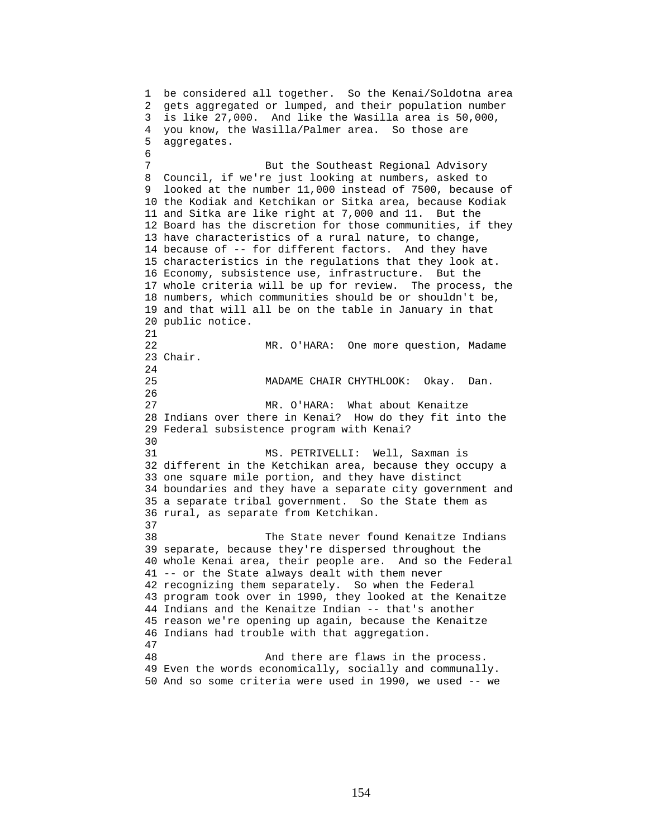1 be considered all together. So the Kenai/Soldotna area 2 gets aggregated or lumped, and their population number 3 is like 27,000. And like the Wasilla area is 50,000, 4 you know, the Wasilla/Palmer area. So those are 5 aggregates. 6 7 But the Southeast Regional Advisory 8 Council, if we're just looking at numbers, asked to 9 looked at the number 11,000 instead of 7500, because of 10 the Kodiak and Ketchikan or Sitka area, because Kodiak 11 and Sitka are like right at 7,000 and 11. But the 12 Board has the discretion for those communities, if they 13 have characteristics of a rural nature, to change, 14 because of -- for different factors. And they have 15 characteristics in the regulations that they look at. 16 Economy, subsistence use, infrastructure. But the 17 whole criteria will be up for review. The process, the 18 numbers, which communities should be or shouldn't be, 19 and that will all be on the table in January in that 20 public notice. 21 22 MR. O'HARA: One more question, Madame 23 Chair. 24 25 MADAME CHAIR CHYTHLOOK: Okay. Dan. 26 27 MR. O'HARA: What about Kenaitze 28 Indians over there in Kenai? How do they fit into the 29 Federal subsistence program with Kenai? 30 31 MS. PETRIVELLI: Well, Saxman is 32 different in the Ketchikan area, because they occupy a 33 one square mile portion, and they have distinct 34 boundaries and they have a separate city government and 35 a separate tribal government. So the State them as 36 rural, as separate from Ketchikan. 37 38 The State never found Kenaitze Indians 39 separate, because they're dispersed throughout the 40 whole Kenai area, their people are. And so the Federal 41 -- or the State always dealt with them never 42 recognizing them separately. So when the Federal 43 program took over in 1990, they looked at the Kenaitze 44 Indians and the Kenaitze Indian -- that's another 45 reason we're opening up again, because the Kenaitze 46 Indians had trouble with that aggregation. 47 48 And there are flaws in the process. 49 Even the words economically, socially and communally. 50 And so some criteria were used in 1990, we used -- we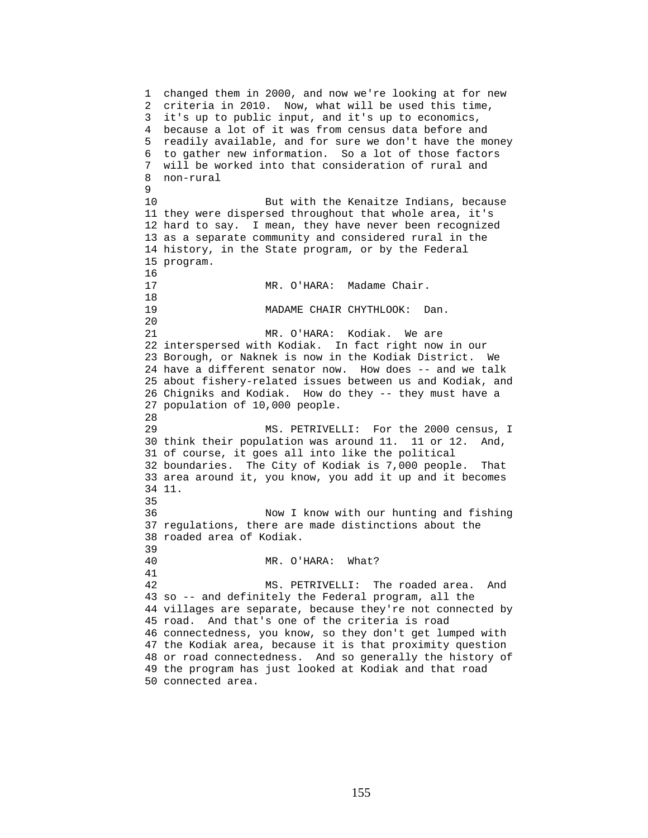1 changed them in 2000, and now we're looking at for new 2 criteria in 2010. Now, what will be used this time, 3 it's up to public input, and it's up to economics, 4 because a lot of it was from census data before and 5 readily available, and for sure we don't have the money 6 to gather new information. So a lot of those factors 7 will be worked into that consideration of rural and 8 non-rural  $\mathsf{Q}$ 10 But with the Kenaitze Indians, because 11 they were dispersed throughout that whole area, it's 12 hard to say. I mean, they have never been recognized 13 as a separate community and considered rural in the 14 history, in the State program, or by the Federal 15 program. 16<br>17 MR. O'HARA: Madame Chair. 18 19 MADAME CHAIR CHYTHLOOK: Dan. 20 21 MR. O'HARA: Kodiak. We are 22 interspersed with Kodiak. In fact right now in our 23 Borough, or Naknek is now in the Kodiak District. We 24 have a different senator now. How does -- and we talk 25 about fishery-related issues between us and Kodiak, and 26 Chigniks and Kodiak. How do they -- they must have a 27 population of 10,000 people. 28 29 MS. PETRIVELLI: For the 2000 census, I 30 think their population was around 11. 11 or 12. And, 31 of course, it goes all into like the political 32 boundaries. The City of Kodiak is 7,000 people. That 33 area around it, you know, you add it up and it becomes 34 11. 35 36 Now I know with our hunting and fishing 37 regulations, there are made distinctions about the 38 roaded area of Kodiak. 39 40 MR. O'HARA: What? 41 42 MS. PETRIVELLI: The roaded area. And 43 so -- and definitely the Federal program, all the 44 villages are separate, because they're not connected by 45 road. And that's one of the criteria is road 46 connectedness, you know, so they don't get lumped with 47 the Kodiak area, because it is that proximity question 48 or road connectedness. And so generally the history of 49 the program has just looked at Kodiak and that road 50 connected area.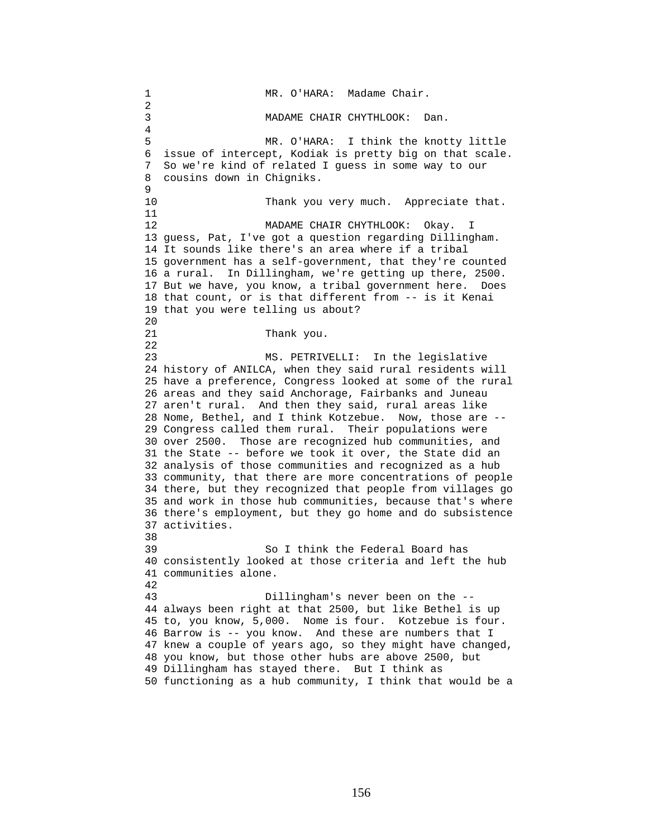1 MR. O'HARA: Madame Chair. 2 3 MADAME CHAIR CHYTHLOOK: Dan. 4 5 MR. O'HARA: I think the knotty little 6 issue of intercept, Kodiak is pretty big on that scale. 7 So we're kind of related I guess in some way to our 8 cousins down in Chigniks. 9 10 Thank you very much. Appreciate that. 11 12 MADAME CHAIR CHYTHLOOK: Okay. I 13 guess, Pat, I've got a question regarding Dillingham. 14 It sounds like there's an area where if a tribal 15 government has a self-government, that they're counted 16 a rural. In Dillingham, we're getting up there, 2500. 17 But we have, you know, a tribal government here. Does 18 that count, or is that different from -- is it Kenai 19 that you were telling us about? 20 21 Thank you. 22 23 MS. PETRIVELLI: In the legislative 24 history of ANILCA, when they said rural residents will 25 have a preference, Congress looked at some of the rural 26 areas and they said Anchorage, Fairbanks and Juneau 27 aren't rural. And then they said, rural areas like 28 Nome, Bethel, and I think Kotzebue. Now, those are -- 29 Congress called them rural. Their populations were 30 over 2500. Those are recognized hub communities, and 31 the State -- before we took it over, the State did an 32 analysis of those communities and recognized as a hub 33 community, that there are more concentrations of people 34 there, but they recognized that people from villages go 35 and work in those hub communities, because that's where 36 there's employment, but they go home and do subsistence 37 activities. 38 39 So I think the Federal Board has 40 consistently looked at those criteria and left the hub 41 communities alone. 42 43 Dillingham's never been on the -- 44 always been right at that 2500, but like Bethel is up 45 to, you know, 5,000. Nome is four. Kotzebue is four. 46 Barrow is -- you know. And these are numbers that I 47 knew a couple of years ago, so they might have changed, 48 you know, but those other hubs are above 2500, but 49 Dillingham has stayed there. But I think as 50 functioning as a hub community, I think that would be a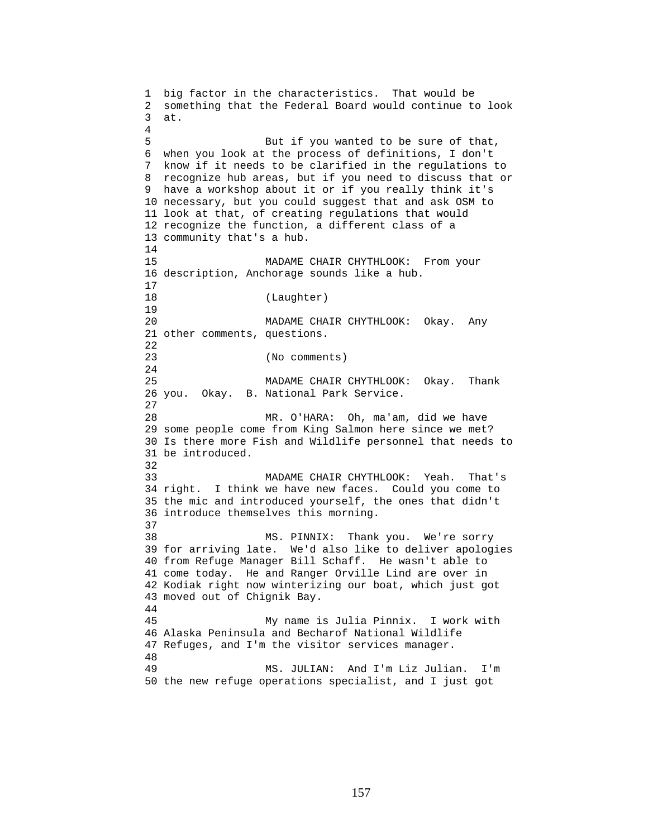1 big factor in the characteristics. That would be 2 something that the Federal Board would continue to look 3 at. 4 5 But if you wanted to be sure of that, 6 when you look at the process of definitions, I don't 7 know if it needs to be clarified in the regulations to 8 recognize hub areas, but if you need to discuss that or 9 have a workshop about it or if you really think it's 10 necessary, but you could suggest that and ask OSM to 11 look at that, of creating regulations that would 12 recognize the function, a different class of a 13 community that's a hub. 14 15 MADAME CHAIR CHYTHLOOK: From your 16 description, Anchorage sounds like a hub. 17 18 (Laughter) 19 20 MADAME CHAIR CHYTHLOOK: Okay. Any 21 other comments, questions. 22 23 (No comments) 24 25 MADAME CHAIR CHYTHLOOK: Okay. Thank 26 you. Okay. B. National Park Service. 27 28 MR. O'HARA: Oh, ma'am, did we have 29 some people come from King Salmon here since we met? 30 Is there more Fish and Wildlife personnel that needs to 31 be introduced. 32 33 MADAME CHAIR CHYTHLOOK: Yeah. That's 34 right. I think we have new faces. Could you come to 35 the mic and introduced yourself, the ones that didn't 36 introduce themselves this morning. 37 38 MS. PINNIX: Thank you. We're sorry 39 for arriving late. We'd also like to deliver apologies 40 from Refuge Manager Bill Schaff. He wasn't able to 41 come today. He and Ranger Orville Lind are over in 42 Kodiak right now winterizing our boat, which just got 43 moved out of Chignik Bay. 44 45 My name is Julia Pinnix. I work with 46 Alaska Peninsula and Becharof National Wildlife 47 Refuges, and I'm the visitor services manager. 48 49 MS. JULIAN: And I'm Liz Julian. I'm 50 the new refuge operations specialist, and I just got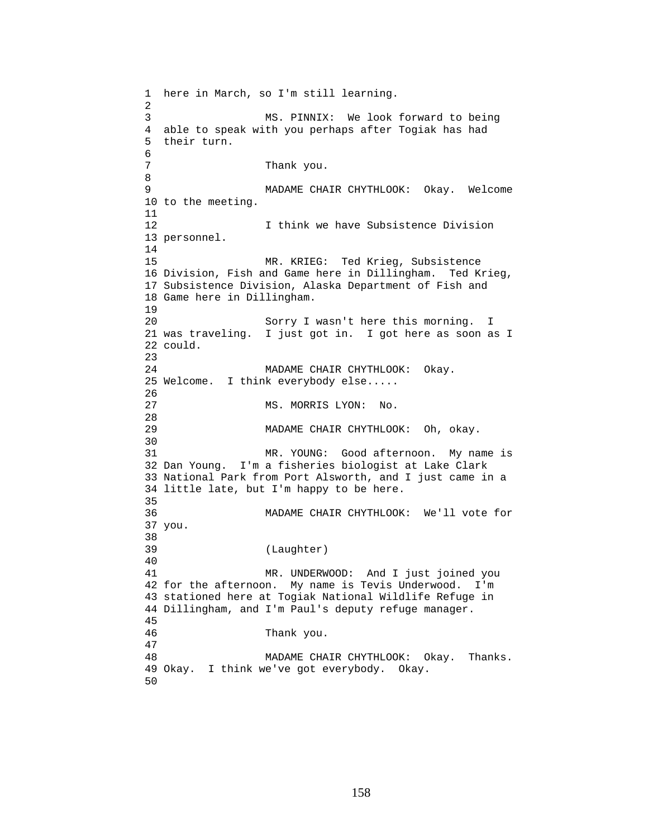1 here in March, so I'm still learning. 2 3 MS. PINNIX: We look forward to being 4 able to speak with you perhaps after Togiak has had 5 their turn. 6 7 Thank you. 8 9 MADAME CHAIR CHYTHLOOK: Okay. Welcome 10 to the meeting. 11 12 I think we have Subsistence Division 13 personnel. 14 15 MR. KRIEG: Ted Krieg, Subsistence 16 Division, Fish and Game here in Dillingham. Ted Krieg, 17 Subsistence Division, Alaska Department of Fish and 18 Game here in Dillingham. 19 20 Sorry I wasn't here this morning. I 21 was traveling. I just got in. I got here as soon as I 22 could. 23 24 MADAME CHAIR CHYTHLOOK: Okay. 25 Welcome. I think everybody else..... 26 27 MS. MORRIS LYON: No. 28 29 MADAME CHAIR CHYTHLOOK: Oh, okay. 30<br>31 MR. YOUNG: Good afternoon. My name is 32 Dan Young. I'm a fisheries biologist at Lake Clark 33 National Park from Port Alsworth, and I just came in a 34 little late, but I'm happy to be here. 35 36 MADAME CHAIR CHYTHLOOK: We'll vote for 37 you. 38 39 (Laughter)  $\begin{array}{c} 40 \\ 41 \end{array}$ MR. UNDERWOOD: And I just joined you 42 for the afternoon. My name is Tevis Underwood. I'm 43 stationed here at Togiak National Wildlife Refuge in 44 Dillingham, and I'm Paul's deputy refuge manager. 45 46 Thank you. 47 48 MADAME CHAIR CHYTHLOOK: Okay. Thanks. 49 Okay. I think we've got everybody. Okay. 50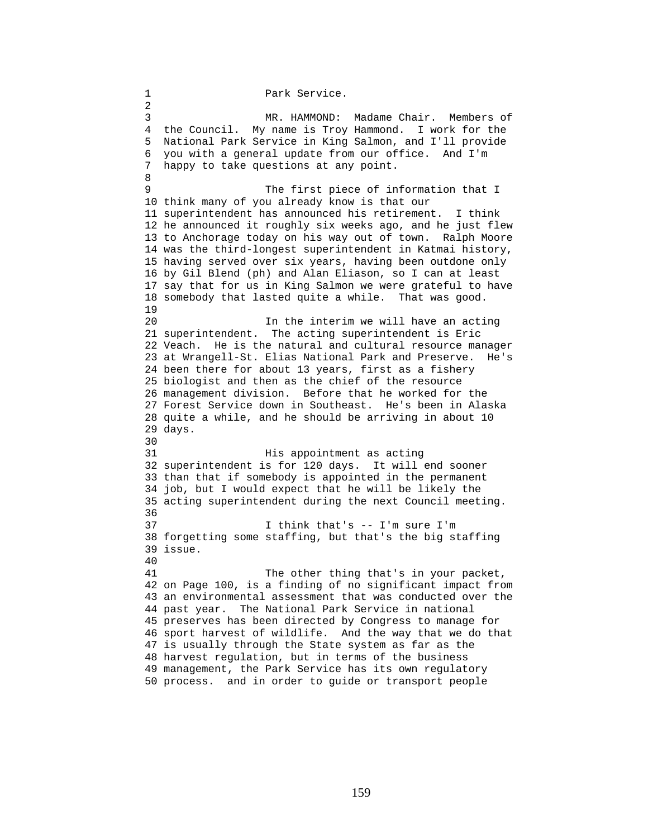1 Park Service. 2 3 MR. HAMMOND: Madame Chair. Members of 4 the Council. My name is Troy Hammond. I work for the 5 National Park Service in King Salmon, and I'll provide 6 you with a general update from our office. And I'm 7 happy to take questions at any point. 8 9 The first piece of information that I 10 think many of you already know is that our 11 superintendent has announced his retirement. I think 12 he announced it roughly six weeks ago, and he just flew 13 to Anchorage today on his way out of town. Ralph Moore 14 was the third-longest superintendent in Katmai history, 15 having served over six years, having been outdone only 16 by Gil Blend (ph) and Alan Eliason, so I can at least 17 say that for us in King Salmon we were grateful to have 18 somebody that lasted quite a while. That was good. 19 20 In the interim we will have an acting 21 superintendent. The acting superintendent is Eric 22 Veach. He is the natural and cultural resource manager 23 at Wrangell-St. Elias National Park and Preserve. He's 24 been there for about 13 years, first as a fishery 25 biologist and then as the chief of the resource 26 management division. Before that he worked for the 27 Forest Service down in Southeast. He's been in Alaska 28 quite a while, and he should be arriving in about 10 29 days. 30 31 His appointment as acting 32 superintendent is for 120 days. It will end sooner 33 than that if somebody is appointed in the permanent 34 job, but I would expect that he will be likely the 35 acting superintendent during the next Council meeting. 36 37 I think that's -- I'm sure I'm 38 forgetting some staffing, but that's the big staffing 39 issue. 40 41 The other thing that's in your packet, 42 on Page 100, is a finding of no significant impact from 43 an environmental assessment that was conducted over the 44 past year. The National Park Service in national 45 preserves has been directed by Congress to manage for 46 sport harvest of wildlife. And the way that we do that 47 is usually through the State system as far as the 48 harvest regulation, but in terms of the business 49 management, the Park Service has its own regulatory 50 process. and in order to guide or transport people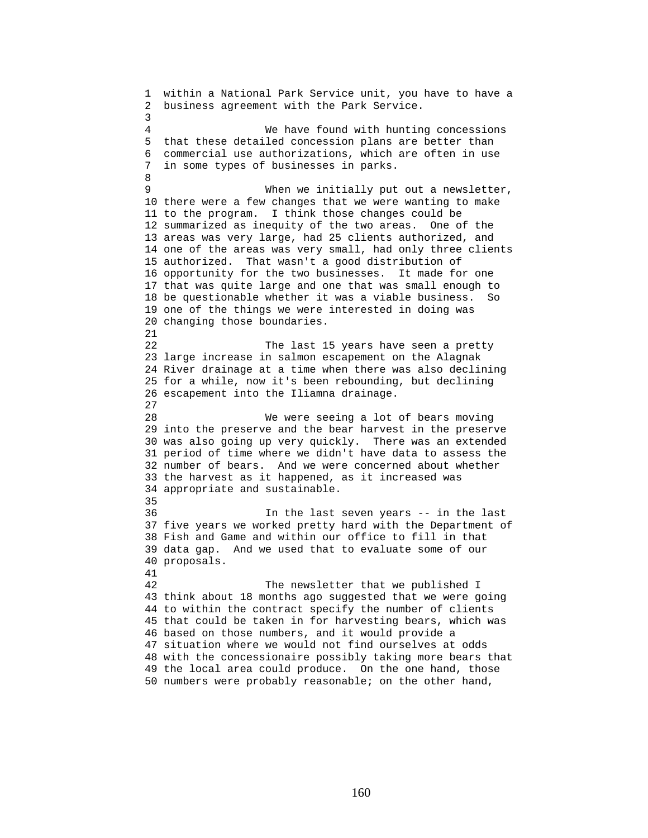1 within a National Park Service unit, you have to have a 2 business agreement with the Park Service. 3 4 We have found with hunting concessions 5 that these detailed concession plans are better than 6 commercial use authorizations, which are often in use 7 in some types of businesses in parks. 8 9 When we initially put out a newsletter, 10 there were a few changes that we were wanting to make 11 to the program. I think those changes could be 12 summarized as inequity of the two areas. One of the 13 areas was very large, had 25 clients authorized, and 14 one of the areas was very small, had only three clients 15 authorized. That wasn't a good distribution of 16 opportunity for the two businesses. It made for one 17 that was quite large and one that was small enough to 18 be questionable whether it was a viable business. So 19 one of the things we were interested in doing was 20 changing those boundaries. 21 22 The last 15 years have seen a pretty 23 large increase in salmon escapement on the Alagnak 24 River drainage at a time when there was also declining 25 for a while, now it's been rebounding, but declining 26 escapement into the Iliamna drainage. 27 28 We were seeing a lot of bears moving 29 into the preserve and the bear harvest in the preserve 30 was also going up very quickly. There was an extended 31 period of time where we didn't have data to assess the 32 number of bears. And we were concerned about whether 33 the harvest as it happened, as it increased was 34 appropriate and sustainable. 35 36 In the last seven years -- in the last 37 five years we worked pretty hard with the Department of 38 Fish and Game and within our office to fill in that 39 data gap. And we used that to evaluate some of our 40 proposals. 41 42 The newsletter that we published I 43 think about 18 months ago suggested that we were going 44 to within the contract specify the number of clients 45 that could be taken in for harvesting bears, which was 46 based on those numbers, and it would provide a 47 situation where we would not find ourselves at odds 48 with the concessionaire possibly taking more bears that 49 the local area could produce. On the one hand, those 50 numbers were probably reasonable; on the other hand,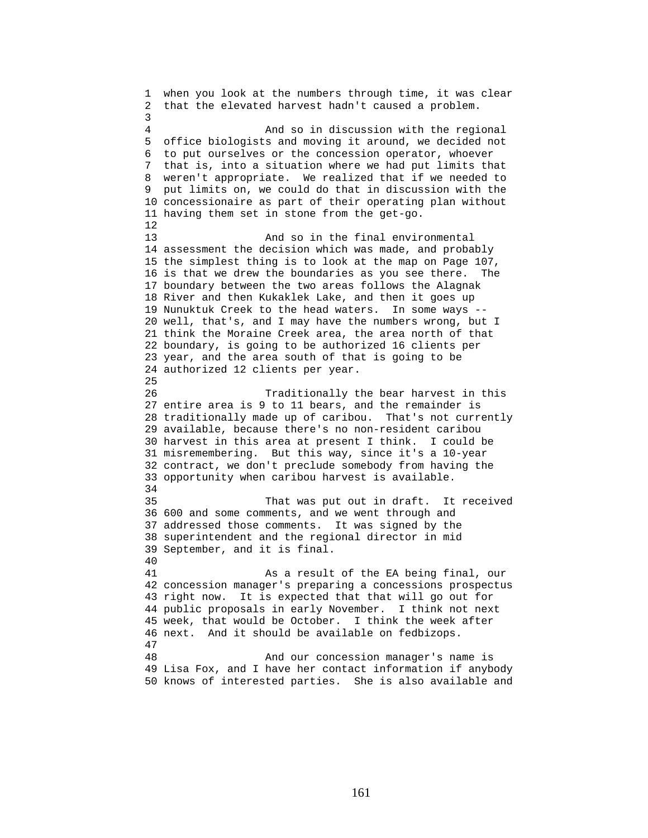1 when you look at the numbers through time, it was clear 2 that the elevated harvest hadn't caused a problem. 3 4 And so in discussion with the regional 5 office biologists and moving it around, we decided not 6 to put ourselves or the concession operator, whoever 7 that is, into a situation where we had put limits that 8 weren't appropriate. We realized that if we needed to 9 put limits on, we could do that in discussion with the 10 concessionaire as part of their operating plan without 11 having them set in stone from the get-go. 12 13 And so in the final environmental 14 assessment the decision which was made, and probably 15 the simplest thing is to look at the map on Page 107, 16 is that we drew the boundaries as you see there. The 17 boundary between the two areas follows the Alagnak 18 River and then Kukaklek Lake, and then it goes up 19 Nunuktuk Creek to the head waters. In some ways -- 20 well, that's, and I may have the numbers wrong, but I 21 think the Moraine Creek area, the area north of that 22 boundary, is going to be authorized 16 clients per 23 year, and the area south of that is going to be 24 authorized 12 clients per year. 25 26 Traditionally the bear harvest in this 27 entire area is 9 to 11 bears, and the remainder is 28 traditionally made up of caribou. That's not currently 29 available, because there's no non-resident caribou 30 harvest in this area at present I think. I could be 31 misremembering. But this way, since it's a 10-year 32 contract, we don't preclude somebody from having the 33 opportunity when caribou harvest is available. 34 35 That was put out in draft. It received 36 600 and some comments, and we went through and 37 addressed those comments. It was signed by the 38 superintendent and the regional director in mid 39 September, and it is final. 40 41 As a result of the EA being final, our 42 concession manager's preparing a concessions prospectus 43 right now. It is expected that that will go out for 44 public proposals in early November. I think not next 45 week, that would be October. I think the week after 46 next. And it should be available on fedbizops. 47 48 And our concession manager's name is 49 Lisa Fox, and I have her contact information if anybody 50 knows of interested parties. She is also available and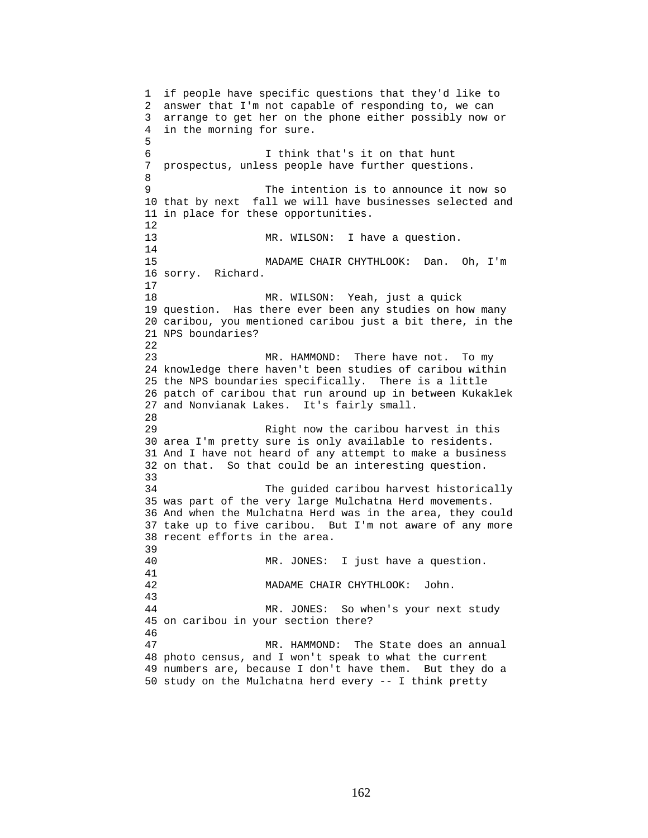1 if people have specific questions that they'd like to 2 answer that I'm not capable of responding to, we can 3 arrange to get her on the phone either possibly now or 4 in the morning for sure. 5 6 I think that's it on that hunt 7 prospectus, unless people have further questions. 8 9 The intention is to announce it now so 10 that by next fall we will have businesses selected and 11 in place for these opportunities. 12 13 MR. WILSON: I have a question. 14 15 MADAME CHAIR CHYTHLOOK: Dan. Oh, I'm 16 sorry. Richard. 17 18 MR. WILSON: Yeah, just a quick 19 question. Has there ever been any studies on how many 20 caribou, you mentioned caribou just a bit there, in the 21 NPS boundaries? 22 23 MR. HAMMOND: There have not. To my 24 knowledge there haven't been studies of caribou within 25 the NPS boundaries specifically. There is a little 26 patch of caribou that run around up in between Kukaklek 27 and Nonvianak Lakes. It's fairly small. 28 29 Right now the caribou harvest in this 30 area I'm pretty sure is only available to residents. 31 And I have not heard of any attempt to make a business 32 on that. So that could be an interesting question. 33 34 The guided caribou harvest historically 35 was part of the very large Mulchatna Herd movements. 36 And when the Mulchatna Herd was in the area, they could 37 take up to five caribou. But I'm not aware of any more 38 recent efforts in the area. 39 40 MR. JONES: I just have a question. 41 42 MADAME CHAIR CHYTHLOOK: John. 43 44 MR. JONES: So when's your next study 45 on caribou in your section there? 46 47 MR. HAMMOND: The State does an annual 48 photo census, and I won't speak to what the current 49 numbers are, because I don't have them. But they do a 50 study on the Mulchatna herd every -- I think pretty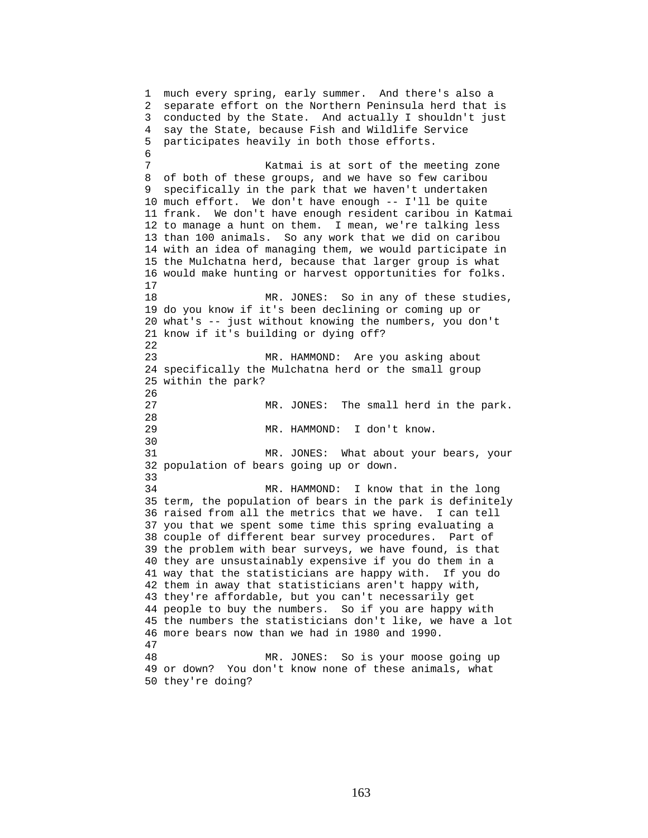1 much every spring, early summer. And there's also a 2 separate effort on the Northern Peninsula herd that is 3 conducted by the State. And actually I shouldn't just 4 say the State, because Fish and Wildlife Service 5 participates heavily in both those efforts. 6 7 Katmai is at sort of the meeting zone 8 of both of these groups, and we have so few caribou 9 specifically in the park that we haven't undertaken 10 much effort. We don't have enough -- I'll be quite 11 frank. We don't have enough resident caribou in Katmai 12 to manage a hunt on them. I mean, we're talking less 13 than 100 animals. So any work that we did on caribou 14 with an idea of managing them, we would participate in 15 the Mulchatna herd, because that larger group is what 16 would make hunting or harvest opportunities for folks. 17 18 MR. JONES: So in any of these studies, 19 do you know if it's been declining or coming up or 20 what's -- just without knowing the numbers, you don't 21 know if it's building or dying off? 22 23 MR. HAMMOND: Are you asking about 24 specifically the Mulchatna herd or the small group 25 within the park? 26 27 MR. JONES: The small herd in the park. 28 29 MR. HAMMOND: I don't know. 30 31 MR. JONES: What about your bears, your 32 population of bears going up or down. 33 34 MR. HAMMOND: I know that in the long 35 term, the population of bears in the park is definitely 36 raised from all the metrics that we have. I can tell 37 you that we spent some time this spring evaluating a 38 couple of different bear survey procedures. Part of 39 the problem with bear surveys, we have found, is that 40 they are unsustainably expensive if you do them in a 41 way that the statisticians are happy with. If you do 42 them in away that statisticians aren't happy with, 43 they're affordable, but you can't necessarily get 44 people to buy the numbers. So if you are happy with 45 the numbers the statisticians don't like, we have a lot 46 more bears now than we had in 1980 and 1990. 47 48 MR. JONES: So is your moose going up 49 or down? You don't know none of these animals, what 50 they're doing?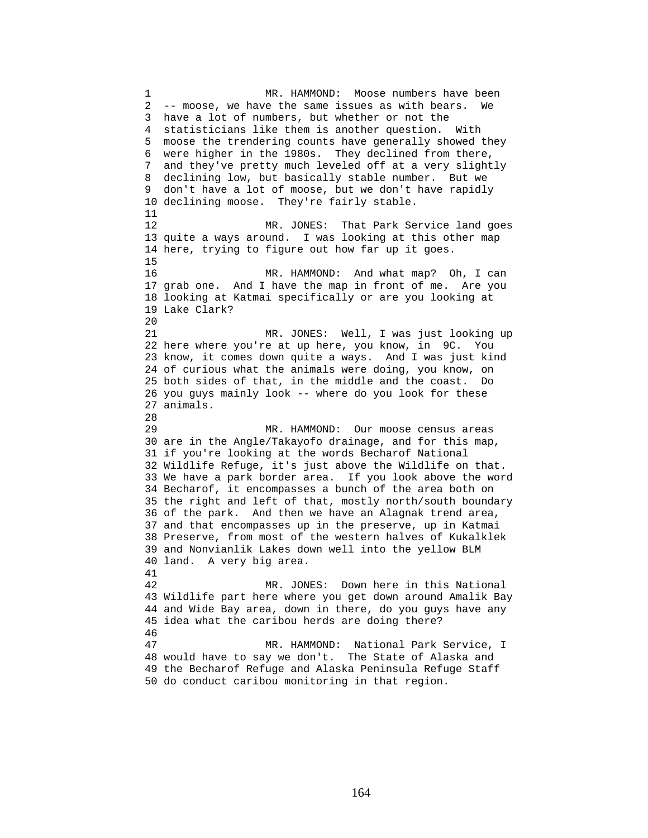1 MR. HAMMOND: Moose numbers have been 2 -- moose, we have the same issues as with bears. We 3 have a lot of numbers, but whether or not the 4 statisticians like them is another question. With 5 moose the trendering counts have generally showed they 6 were higher in the 1980s. They declined from there, 7 and they've pretty much leveled off at a very slightly 8 declining low, but basically stable number. But we 9 don't have a lot of moose, but we don't have rapidly 10 declining moose. They're fairly stable. 11 12 MR. JONES: That Park Service land goes 13 quite a ways around. I was looking at this other map 14 here, trying to figure out how far up it goes. 15 16 MR. HAMMOND: And what map? Oh, I can 17 grab one. And I have the map in front of me. Are you 18 looking at Katmai specifically or are you looking at 19 Lake Clark? 20 21 MR. JONES: Well, I was just looking up 22 here where you're at up here, you know, in 9C. You 23 know, it comes down quite a ways. And I was just kind 24 of curious what the animals were doing, you know, on 25 both sides of that, in the middle and the coast. Do 26 you guys mainly look -- where do you look for these 27 animals. 28 29 MR. HAMMOND: Our moose census areas 30 are in the Angle/Takayofo drainage, and for this map, 31 if you're looking at the words Becharof National 32 Wildlife Refuge, it's just above the Wildlife on that. 33 We have a park border area. If you look above the word 34 Becharof, it encompasses a bunch of the area both on 35 the right and left of that, mostly north/south boundary 36 of the park. And then we have an Alagnak trend area, 37 and that encompasses up in the preserve, up in Katmai 38 Preserve, from most of the western halves of Kukalklek 39 and Nonvianlik Lakes down well into the yellow BLM 40 land. A very big area. 41 42 MR. JONES: Down here in this National 43 Wildlife part here where you get down around Amalik Bay 44 and Wide Bay area, down in there, do you guys have any 45 idea what the caribou herds are doing there? 46 47 MR. HAMMOND: National Park Service, I 48 would have to say we don't. The State of Alaska and 49 the Becharof Refuge and Alaska Peninsula Refuge Staff 50 do conduct caribou monitoring in that region.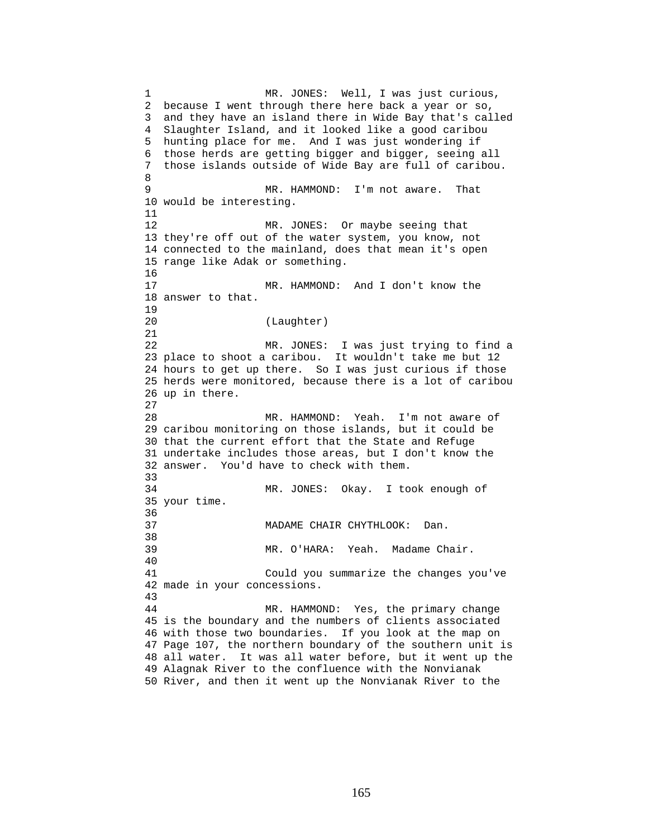1 MR. JONES: Well, I was just curious, 2 because I went through there here back a year or so, 3 and they have an island there in Wide Bay that's called 4 Slaughter Island, and it looked like a good caribou 5 hunting place for me. And I was just wondering if 6 those herds are getting bigger and bigger, seeing all 7 those islands outside of Wide Bay are full of caribou. 8 9 MR. HAMMOND: I'm not aware. That 10 would be interesting. 11 12 MR. JONES: Or maybe seeing that 13 they're off out of the water system, you know, not 14 connected to the mainland, does that mean it's open 15 range like Adak or something. 16 17 MR. HAMMOND: And I don't know the 18 answer to that. 19 20 (Laughter) 21 22 MR. JONES: I was just trying to find a 23 place to shoot a caribou. It wouldn't take me but 12 24 hours to get up there. So I was just curious if those 25 herds were monitored, because there is a lot of caribou 26 up in there. 27 28 MR. HAMMOND: Yeah. I'm not aware of 29 caribou monitoring on those islands, but it could be 30 that the current effort that the State and Refuge 31 undertake includes those areas, but I don't know the 32 answer. You'd have to check with them. 33 34 MR. JONES: Okay. I took enough of 35 your time. 36 37 MADAME CHAIR CHYTHLOOK: Dan. 38 39 MR. O'HARA: Yeah. Madame Chair. 40 41 Could you summarize the changes you've 42 made in your concessions. 43 44 MR. HAMMOND: Yes, the primary change 45 is the boundary and the numbers of clients associated 46 with those two boundaries. If you look at the map on 47 Page 107, the northern boundary of the southern unit is 48 all water. It was all water before, but it went up the 49 Alagnak River to the confluence with the Nonvianak 50 River, and then it went up the Nonvianak River to the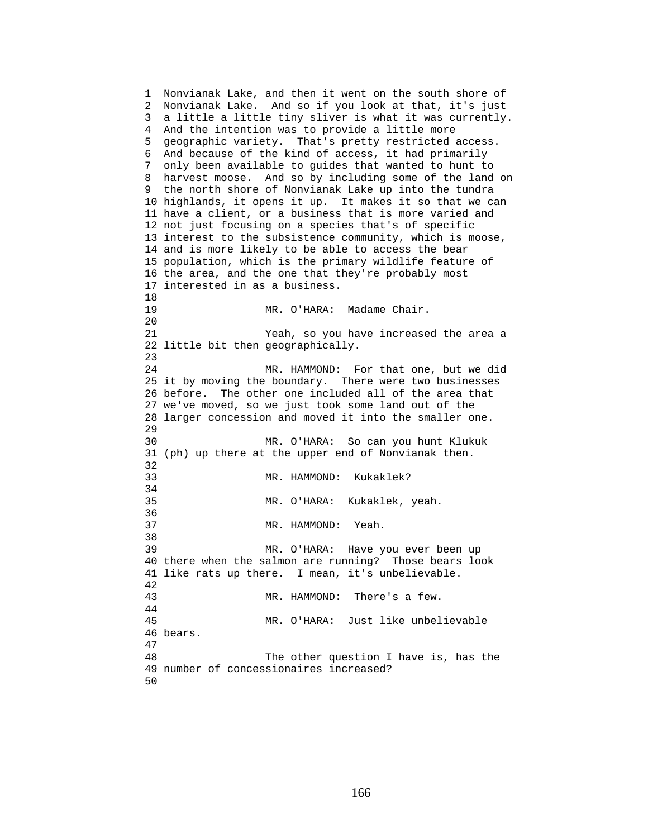1 Nonvianak Lake, and then it went on the south shore of 2 Nonvianak Lake. And so if you look at that, it's just 3 a little a little tiny sliver is what it was currently. 4 And the intention was to provide a little more 5 geographic variety. That's pretty restricted access. 6 And because of the kind of access, it had primarily 7 only been available to guides that wanted to hunt to 8 harvest moose. And so by including some of the land on 9 the north shore of Nonvianak Lake up into the tundra 10 highlands, it opens it up. It makes it so that we can 11 have a client, or a business that is more varied and 12 not just focusing on a species that's of specific 13 interest to the subsistence community, which is moose, 14 and is more likely to be able to access the bear 15 population, which is the primary wildlife feature of 16 the area, and the one that they're probably most 17 interested in as a business. 18 19 MR. O'HARA: Madame Chair. 20 21 Yeah, so you have increased the area a 22 little bit then geographically. 23 24 MR. HAMMOND: For that one, but we did 25 it by moving the boundary. There were two businesses 26 before. The other one included all of the area that 27 we've moved, so we just took some land out of the 28 larger concession and moved it into the smaller one. 29 30 MR. O'HARA: So can you hunt Klukuk 31 (ph) up there at the upper end of Nonvianak then. 32 33 MR. HAMMOND: Kukaklek? 34 35 MR. O'HARA: Kukaklek, yeah. 36 37 MR. HAMMOND: Yeah. 38 39 MR. O'HARA: Have you ever been up 40 there when the salmon are running? Those bears look 41 like rats up there. I mean, it's unbelievable. 42 43 MR. HAMMOND: There's a few. 44 45 MR. O'HARA: Just like unbelievable 46 bears. 47 48 The other question I have is, has the 49 number of concessionaires increased? 50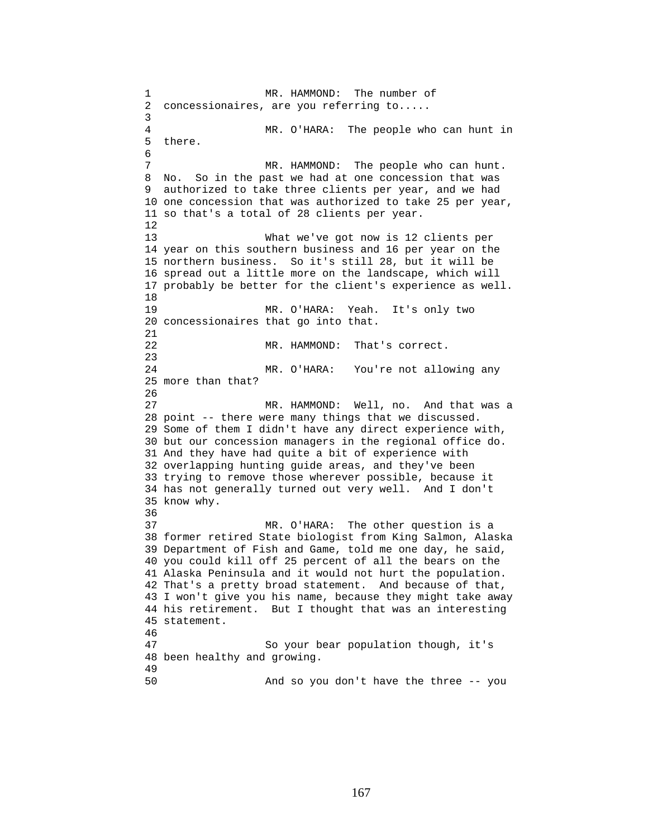1 MR. HAMMOND: The number of 2 concessionaires, are you referring to..... 3 4 MR. O'HARA: The people who can hunt in 5 there. 6 7 MR. HAMMOND: The people who can hunt. 8 No. So in the past we had at one concession that was 9 authorized to take three clients per year, and we had 10 one concession that was authorized to take 25 per year, 11 so that's a total of 28 clients per year. 12 13 What we've got now is 12 clients per 14 year on this southern business and 16 per year on the 15 northern business. So it's still 28, but it will be 16 spread out a little more on the landscape, which will 17 probably be better for the client's experience as well. 18 19 MR. O'HARA: Yeah. It's only two 20 concessionaires that go into that. 21 22 MR. HAMMOND: That's correct. 23 24 MR. O'HARA: You're not allowing any 25 more than that? 26 27 MR. HAMMOND: Well, no. And that was a 28 point -- there were many things that we discussed. 29 Some of them I didn't have any direct experience with, 30 but our concession managers in the regional office do. 31 And they have had quite a bit of experience with 32 overlapping hunting guide areas, and they've been 33 trying to remove those wherever possible, because it 34 has not generally turned out very well. And I don't 35 know why. 36 37 MR. O'HARA: The other question is a 38 former retired State biologist from King Salmon, Alaska 39 Department of Fish and Game, told me one day, he said, 40 you could kill off 25 percent of all the bears on the 41 Alaska Peninsula and it would not hurt the population. 42 That's a pretty broad statement. And because of that, 43 I won't give you his name, because they might take away 44 his retirement. But I thought that was an interesting 45 statement. 46 47 So your bear population though, it's 48 been healthy and growing. 49 50 And so you don't have the three -- you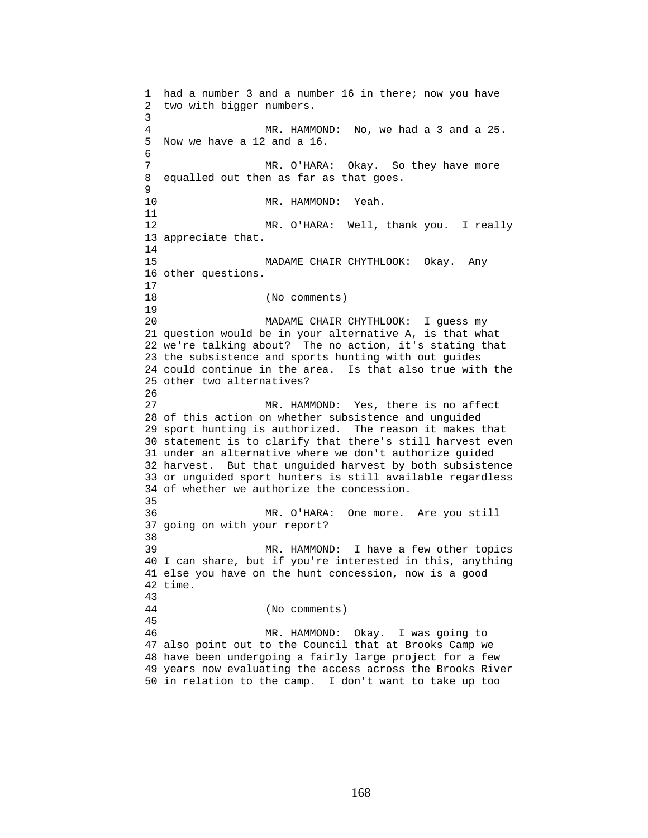1 had a number 3 and a number 16 in there; now you have 2 two with bigger numbers. 3 4 MR. HAMMOND: No, we had a 3 and a 25. 5 Now we have a 12 and a 16. 6 7 MR. O'HARA: Okay. So they have more 8 equalled out then as far as that goes. 9 10 MR. HAMMOND: Yeah. 11 12 MR. O'HARA: Well, thank you. I really 13 appreciate that. 14 15 MADAME CHAIR CHYTHLOOK: Okay. Any 16 other questions. 17 18 (No comments) 19 20 MADAME CHAIR CHYTHLOOK: I guess my 21 question would be in your alternative A, is that what 22 we're talking about? The no action, it's stating that 23 the subsistence and sports hunting with out guides 24 could continue in the area. Is that also true with the 25 other two alternatives? 26 27 MR. HAMMOND: Yes, there is no affect 28 of this action on whether subsistence and unguided 29 sport hunting is authorized. The reason it makes that 30 statement is to clarify that there's still harvest even 31 under an alternative where we don't authorize guided 32 harvest. But that unguided harvest by both subsistence 33 or unguided sport hunters is still available regardless 34 of whether we authorize the concession. 35 36 MR. O'HARA: One more. Are you still 37 going on with your report? 38 39 MR. HAMMOND: I have a few other topics 40 I can share, but if you're interested in this, anything 41 else you have on the hunt concession, now is a good 42 time. 43 44 (No comments) 45 46 MR. HAMMOND: Okay. I was going to 47 also point out to the Council that at Brooks Camp we 48 have been undergoing a fairly large project for a few 49 years now evaluating the access across the Brooks River 50 in relation to the camp. I don't want to take up too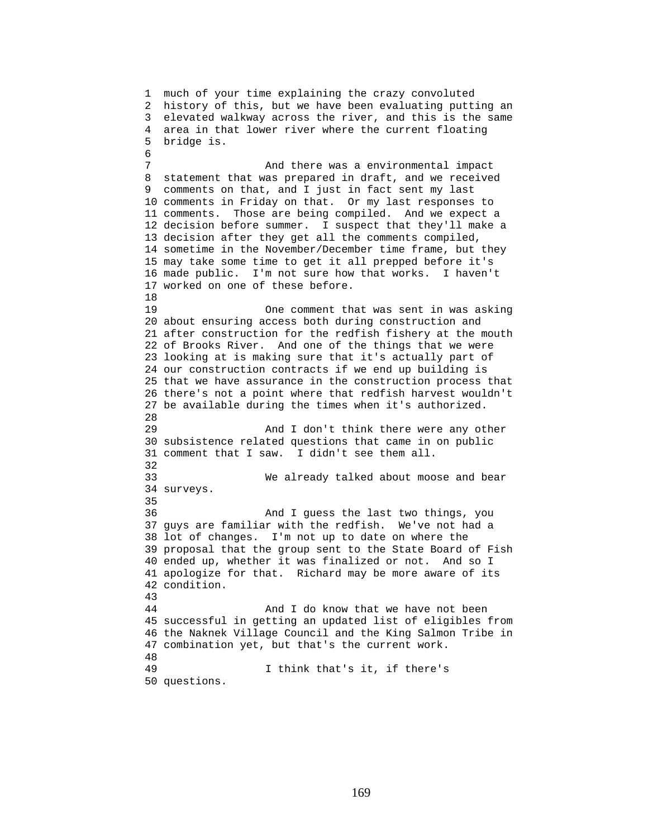1 much of your time explaining the crazy convoluted 2 history of this, but we have been evaluating putting an 3 elevated walkway across the river, and this is the same 4 area in that lower river where the current floating 5 bridge is. 6 7 And there was a environmental impact 8 statement that was prepared in draft, and we received 9 comments on that, and I just in fact sent my last 10 comments in Friday on that. Or my last responses to 11 comments. Those are being compiled. And we expect a 12 decision before summer. I suspect that they'll make a 13 decision after they get all the comments compiled, 14 sometime in the November/December time frame, but they 15 may take some time to get it all prepped before it's 16 made public. I'm not sure how that works. I haven't 17 worked on one of these before. 18 19 One comment that was sent in was asking 20 about ensuring access both during construction and 21 after construction for the redfish fishery at the mouth 22 of Brooks River. And one of the things that we were 23 looking at is making sure that it's actually part of 24 our construction contracts if we end up building is 25 that we have assurance in the construction process that 26 there's not a point where that redfish harvest wouldn't 27 be available during the times when it's authorized. 28 29 And I don't think there were any other 30 subsistence related questions that came in on public 31 comment that I saw. I didn't see them all. 32 33 We already talked about moose and bear 34 surveys. 35 36 And I guess the last two things, you 37 guys are familiar with the redfish. We've not had a 38 lot of changes. I'm not up to date on where the 39 proposal that the group sent to the State Board of Fish 40 ended up, whether it was finalized or not. And so I 41 apologize for that. Richard may be more aware of its 42 condition. 43 44 And I do know that we have not been 45 successful in getting an updated list of eligibles from 46 the Naknek Village Council and the King Salmon Tribe in 47 combination yet, but that's the current work. 48 49 I think that's it, if there's 50 questions.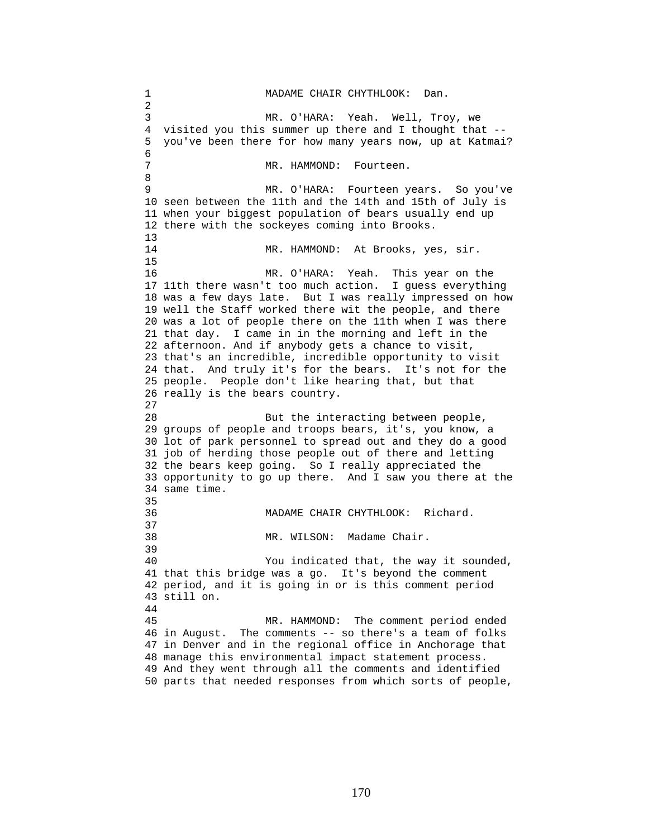1 MADAME CHAIR CHYTHLOOK: Dan. 2 3 MR. O'HARA: Yeah. Well, Troy, we 4 visited you this summer up there and I thought that -- 5 you've been there for how many years now, up at Katmai? 6 7 MR. HAMMOND: Fourteen. 8 9 MR. O'HARA: Fourteen years. So you've 10 seen between the 11th and the 14th and 15th of July is 11 when your biggest population of bears usually end up 12 there with the sockeyes coming into Brooks. 13 14 MR. HAMMOND: At Brooks, yes, sir. 15 16 MR. O'HARA: Yeah. This year on the 17 11th there wasn't too much action. I guess everything 18 was a few days late. But I was really impressed on how 19 well the Staff worked there wit the people, and there 20 was a lot of people there on the 11th when I was there 21 that day. I came in in the morning and left in the 22 afternoon. And if anybody gets a chance to visit, 23 that's an incredible, incredible opportunity to visit 24 that. And truly it's for the bears. It's not for the 25 people. People don't like hearing that, but that 26 really is the bears country. 27 28 But the interacting between people, 29 groups of people and troops bears, it's, you know, a 30 lot of park personnel to spread out and they do a good 31 job of herding those people out of there and letting 32 the bears keep going. So I really appreciated the 33 opportunity to go up there. And I saw you there at the 34 same time. 35 36 MADAME CHAIR CHYTHLOOK: Richard. 37 38 MR. WILSON: Madame Chair. 39 40 You indicated that, the way it sounded, 41 that this bridge was a go. It's beyond the comment 42 period, and it is going in or is this comment period 43 still on. 44 45 MR. HAMMOND: The comment period ended 46 in August. The comments -- so there's a team of folks 47 in Denver and in the regional office in Anchorage that 48 manage this environmental impact statement process. 49 And they went through all the comments and identified 50 parts that needed responses from which sorts of people,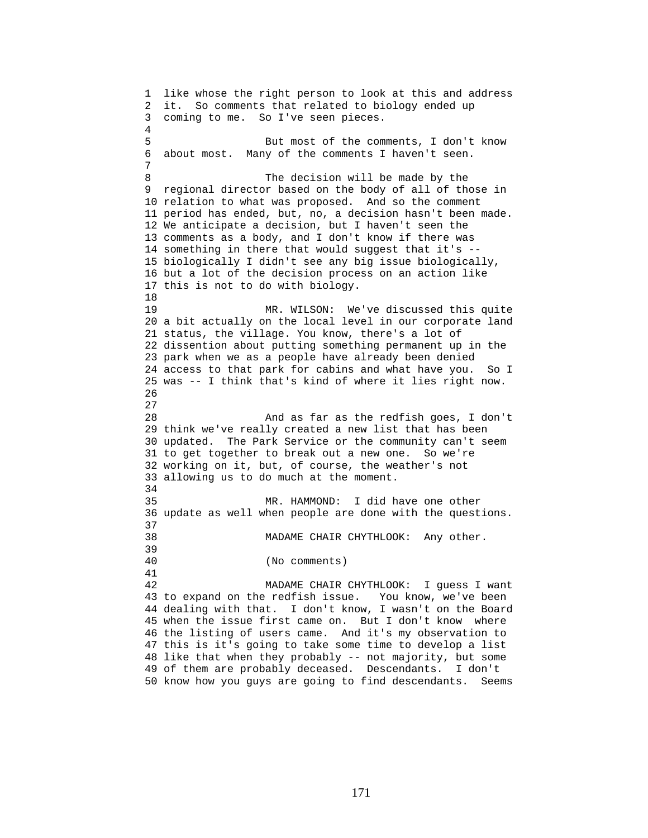1 like whose the right person to look at this and address 2 it. So comments that related to biology ended up 3 coming to me. So I've seen pieces. 4 5 But most of the comments, I don't know 6 about most. Many of the comments I haven't seen. 7 8 The decision will be made by the 9 regional director based on the body of all of those in 10 relation to what was proposed. And so the comment 11 period has ended, but, no, a decision hasn't been made. 12 We anticipate a decision, but I haven't seen the 13 comments as a body, and I don't know if there was 14 something in there that would suggest that it's -- 15 biologically I didn't see any big issue biologically, 16 but a lot of the decision process on an action like 17 this is not to do with biology. 18 19 MR. WILSON: We've discussed this quite 20 a bit actually on the local level in our corporate land 21 status, the village. You know, there's a lot of 22 dissention about putting something permanent up in the 23 park when we as a people have already been denied 24 access to that park for cabins and what have you. So I 25 was -- I think that's kind of where it lies right now. 26 27 28 And as far as the redfish goes, I don't 29 think we've really created a new list that has been 30 updated. The Park Service or the community can't seem 31 to get together to break out a new one. So we're 32 working on it, but, of course, the weather's not 33 allowing us to do much at the moment. 34 35 MR. HAMMOND: I did have one other 36 update as well when people are done with the questions. 37 38 MADAME CHAIR CHYTHLOOK: Any other. 39 40 (No comments) 41 42 MADAME CHAIR CHYTHLOOK: I guess I want 43 to expand on the redfish issue. You know, we've been 44 dealing with that. I don't know, I wasn't on the Board 45 when the issue first came on. But I don't know where 46 the listing of users came. And it's my observation to 47 this is it's going to take some time to develop a list 48 like that when they probably -- not majority, but some 49 of them are probably deceased. Descendants. I don't 50 know how you guys are going to find descendants. Seems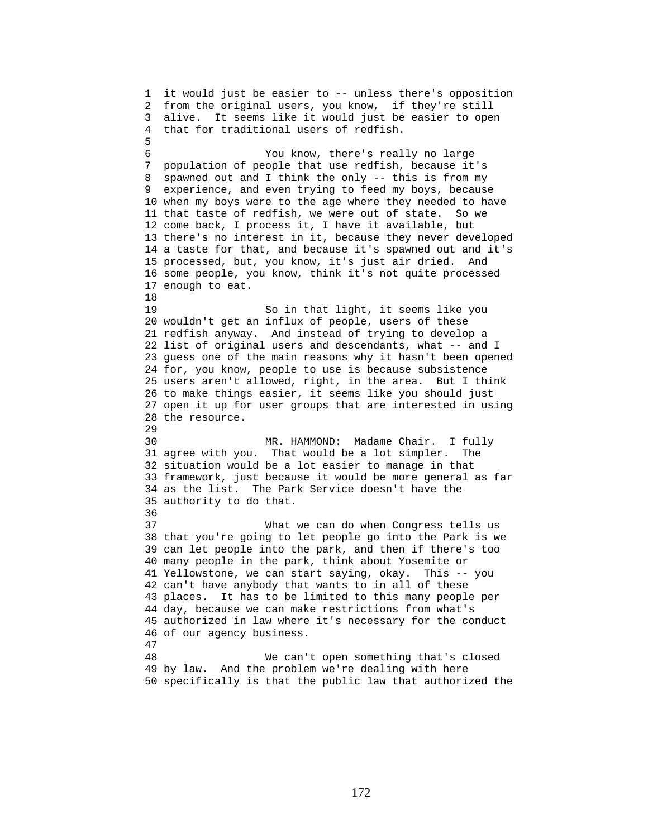1 it would just be easier to -- unless there's opposition 2 from the original users, you know, if they're still 3 alive. It seems like it would just be easier to open 4 that for traditional users of redfish. 5 6 You know, there's really no large 7 population of people that use redfish, because it's 8 spawned out and I think the only -- this is from my 9 experience, and even trying to feed my boys, because 10 when my boys were to the age where they needed to have 11 that taste of redfish, we were out of state. So we 12 come back, I process it, I have it available, but 13 there's no interest in it, because they never developed 14 a taste for that, and because it's spawned out and it's 15 processed, but, you know, it's just air dried. And 16 some people, you know, think it's not quite processed 17 enough to eat. 18 19 So in that light, it seems like you 20 wouldn't get an influx of people, users of these 21 redfish anyway. And instead of trying to develop a 22 list of original users and descendants, what -- and I 23 guess one of the main reasons why it hasn't been opened 24 for, you know, people to use is because subsistence 25 users aren't allowed, right, in the area. But I think 26 to make things easier, it seems like you should just 27 open it up for user groups that are interested in using 28 the resource. 29 30 MR. HAMMOND: Madame Chair. I fully 31 agree with you. That would be a lot simpler. The 32 situation would be a lot easier to manage in that 33 framework, just because it would be more general as far 34 as the list. The Park Service doesn't have the 35 authority to do that. 36 37 What we can do when Congress tells us 38 that you're going to let people go into the Park is we 39 can let people into the park, and then if there's too 40 many people in the park, think about Yosemite or 41 Yellowstone, we can start saying, okay. This -- you 42 can't have anybody that wants to in all of these 43 places. It has to be limited to this many people per 44 day, because we can make restrictions from what's 45 authorized in law where it's necessary for the conduct 46 of our agency business. 47 48 We can't open something that's closed 49 by law. And the problem we're dealing with here 50 specifically is that the public law that authorized the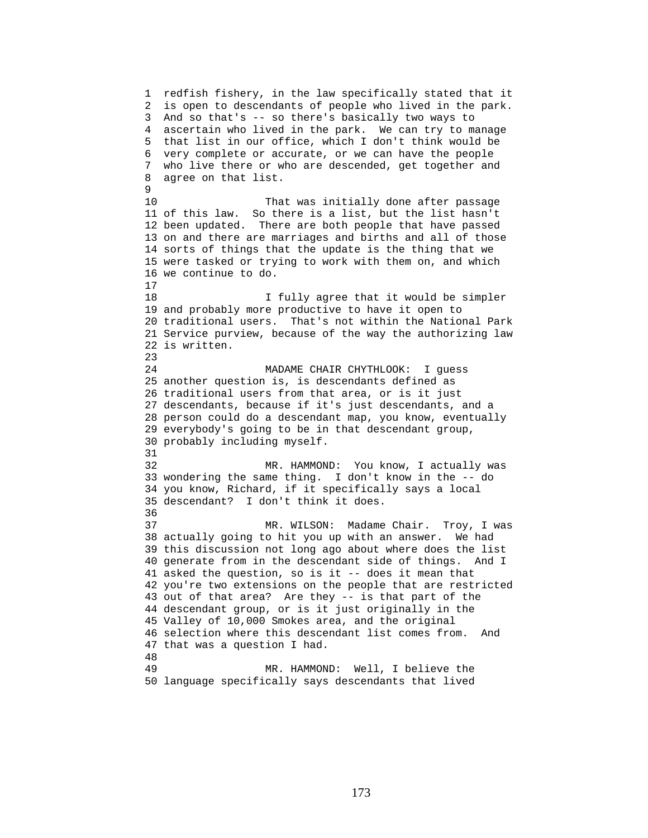1 redfish fishery, in the law specifically stated that it 2 is open to descendants of people who lived in the park. 3 And so that's -- so there's basically two ways to 4 ascertain who lived in the park. We can try to manage 5 that list in our office, which I don't think would be 6 very complete or accurate, or we can have the people 7 who live there or who are descended, get together and 8 agree on that list. 9 10 That was initially done after passage 11 of this law. So there is a list, but the list hasn't 12 been updated. There are both people that have passed 13 on and there are marriages and births and all of those 14 sorts of things that the update is the thing that we 15 were tasked or trying to work with them on, and which 16 we continue to do. 17 18 I fully agree that it would be simpler 19 and probably more productive to have it open to 20 traditional users. That's not within the National Park 21 Service purview, because of the way the authorizing law 22 is written. 23 24 MADAME CHAIR CHYTHLOOK: I guess 25 another question is, is descendants defined as 26 traditional users from that area, or is it just 27 descendants, because if it's just descendants, and a 28 person could do a descendant map, you know, eventually 29 everybody's going to be in that descendant group, 30 probably including myself. 31 32 MR. HAMMOND: You know, I actually was 33 wondering the same thing. I don't know in the -- do 34 you know, Richard, if it specifically says a local 35 descendant? I don't think it does. 36 37 MR. WILSON: Madame Chair. Troy, I was 38 actually going to hit you up with an answer. We had 39 this discussion not long ago about where does the list 40 generate from in the descendant side of things. And I 41 asked the question, so is it -- does it mean that 42 you're two extensions on the people that are restricted 43 out of that area? Are they -- is that part of the 44 descendant group, or is it just originally in the 45 Valley of 10,000 Smokes area, and the original 46 selection where this descendant list comes from. And 47 that was a question I had. 48 49 MR. HAMMOND: Well, I believe the 50 language specifically says descendants that lived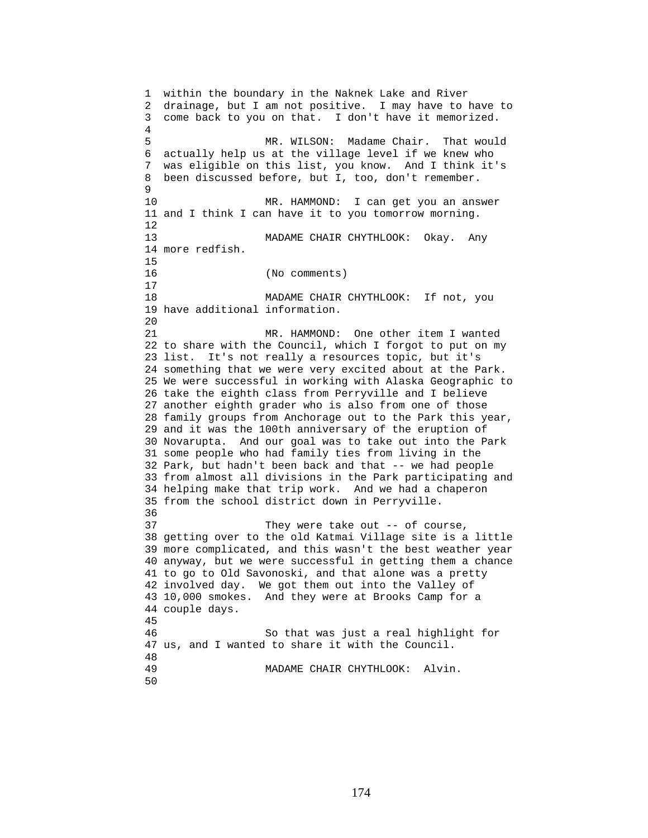1 within the boundary in the Naknek Lake and River 2 drainage, but I am not positive. I may have to have to 3 come back to you on that. I don't have it memorized. 4 5 MR. WILSON: Madame Chair. That would 6 actually help us at the village level if we knew who 7 was eligible on this list, you know. And I think it's 8 been discussed before, but I, too, don't remember.  $\mathsf{Q}$ 10 MR. HAMMOND: I can get you an answer 11 and I think I can have it to you tomorrow morning. 12 13 MADAME CHAIR CHYTHLOOK: Okay. Any 14 more redfish. 15 16 (No comments) 17 18 MADAME CHAIR CHYTHLOOK: If not, you 19 have additional information. 20 21 MR. HAMMOND: One other item I wanted 22 to share with the Council, which I forgot to put on my 23 list. It's not really a resources topic, but it's 24 something that we were very excited about at the Park. 25 We were successful in working with Alaska Geographic to 26 take the eighth class from Perryville and I believe 27 another eighth grader who is also from one of those 28 family groups from Anchorage out to the Park this year, 29 and it was the 100th anniversary of the eruption of 30 Novarupta. And our goal was to take out into the Park 31 some people who had family ties from living in the 32 Park, but hadn't been back and that -- we had people 33 from almost all divisions in the Park participating and 34 helping make that trip work. And we had a chaperon 35 from the school district down in Perryville. 36 37 They were take out -- of course, 38 getting over to the old Katmai Village site is a little 39 more complicated, and this wasn't the best weather year 40 anyway, but we were successful in getting them a chance 41 to go to Old Savonoski, and that alone was a pretty 42 involved day. We got them out into the Valley of 43 10,000 smokes. And they were at Brooks Camp for a 44 couple days. 45 46 So that was just a real highlight for 47 us, and I wanted to share it with the Council. 48 49 MADAME CHAIR CHYTHLOOK: Alvin. 50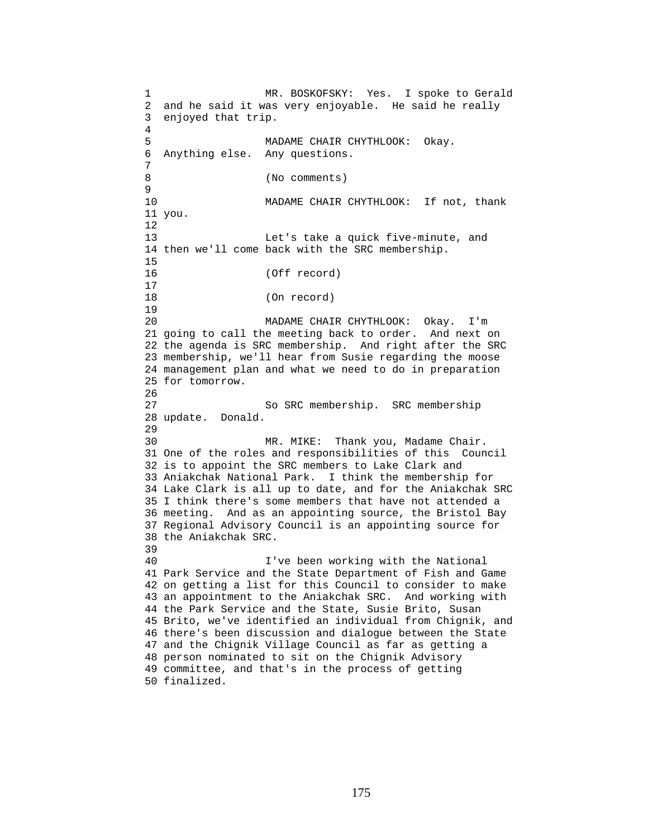1 MR. BOSKOFSKY: Yes. I spoke to Gerald 2 and he said it was very enjoyable. He said he really 3 enjoyed that trip. 4 5 MADAME CHAIR CHYTHLOOK: Okay. 6 Anything else. Any questions. 7 8 (No comments) 9 10 MADAME CHAIR CHYTHLOOK: If not, thank 11 you. 12 13 Let's take a quick five-minute, and 14 then we'll come back with the SRC membership. 15 16 (Off record)  $\begin{array}{c} 17 \\ 18 \end{array}$ (On record) 19 20 MADAME CHAIR CHYTHLOOK: Okay. I'm 21 going to call the meeting back to order. And next on 22 the agenda is SRC membership. And right after the SRC 23 membership, we'll hear from Susie regarding the moose 24 management plan and what we need to do in preparation 25 for tomorrow. 26 27 So SRC membership. SRC membership 28 update. Donald. 29 30 MR. MIKE: Thank you, Madame Chair. 31 One of the roles and responsibilities of this Council 32 is to appoint the SRC members to Lake Clark and 33 Aniakchak National Park. I think the membership for 34 Lake Clark is all up to date, and for the Aniakchak SRC 35 I think there's some members that have not attended a 36 meeting. And as an appointing source, the Bristol Bay 37 Regional Advisory Council is an appointing source for 38 the Aniakchak SRC. 39 40 I've been working with the National 41 Park Service and the State Department of Fish and Game 42 on getting a list for this Council to consider to make 43 an appointment to the Aniakchak SRC. And working with 44 the Park Service and the State, Susie Brito, Susan 45 Brito, we've identified an individual from Chignik, and 46 there's been discussion and dialogue between the State 47 and the Chignik Village Council as far as getting a 48 person nominated to sit on the Chignik Advisory 49 committee, and that's in the process of getting 50 finalized.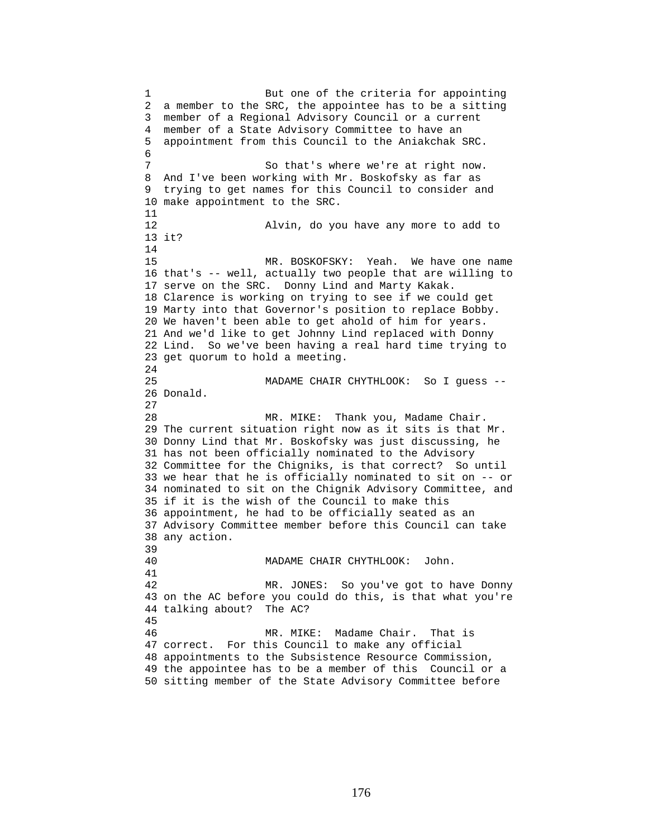1 But one of the criteria for appointing 2 a member to the SRC, the appointee has to be a sitting 3 member of a Regional Advisory Council or a current 4 member of a State Advisory Committee to have an 5 appointment from this Council to the Aniakchak SRC. 6 7 So that's where we're at right now. 8 And I've been working with Mr. Boskofsky as far as 9 trying to get names for this Council to consider and 10 make appointment to the SRC. 11 12 Alvin, do you have any more to add to 13 it? 14 15 MR. BOSKOFSKY: Yeah. We have one name 16 that's -- well, actually two people that are willing to 17 serve on the SRC. Donny Lind and Marty Kakak. 18 Clarence is working on trying to see if we could get 19 Marty into that Governor's position to replace Bobby. 20 We haven't been able to get ahold of him for years. 21 And we'd like to get Johnny Lind replaced with Donny 22 Lind. So we've been having a real hard time trying to 23 get quorum to hold a meeting.  $2.4$ 25 MADAME CHAIR CHYTHLOOK: So I guess -- 26 Donald. 27 28 MR. MIKE: Thank you, Madame Chair. 29 The current situation right now as it sits is that Mr. 30 Donny Lind that Mr. Boskofsky was just discussing, he 31 has not been officially nominated to the Advisory 32 Committee for the Chigniks, is that correct? So until 33 we hear that he is officially nominated to sit on -- or 34 nominated to sit on the Chignik Advisory Committee, and 35 if it is the wish of the Council to make this 36 appointment, he had to be officially seated as an 37 Advisory Committee member before this Council can take 38 any action. 39 40 MADAME CHAIR CHYTHLOOK: John. 41 42 MR. JONES: So you've got to have Donny 43 on the AC before you could do this, is that what you're 44 talking about? The AC? 45 46 MR. MIKE: Madame Chair. That is 47 correct. For this Council to make any official 48 appointments to the Subsistence Resource Commission, 49 the appointee has to be a member of this Council or a 50 sitting member of the State Advisory Committee before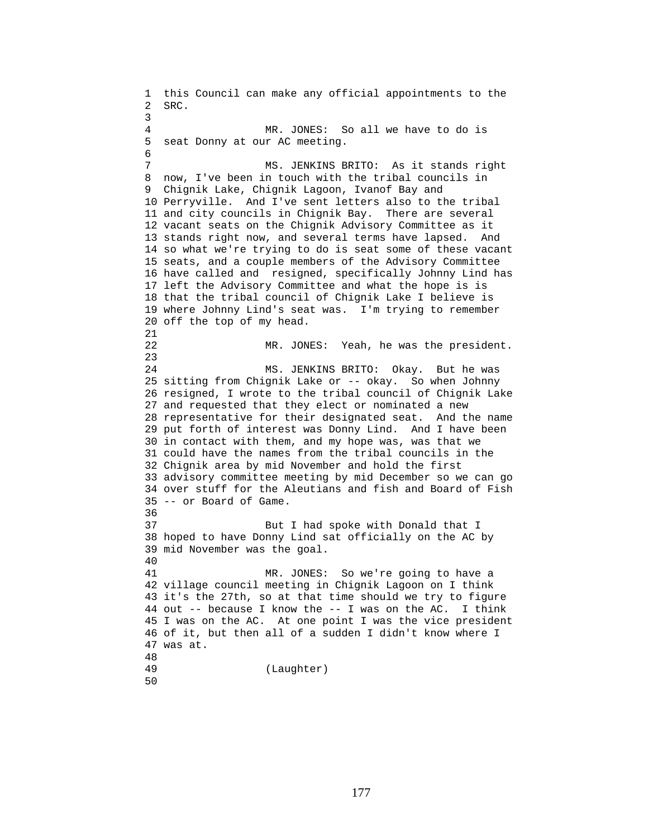1 this Council can make any official appointments to the 2 SRC. 3 4 MR. JONES: So all we have to do is 5 seat Donny at our AC meeting. 6 7 MS. JENKINS BRITO: As it stands right 8 now, I've been in touch with the tribal councils in 9 Chignik Lake, Chignik Lagoon, Ivanof Bay and 10 Perryville. And I've sent letters also to the tribal 11 and city councils in Chignik Bay. There are several 12 vacant seats on the Chignik Advisory Committee as it 13 stands right now, and several terms have lapsed. And 14 so what we're trying to do is seat some of these vacant 15 seats, and a couple members of the Advisory Committee 16 have called and resigned, specifically Johnny Lind has 17 left the Advisory Committee and what the hope is is 18 that the tribal council of Chignik Lake I believe is 19 where Johnny Lind's seat was. I'm trying to remember 20 off the top of my head. 21 22 MR. JONES: Yeah, he was the president. 23 24 MS. JENKINS BRITO: Okay. But he was 25 sitting from Chignik Lake or -- okay. So when Johnny 26 resigned, I wrote to the tribal council of Chignik Lake 27 and requested that they elect or nominated a new 28 representative for their designated seat. And the name 29 put forth of interest was Donny Lind. And I have been 30 in contact with them, and my hope was, was that we 31 could have the names from the tribal councils in the 32 Chignik area by mid November and hold the first 33 advisory committee meeting by mid December so we can go 34 over stuff for the Aleutians and fish and Board of Fish 35 -- or Board of Game. 36 37 But I had spoke with Donald that I 38 hoped to have Donny Lind sat officially on the AC by 39 mid November was the goal. 40 41 MR. JONES: So we're going to have a 42 village council meeting in Chignik Lagoon on I think 43 it's the 27th, so at that time should we try to figure 44 out -- because I know the -- I was on the AC. I think 45 I was on the AC. At one point I was the vice president 46 of it, but then all of a sudden I didn't know where I 47 was at. 48 (Laughter) 50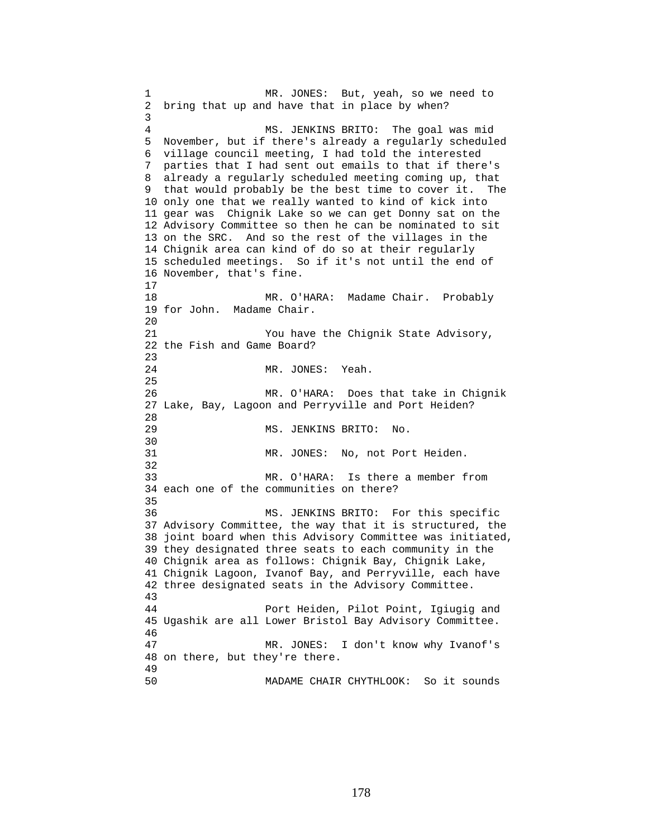1 MR. JONES: But, yeah, so we need to 2 bring that up and have that in place by when? 3 4 MS. JENKINS BRITO: The goal was mid 5 November, but if there's already a regularly scheduled 6 village council meeting, I had told the interested 7 parties that I had sent out emails to that if there's 8 already a regularly scheduled meeting coming up, that 9 that would probably be the best time to cover it. The 10 only one that we really wanted to kind of kick into 11 gear was Chignik Lake so we can get Donny sat on the 12 Advisory Committee so then he can be nominated to sit 13 on the SRC. And so the rest of the villages in the 14 Chignik area can kind of do so at their regularly 15 scheduled meetings. So if it's not until the end of 16 November, that's fine. 17 18 MR. O'HARA: Madame Chair. Probably 19 for John. Madame Chair. 20 21 You have the Chignik State Advisory, 22 the Fish and Game Board? 23 24 MR. JONES: Yeah. 25 26 MR. O'HARA: Does that take in Chignik 27 Lake, Bay, Lagoon and Perryville and Port Heiden? 28 29 MS. JENKINS BRITO: No. 30<br>31 MR. JONES: No, not Port Heiden. 32 33 MR. O'HARA: Is there a member from 34 each one of the communities on there? 35 36 MS. JENKINS BRITO: For this specific 37 Advisory Committee, the way that it is structured, the 38 joint board when this Advisory Committee was initiated, 39 they designated three seats to each community in the 40 Chignik area as follows: Chignik Bay, Chignik Lake, 41 Chignik Lagoon, Ivanof Bay, and Perryville, each have 42 three designated seats in the Advisory Committee. 43 44 Port Heiden, Pilot Point, Igiugig and 45 Ugashik are all Lower Bristol Bay Advisory Committee. 46 47 MR. JONES: I don't know why Ivanof's 48 on there, but they're there. 49 50 MADAME CHAIR CHYTHLOOK: So it sounds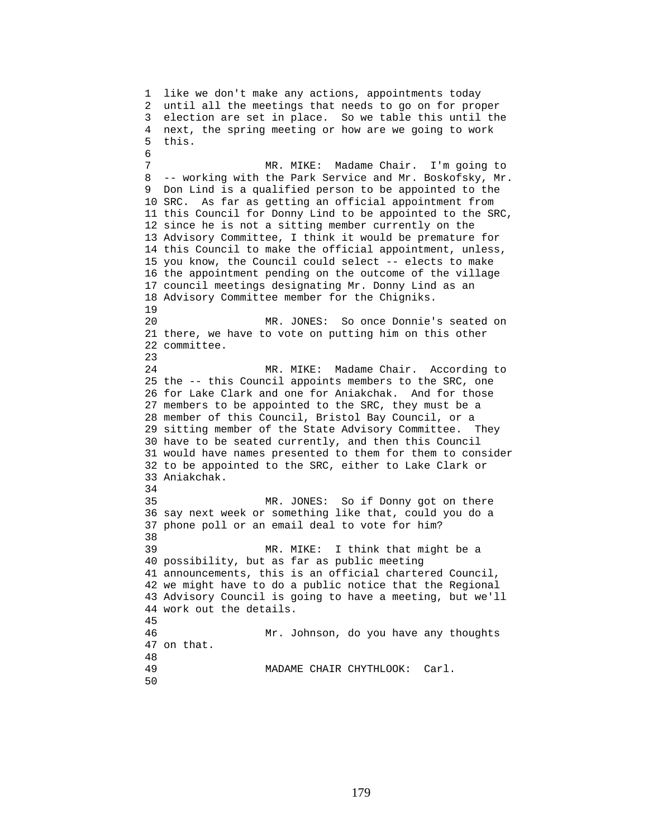1 like we don't make any actions, appointments today 2 until all the meetings that needs to go on for proper 3 election are set in place. So we table this until the 4 next, the spring meeting or how are we going to work 5 this. 6 7 MR. MIKE: Madame Chair. I'm going to 8 -- working with the Park Service and Mr. Boskofsky, Mr. 9 Don Lind is a qualified person to be appointed to the 10 SRC. As far as getting an official appointment from 11 this Council for Donny Lind to be appointed to the SRC, 12 since he is not a sitting member currently on the 13 Advisory Committee, I think it would be premature for 14 this Council to make the official appointment, unless, 15 you know, the Council could select -- elects to make 16 the appointment pending on the outcome of the village 17 council meetings designating Mr. Donny Lind as an 18 Advisory Committee member for the Chigniks. 19 20 MR. JONES: So once Donnie's seated on 21 there, we have to vote on putting him on this other 22 committee. 23 24 MR. MIKE: Madame Chair. According to 25 the -- this Council appoints members to the SRC, one 26 for Lake Clark and one for Aniakchak. And for those 27 members to be appointed to the SRC, they must be a 28 member of this Council, Bristol Bay Council, or a 29 sitting member of the State Advisory Committee. They 30 have to be seated currently, and then this Council 31 would have names presented to them for them to consider 32 to be appointed to the SRC, either to Lake Clark or 33 Aniakchak. 34 35 MR. JONES: So if Donny got on there 36 say next week or something like that, could you do a 37 phone poll or an email deal to vote for him? 38 39 MR. MIKE: I think that might be a 40 possibility, but as far as public meeting 41 announcements, this is an official chartered Council, 42 we might have to do a public notice that the Regional 43 Advisory Council is going to have a meeting, but we'll 44 work out the details. 45 46 Mr. Johnson, do you have any thoughts 47 on that. 48 49 MADAME CHAIR CHYTHLOOK: Carl. 50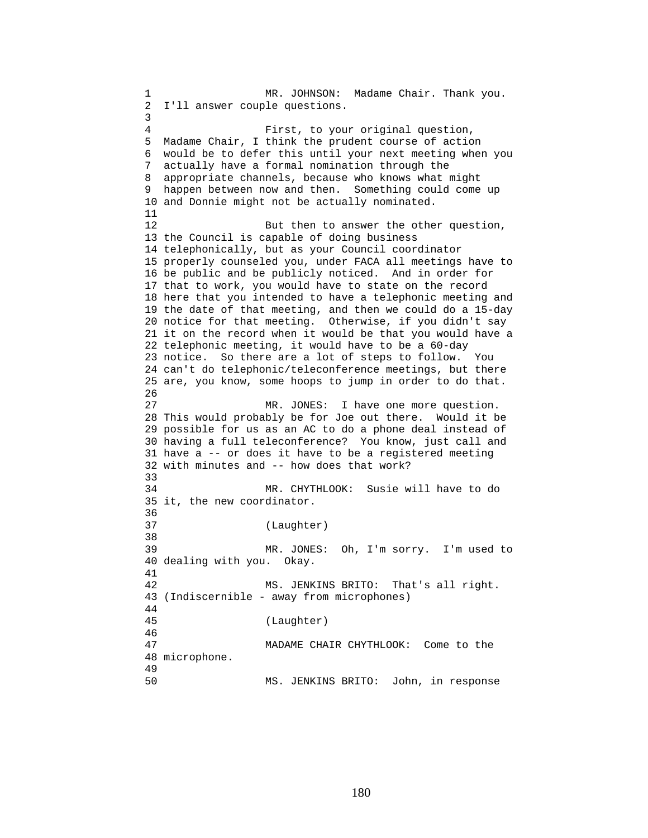1 MR. JOHNSON: Madame Chair. Thank you. 2 I'll answer couple questions. 3 4 First, to your original question, 5 Madame Chair, I think the prudent course of action 6 would be to defer this until your next meeting when you 7 actually have a formal nomination through the 8 appropriate channels, because who knows what might 9 happen between now and then. Something could come up 10 and Donnie might not be actually nominated. 11 12 But then to answer the other question, 13 the Council is capable of doing business 14 telephonically, but as your Council coordinator 15 properly counseled you, under FACA all meetings have to 16 be public and be publicly noticed. And in order for 17 that to work, you would have to state on the record 18 here that you intended to have a telephonic meeting and 19 the date of that meeting, and then we could do a 15-day 20 notice for that meeting. Otherwise, if you didn't say 21 it on the record when it would be that you would have a 22 telephonic meeting, it would have to be a 60-day 23 notice. So there are a lot of steps to follow. You 24 can't do telephonic/teleconference meetings, but there 25 are, you know, some hoops to jump in order to do that. 26 27 MR. JONES: I have one more question. 28 This would probably be for Joe out there. Would it be 29 possible for us as an AC to do a phone deal instead of 30 having a full teleconference? You know, just call and 31 have a -- or does it have to be a registered meeting 32 with minutes and -- how does that work? 33 34 MR. CHYTHLOOK: Susie will have to do 35 it, the new coordinator. 36 37 (Laughter) 38 39 MR. JONES: Oh, I'm sorry. I'm used to 40 dealing with you. Okay. 41 42 MS. JENKINS BRITO: That's all right. 43 (Indiscernible - away from microphones) 44 45 (Laughter) 46 47 MADAME CHAIR CHYTHLOOK: Come to the 48 microphone. 49 50 MS. JENKINS BRITO: John, in response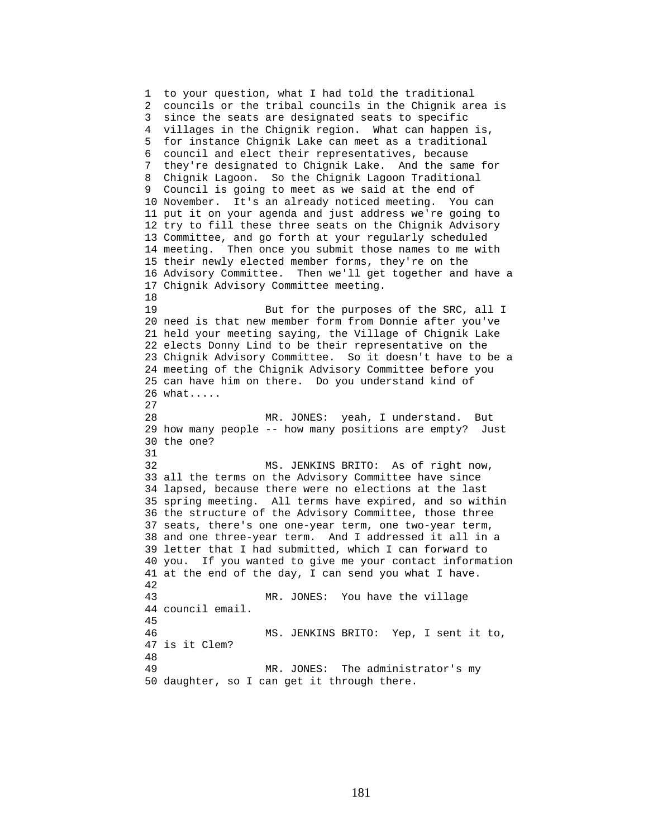1 to your question, what I had told the traditional 2 councils or the tribal councils in the Chignik area is 3 since the seats are designated seats to specific 4 villages in the Chignik region. What can happen is, 5 for instance Chignik Lake can meet as a traditional 6 council and elect their representatives, because 7 they're designated to Chignik Lake. And the same for 8 Chignik Lagoon. So the Chignik Lagoon Traditional 9 Council is going to meet as we said at the end of 10 November. It's an already noticed meeting. You can 11 put it on your agenda and just address we're going to 12 try to fill these three seats on the Chignik Advisory 13 Committee, and go forth at your regularly scheduled 14 meeting. Then once you submit those names to me with 15 their newly elected member forms, they're on the 16 Advisory Committee. Then we'll get together and have a 17 Chignik Advisory Committee meeting. 18 19 But for the purposes of the SRC, all I 20 need is that new member form from Donnie after you've 21 held your meeting saying, the Village of Chignik Lake 22 elects Donny Lind to be their representative on the 23 Chignik Advisory Committee. So it doesn't have to be a 24 meeting of the Chignik Advisory Committee before you 25 can have him on there. Do you understand kind of 26 what..... 27 28 MR. JONES: yeah, I understand. But 29 how many people -- how many positions are empty? Just 30 the one? 31 32 MS. JENKINS BRITO: As of right now, 33 all the terms on the Advisory Committee have since 34 lapsed, because there were no elections at the last 35 spring meeting. All terms have expired, and so within 36 the structure of the Advisory Committee, those three 37 seats, there's one one-year term, one two-year term, 38 and one three-year term. And I addressed it all in a 39 letter that I had submitted, which I can forward to 40 you. If you wanted to give me your contact information 41 at the end of the day, I can send you what I have. 42 43 MR. JONES: You have the village 44 council email. 45 46 MS. JENKINS BRITO: Yep, I sent it to, 47 is it Clem? 48 49 MR. JONES: The administrator's my 50 daughter, so I can get it through there.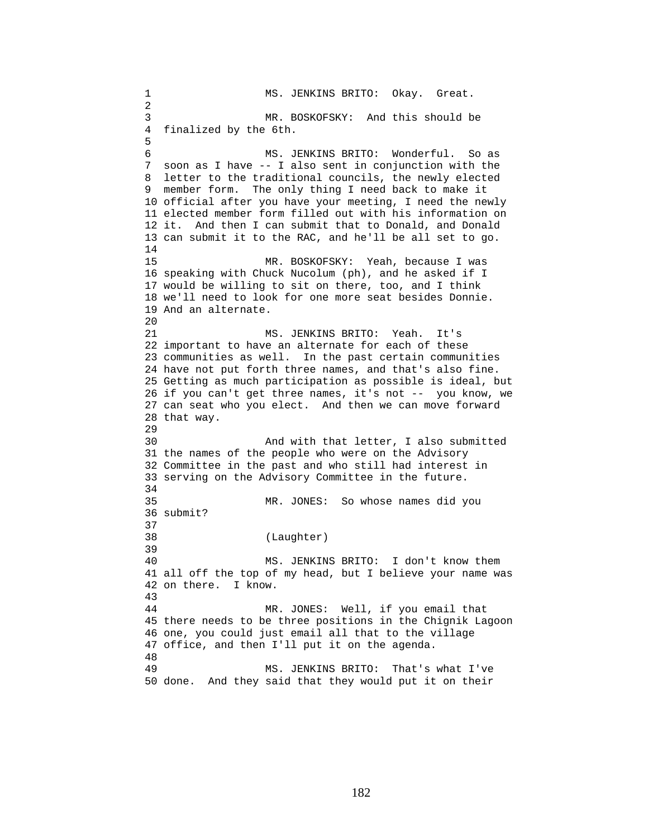1 MS. JENKINS BRITO: Okay. Great. 2 3 MR. BOSKOFSKY: And this should be 4 finalized by the 6th. 5 6 MS. JENKINS BRITO: Wonderful. So as 7 soon as I have -- I also sent in conjunction with the 8 letter to the traditional councils, the newly elected 9 member form. The only thing I need back to make it 10 official after you have your meeting, I need the newly 11 elected member form filled out with his information on 12 it. And then I can submit that to Donald, and Donald 13 can submit it to the RAC, and he'll be all set to go. 14 15 MR. BOSKOFSKY: Yeah, because I was 16 speaking with Chuck Nucolum (ph), and he asked if I 17 would be willing to sit on there, too, and I think 18 we'll need to look for one more seat besides Donnie. 19 And an alternate. 20 21 MS. JENKINS BRITO: Yeah. It's 22 important to have an alternate for each of these 23 communities as well. In the past certain communities 24 have not put forth three names, and that's also fine. 25 Getting as much participation as possible is ideal, but 26 if you can't get three names, it's not -- you know, we 27 can seat who you elect. And then we can move forward 28 that way. 29 30 And with that letter, I also submitted 31 the names of the people who were on the Advisory 32 Committee in the past and who still had interest in 33 serving on the Advisory Committee in the future. 34 35 MR. JONES: So whose names did you 36 submit? 37 38 (Laughter) 39 40 MS. JENKINS BRITO: I don't know them 41 all off the top of my head, but I believe your name was 42 on there. I know. 43 44 MR. JONES: Well, if you email that 45 there needs to be three positions in the Chignik Lagoon 46 one, you could just email all that to the village 47 office, and then I'll put it on the agenda. 48 49 MS. JENKINS BRITO: That's what I've 50 done. And they said that they would put it on their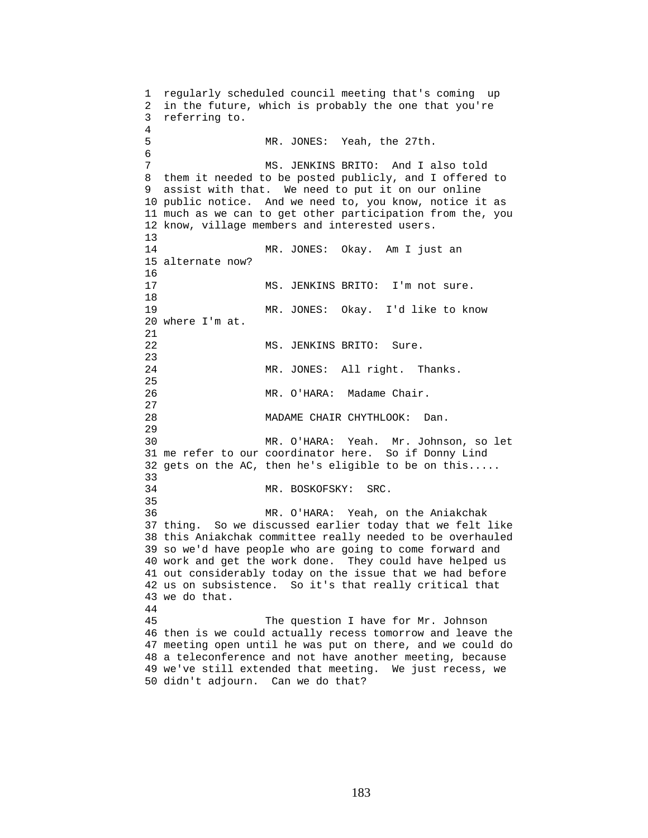1 regularly scheduled council meeting that's coming up 2 in the future, which is probably the one that you're 3 referring to. 4 5 MR. JONES: Yeah, the 27th. 6 7 MS. JENKINS BRITO: And I also told 8 them it needed to be posted publicly, and I offered to 9 assist with that. We need to put it on our online 10 public notice. And we need to, you know, notice it as 11 much as we can to get other participation from the, you 12 know, village members and interested users. 13 14 MR. JONES: Okay. Am I just an 15 alternate now? 16 17 MS. JENKINS BRITO: I'm not sure. 18 19 MR. JONES: Okay. I'd like to know 20 where I'm at. 21 22 MS. JENKINS BRITO: Sure. 23 24 MR. JONES: All right. Thanks. 25 26 MR. O'HARA: Madame Chair. 27 28 MADAME CHAIR CHYTHLOOK: Dan. 29 30 MR. O'HARA: Yeah. Mr. Johnson, so let 31 me refer to our coordinator here. So if Donny Lind 32 gets on the AC, then he's eligible to be on this..... 33 34 MR. BOSKOFSKY: SRC. 35 36 MR. O'HARA: Yeah, on the Aniakchak 37 thing. So we discussed earlier today that we felt like 38 this Aniakchak committee really needed to be overhauled 39 so we'd have people who are going to come forward and 40 work and get the work done. They could have helped us 41 out considerably today on the issue that we had before 42 us on subsistence. So it's that really critical that 43 we do that. 44 45 The question I have for Mr. Johnson 46 then is we could actually recess tomorrow and leave the 47 meeting open until he was put on there, and we could do 48 a teleconference and not have another meeting, because 49 we've still extended that meeting. We just recess, we 50 didn't adjourn. Can we do that?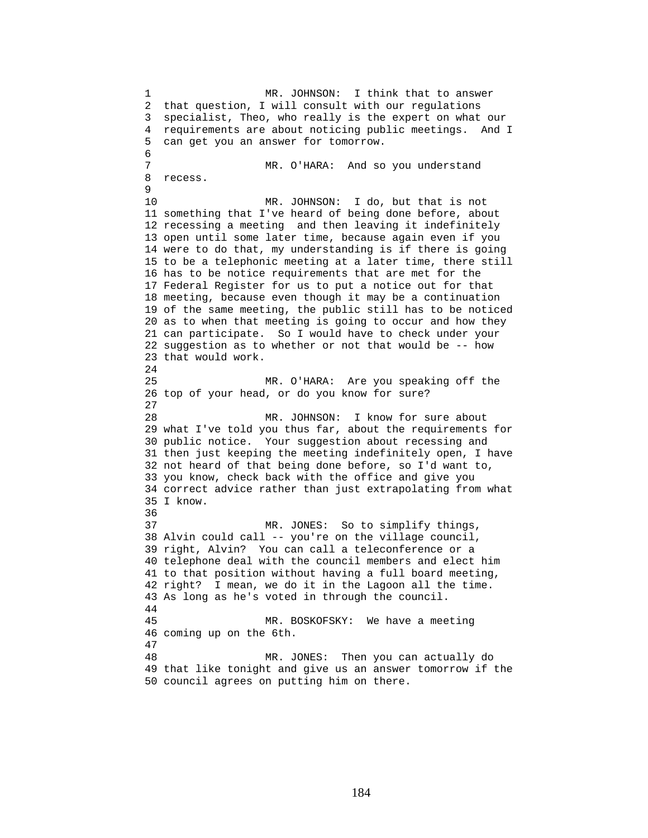1 MR. JOHNSON: I think that to answer 2 that question, I will consult with our regulations 3 specialist, Theo, who really is the expert on what our 4 requirements are about noticing public meetings. And I 5 can get you an answer for tomorrow. 6 7 MR. O'HARA: And so you understand 8 recess. 9 10 MR. JOHNSON: I do, but that is not 11 something that I've heard of being done before, about 12 recessing a meeting and then leaving it indefinitely 13 open until some later time, because again even if you 14 were to do that, my understanding is if there is going 15 to be a telephonic meeting at a later time, there still 16 has to be notice requirements that are met for the 17 Federal Register for us to put a notice out for that 18 meeting, because even though it may be a continuation 19 of the same meeting, the public still has to be noticed 20 as to when that meeting is going to occur and how they 21 can participate. So I would have to check under your 22 suggestion as to whether or not that would be -- how 23 that would work. 24 25 MR. O'HARA: Are you speaking off the 26 top of your head, or do you know for sure? 27 28 MR. JOHNSON: I know for sure about 29 what I've told you thus far, about the requirements for 30 public notice. Your suggestion about recessing and 31 then just keeping the meeting indefinitely open, I have 32 not heard of that being done before, so I'd want to, 33 you know, check back with the office and give you 34 correct advice rather than just extrapolating from what 35 I know. 36 37 MR. JONES: So to simplify things, 38 Alvin could call -- you're on the village council, 39 right, Alvin? You can call a teleconference or a 40 telephone deal with the council members and elect him 41 to that position without having a full board meeting, 42 right? I mean, we do it in the Lagoon all the time. 43 As long as he's voted in through the council. 44 45 MR. BOSKOFSKY: We have a meeting 46 coming up on the 6th. 47 48 MR. JONES: Then you can actually do 49 that like tonight and give us an answer tomorrow if the 50 council agrees on putting him on there.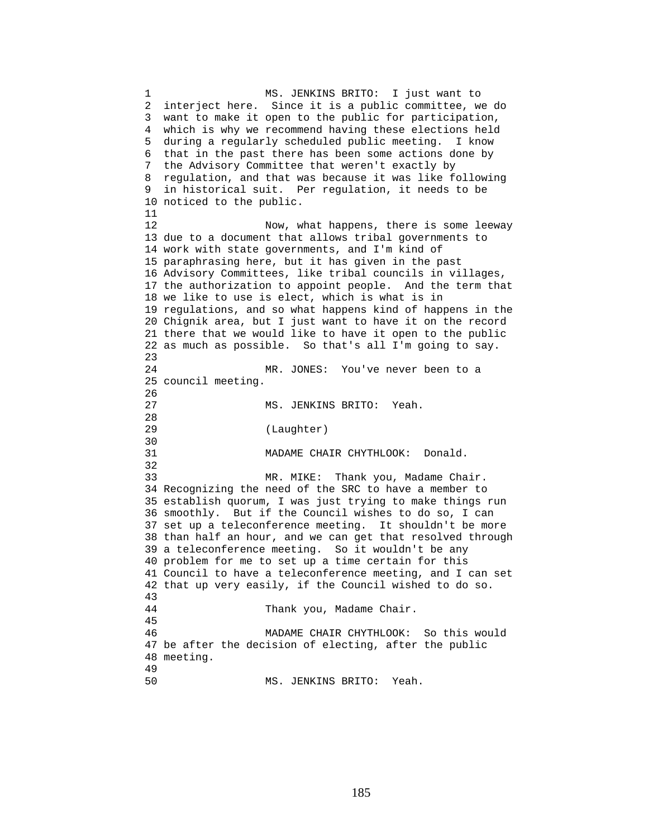1 MS. JENKINS BRITO: I just want to 2 interject here. Since it is a public committee, we do 3 want to make it open to the public for participation, 4 which is why we recommend having these elections held 5 during a regularly scheduled public meeting. I know 6 that in the past there has been some actions done by 7 the Advisory Committee that weren't exactly by 8 regulation, and that was because it was like following 9 in historical suit. Per regulation, it needs to be 10 noticed to the public. 11 12 Now, what happens, there is some leeway 13 due to a document that allows tribal governments to 14 work with state governments, and I'm kind of 15 paraphrasing here, but it has given in the past 16 Advisory Committees, like tribal councils in villages, 17 the authorization to appoint people. And the term that 18 we like to use is elect, which is what is in 19 regulations, and so what happens kind of happens in the 20 Chignik area, but I just want to have it on the record 21 there that we would like to have it open to the public 22 as much as possible. So that's all I'm going to say. 23 24 MR. JONES: You've never been to a 25 council meeting. 26 27 MS. JENKINS BRITO: Yeah. 28 29 (Laughter) 30<br>31 MADAME CHAIR CHYTHLOOK: Donald. 32 33 MR. MIKE: Thank you, Madame Chair. 34 Recognizing the need of the SRC to have a member to 35 establish quorum, I was just trying to make things run 36 smoothly. But if the Council wishes to do so, I can 37 set up a teleconference meeting. It shouldn't be more 38 than half an hour, and we can get that resolved through 39 a teleconference meeting. So it wouldn't be any 40 problem for me to set up a time certain for this 41 Council to have a teleconference meeting, and I can set 42 that up very easily, if the Council wished to do so. 43 44 Thank you, Madame Chair. 45 46 MADAME CHAIR CHYTHLOOK: So this would 47 be after the decision of electing, after the public 48 meeting. 49 50 MS. JENKINS BRITO: Yeah.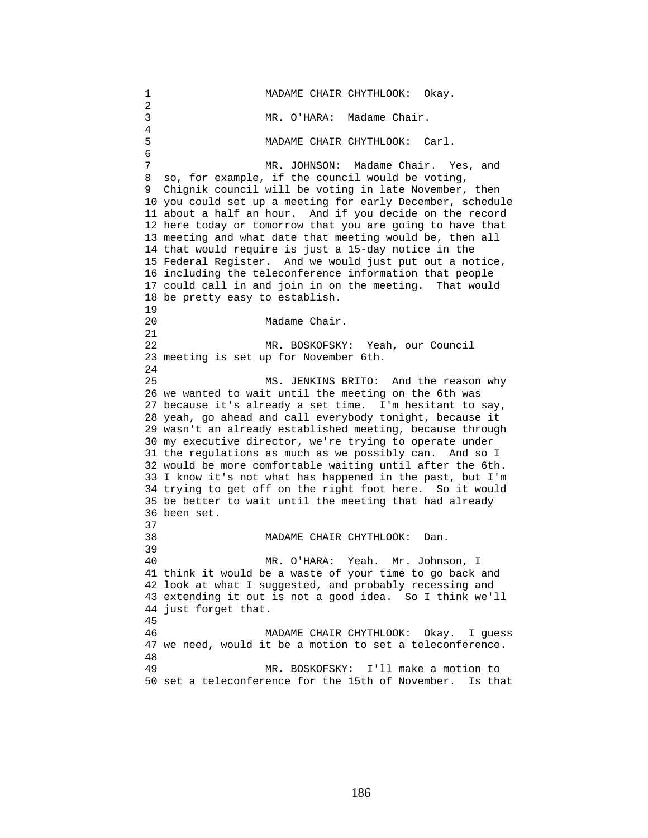1 MADAME CHAIR CHYTHLOOK: Okay. 2 3 MR. O'HARA: Madame Chair. 4 5 MADAME CHAIR CHYTHLOOK: Carl. 6 7 MR. JOHNSON: Madame Chair. Yes, and 8 so, for example, if the council would be voting, 9 Chignik council will be voting in late November, then 10 you could set up a meeting for early December, schedule 11 about a half an hour. And if you decide on the record 12 here today or tomorrow that you are going to have that 13 meeting and what date that meeting would be, then all 14 that would require is just a 15-day notice in the 15 Federal Register. And we would just put out a notice, 16 including the teleconference information that people 17 could call in and join in on the meeting. That would 18 be pretty easy to establish. 19 20 Madame Chair. 21 22 MR. BOSKOFSKY: Yeah, our Council 23 meeting is set up for November 6th.  $2.4$ 25 MS. JENKINS BRITO: And the reason why 26 we wanted to wait until the meeting on the 6th was 27 because it's already a set time. I'm hesitant to say, 28 yeah, go ahead and call everybody tonight, because it 29 wasn't an already established meeting, because through 30 my executive director, we're trying to operate under 31 the regulations as much as we possibly can. And so I 32 would be more comfortable waiting until after the 6th. 33 I know it's not what has happened in the past, but I'm 34 trying to get off on the right foot here. So it would 35 be better to wait until the meeting that had already 36 been set. 37 38 MADAME CHAIR CHYTHLOOK: Dan. 39 40 MR. O'HARA: Yeah. Mr. Johnson, I 41 think it would be a waste of your time to go back and 42 look at what I suggested, and probably recessing and 43 extending it out is not a good idea. So I think we'll 44 just forget that. 45 46 MADAME CHAIR CHYTHLOOK: Okay. I guess 47 we need, would it be a motion to set a teleconference. 48 49 MR. BOSKOFSKY: I'll make a motion to 50 set a teleconference for the 15th of November. Is that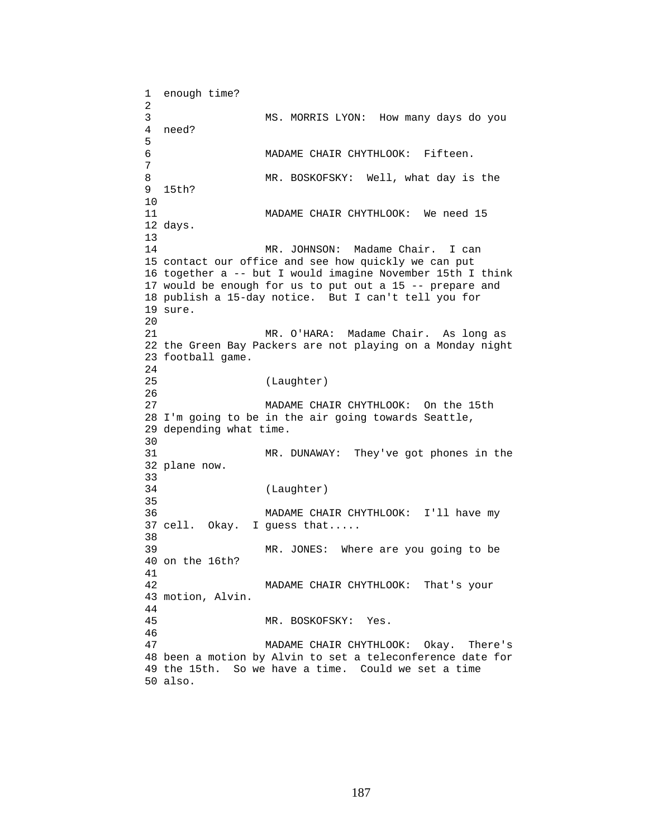1 enough time? 2 3 MS. MORRIS LYON: How many days do you 4 need? 5 6 MADAME CHAIR CHYTHLOOK: Fifteen. 7 8 MR. BOSKOFSKY: Well, what day is the 9 15th? 10 11 MADAME CHAIR CHYTHLOOK: We need 15 12 days. 13 14 MR. JOHNSON: Madame Chair. I can 15 contact our office and see how quickly we can put 16 together a -- but I would imagine November 15th I think 17 would be enough for us to put out a 15 -- prepare and 18 publish a 15-day notice. But I can't tell you for 19 sure. 20 21 MR. O'HARA: Madame Chair. As long as 22 the Green Bay Packers are not playing on a Monday night 23 football game. 24 25 (Laughter) 26 27 MADAME CHAIR CHYTHLOOK: On the 15th 28 I'm going to be in the air going towards Seattle, 29 depending what time. 30<br>31 MR. DUNAWAY: They've got phones in the 32 plane now. 33 34 (Laughter) 35 36 MADAME CHAIR CHYTHLOOK: I'll have my 37 cell. Okay. I guess that..... 38<br>39 MR. JONES: Where are you going to be 40 on the 16th? 41 42 MADAME CHAIR CHYTHLOOK: That's your 43 motion, Alvin. 44 45 MR. BOSKOFSKY: Yes. 46 47 MADAME CHAIR CHYTHLOOK: Okay. There's 48 been a motion by Alvin to set a teleconference date for 49 the 15th. So we have a time. Could we set a time 50 also.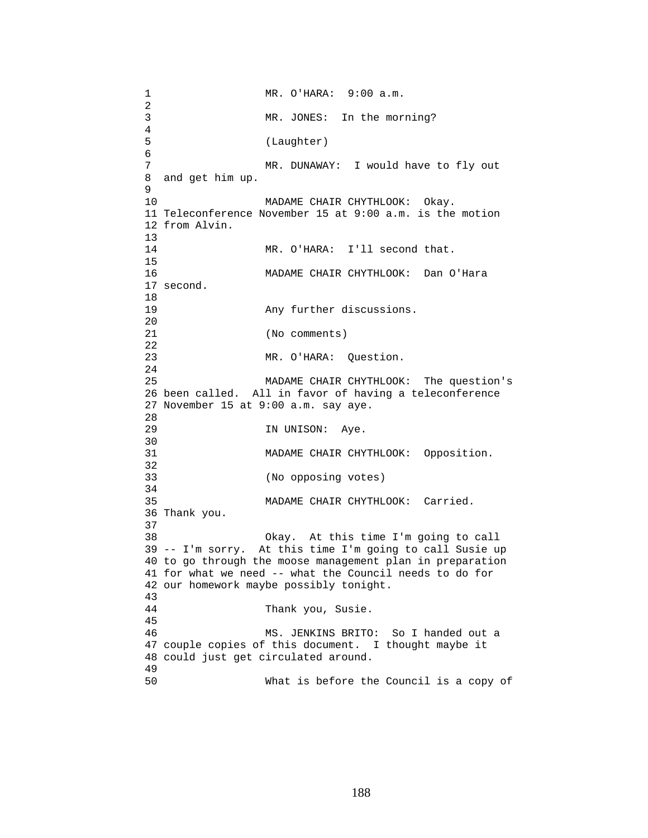1 MR. O'HARA: 9:00 a.m.  $\frac{2}{3}$ MR. JONES: In the morning? 4 5 (Laughter) 6 7 MR. DUNAWAY: I would have to fly out 8 and get him up. 9 10 MADAME CHAIR CHYTHLOOK: Okay. 11 Teleconference November 15 at 9:00 a.m. is the motion 12 from Alvin.  $\frac{13}{14}$ MR. O'HARA: I'll second that. 15 16 MADAME CHAIR CHYTHLOOK: Dan O'Hara 17 second. 18 19 **Any further discussions.** 20 21 (No comments) 22 23 MR. O'HARA: Question. 24 25 MADAME CHAIR CHYTHLOOK: The question's 26 been called. All in favor of having a teleconference 27 November 15 at 9:00 a.m. say aye. 28 29 IN UNISON: Aye. 30<br>31 MADAME CHAIR CHYTHLOOK: Opposition. 32 33 (No opposing votes) 34 35 MADAME CHAIR CHYTHLOOK: Carried. 36 Thank you. 37 38 Okay. At this time I'm going to call 39 -- I'm sorry. At this time I'm going to call Susie up 40 to go through the moose management plan in preparation 41 for what we need -- what the Council needs to do for 42 our homework maybe possibly tonight. 43 44 Thank you, Susie. 45 46 MS. JENKINS BRITO: So I handed out a 47 couple copies of this document. I thought maybe it 48 could just get circulated around. 49 50 What is before the Council is a copy of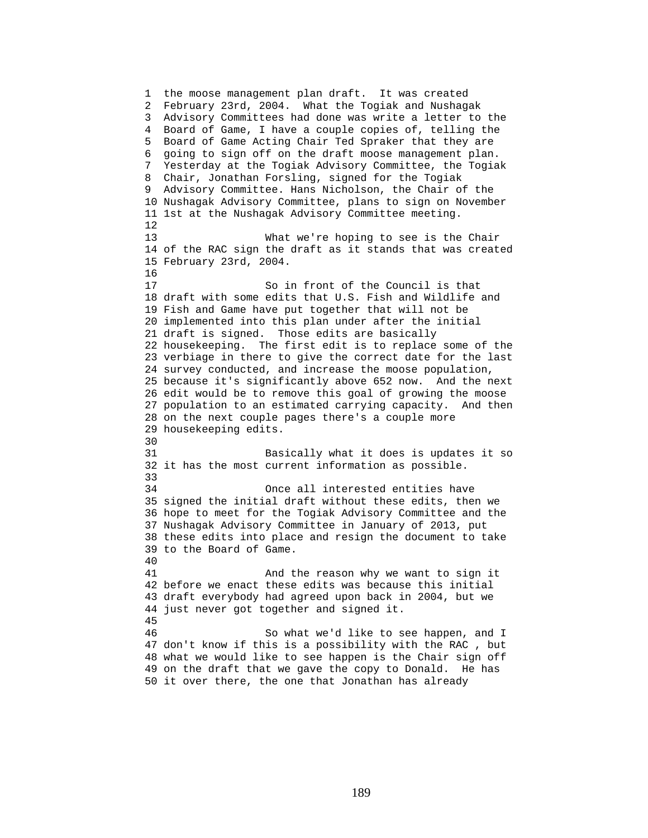1 the moose management plan draft. It was created 2 February 23rd, 2004. What the Togiak and Nushagak 3 Advisory Committees had done was write a letter to the 4 Board of Game, I have a couple copies of, telling the 5 Board of Game Acting Chair Ted Spraker that they are 6 going to sign off on the draft moose management plan. 7 Yesterday at the Togiak Advisory Committee, the Togiak 8 Chair, Jonathan Forsling, signed for the Togiak 9 Advisory Committee. Hans Nicholson, the Chair of the 10 Nushagak Advisory Committee, plans to sign on November 11 1st at the Nushagak Advisory Committee meeting. 12 13 What we're hoping to see is the Chair 14 of the RAC sign the draft as it stands that was created 15 February 23rd, 2004. 16 17 So in front of the Council is that 18 draft with some edits that U.S. Fish and Wildlife and 19 Fish and Game have put together that will not be 20 implemented into this plan under after the initial 21 draft is signed. Those edits are basically 22 housekeeping. The first edit is to replace some of the 23 verbiage in there to give the correct date for the last 24 survey conducted, and increase the moose population, 25 because it's significantly above 652 now. And the next 26 edit would be to remove this goal of growing the moose 27 population to an estimated carrying capacity. And then 28 on the next couple pages there's a couple more 29 housekeeping edits. 30 31 Basically what it does is updates it so 32 it has the most current information as possible. 33 34 Once all interested entities have 35 signed the initial draft without these edits, then we 36 hope to meet for the Togiak Advisory Committee and the 37 Nushagak Advisory Committee in January of 2013, put 38 these edits into place and resign the document to take 39 to the Board of Game. 40 41 And the reason why we want to sign it 42 before we enact these edits was because this initial 43 draft everybody had agreed upon back in 2004, but we 44 just never got together and signed it. 45 46 So what we'd like to see happen, and I 47 don't know if this is a possibility with the RAC , but 48 what we would like to see happen is the Chair sign off 49 on the draft that we gave the copy to Donald. He has 50 it over there, the one that Jonathan has already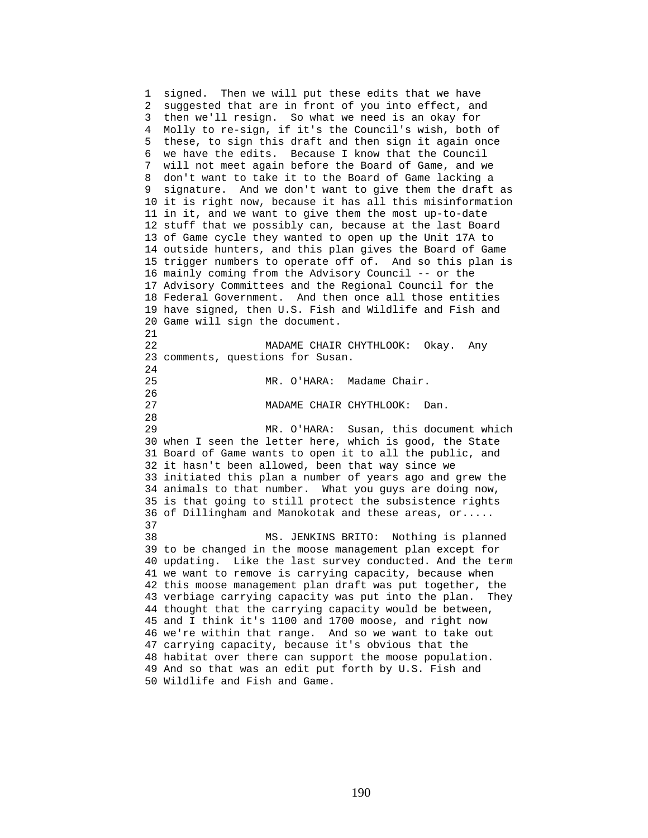1 signed. Then we will put these edits that we have 2 suggested that are in front of you into effect, and 3 then we'll resign. So what we need is an okay for 4 Molly to re-sign, if it's the Council's wish, both of 5 these, to sign this draft and then sign it again once 6 we have the edits. Because I know that the Council 7 will not meet again before the Board of Game, and we 8 don't want to take it to the Board of Game lacking a 9 signature. And we don't want to give them the draft as 10 it is right now, because it has all this misinformation 11 in it, and we want to give them the most up-to-date 12 stuff that we possibly can, because at the last Board 13 of Game cycle they wanted to open up the Unit 17A to 14 outside hunters, and this plan gives the Board of Game 15 trigger numbers to operate off of. And so this plan is 16 mainly coming from the Advisory Council -- or the 17 Advisory Committees and the Regional Council for the 18 Federal Government. And then once all those entities 19 have signed, then U.S. Fish and Wildlife and Fish and 20 Game will sign the document. 21 22 MADAME CHAIR CHYTHLOOK: Okay. Any 23 comments, questions for Susan. 24 25 MR. O'HARA: Madame Chair. 26 27 MADAME CHAIR CHYTHLOOK: Dan. 28 29 MR. O'HARA: Susan, this document which 30 when I seen the letter here, which is good, the State 31 Board of Game wants to open it to all the public, and 32 it hasn't been allowed, been that way since we 33 initiated this plan a number of years ago and grew the 34 animals to that number. What you guys are doing now, 35 is that going to still protect the subsistence rights 36 of Dillingham and Manokotak and these areas, or..... 37 38 MS. JENKINS BRITO: Nothing is planned 39 to be changed in the moose management plan except for 40 updating. Like the last survey conducted. And the term 41 we want to remove is carrying capacity, because when 42 this moose management plan draft was put together, the 43 verbiage carrying capacity was put into the plan. They 44 thought that the carrying capacity would be between, 45 and I think it's 1100 and 1700 moose, and right now 46 we're within that range. And so we want to take out 47 carrying capacity, because it's obvious that the 48 habitat over there can support the moose population. 49 And so that was an edit put forth by U.S. Fish and 50 Wildlife and Fish and Game.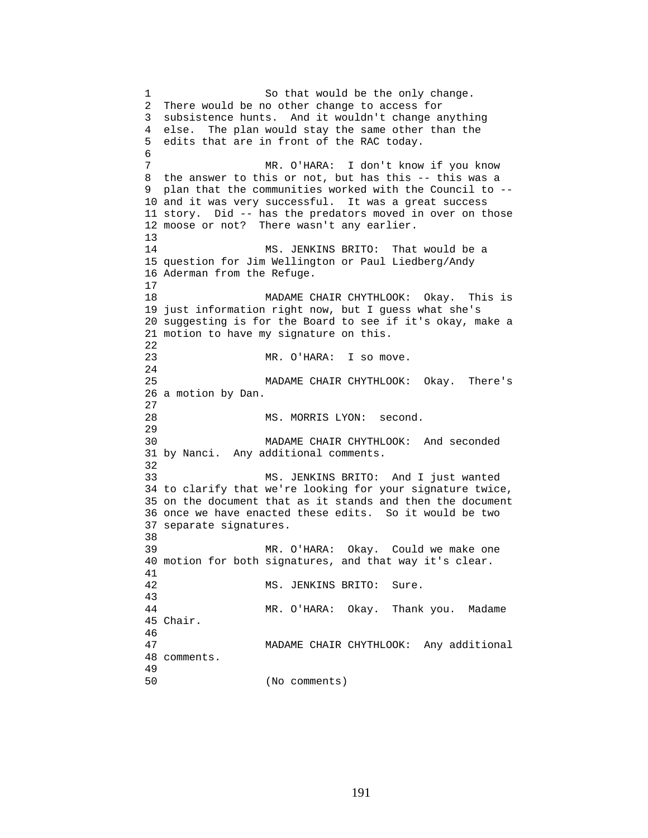1 So that would be the only change. 2 There would be no other change to access for 3 subsistence hunts. And it wouldn't change anything 4 else. The plan would stay the same other than the 5 edits that are in front of the RAC today. 6 7 MR. O'HARA: I don't know if you know 8 the answer to this or not, but has this -- this was a 9 plan that the communities worked with the Council to -- 10 and it was very successful. It was a great success 11 story. Did -- has the predators moved in over on those 12 moose or not? There wasn't any earlier. 13 14 MS. JENKINS BRITO: That would be a 15 question for Jim Wellington or Paul Liedberg/Andy 16 Aderman from the Refuge. 17 18 MADAME CHAIR CHYTHLOOK: Okay. This is 19 just information right now, but I guess what she's 20 suggesting is for the Board to see if it's okay, make a 21 motion to have my signature on this. 22 23 MR. O'HARA: I so move. 24 25 MADAME CHAIR CHYTHLOOK: Okay. There's 26 a motion by Dan. 27 28 MS. MORRIS LYON: second. 29 30 MADAME CHAIR CHYTHLOOK: And seconded 31 by Nanci. Any additional comments. 32 33 MS. JENKINS BRITO: And I just wanted 34 to clarify that we're looking for your signature twice, 35 on the document that as it stands and then the document 36 once we have enacted these edits. So it would be two 37 separate signatures. 38 39 MR. O'HARA: Okay. Could we make one 40 motion for both signatures, and that way it's clear. 41 42 MS. JENKINS BRITO: Sure. 43 44 MR. O'HARA: Okay. Thank you. Madame 45 Chair. 46 47 MADAME CHAIR CHYTHLOOK: Any additional 48 comments. 49 50 (No comments)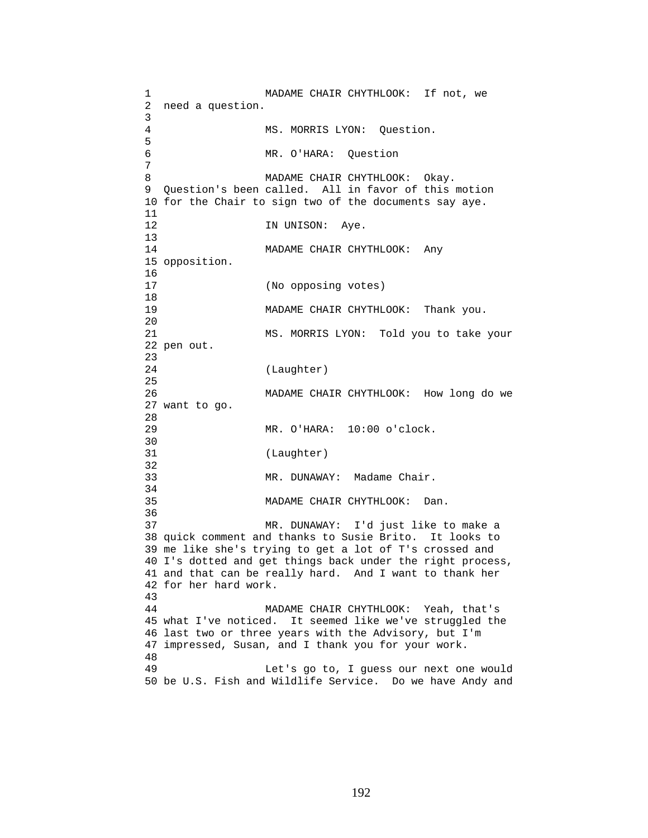1 MADAME CHAIR CHYTHLOOK: If not, we 2 need a question. 3 4 MS. MORRIS LYON: Question. 5 6 MR. O'HARA: Question 7 8 MADAME CHAIR CHYTHLOOK: Okay. 9 Question's been called. All in favor of this motion 10 for the Chair to sign two of the documents say aye. 11 12 IN UNISON: Aye. 13 14 MADAME CHAIR CHYTHLOOK: Any 15 opposition. 16<br>17 (No opposing votes) 18 19 MADAME CHAIR CHYTHLOOK: Thank you. 20 21 MS. MORRIS LYON: Told you to take your 22 pen out. 23 24 (Laughter) 25 26 MADAME CHAIR CHYTHLOOK: How long do we 27 want to go. 28 29 MR. O'HARA: 10:00 o'clock. 30<br>31 (Laughter) 32 33 MR. DUNAWAY: Madame Chair. 34 35 MADAME CHAIR CHYTHLOOK: Dan. 36 37 MR. DUNAWAY: I'd just like to make a 38 quick comment and thanks to Susie Brito. It looks to 39 me like she's trying to get a lot of T's crossed and 40 I's dotted and get things back under the right process, 41 and that can be really hard. And I want to thank her 42 for her hard work. 43 44 MADAME CHAIR CHYTHLOOK: Yeah, that's 45 what I've noticed. It seemed like we've struggled the 46 last two or three years with the Advisory, but I'm 47 impressed, Susan, and I thank you for your work. 48 49 Let's go to, I guess our next one would 50 be U.S. Fish and Wildlife Service. Do we have Andy and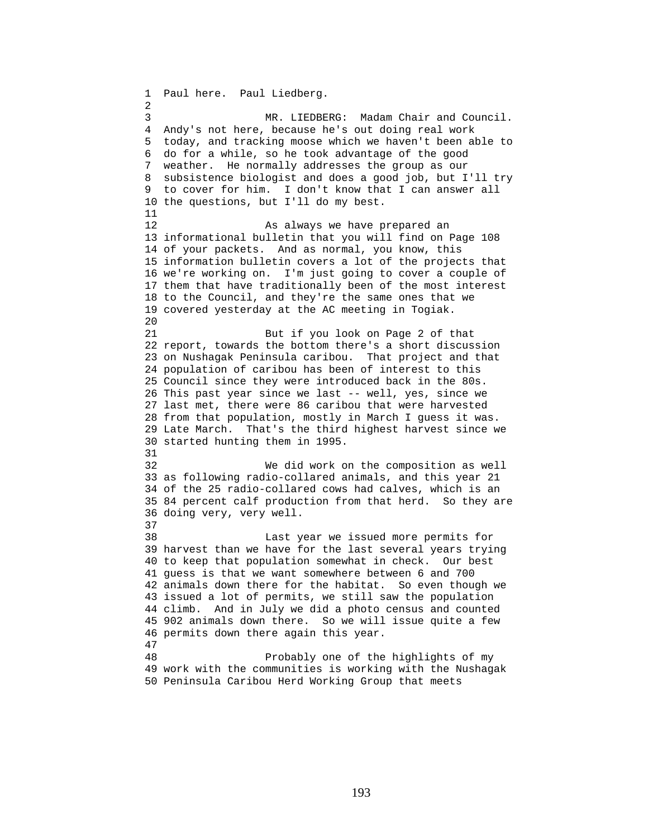1 Paul here. Paul Liedberg. 2 3 MR. LIEDBERG: Madam Chair and Council. 4 Andy's not here, because he's out doing real work 5 today, and tracking moose which we haven't been able to 6 do for a while, so he took advantage of the good 7 weather. He normally addresses the group as our 8 subsistence biologist and does a good job, but I'll try 9 to cover for him. I don't know that I can answer all 10 the questions, but I'll do my best. 11 12 As always we have prepared an 13 informational bulletin that you will find on Page 108 14 of your packets. And as normal, you know, this 15 information bulletin covers a lot of the projects that 16 we're working on. I'm just going to cover a couple of 17 them that have traditionally been of the most interest 18 to the Council, and they're the same ones that we 19 covered yesterday at the AC meeting in Togiak. 20 21 But if you look on Page 2 of that 22 report, towards the bottom there's a short discussion 23 on Nushagak Peninsula caribou. That project and that 24 population of caribou has been of interest to this 25 Council since they were introduced back in the 80s. 26 This past year since we last -- well, yes, since we 27 last met, there were 86 caribou that were harvested 28 from that population, mostly in March I guess it was. 29 Late March. That's the third highest harvest since we 30 started hunting them in 1995. 31 32 We did work on the composition as well 33 as following radio-collared animals, and this year 21 34 of the 25 radio-collared cows had calves, which is an 35 84 percent calf production from that herd. So they are 36 doing very, very well. 37 38 Last year we issued more permits for 39 harvest than we have for the last several years trying 40 to keep that population somewhat in check. Our best 41 guess is that we want somewhere between 6 and 700 42 animals down there for the habitat. So even though we 43 issued a lot of permits, we still saw the population 44 climb. And in July we did a photo census and counted 45 902 animals down there. So we will issue quite a few 46 permits down there again this year. 47 48 Probably one of the highlights of my 49 work with the communities is working with the Nushagak 50 Peninsula Caribou Herd Working Group that meets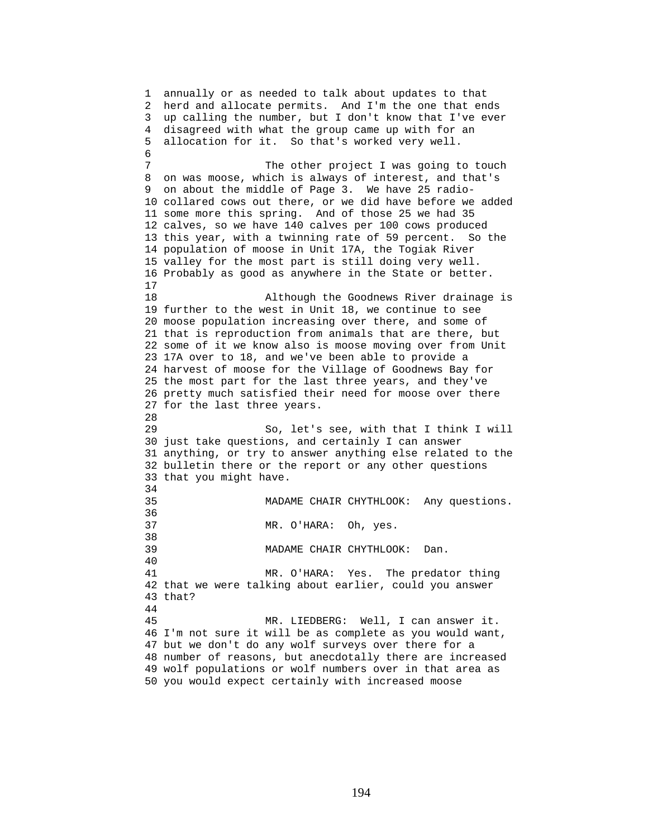1 annually or as needed to talk about updates to that 2 herd and allocate permits. And I'm the one that ends 3 up calling the number, but I don't know that I've ever 4 disagreed with what the group came up with for an 5 allocation for it. So that's worked very well. 6 7 The other project I was going to touch 8 on was moose, which is always of interest, and that's 9 on about the middle of Page 3. We have 25 radio-10 collared cows out there, or we did have before we added 11 some more this spring. And of those 25 we had 35 12 calves, so we have 140 calves per 100 cows produced 13 this year, with a twinning rate of 59 percent. So the 14 population of moose in Unit 17A, the Togiak River 15 valley for the most part is still doing very well. 16 Probably as good as anywhere in the State or better. 17 18 Although the Goodnews River drainage is 19 further to the west in Unit 18, we continue to see 20 moose population increasing over there, and some of 21 that is reproduction from animals that are there, but 22 some of it we know also is moose moving over from Unit 23 17A over to 18, and we've been able to provide a 24 harvest of moose for the Village of Goodnews Bay for 25 the most part for the last three years, and they've 26 pretty much satisfied their need for moose over there 27 for the last three years. 28 29 So, let's see, with that I think I will 30 just take questions, and certainly I can answer 31 anything, or try to answer anything else related to the 32 bulletin there or the report or any other questions 33 that you might have. 34 35 MADAME CHAIR CHYTHLOOK: Any questions. 36 37 MR. O'HARA: Oh, yes. 38 39 MADAME CHAIR CHYTHLOOK: Dan. 40 41 MR. O'HARA: Yes. The predator thing 42 that we were talking about earlier, could you answer 43 that? 44 45 MR. LIEDBERG: Well, I can answer it. 46 I'm not sure it will be as complete as you would want, 47 but we don't do any wolf surveys over there for a 48 number of reasons, but anecdotally there are increased 49 wolf populations or wolf numbers over in that area as 50 you would expect certainly with increased moose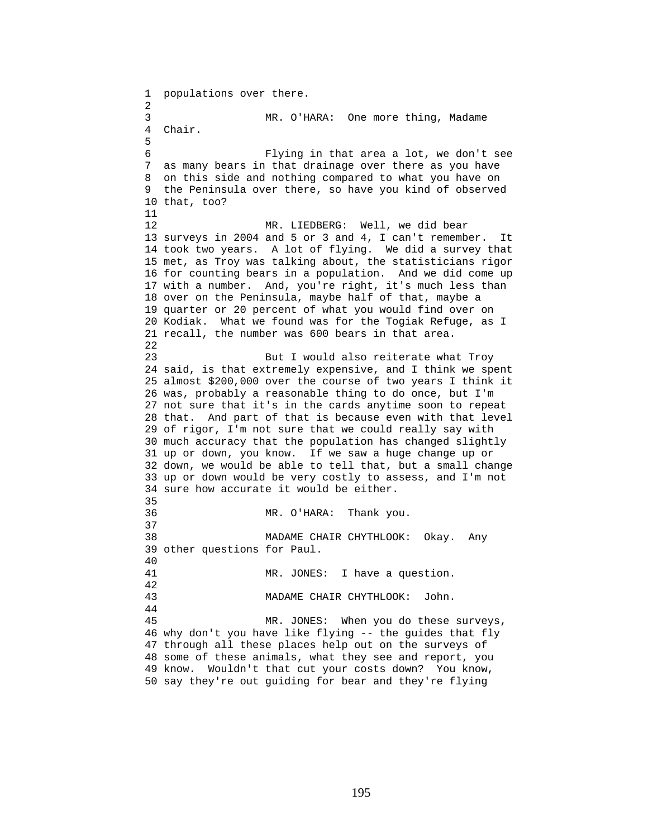1 populations over there. 2 3 MR. O'HARA: One more thing, Madame 4 Chair. 5 6 Flying in that area a lot, we don't see 7 as many bears in that drainage over there as you have 8 on this side and nothing compared to what you have on 9 the Peninsula over there, so have you kind of observed 10 that, too? 11 12 MR. LIEDBERG: Well, we did bear 13 surveys in 2004 and 5 or 3 and 4, I can't remember. It 14 took two years. A lot of flying. We did a survey that 15 met, as Troy was talking about, the statisticians rigor 16 for counting bears in a population. And we did come up 17 with a number. And, you're right, it's much less than 18 over on the Peninsula, maybe half of that, maybe a 19 quarter or 20 percent of what you would find over on 20 Kodiak. What we found was for the Togiak Refuge, as I 21 recall, the number was 600 bears in that area. 22 23 But I would also reiterate what Troy 24 said, is that extremely expensive, and I think we spent 25 almost \$200,000 over the course of two years I think it 26 was, probably a reasonable thing to do once, but I'm 27 not sure that it's in the cards anytime soon to repeat 28 that. And part of that is because even with that level 29 of rigor, I'm not sure that we could really say with 30 much accuracy that the population has changed slightly 31 up or down, you know. If we saw a huge change up or 32 down, we would be able to tell that, but a small change 33 up or down would be very costly to assess, and I'm not 34 sure how accurate it would be either. 35 36 MR. O'HARA: Thank you. 37 38 MADAME CHAIR CHYTHLOOK: Okay. Any 39 other questions for Paul. 40 41 MR. JONES: I have a question. 42 43 MADAME CHAIR CHYTHLOOK: John. 44 45 MR. JONES: When you do these surveys, 46 why don't you have like flying -- the guides that fly 47 through all these places help out on the surveys of 48 some of these animals, what they see and report, you 49 know. Wouldn't that cut your costs down? You know, 50 say they're out guiding for bear and they're flying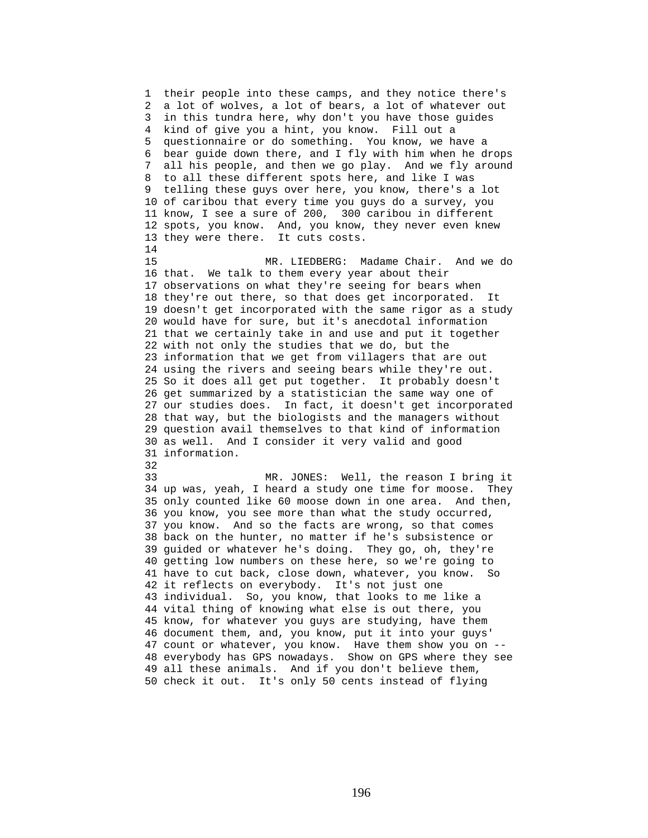1 their people into these camps, and they notice there's 2 a lot of wolves, a lot of bears, a lot of whatever out 3 in this tundra here, why don't you have those guides 4 kind of give you a hint, you know. Fill out a 5 questionnaire or do something. You know, we have a 6 bear guide down there, and I fly with him when he drops 7 all his people, and then we go play. And we fly around 8 to all these different spots here, and like I was 9 telling these guys over here, you know, there's a lot 10 of caribou that every time you guys do a survey, you 11 know, I see a sure of 200, 300 caribou in different 12 spots, you know. And, you know, they never even knew 13 they were there. It cuts costs. 14 15 MR. LIEDBERG: Madame Chair. And we do 16 that. We talk to them every year about their 17 observations on what they're seeing for bears when 18 they're out there, so that does get incorporated. It 19 doesn't get incorporated with the same rigor as a study 20 would have for sure, but it's anecdotal information 21 that we certainly take in and use and put it together 22 with not only the studies that we do, but the 23 information that we get from villagers that are out 24 using the rivers and seeing bears while they're out. 25 So it does all get put together. It probably doesn't 26 get summarized by a statistician the same way one of 27 our studies does. In fact, it doesn't get incorporated 28 that way, but the biologists and the managers without 29 question avail themselves to that kind of information 30 as well. And I consider it very valid and good 31 information. 32 33 MR. JONES: Well, the reason I bring it 34 up was, yeah, I heard a study one time for moose. They 35 only counted like 60 moose down in one area. And then, 36 you know, you see more than what the study occurred, 37 you know. And so the facts are wrong, so that comes 38 back on the hunter, no matter if he's subsistence or 39 guided or whatever he's doing. They go, oh, they're 40 getting low numbers on these here, so we're going to 41 have to cut back, close down, whatever, you know. So 42 it reflects on everybody. It's not just one 43 individual. So, you know, that looks to me like a 44 vital thing of knowing what else is out there, you 45 know, for whatever you guys are studying, have them 46 document them, and, you know, put it into your guys' 47 count or whatever, you know. Have them show you on -- 48 everybody has GPS nowadays. Show on GPS where they see 49 all these animals. And if you don't believe them, 50 check it out. It's only 50 cents instead of flying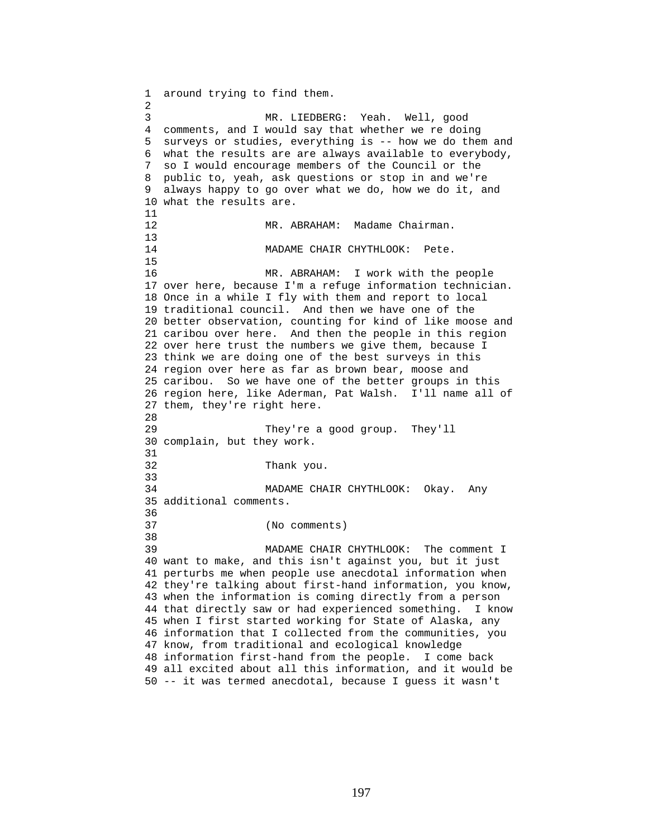1 around trying to find them. 2 3 MR. LIEDBERG: Yeah. Well, good 4 comments, and I would say that whether we re doing 5 surveys or studies, everything is -- how we do them and 6 what the results are are always available to everybody, 7 so I would encourage members of the Council or the 8 public to, yeah, ask questions or stop in and we're 9 always happy to go over what we do, how we do it, and 10 what the results are. 11 12 MR. ABRAHAM: Madame Chairman.  $\frac{13}{14}$ MADAME CHAIR CHYTHLOOK: Pete. 15 16 MR. ABRAHAM: I work with the people 17 over here, because I'm a refuge information technician. 18 Once in a while I fly with them and report to local 19 traditional council. And then we have one of the 20 better observation, counting for kind of like moose and 21 caribou over here. And then the people in this region 22 over here trust the numbers we give them, because I 23 think we are doing one of the best surveys in this 24 region over here as far as brown bear, moose and 25 caribou. So we have one of the better groups in this 26 region here, like Aderman, Pat Walsh. I'll name all of 27 them, they're right here. 28 29 They're a good group. They'll 30 complain, but they work. 31 32 Thank you. 33 34 MADAME CHAIR CHYTHLOOK: Okay. Any 35 additional comments. 36 37 (No comments) 38 39 MADAME CHAIR CHYTHLOOK: The comment I 40 want to make, and this isn't against you, but it just 41 perturbs me when people use anecdotal information when 42 they're talking about first-hand information, you know, 43 when the information is coming directly from a person 44 that directly saw or had experienced something. I know 45 when I first started working for State of Alaska, any 46 information that I collected from the communities, you 47 know, from traditional and ecological knowledge 48 information first-hand from the people. I come back 49 all excited about all this information, and it would be 50 -- it was termed anecdotal, because I guess it wasn't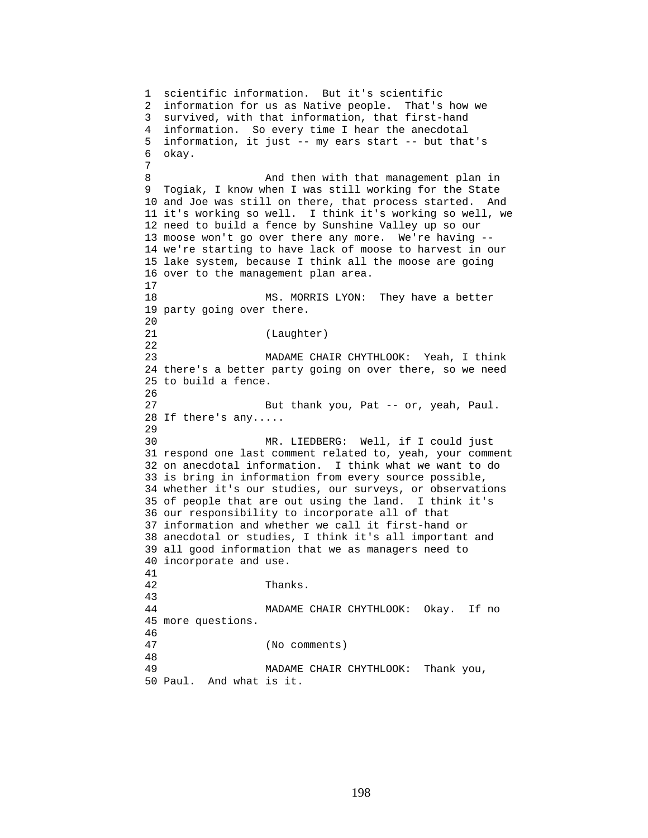1 scientific information. But it's scientific 2 information for us as Native people. That's how we 3 survived, with that information, that first-hand 4 information. So every time I hear the anecdotal 5 information, it just -- my ears start -- but that's 6 okay. 7 8 And then with that management plan in 9 Togiak, I know when I was still working for the State 10 and Joe was still on there, that process started. And 11 it's working so well. I think it's working so well, we 12 need to build a fence by Sunshine Valley up so our 13 moose won't go over there any more. We're having -- 14 we're starting to have lack of moose to harvest in our 15 lake system, because I think all the moose are going 16 over to the management plan area. 17 18 MS. MORRIS LYON: They have a better 19 party going over there.  $20$ 21 (Laughter) 22 23 MADAME CHAIR CHYTHLOOK: Yeah, I think 24 there's a better party going on over there, so we need 25 to build a fence. 26 27 But thank you, Pat -- or, yeah, Paul. 28 If there's any..... 29 30 MR. LIEDBERG: Well, if I could just 31 respond one last comment related to, yeah, your comment 32 on anecdotal information. I think what we want to do 33 is bring in information from every source possible, 34 whether it's our studies, our surveys, or observations 35 of people that are out using the land. I think it's 36 our responsibility to incorporate all of that 37 information and whether we call it first-hand or 38 anecdotal or studies, I think it's all important and 39 all good information that we as managers need to 40 incorporate and use. 41 42 Thanks. 43 44 MADAME CHAIR CHYTHLOOK: Okay. If no 45 more questions. 46 47 (No comments) 48 49 MADAME CHAIR CHYTHLOOK: Thank you, 50 Paul. And what is it.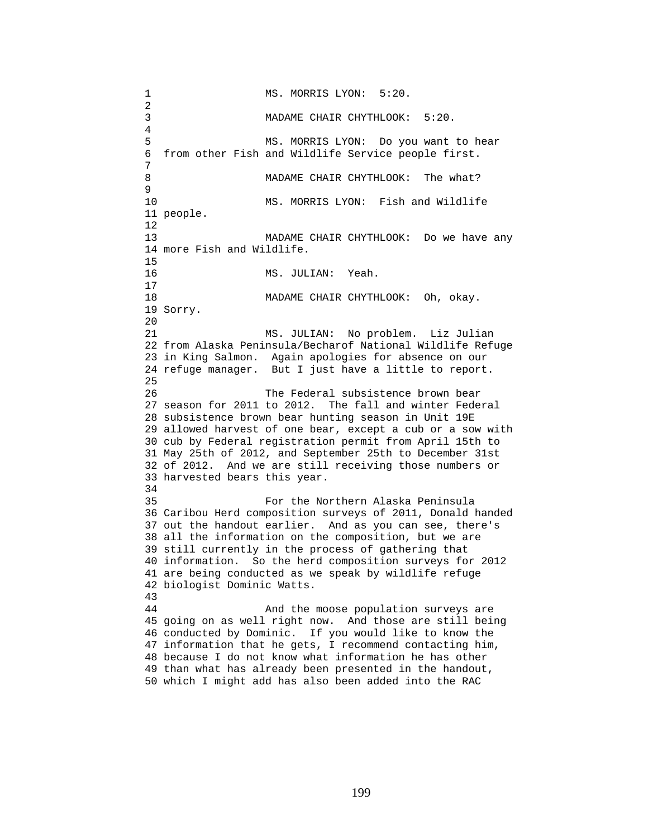1 MS. MORRIS LYON: 5:20. 2 3 MADAME CHAIR CHYTHLOOK: 5:20. 4 5 MS. MORRIS LYON: Do you want to hear 6 from other Fish and Wildlife Service people first. 7 8 MADAME CHAIR CHYTHLOOK: The what? 9 10 MS. MORRIS LYON: Fish and Wildlife 11 people. 12 13 MADAME CHAIR CHYTHLOOK: Do we have any 14 more Fish and Wildlife. 15 16 MS. JULIAN: Yeah. 17 18 MADAME CHAIR CHYTHLOOK: Oh, okay. 19 Sorry. 20 21 MS. JULIAN: No problem. Liz Julian 22 from Alaska Peninsula/Becharof National Wildlife Refuge 23 in King Salmon. Again apologies for absence on our 24 refuge manager. But I just have a little to report. 25 26 The Federal subsistence brown bear 27 season for 2011 to 2012. The fall and winter Federal 28 subsistence brown bear hunting season in Unit 19E 29 allowed harvest of one bear, except a cub or a sow with 30 cub by Federal registration permit from April 15th to 31 May 25th of 2012, and September 25th to December 31st 32 of 2012. And we are still receiving those numbers or 33 harvested bears this year. 34 35 For the Northern Alaska Peninsula 36 Caribou Herd composition surveys of 2011, Donald handed 37 out the handout earlier. And as you can see, there's 38 all the information on the composition, but we are 39 still currently in the process of gathering that 40 information. So the herd composition surveys for 2012 41 are being conducted as we speak by wildlife refuge 42 biologist Dominic Watts. 43 44 And the moose population surveys are 45 going on as well right now. And those are still being 46 conducted by Dominic. If you would like to know the 47 information that he gets, I recommend contacting him, 48 because I do not know what information he has other 49 than what has already been presented in the handout, 50 which I might add has also been added into the RAC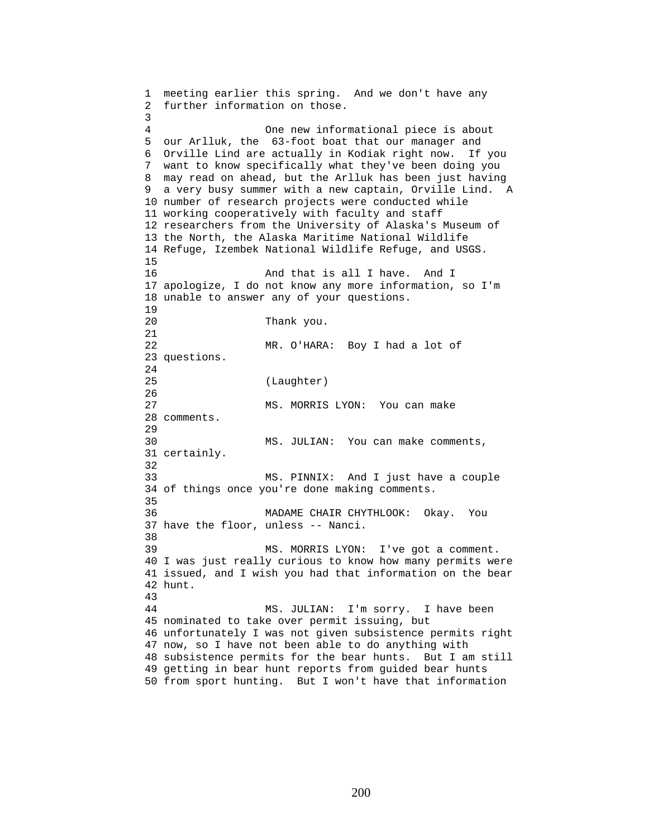1 meeting earlier this spring. And we don't have any 2 further information on those. 3 4 One new informational piece is about 5 our Arlluk, the 63-foot boat that our manager and 6 Orville Lind are actually in Kodiak right now. If you 7 want to know specifically what they've been doing you 8 may read on ahead, but the Arlluk has been just having 9 a very busy summer with a new captain, Orville Lind. A 10 number of research projects were conducted while 11 working cooperatively with faculty and staff 12 researchers from the University of Alaska's Museum of 13 the North, the Alaska Maritime National Wildlife 14 Refuge, Izembek National Wildlife Refuge, and USGS. 15 16 And that is all I have. And I 17 apologize, I do not know any more information, so I'm 18 unable to answer any of your questions. 19 20 Thank you. 21 22 MR. O'HARA: Boy I had a lot of 23 questions. 24 25 (Laughter) 26 27 MS. MORRIS LYON: You can make 28 comments. 29 30 MS. JULIAN: You can make comments, 31 certainly. 32 33 MS. PINNIX: And I just have a couple 34 of things once you're done making comments. 35 36 MADAME CHAIR CHYTHLOOK: Okay. You 37 have the floor, unless -- Nanci. 38 39 MS. MORRIS LYON: I've got a comment. 40 I was just really curious to know how many permits were 41 issued, and I wish you had that information on the bear 42 hunt. 43 44 MS. JULIAN: I'm sorry. I have been 45 nominated to take over permit issuing, but 46 unfortunately I was not given subsistence permits right 47 now, so I have not been able to do anything with 48 subsistence permits for the bear hunts. But I am still 49 getting in bear hunt reports from guided bear hunts

50 from sport hunting. But I won't have that information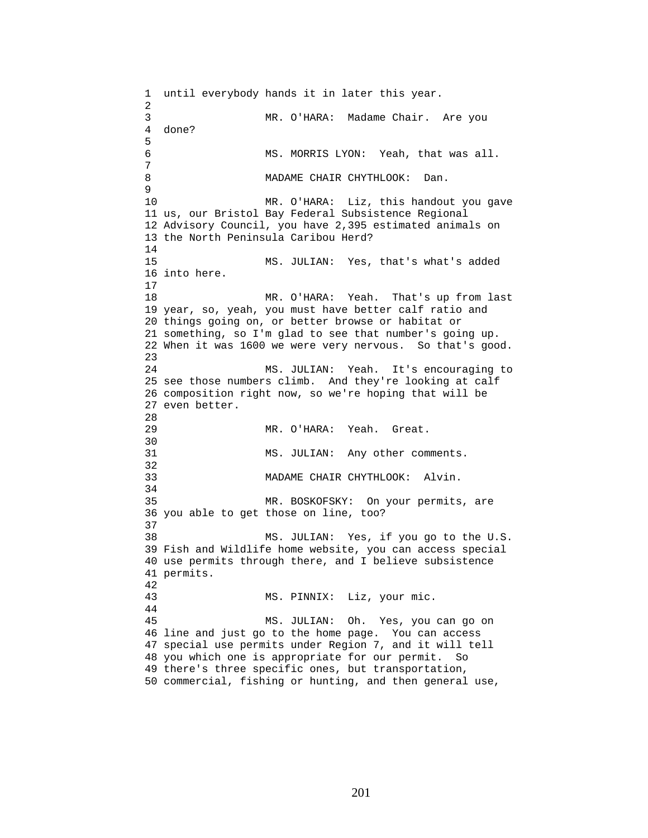1 until everybody hands it in later this year. 2 3 MR. O'HARA: Madame Chair. Are you 4 done? 5 6 MS. MORRIS LYON: Yeah, that was all. 7 8 MADAME CHAIR CHYTHLOOK: Dan. 9 10 MR. O'HARA: Liz, this handout you gave 11 us, our Bristol Bay Federal Subsistence Regional 12 Advisory Council, you have 2,395 estimated animals on 13 the North Peninsula Caribou Herd? 14 15 MS. JULIAN: Yes, that's what's added 16 into here. 17 18 MR. O'HARA: Yeah. That's up from last 19 year, so, yeah, you must have better calf ratio and 20 things going on, or better browse or habitat or 21 something, so I'm glad to see that number's going up. 22 When it was 1600 we were very nervous. So that's good. 23 24 MS. JULIAN: Yeah. It's encouraging to 25 see those numbers climb. And they're looking at calf 26 composition right now, so we're hoping that will be 27 even better. 28 29 MR. O'HARA: Yeah. Great. 30<br>31 MS. JULIAN: Any other comments. 32 33 MADAME CHAIR CHYTHLOOK: Alvin. 34 35 MR. BOSKOFSKY: On your permits, are 36 you able to get those on line, too? 37 38 MS. JULIAN: Yes, if you go to the U.S. 39 Fish and Wildlife home website, you can access special 40 use permits through there, and I believe subsistence 41 permits. 42 43 MS. PINNIX: Liz, your mic. 44 45 MS. JULIAN: Oh. Yes, you can go on 46 line and just go to the home page. You can access 47 special use permits under Region 7, and it will tell 48 you which one is appropriate for our permit. So 49 there's three specific ones, but transportation, 50 commercial, fishing or hunting, and then general use,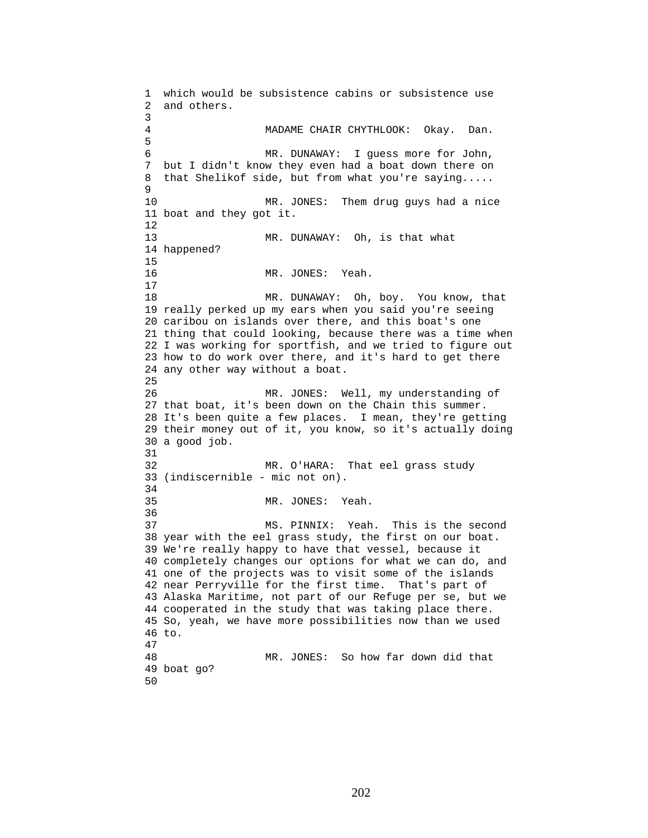1 which would be subsistence cabins or subsistence use 2 and others. 3 MADAME CHAIR CHYTHLOOK: Okay. Dan. 5 6 MR. DUNAWAY: I guess more for John, 7 but I didn't know they even had a boat down there on 8 that Shelikof side, but from what you're saying..... 9 10 MR. JONES: Them drug guys had a nice 11 boat and they got it. 12 13 MR. DUNAWAY: Oh, is that what 14 happened? 15 16 MR. JONES: Yeah. 17 18 MR. DUNAWAY: Oh, boy. You know, that 19 really perked up my ears when you said you're seeing 20 caribou on islands over there, and this boat's one 21 thing that could looking, because there was a time when 22 I was working for sportfish, and we tried to figure out 23 how to do work over there, and it's hard to get there 24 any other way without a boat. 25 26 MR. JONES: Well, my understanding of 27 that boat, it's been down on the Chain this summer. 28 It's been quite a few places. I mean, they're getting 29 their money out of it, you know, so it's actually doing 30 a good job. 31 32 MR. O'HARA: That eel grass study 33 (indiscernible - mic not on). 34 35 MR. JONES: Yeah. 36 37 MS. PINNIX: Yeah. This is the second 38 year with the eel grass study, the first on our boat. 39 We're really happy to have that vessel, because it 40 completely changes our options for what we can do, and 41 one of the projects was to visit some of the islands 42 near Perryville for the first time. That's part of 43 Alaska Maritime, not part of our Refuge per se, but we 44 cooperated in the study that was taking place there. 45 So, yeah, we have more possibilities now than we used 46 to. 47 48 MR. JONES: So how far down did that 49 boat go? 50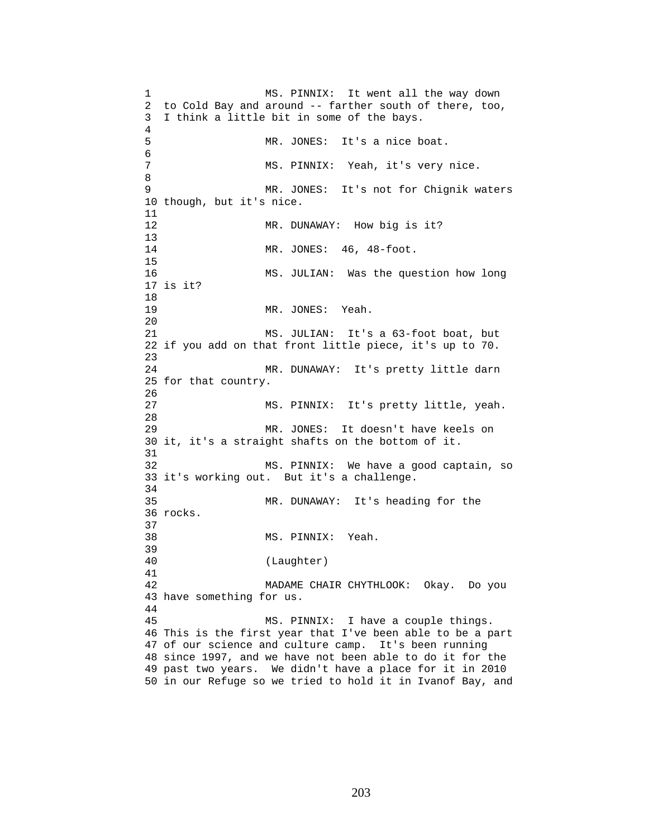1 MS. PINNIX: It went all the way down 2 to Cold Bay and around -- farther south of there, too, 3 I think a little bit in some of the bays. 4 5 MR. JONES: It's a nice boat. 6 7 MS. PINNIX: Yeah, it's very nice. 8 9 MR. JONES: It's not for Chignik waters 10 though, but it's nice. 11 12 MR. DUNAWAY: How big is it? 13 14 MR. JONES: 46, 48-foot. 15 16 MS. JULIAN: Was the question how long 17 is it? 18 19 MR. JONES: Yeah. 20 21 MS. JULIAN: It's a 63-foot boat, but 22 if you add on that front little piece, it's up to 70. 23 24 MR. DUNAWAY: It's pretty little darn 25 for that country. 26 27 MS. PINNIX: It's pretty little, yeah. 28 29 MR. JONES: It doesn't have keels on 30 it, it's a straight shafts on the bottom of it. 31 32 MS. PINNIX: We have a good captain, so 33 it's working out. But it's a challenge. 34 35 MR. DUNAWAY: It's heading for the 36 rocks. 37 38 MS. PINNIX: Yeah. 39 40 (Laughter) 41 42 MADAME CHAIR CHYTHLOOK: Okay. Do you 43 have something for us. 44 45 MS. PINNIX: I have a couple things. 46 This is the first year that I've been able to be a part 47 of our science and culture camp. It's been running 48 since 1997, and we have not been able to do it for the 49 past two years. We didn't have a place for it in 2010 50 in our Refuge so we tried to hold it in Ivanof Bay, and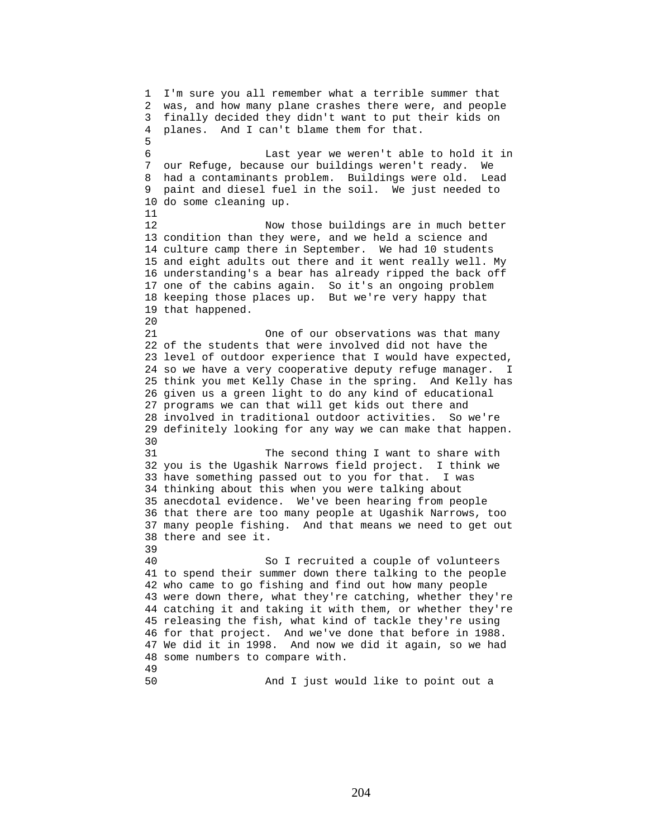1 I'm sure you all remember what a terrible summer that 2 was, and how many plane crashes there were, and people 3 finally decided they didn't want to put their kids on 4 planes. And I can't blame them for that. 5 6 Last year we weren't able to hold it in 7 our Refuge, because our buildings weren't ready. We 8 had a contaminants problem. Buildings were old. Lead 9 paint and diesel fuel in the soil. We just needed to 10 do some cleaning up. 11 12 Now those buildings are in much better 13 condition than they were, and we held a science and 14 culture camp there in September. We had 10 students 15 and eight adults out there and it went really well. My 16 understanding's a bear has already ripped the back off 17 one of the cabins again. So it's an ongoing problem 18 keeping those places up. But we're very happy that 19 that happened. 20 21 One of our observations was that many 22 of the students that were involved did not have the 23 level of outdoor experience that I would have expected, 24 so we have a very cooperative deputy refuge manager. I 25 think you met Kelly Chase in the spring. And Kelly has 26 given us a green light to do any kind of educational 27 programs we can that will get kids out there and 28 involved in traditional outdoor activities. So we're 29 definitely looking for any way we can make that happen. 30<br>31 The second thing I want to share with 32 you is the Ugashik Narrows field project. I think we 33 have something passed out to you for that. I was 34 thinking about this when you were talking about 35 anecdotal evidence. We've been hearing from people 36 that there are too many people at Ugashik Narrows, too 37 many people fishing. And that means we need to get out 38 there and see it. 39 40 So I recruited a couple of volunteers 41 to spend their summer down there talking to the people 42 who came to go fishing and find out how many people 43 were down there, what they're catching, whether they're 44 catching it and taking it with them, or whether they're 45 releasing the fish, what kind of tackle they're using 46 for that project. And we've done that before in 1988. 47 We did it in 1998. And now we did it again, so we had 48 some numbers to compare with. 49 50 And I just would like to point out a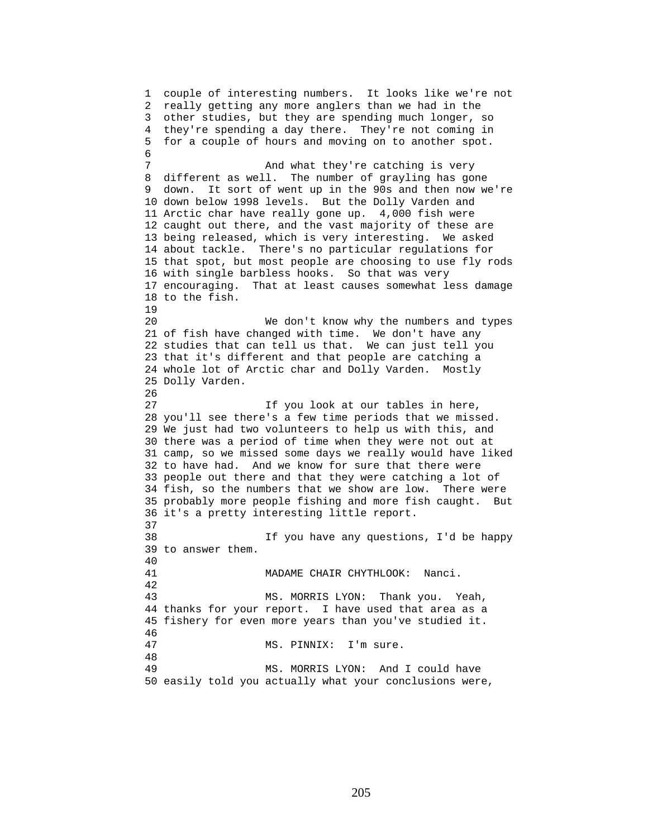1 couple of interesting numbers. It looks like we're not 2 really getting any more anglers than we had in the 3 other studies, but they are spending much longer, so 4 they're spending a day there. They're not coming in 5 for a couple of hours and moving on to another spot. 6 7 And what they're catching is very 8 different as well. The number of grayling has gone 9 down. It sort of went up in the 90s and then now we're 10 down below 1998 levels. But the Dolly Varden and 11 Arctic char have really gone up. 4,000 fish were 12 caught out there, and the vast majority of these are 13 being released, which is very interesting. We asked 14 about tackle. There's no particular regulations for 15 that spot, but most people are choosing to use fly rods 16 with single barbless hooks. So that was very 17 encouraging. That at least causes somewhat less damage 18 to the fish. 19 20 We don't know why the numbers and types 21 of fish have changed with time. We don't have any 22 studies that can tell us that. We can just tell you 23 that it's different and that people are catching a 24 whole lot of Arctic char and Dolly Varden. Mostly 25 Dolly Varden. 26 27 If you look at our tables in here, 28 you'll see there's a few time periods that we missed. 29 We just had two volunteers to help us with this, and 30 there was a period of time when they were not out at 31 camp, so we missed some days we really would have liked 32 to have had. And we know for sure that there were 33 people out there and that they were catching a lot of 34 fish, so the numbers that we show are low. There were 35 probably more people fishing and more fish caught. But 36 it's a pretty interesting little report. 37 38 If you have any questions, I'd be happy 39 to answer them. 40 41 MADAME CHAIR CHYTHLOOK: Nanci. 42 43 MS. MORRIS LYON: Thank you. Yeah, 44 thanks for your report. I have used that area as a 45 fishery for even more years than you've studied it. 46 47 MS. PINNIX: I'm sure. 48 49 MS. MORRIS LYON: And I could have 50 easily told you actually what your conclusions were,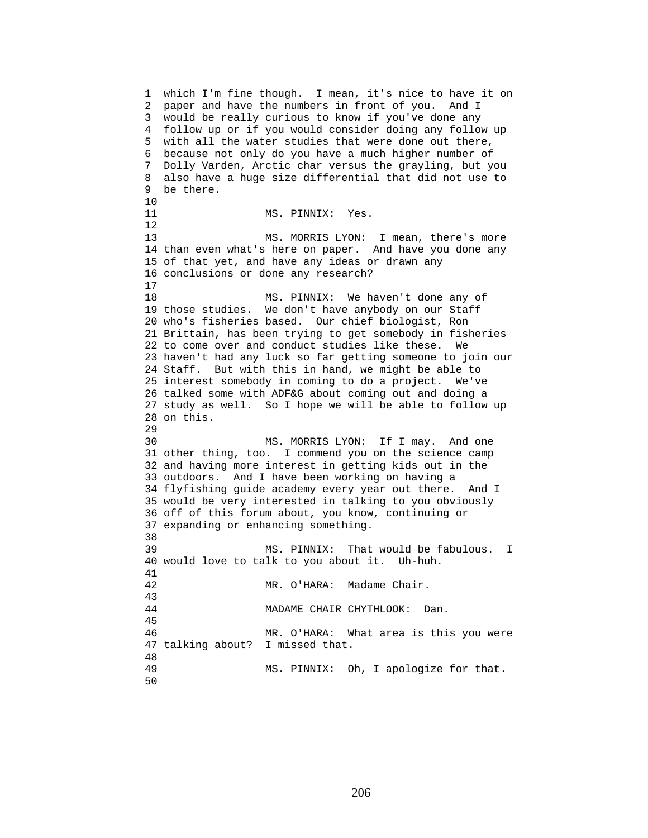1 which I'm fine though. I mean, it's nice to have it on 2 paper and have the numbers in front of you. And I 3 would be really curious to know if you've done any 4 follow up or if you would consider doing any follow up 5 with all the water studies that were done out there, 6 because not only do you have a much higher number of 7 Dolly Varden, Arctic char versus the grayling, but you 8 also have a huge size differential that did not use to 9 be there. 10 11 MS. PINNIX: Yes. 12 13 MS. MORRIS LYON: I mean, there's more 14 than even what's here on paper. And have you done any 15 of that yet, and have any ideas or drawn any 16 conclusions or done any research? 17 18 MS. PINNIX: We haven't done any of 19 those studies. We don't have anybody on our Staff 20 who's fisheries based. Our chief biologist, Ron 21 Brittain, has been trying to get somebody in fisheries 22 to come over and conduct studies like these. We 23 haven't had any luck so far getting someone to join our 24 Staff. But with this in hand, we might be able to 25 interest somebody in coming to do a project. We've 26 talked some with ADF&G about coming out and doing a 27 study as well. So I hope we will be able to follow up 28 on this. 29 30 MS. MORRIS LYON: If I may. And one 31 other thing, too. I commend you on the science camp 32 and having more interest in getting kids out in the 33 outdoors. And I have been working on having a 34 flyfishing guide academy every year out there. And I 35 would be very interested in talking to you obviously 36 off of this forum about, you know, continuing or 37 expanding or enhancing something. 38<br>39 MS. PINNIX: That would be fabulous. I 40 would love to talk to you about it. Uh-huh. 41 42 MR. O'HARA: Madame Chair. 43 44 MADAME CHAIR CHYTHLOOK: Dan. 45 46 MR. O'HARA: What area is this you were 47 talking about? I missed that. 48 49 MS. PINNIX: Oh, I apologize for that. 50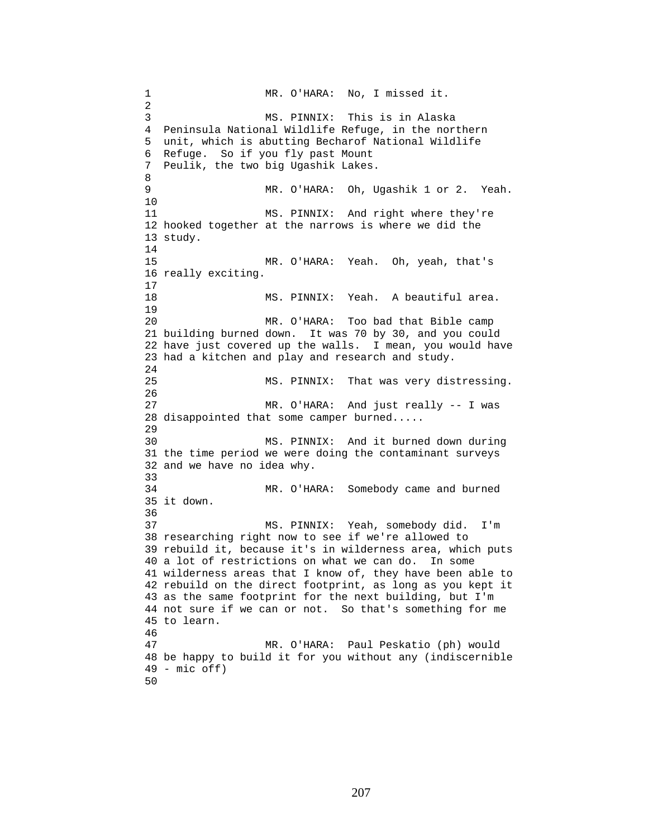1 MR. O'HARA: No, I missed it. 2 3 MS. PINNIX: This is in Alaska 4 Peninsula National Wildlife Refuge, in the northern 5 unit, which is abutting Becharof National Wildlife 6 Refuge. So if you fly past Mount 7 Peulik, the two big Ugashik Lakes. 8 9 MR. O'HARA: Oh, Ugashik 1 or 2. Yeah. 10 11 MS. PINNIX: And right where they're 12 hooked together at the narrows is where we did the 13 study. 14 15 MR. O'HARA: Yeah. Oh, yeah, that's 16 really exciting. 17 18 MS. PINNIX: Yeah. A beautiful area. 19 20 MR. O'HARA: Too bad that Bible camp 21 building burned down. It was 70 by 30, and you could 22 have just covered up the walls. I mean, you would have 23 had a kitchen and play and research and study.  $2.4$ 25 MS. PINNIX: That was very distressing. 26 27 MR. O'HARA: And just really -- I was 28 disappointed that some camper burned..... 29 30 MS. PINNIX: And it burned down during 31 the time period we were doing the contaminant surveys 32 and we have no idea why. 33 34 MR. O'HARA: Somebody came and burned 35 it down. 36 37 MS. PINNIX: Yeah, somebody did. I'm 38 researching right now to see if we're allowed to 39 rebuild it, because it's in wilderness area, which puts 40 a lot of restrictions on what we can do. In some 41 wilderness areas that I know of, they have been able to 42 rebuild on the direct footprint, as long as you kept it 43 as the same footprint for the next building, but I'm 44 not sure if we can or not. So that's something for me 45 to learn. 46 47 MR. O'HARA: Paul Peskatio (ph) would 48 be happy to build it for you without any (indiscernible 49 - mic off) 50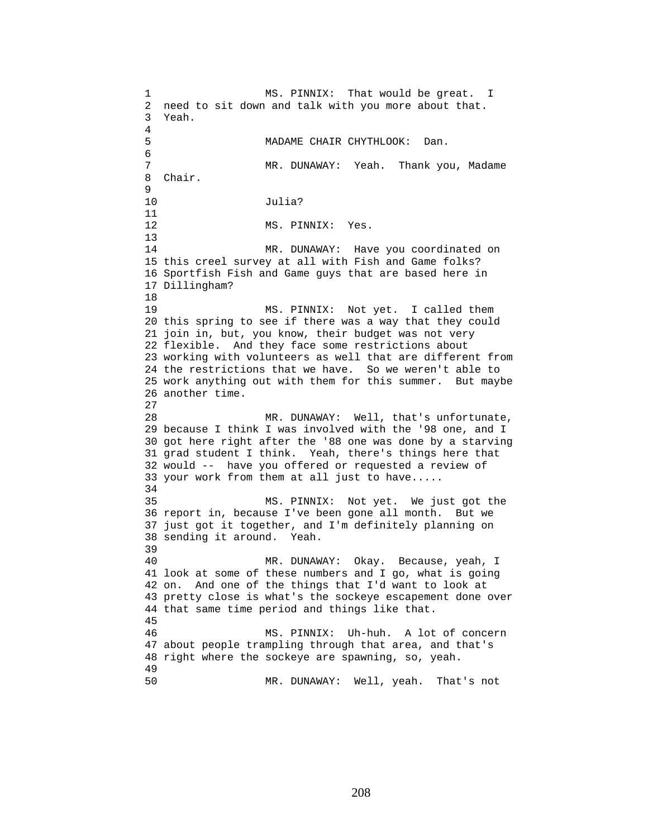1 MS. PINNIX: That would be great. I 2 need to sit down and talk with you more about that. 3 Yeah. 4 5 MADAME CHAIR CHYTHLOOK: Dan. 6 7 MR. DUNAWAY: Yeah. Thank you, Madame 8 Chair. 9 10 Julia? 11 12 MS. PINNIX: Yes. 13 14 MR. DUNAWAY: Have you coordinated on 15 this creel survey at all with Fish and Game folks? 16 Sportfish Fish and Game guys that are based here in 17 Dillingham? 18 19 MS. PINNIX: Not yet. I called them 20 this spring to see if there was a way that they could 21 join in, but, you know, their budget was not very 22 flexible. And they face some restrictions about 23 working with volunteers as well that are different from 24 the restrictions that we have. So we weren't able to 25 work anything out with them for this summer. But maybe 26 another time. 27 28 MR. DUNAWAY: Well, that's unfortunate, 29 because I think I was involved with the '98 one, and I 30 got here right after the '88 one was done by a starving 31 grad student I think. Yeah, there's things here that 32 would -- have you offered or requested a review of 33 your work from them at all just to have..... 34 35 MS. PINNIX: Not yet. We just got the 36 report in, because I've been gone all month. But we 37 just got it together, and I'm definitely planning on 38 sending it around. Yeah. 39 40 MR. DUNAWAY: Okay. Because, yeah, I 41 look at some of these numbers and I go, what is going 42 on. And one of the things that I'd want to look at 43 pretty close is what's the sockeye escapement done over 44 that same time period and things like that. 45 46 MS. PINNIX: Uh-huh. A lot of concern 47 about people trampling through that area, and that's 48 right where the sockeye are spawning, so, yeah. 49 50 MR. DUNAWAY: Well, yeah. That's not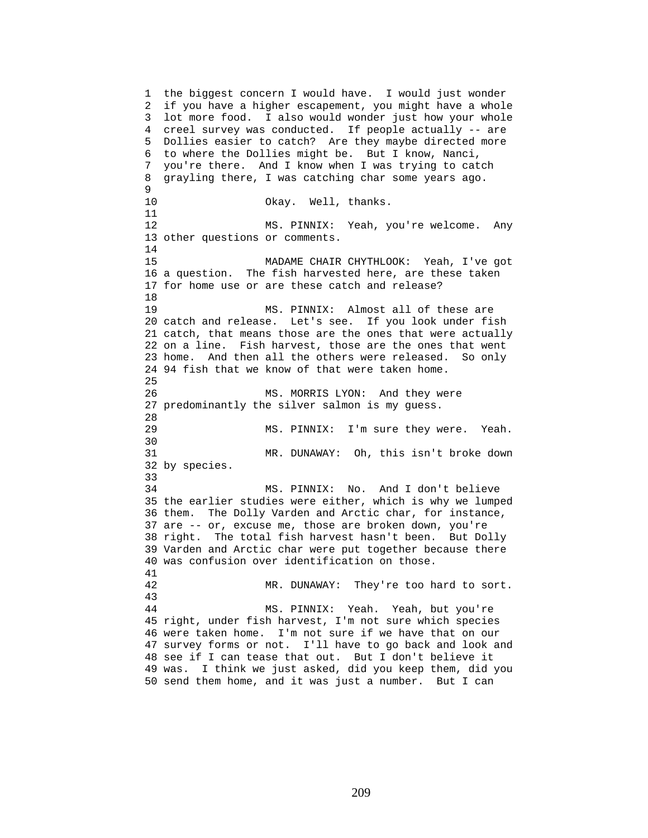1 the biggest concern I would have. I would just wonder 2 if you have a higher escapement, you might have a whole 3 lot more food. I also would wonder just how your whole 4 creel survey was conducted. If people actually -- are 5 Dollies easier to catch? Are they maybe directed more 6 to where the Dollies might be. But I know, Nanci, 7 you're there. And I know when I was trying to catch 8 grayling there, I was catching char some years ago. 9 10 Okay. Well, thanks. 11 12 MS. PINNIX: Yeah, you're welcome. Any 13 other questions or comments. 14 15 MADAME CHAIR CHYTHLOOK: Yeah, I've got 16 a question. The fish harvested here, are these taken 17 for home use or are these catch and release? 18 19 MS. PINNIX: Almost all of these are 20 catch and release. Let's see. If you look under fish 21 catch, that means those are the ones that were actually 22 on a line. Fish harvest, those are the ones that went 23 home. And then all the others were released. So only 24 94 fish that we know of that were taken home. 25 26 MS. MORRIS LYON: And they were 27 predominantly the silver salmon is my guess. 28<br>29 MS. PINNIX: I'm sure they were. Yeah. 30 31 MR. DUNAWAY: Oh, this isn't broke down 32 by species. 33 34 MS. PINNIX: No. And I don't believe 35 the earlier studies were either, which is why we lumped 36 them. The Dolly Varden and Arctic char, for instance, 37 are -- or, excuse me, those are broken down, you're 38 right. The total fish harvest hasn't been. But Dolly 39 Varden and Arctic char were put together because there 40 was confusion over identification on those. 41 42 MR. DUNAWAY: They're too hard to sort. 43 44 MS. PINNIX: Yeah. Yeah, but you're 45 right, under fish harvest, I'm not sure which species 46 were taken home. I'm not sure if we have that on our 47 survey forms or not. I'll have to go back and look and 48 see if I can tease that out. But I don't believe it 49 was. I think we just asked, did you keep them, did you 50 send them home, and it was just a number. But I can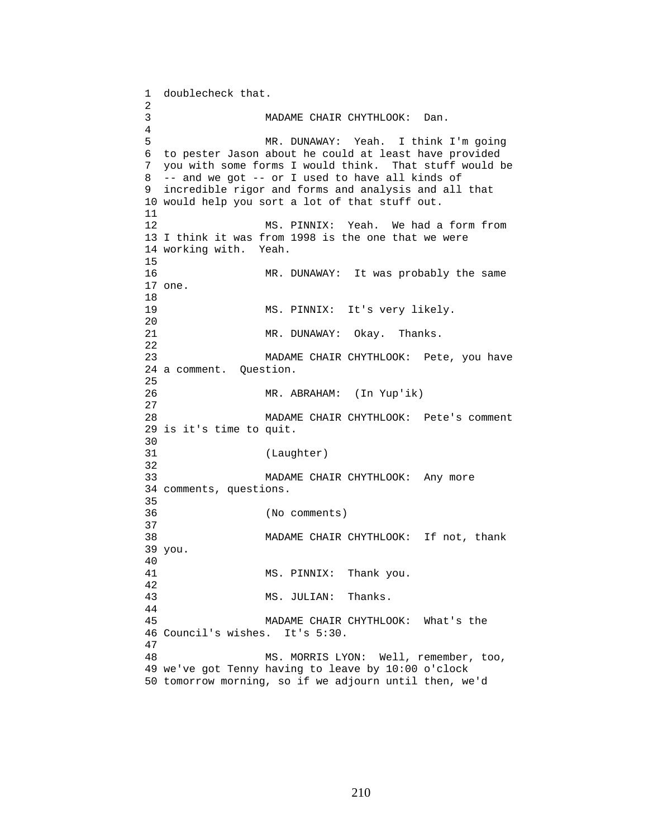1 doublecheck that. 2 3 MADAME CHAIR CHYTHLOOK: Dan. 4 5 MR. DUNAWAY: Yeah. I think I'm going 6 to pester Jason about he could at least have provided 7 you with some forms I would think. That stuff would be 8 -- and we got -- or I used to have all kinds of 9 incredible rigor and forms and analysis and all that 10 would help you sort a lot of that stuff out. 11 12 MS. PINNIX: Yeah. We had a form from 13 I think it was from 1998 is the one that we were 14 working with. Yeah. 15 16 MR. DUNAWAY: It was probably the same 17 one. 18 19 MS. PINNIX: It's very likely. 20 21 MR. DUNAWAY: Okay. Thanks. 22 23 MADAME CHAIR CHYTHLOOK: Pete, you have 24 a comment. Question. 25 26 MR. ABRAHAM: (In Yup'ik) 27 28 MADAME CHAIR CHYTHLOOK: Pete's comment 29 is it's time to quit. 30<br>31 (Laughter) 32 33 MADAME CHAIR CHYTHLOOK: Any more 34 comments, questions. 35 36 (No comments) 37 38 MADAME CHAIR CHYTHLOOK: If not, thank 39 you. 40 41 MS. PINNIX: Thank you. 42 43 MS. JULIAN: Thanks. 44 45 MADAME CHAIR CHYTHLOOK: What's the 46 Council's wishes. It's 5:30. 47 48 MS. MORRIS LYON: Well, remember, too, 49 we've got Tenny having to leave by 10:00 o'clock 50 tomorrow morning, so if we adjourn until then, we'd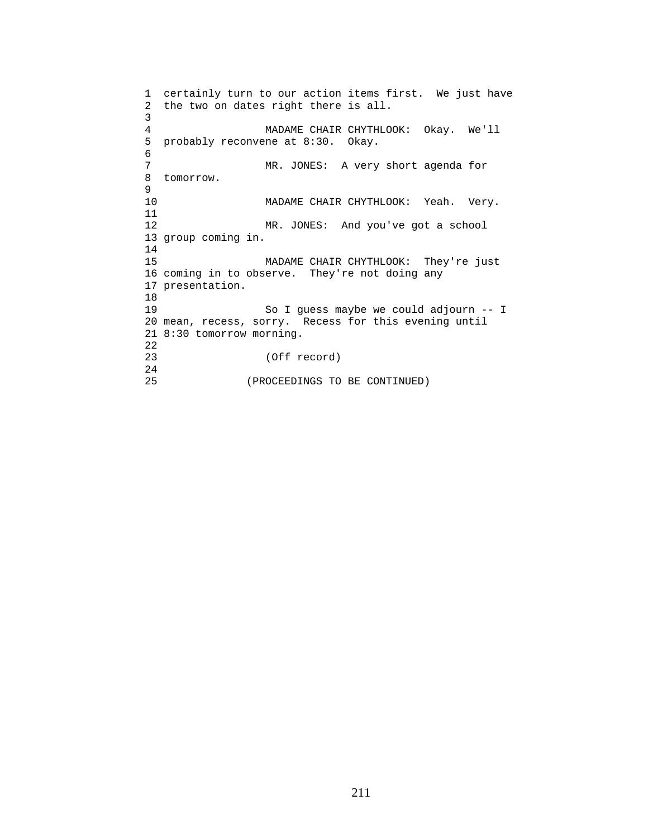```
1 certainly turn to our action items first. We just have 
2 the two on dates right there is all. 
3 
4 MADAME CHAIR CHYTHLOOK: Okay. We'll 
5 probably reconvene at 8:30. Okay. 
6<br>7
                MR. JONES: A very short agenda for
8 tomorrow. 
9 
10 MADAME CHAIR CHYTHLOOK: Yeah. Very. 
11 
12 MR. JONES: And you've got a school 
13 group coming in. 
14 
15 MADAME CHAIR CHYTHLOOK: They're just 
16 coming in to observe. They're not doing any 
17 presentation. 
18 
19 So I guess maybe we could adjourn -- I 
20 mean, recess, sorry. Recess for this evening until 
21 8:30 tomorrow morning. 
22 
23 (Off record) 
24 
25 (PROCEEDINGS TO BE CONTINUED)
```